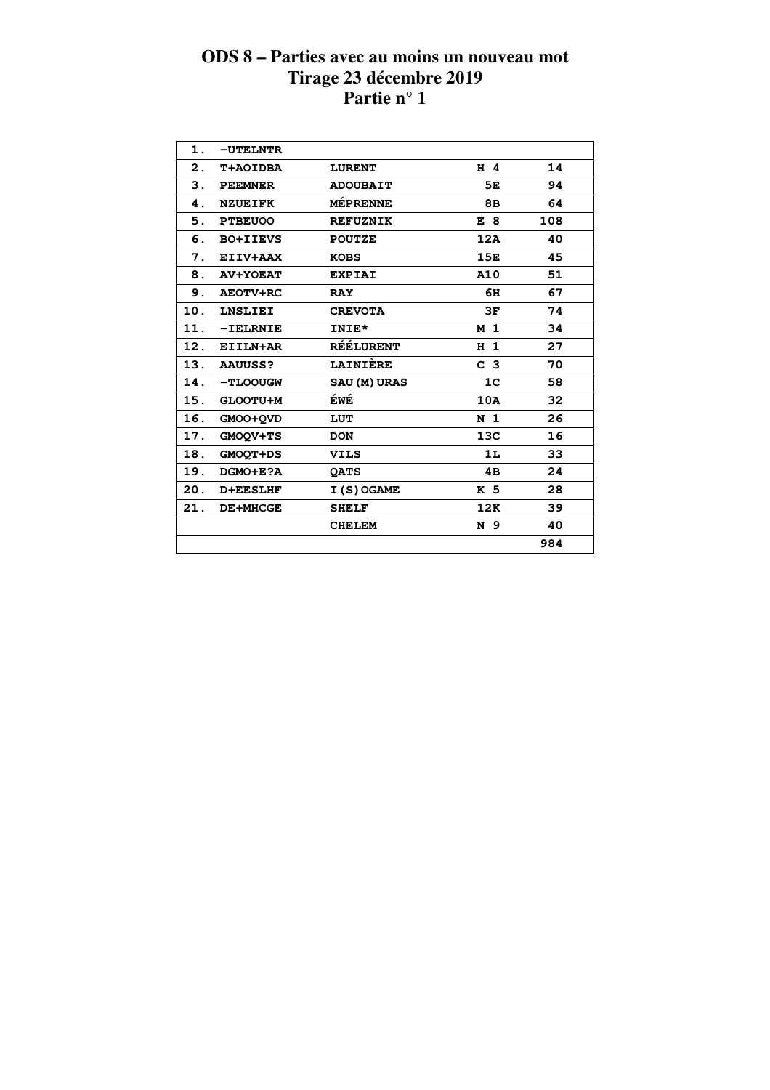| $\mathbf 1$ . | -UTELNTR        |                     |                |     |  |
|---------------|-----------------|---------------------|----------------|-----|--|
| 2.            | T+AOIDBA        | <b>LURENT</b>       | H 4            | 14  |  |
| 3.            | <b>PEEMNER</b>  | <b>ADOUBAIT</b>     | 5E             | 94  |  |
| 4.            | <b>NZUEIFK</b>  | <b>MÉPRENNE</b>     | 8B             | 64  |  |
| 5.            | <b>PTBEUOO</b>  | <b>REFUZNIK</b>     | E 8            | 108 |  |
| 6.            | <b>BO+IIEVS</b> | <b>POUTZE</b>       | 12A            | 40  |  |
| 7.            | EIIV+AAX        | <b>KOBS</b>         | 15E            | 45  |  |
| 8.            | <b>AV+YOEAT</b> | <b>EXPIAI</b>       | A10            | 51  |  |
| 9.            | <b>AEOTV+RC</b> | <b>RAY</b>          | 6H             | 67  |  |
| 10.           | <b>LNSLIEI</b>  | <b>CREVOTA</b>      | 3F             | 74  |  |
| 11.           | $-IELRNIE$      | INIE*               | M 1            | 34  |  |
| 12.           | EIILN+AR        | <b>RÉÉLURENT</b>    | H <sub>1</sub> | 27  |  |
| 13.           | <b>AAUUSS?</b>  | LAINIÈRE            | C <sub>3</sub> | 70  |  |
| 14.           | -TLOOUGW        | <b>SAU (M) URAS</b> | 1 <sup>C</sup> | 58  |  |
| 15.           | GLOOTU+M        | <b>ÉWÉ</b>          | 10A            | 32  |  |
| 16.           | GMOO+QVD        | LUT                 | N <sub>1</sub> | 26  |  |
| 17.           | GMOOV+TS        | <b>DON</b>          | 13C            | 16  |  |
| 18.           | <b>GMOOT+DS</b> | <b>VILS</b>         | 1L             | 33  |  |
| 19.           | DGMO+E?A        | <b>QATS</b>         | 4B             | 24  |  |
| 20.           | <b>D+EESLHF</b> | I (S) OGAME         | K 5            | 28  |  |
| 21.           | <b>DE+MHCGE</b> | <b>SHELF</b>        | 12K            | 39  |  |
|               |                 | <b>CHELEM</b>       | N 9            | 40  |  |
|               |                 |                     |                | 984 |  |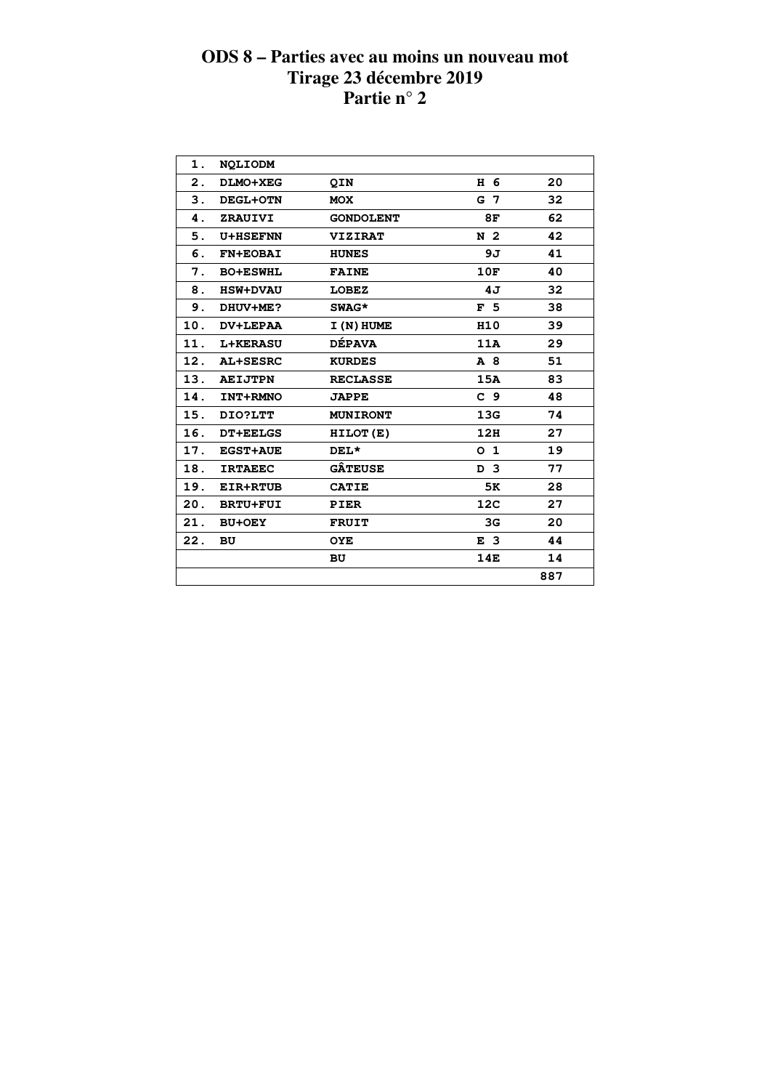| 1.  | <b>NOLIODM</b>  |                  |                 |     |
|-----|-----------------|------------------|-----------------|-----|
| 2.  | DLMO+XEG        | <b>QIN</b>       | H 6             | 20  |
| 3.  | <b>DEGL+OTN</b> | <b>MOX</b>       | G 7             | 32  |
| 4.  | ZRAUIVI         | <b>GONDOLENT</b> | 8F              | 62  |
| 5.  | <b>U+HSEFNN</b> | <b>VIZIRAT</b>   | N <sub>2</sub>  | 42  |
| 6.  | <b>FN+EOBAI</b> | <b>HUNES</b>     | 9J              | 41  |
| 7.  | <b>BO+ESWHL</b> | <b>FAINE</b>     | 10F             | 40  |
| 8.  | <b>HSW+DVAU</b> | <b>LOBEZ</b>     | 4J              | 32  |
| 9.  | DHUV+ME?        | SWAG*            | F <sub>5</sub>  | 38  |
| 10. | DV+LEPAA        | I (N) HUME       | H10             | 39  |
| 11. | <b>L+KERASU</b> | <b>DÉPAVA</b>    | 11A             | 29  |
| 12. | AL+SESRC        | <b>KURDES</b>    | A 8             | 51  |
| 13. | <b>AEIJTPN</b>  | <b>RECLASSE</b>  | 15A             | 83  |
| 14. | INT+RMNO        | <b>JAPPE</b>     | C <sub>9</sub>  | 48  |
| 15. | DIO?LTT         | <b>MUNIRONT</b>  | 13G             | 74  |
| 16. | <b>DT+EELGS</b> | HILOT(E)         | 12H             | 27  |
| 17. | <b>EGST+AUE</b> | $DEL*$           | O <sub>1</sub>  | 19  |
| 18. | <b>IRTAEEC</b>  | <b>GÂTEUSE</b>   | D 3             | 77  |
| 19. | <b>EIR+RTUB</b> | <b>CATIE</b>     | 5K              | 28  |
| 20. | <b>BRTU+FUI</b> | <b>PIER</b>      | 12 <sub>C</sub> | 27  |
| 21. | <b>BU+OEY</b>   | <b>FRUIT</b>     | 3 <sub>G</sub>  | 20  |
| 22. | BU              | <b>OYE</b>       | E <sub>3</sub>  | 44  |
|     |                 | <b>BU</b>        | 14E             | 14  |
|     |                 |                  |                 | 887 |
|     |                 |                  |                 |     |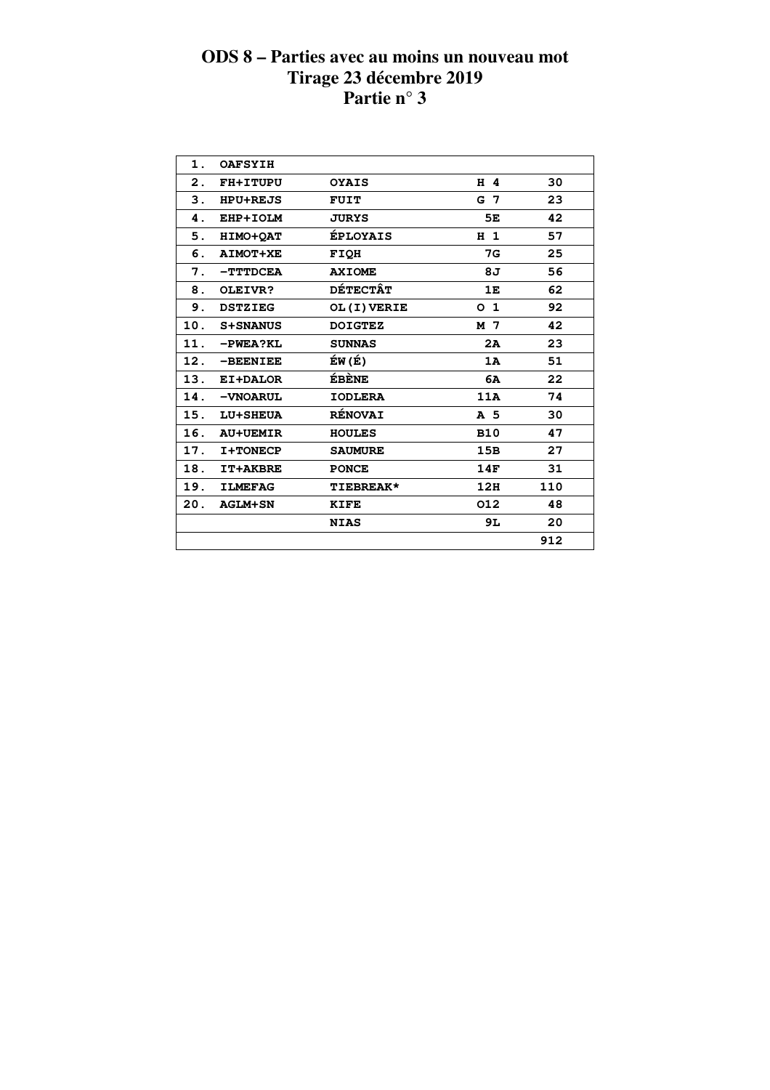| 1.  | <b>OAFSYIH</b>  |                  |                |     |  |
|-----|-----------------|------------------|----------------|-----|--|
| 2.  | FH+ITUPU        | <b>OYAIS</b>     | H 4            | 30  |  |
| 3.  | <b>HPU+REJS</b> | <b>FUIT</b>      | G 7            | 23  |  |
| 4.  | EHP+IOLM        | JURYS            | 5Е             | 42  |  |
| 5.  | HIMO+OAT        | <b>ÉPLOYAIS</b>  | H <sub>1</sub> | 57  |  |
| 6.  | <b>AIMOT+XE</b> | <b>FIQH</b>      | 7G             | 25  |  |
| 7.  | $-TTTDCEA$      | <b>AXIOME</b>    | 8J             | 56  |  |
| 8.  | OLEIVR?         | <b>DÉTECTÂT</b>  | 1E             | 62  |  |
| 9.  | <b>DSTZIEG</b>  | OL (I) VERIE     | O <sub>1</sub> | 92  |  |
| 10. | <b>S+SNANUS</b> | <b>DOIGTEZ</b>   | M 7            | 42  |  |
| 11. | $-PWEA?KL$      | <b>SUNNAS</b>    | 2A             | 23  |  |
| 12. | -BEENIEE        | ÉW (É)           | 1A             | 51  |  |
| 13. | EI+DALOR        | <b>ÉBÈNE</b>     | 6A             | 22  |  |
| 14. | -VNOARUL        | <b>IODLERA</b>   | 11A            | 74  |  |
| 15. | <b>LU+SHEUA</b> | <b>RÉNOVAI</b>   | A <sub>5</sub> | 30  |  |
| 16. | <b>AU+UEMIR</b> | <b>HOULES</b>    | <b>B10</b>     | 47  |  |
| 17. | I+TONECP        | <b>SAUMURE</b>   | 15B            | 27  |  |
| 18. | <b>IT+AKBRE</b> | <b>PONCE</b>     | 14F            | 31  |  |
| 19. | <b>ILMEFAG</b>  | <b>TIEBREAK*</b> | 12H            | 110 |  |
| 20. | <b>AGLM+SN</b>  | <b>KIFE</b>      | 012            | 48  |  |
|     |                 | <b>NIAS</b>      | 9L             | 20  |  |
|     |                 |                  |                | 912 |  |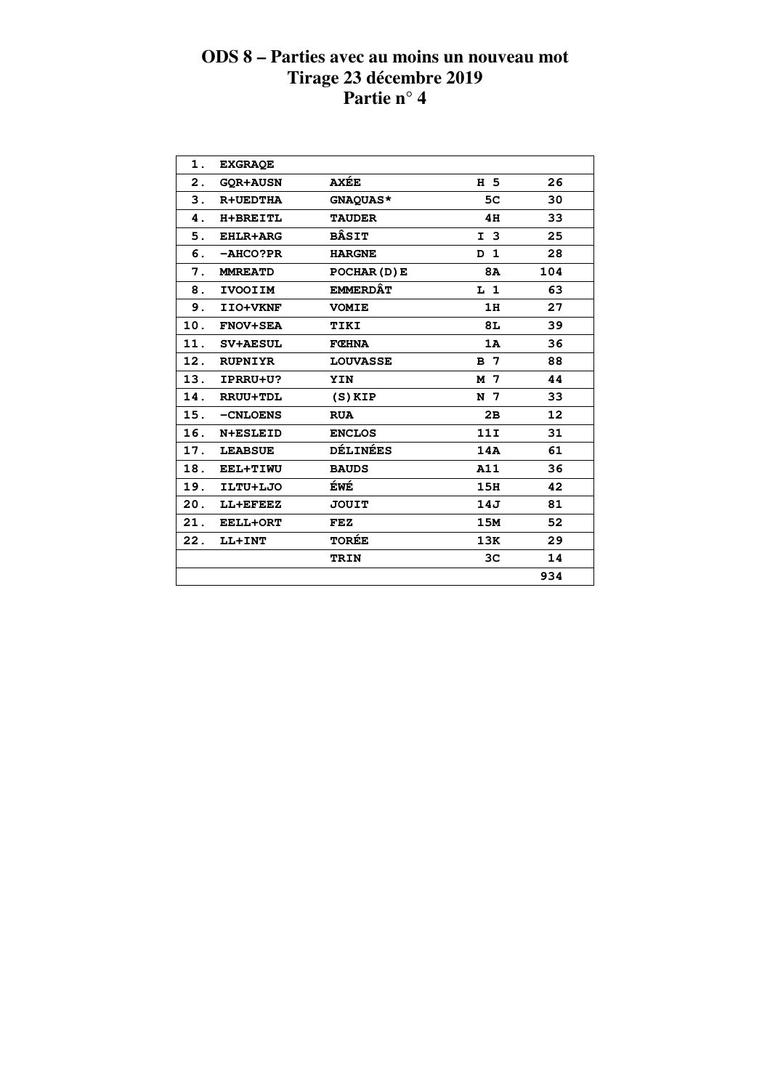| 1.  | <b>EXGRAQE</b>  |                 |                   |     |  |
|-----|-----------------|-----------------|-------------------|-----|--|
| 2.  | <b>GOR+AUSN</b> | <b>AXÉE</b>     | H 5               | 26  |  |
| 3.  | <b>R+UEDTHA</b> | GNAQUAS*        | 5C                | 30  |  |
| 4.  | <b>H+BREITL</b> | <b>TAUDER</b>   | 4H                | 33  |  |
| 5.  | <b>EHLR+ARG</b> | <b>BÂSIT</b>    | I <sub>3</sub>    | 25  |  |
| 6.  | -AHCO?PR        | <b>HARGNE</b>   | $\mathbf{1}$<br>D | 28  |  |
| 7.  | <b>MMREATD</b>  | POCHAR (D) E    | <b>8A</b>         | 104 |  |
| 8.  | <b>IVOOIIM</b>  | <b>EMMERDÂT</b> | $L_1$             | 63  |  |
| 9.  | IIO+VKNF        | <b>VOMIE</b>    | 1H                | 27  |  |
| 10. | <b>FNOV+SEA</b> | TIKI            | 8L                | 39  |  |
| 11. | <b>SV+AESUL</b> | <b>FCHNA</b>    | 1A                | 36  |  |
| 12. | <b>RUPNIYR</b>  | <b>LOUVASSE</b> | B <sub>7</sub>    | 88  |  |
| 13. | IPRRU+U?        | YIN             | M 7               | 44  |  |
| 14. | <b>RRUU+TDL</b> | $(S)$ KIP       | N 7               | 33  |  |
| 15. | -CNLOENS        | <b>RUA</b>      | 2B                | 12  |  |
| 16. | N+ESLEID        | <b>ENCLOS</b>   | 11I               | 31  |  |
| 17. | <b>LEABSUE</b>  | <b>DÉLINÉES</b> | 14A               | 61  |  |
| 18. | EEL+TIWU        | <b>BAUDS</b>    | A11               | 36  |  |
| 19. | ILTU+LJO        | ÉWÉ             | 15H               | 42  |  |
| 20. | LL+EFEEZ        | <b>JOUIT</b>    | 14J               | 81  |  |
| 21. | <b>EELL+ORT</b> | FEZ             | 15M               | 52  |  |
| 22. | LL+INT          | <b>TORÉE</b>    | 13K               | 29  |  |
|     |                 | TRIN            | 3 <sub>C</sub>    | 14  |  |
|     |                 |                 |                   | 934 |  |
|     |                 |                 |                   |     |  |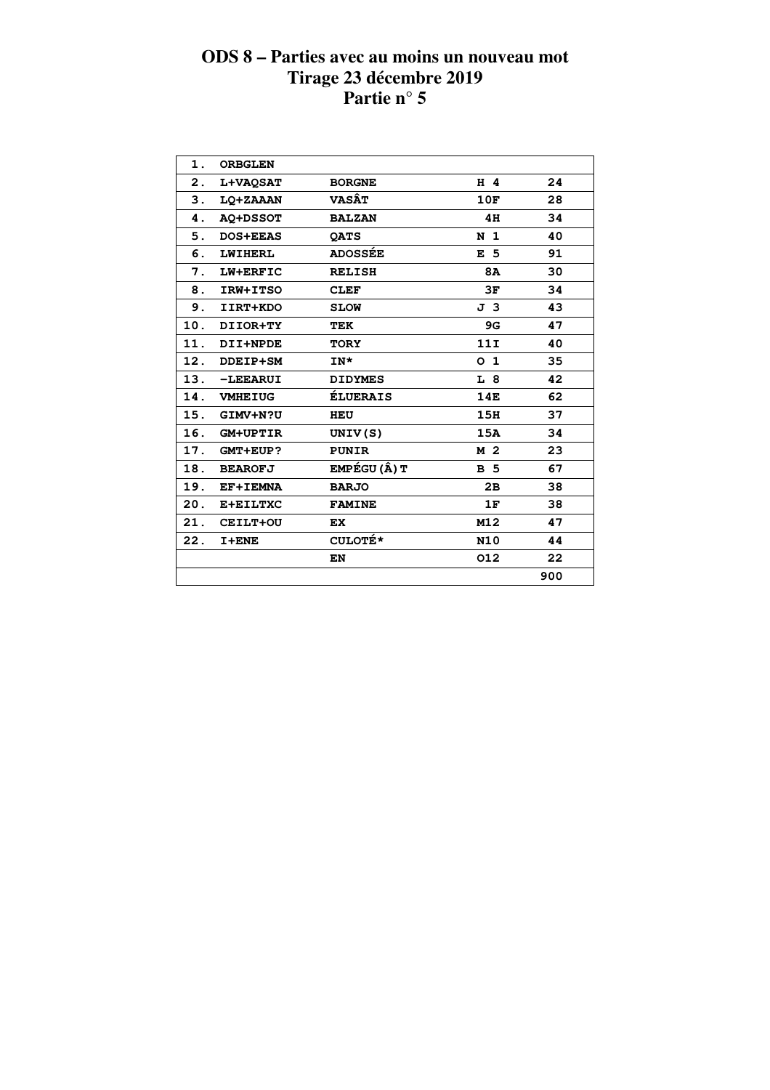| 1.            | <b>ORBGLEN</b>  |                 |                |     |  |
|---------------|-----------------|-----------------|----------------|-----|--|
| 2.            | <b>L+VAQSAT</b> | <b>BORGNE</b>   | $H$ 4          | 24  |  |
| $\mathbf 3$ . | LQ+ZAAAN        | <b>VASÂT</b>    | 10F            | 28  |  |
| 4.            | <b>AQ+DSSOT</b> | <b>BALZAN</b>   | 4H             | 34  |  |
| 5.            | <b>DOS+EEAS</b> | <b>OATS</b>     | N <sub>1</sub> | 40  |  |
| 6.            | <b>LWIHERL</b>  | <b>ADOSSÉE</b>  | E <sub>5</sub> | 91  |  |
| 7.            | LW+ERFIC        | <b>RELISH</b>   | 8A             | 30  |  |
| 8.            | IRW+ITSO        | <b>CLEF</b>     | 3F             | 34  |  |
| 9.            | IIRT+KDO        | <b>SLOW</b>     | J 3            | 43  |  |
| 10.           | DIIOR+TY        | TEK             | 9G             | 47  |  |
| 11.           | DII+NPDE        | <b>TORY</b>     | 11I            | 40  |  |
| 12.           | DDEIP+SM        | IN*             | O <sub>1</sub> | 35  |  |
| 13.           | -LEEARUI        | <b>DIDYMES</b>  | L 8            | 42  |  |
| 14.           | <b>VMHEIUG</b>  | <b>ÉLUERAIS</b> | <b>14E</b>     | 62  |  |
| 15.           | GIMV+N?U        | HEU             | 15H            | 37  |  |
| 16.           | <b>GM+UPTIR</b> | UNIV(S)         | 15A            | 34  |  |
| 17.           | <b>GMT+EUP?</b> | <b>PUNIR</b>    | M 2            | 23  |  |
| 18.           | <b>BEAROFJ</b>  | EMPÉGU (Â) T    | <b>B</b> 5     | 67  |  |
| 19.           | EF+IEMNA        | <b>BARJO</b>    | 2B             | 38  |  |
| 20.           | E+EILTXC        | <b>FAMINE</b>   | 1F             | 38  |  |
| 21.           | CEILT+OU        | EX.             | M12            | 47  |  |
| 22.           | $I + ENE$       | <b>CULOTÉ*</b>  | <b>N10</b>     | 44  |  |
|               |                 | EN              | 012            | 22  |  |
|               |                 |                 |                | 900 |  |
|               |                 |                 |                |     |  |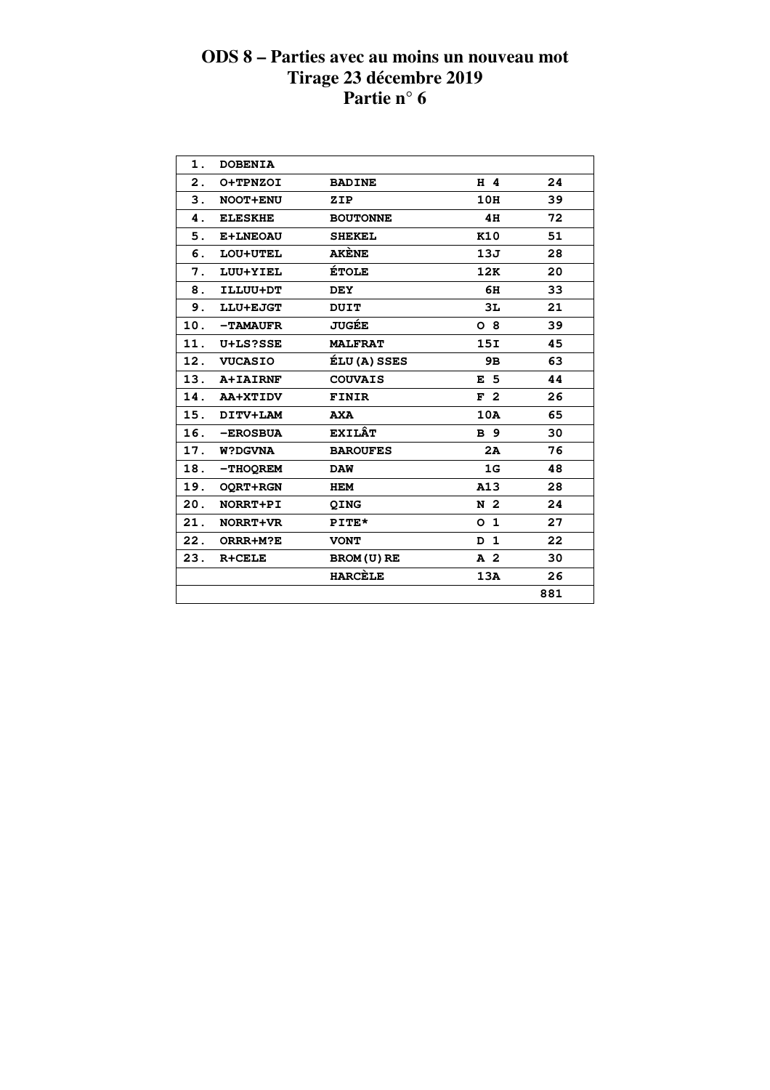| 1.             | <b>DOBENIA</b>  |                     |                |     |  |
|----------------|-----------------|---------------------|----------------|-----|--|
| $\mathbf{2}$ . | O+TPNZOI        | <b>BADINE</b>       | $H$ 4          | 24  |  |
| 3.             | NOOT+ENU        | ZIP                 | 10H            | 39  |  |
| 4.             | <b>ELESKHE</b>  | <b>BOUTONNE</b>     | 4H             | 72  |  |
| 5.             | E+LNEOAU        | <b>SHEKEL</b>       | K10            | 51  |  |
| 6.             | LOU+UTEL        | <b>AKÈNE</b>        | 13J            | 28  |  |
| 7.             | LUU+YIEL        | <b>ÉTOLE</b>        | 12K            | 20  |  |
| 8.             | ILLUU+DT        | <b>DEY</b>          | 6H             | 33  |  |
| 9.             | LLU+EJGT        | <b>DUIT</b>         | 3L             | 21  |  |
| 10.            | <b>-TAMAUFR</b> | <b>JUGÉE</b>        | $O_8$          | 39  |  |
| 11.            | U+LS?SSE        | <b>MALFRAT</b>      | 15I            | 45  |  |
|                | 12. VUCASIO     | <b>ÉLU (A) SSES</b> | 9B             | 63  |  |
|                | 13. A+IAIRNF    | <b>COUVAIS</b>      | E <sub>5</sub> | 44  |  |
|                | 14. AA+XTIDV    | FINIR               | F <sub>2</sub> | 26  |  |
|                | 15. DITV+LAM    | <b>AXA</b>          | 10A            | 65  |  |
| 16.            | <b>-EROSBUA</b> | <b>EXILÂT</b>       | <b>B</b> 9     | 30  |  |
|                | 17. W?DGVNA     | <b>BAROUFES</b>     | 2A             | 76  |  |
| 18.            | -THOOREM        | <b>DAW</b>          | 1G             | 48  |  |
|                | 19. OQRT+RGN    | <b>HEM</b>          | A13            | 28  |  |
| 20.            | NORRT+PI        | QING                | N <sub>2</sub> | 24  |  |
| 21.            | NORRT+VR        | PITE*               | O <sub>1</sub> | 27  |  |
| 22.            | ORRR+M?E        | <b>VONT</b>         | D <sub>1</sub> | 22  |  |
| 23.            | R+CELE          | BROM (U) RE         | A <sub>2</sub> | 30  |  |
|                |                 | <b>HARCELE</b>      | 13A            | 26  |  |
|                |                 |                     |                | 881 |  |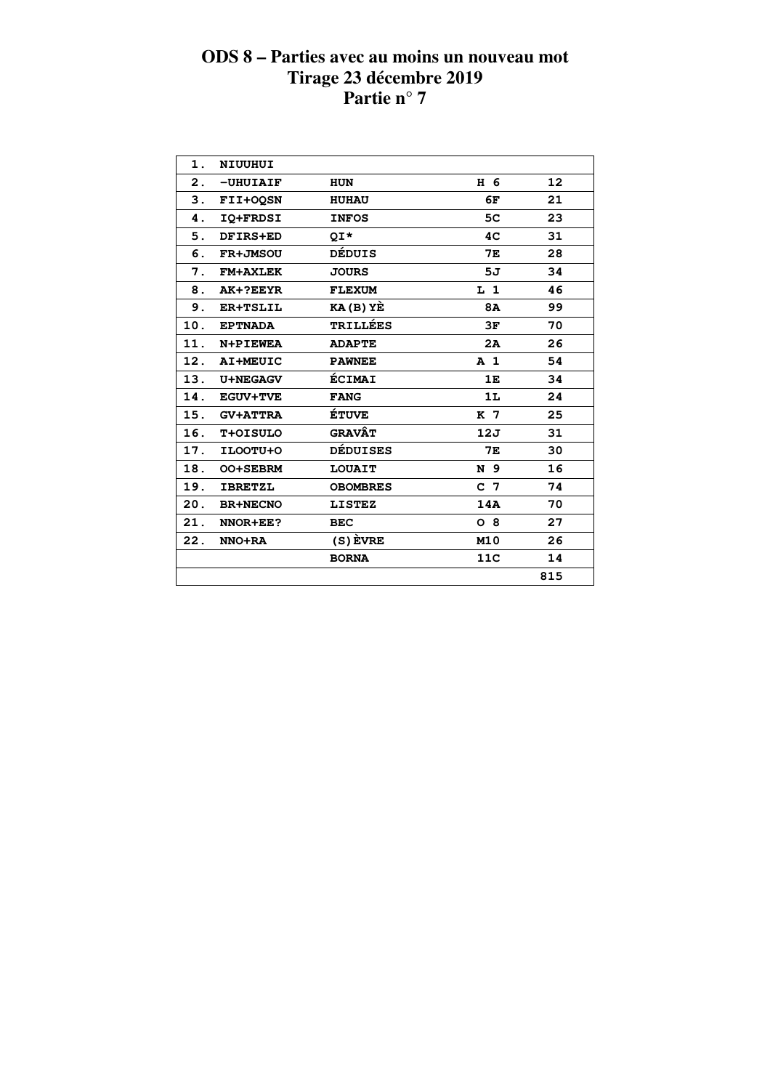| 1.  | NIUUHUI         |                 |                |     |  |
|-----|-----------------|-----------------|----------------|-----|--|
| 2.  | $-UHUIAIF$      | <b>HUN</b>      | H 6            | 12  |  |
| 3.  | FII+OOSN        | <b>HUHAU</b>    | 6F             | 21  |  |
| 4.  | IQ+FRDSI        | <b>INFOS</b>    | 5C             | 23  |  |
| 5.  | DFIRS+ED        | QI*             | 4 <sub>C</sub> | 31  |  |
| 6.  | <b>FR+JMSOU</b> | DÉDUIS          | 7Е             | 28  |  |
| 7.  | <b>FM+AXLEK</b> | <b>JOURS</b>    | 5J             | 34  |  |
| 8.  | AK+?EEYR        | <b>FLEXUM</b>   | L <sub>1</sub> | 46  |  |
| 9.  | ER+TSLIL        | $KA(B)$ $YE$    | <b>8A</b>      | 99  |  |
| 10. | <b>EPTNADA</b>  | <b>TRILLÉES</b> | 3F             | 70  |  |
| 11. | N+PIEWEA        | <b>ADAPTE</b>   | 2A             | 26  |  |
| 12. | AI+MEUIC        | <b>PAWNEE</b>   | A <sub>1</sub> | 54  |  |
| 13. | <b>U+NEGAGV</b> | <b>ÉCIMAI</b>   | 1E             | 34  |  |
| 14. | <b>EGUV+TVE</b> | <b>FANG</b>     | 1L             | 24  |  |
| 15. | <b>GV+ATTRA</b> | <b>ÉTUVE</b>    | K 7            | 25  |  |
| 16. | T+OISULO        | <b>GRAVÂT</b>   | 12J            | 31  |  |
| 17. | ILOOTU+O        | <b>DÉDUISES</b> | <b>7E</b>      | 30  |  |
| 18. | <b>OO+SEBRM</b> | <b>LOUAIT</b>   | N 9            | 16  |  |
| 19. | <b>IBRETZL</b>  | <b>OBOMBRES</b> | C <sub>7</sub> | 74  |  |
| 20. | <b>BR+NECNO</b> | <b>LISTEZ</b>   | 14A            | 70  |  |
| 21. | NNOR+EE?        | <b>BEC</b>      | $O_8$          | 27  |  |
| 22. | NNO+RA          | $(S)$ EVRE      | M10            | 26  |  |
|     |                 | <b>BORNA</b>    | 11C            | 14  |  |
|     |                 |                 |                | 815 |  |
|     |                 |                 |                |     |  |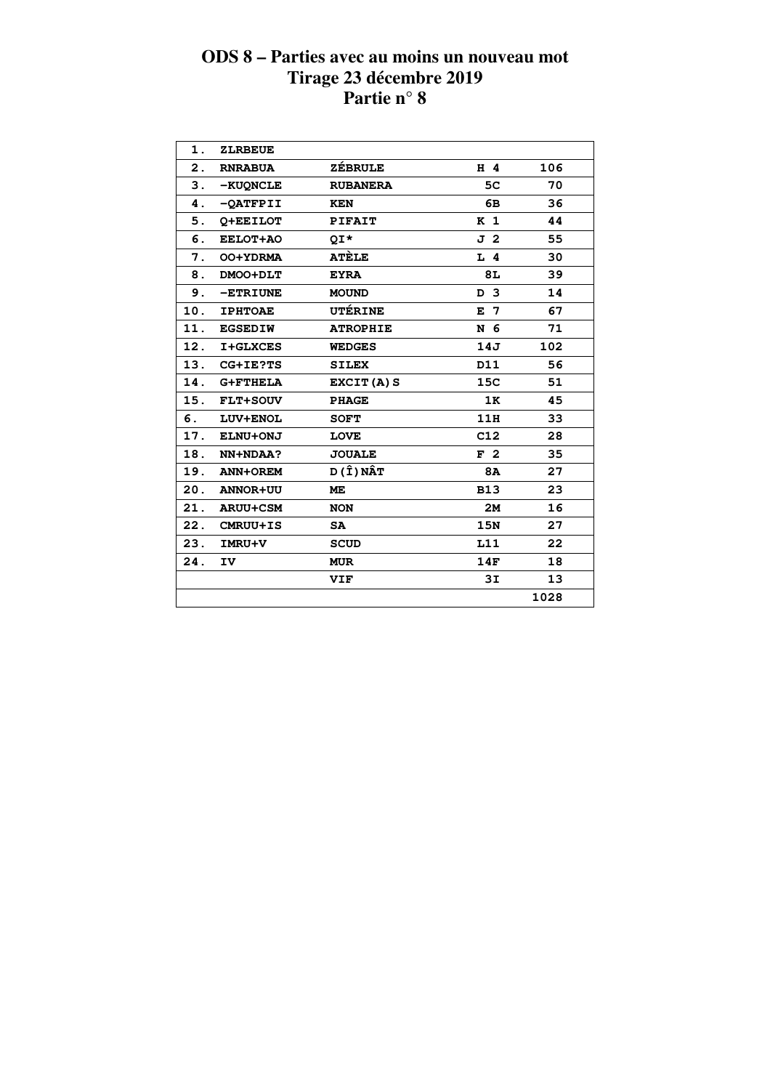| 1.             | <b>ZLRBEUE</b>  |                 |                |      |
|----------------|-----------------|-----------------|----------------|------|
| $\mathbf{2}$ . | <b>RNRABUA</b>  | <b>ZÉBRULE</b>  | H 4            | 106  |
| 3.             | -KUONCLE        | <b>RUBANERA</b> | 5C             | 70   |
| 4.             | -QATFPII        | <b>KEN</b>      | 6В             | 36   |
| 5.             | O+EEILOT        | <b>PIFAIT</b>   | K <sub>1</sub> | 44   |
| 6.             | EELOT+AO        | OI*             | J 2            | 55   |
| 7.             | OO+YDRMA        | <b>ATÈLE</b>    | $L$ 4          | 30   |
| 8.             | DMOO+DLT        | <b>EYRA</b>     | 8L             | 39   |
| 9.             | -ETRIUNE        | <b>MOUND</b>    | D <sub>3</sub> | 14   |
| 10.            | <b>IPHTOAE</b>  | UTÉRINE         | $E$ 7          | 67   |
| 11.            | <b>EGSEDIW</b>  | <b>ATROPHIE</b> | N 6            | 71   |
| 12.            | <b>I+GLXCES</b> | <b>WEDGES</b>   | 14J            | 102  |
| 13.            | CG+IE?TS        | <b>SILEX</b>    | D11            | 56   |
| 14.            | <b>G+FTHELA</b> | EXCIT(A) S      | 15C            | 51   |
| 15.            | FLT+SOUV        | <b>PHAGE</b>    | 1K             | 45   |
| 6.             | LUV+ENOL        | <b>SOFT</b>     | 11H            | 33   |
| 17.            | ELNU+ONJ        | <b>LOVE</b>     | C12            | 28   |
| 18.            | NN+NDAA?        | <b>JOUALE</b>   | F <sub>2</sub> | 35   |
| 19.            | ANN+OREM        | D (Î) NÂT       | 8A             | 27   |
| 20.            | <b>ANNOR+UU</b> | <b>ME</b>       | <b>B13</b>     | 23   |
| 21.            | <b>ARUU+CSM</b> | <b>NON</b>      | <b>2M</b>      | 16   |
| 22.            | CMRUU+IS        | <b>SA</b>       | 15N            | 27   |
| 23.            | IMRU+V          | <b>SCUD</b>     | L11            | 22   |
| 24.            | IV.             | <b>MUR</b>      | 14F            | 18   |
|                |                 | VIF             | 3I             | 13   |
|                |                 |                 |                | 1028 |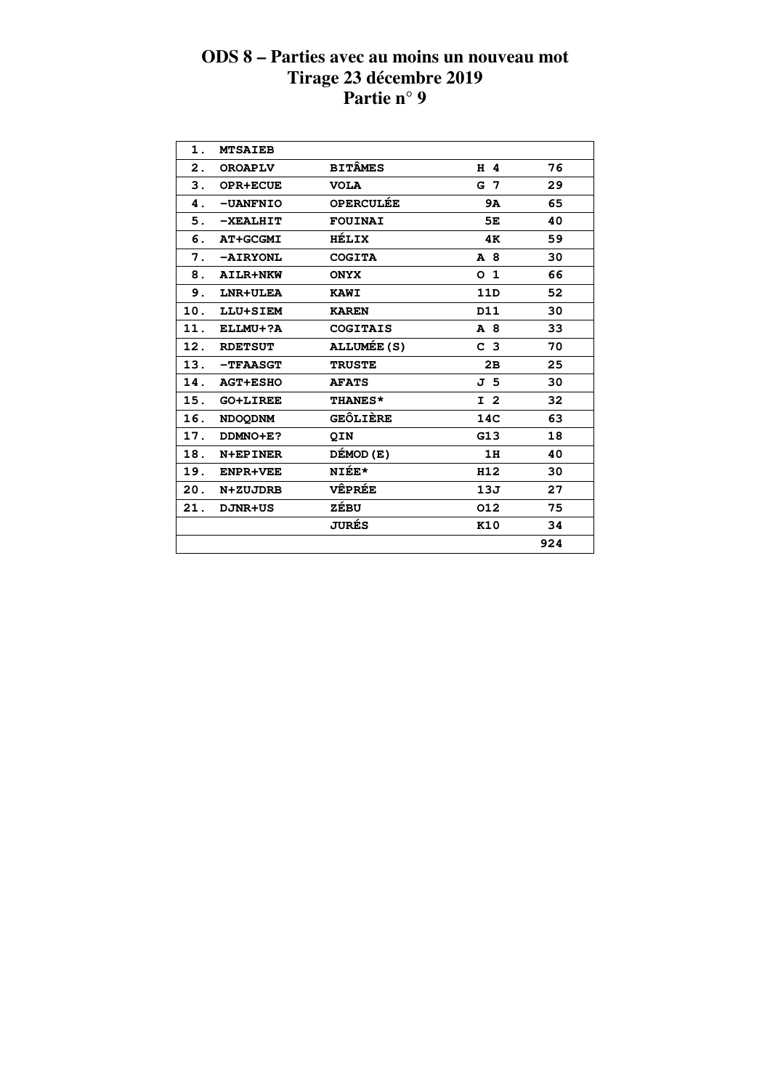| $\mathbf 1$ . | <b>MTSAIEB</b>     |                  |                |     |
|---------------|--------------------|------------------|----------------|-----|
| 2.            | <b>OROAPLV</b>     | <b>BITÂMES</b>   | H 4            | 76  |
| 3.            | <b>OPR+ECUE</b>    | <b>VOLA</b>      | G 7            | 29  |
| 4.            | -UANFNIO           | <b>OPERCULÉE</b> | <b>9A</b>      | 65  |
| 5.            | $-$ <b>XEALHIT</b> | <b>FOUINAI</b>   | 5E             | 40  |
| 6.            | <b>AT+GCGMI</b>    | HÉLIX            | 4K             | 59  |
| 7.            | -AIRYONL           | <b>COGITA</b>    | A 8            | 30  |
| 8.            | AILR+NKW           | <b>ONYX</b>      | O <sub>1</sub> | 66  |
| 9.            | LNR+ULEA           | <b>KAWI</b>      | 11D            | 52  |
| 10.           | LLU+SIEM           | <b>KAREN</b>     | D11            | 30  |
| 11.           | ELLMU+?A           | <b>COGITAIS</b>  | A 8            | 33  |
| 12.           | <b>RDETSUT</b>     | ALLUMÉE (S)      | C <sub>3</sub> | 70  |
| 13.           | -TFAASGT           | <b>TRUSTE</b>    | 2B             | 25  |
| 14.           | <b>AGT+ESHO</b>    | <b>AFATS</b>     | J 5            | 30  |
| 15.           | <b>GO+LIREE</b>    | <b>THANES*</b>   | I <sub>2</sub> | 32  |
| 16.           | <b>NDOODNM</b>     | <b>GEÔLIÈRE</b>  | 14C            | 63  |
| 17.           | DDMNO+E?           | <b>QIN</b>       | G13            | 18  |
| 18.           | N+EPINER           | DÉMOD (E)        | 1H             | 40  |
| 19.           | <b>ENPR+VEE</b>    | NIÉE*            | H12            | 30  |
| 20.           | N+ZUJDRB           | <b>VÊPRÉE</b>    | 13J            | 27  |
| 21.           | <b>DJNR+US</b>     | ZÉBU             | 012            | 75  |
|               |                    | <b>JURÉS</b>     | K10            | 34  |
|               |                    |                  |                | 924 |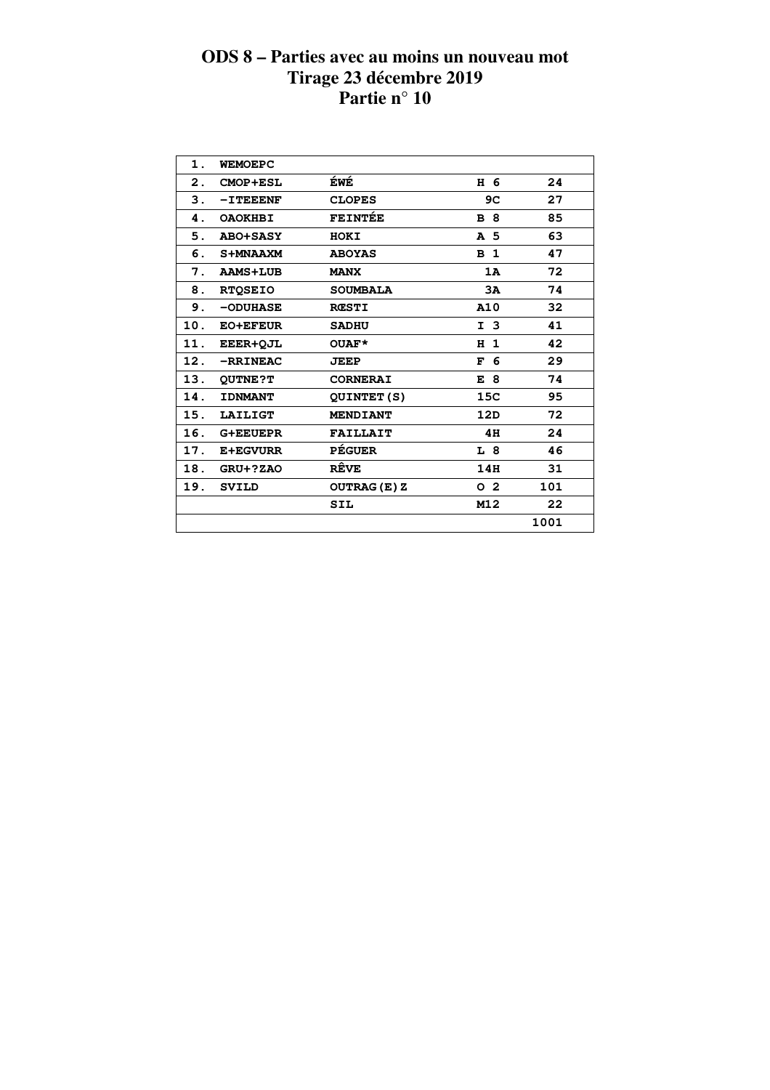| $\mathbf 1$ .             | <b>WEMOEPC</b>  |                     |                   |      |  |
|---------------------------|-----------------|---------------------|-------------------|------|--|
| $\overline{\mathbf{2}}$ . | <b>CMOP+ESL</b> | ÉWÉ                 | H 6               | 24   |  |
| З.                        | $-I$ TEEENF     | <b>CLOPES</b>       | 9C                | 27   |  |
| 4.                        | <b>OAOKHBI</b>  | <b>FEINTÉE</b>      | <b>B</b> 8        | 85   |  |
| 5.                        | <b>ABO+SASY</b> | HOKI                | A 5               | 63   |  |
| 6.                        | S+MNAAXM        | <b>ABOYAS</b>       | B <sub>1</sub>    | 47   |  |
| 7.                        | <b>AAMS+LUB</b> | <b>MANX</b>         | 1A                | 72   |  |
| 8.                        | <b>RTQSEIO</b>  | <b>SOUMBALA</b>     | 3A                | 74   |  |
| 9.                        | $-$ ODUHASE     | <b>RCSTI</b>        | A10               | 32   |  |
| 10.                       | <b>EO+EFEUR</b> | <b>SADHU</b>        | I <sub>3</sub>    | 41   |  |
| 11.                       | EEER+OJL        | OUAF*               | $\mathbf{1}$<br>н | 42   |  |
| 12.                       | -RRINEAC        | <b>JEEP</b>         | F 6               | 29   |  |
| 13.                       | <b>QUTNE?T</b>  | <b>CORNERAI</b>     | -8<br>E           | 74   |  |
| 14.                       | <b>IDNMANT</b>  | <b>QUINTET(S)</b>   | 15C               | 95   |  |
| 15.                       | <b>LAILIGT</b>  | <b>MENDIANT</b>     | 12D               | 72   |  |
| 16.                       | <b>G+EEUEPR</b> | <b>FAILLAIT</b>     | 4H                | 24   |  |
| 17.                       | <b>E+EGVURR</b> | <b>PÉGUER</b>       | L 8               | 46   |  |
| 18.                       | GRU+?ZAO        | RÊVE                | 14H               | 31   |  |
| 19.                       | <b>SVILD</b>    | <b>OUTRAG (E) Z</b> | 0 <sub>2</sub>    | 101  |  |
|                           |                 | <b>SIL</b>          | M12               | 22   |  |
|                           |                 |                     |                   | 1001 |  |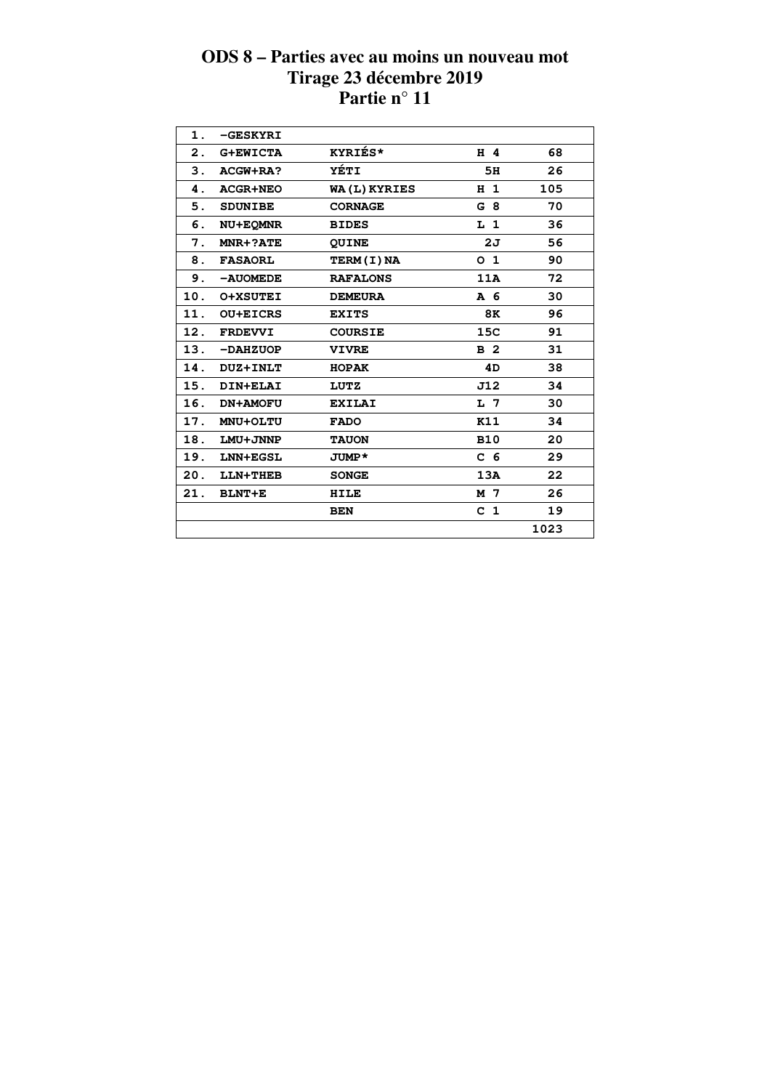| 1.  | -GESKYRI        |                     |                |      |
|-----|-----------------|---------------------|----------------|------|
| 2.  | <b>G+EWICTA</b> | KYRIÉS*             | H 4            | 68   |
| 3.  | ACGW+RA?        | YÉTI                | 5H             | 26   |
| 4.  | <b>ACGR+NEO</b> | <b>WA(L) KYRIES</b> | H <sub>1</sub> | 105  |
| 5.  | <b>SDUNIBE</b>  | <b>CORNAGE</b>      | G 8            | 70   |
| 6.  | NU+EQMNR        | <b>BIDES</b>        | L <sub>1</sub> | 36   |
| 7.  | MNR+?ATE        | <b>QUINE</b>        | 2σ             | 56   |
| 8.  | <b>FASAORL</b>  | TERM(I)NA           | O <sub>1</sub> | 90   |
| 9.  | -AUOMEDE        | <b>RAFALONS</b>     | 11A            | 72   |
| 10. | <b>O+XSUTEI</b> | <b>DEMEURA</b>      | A 6            | 30   |
| 11. | <b>OU+EICRS</b> | <b>EXITS</b>        | 8K             | 96   |
| 12. | <b>FRDEVVI</b>  | <b>COURSIE</b>      | 15C            | 91   |
| 13. | $-DAHZUOP$      | <b>VIVRE</b>        | B <sub>2</sub> | 31   |
| 14. | <b>DUZ+INLT</b> | <b>HOPAK</b>        | 4D             | 38   |
| 15. | DIN+ELAI        | LUTZ                | J12            | 34   |
| 16. | <b>DN+AMOFU</b> | <b>EXILAI</b>       | L 7            | 30   |
| 17. | MNU+OLTU        | <b>FADO</b>         | <b>K11</b>     | 34   |
| 18. | LMU+JNNP        | <b>TAUON</b>        | <b>B10</b>     | 20   |
| 19. | LNN+EGSL        | JUMP*               | C <sub>6</sub> | 29   |
| 20. | LLN+THEB        | <b>SONGE</b>        | 13A            | 22   |
| 21. | <b>BLNT+E</b>   | <b>HILE</b>         | M 7            | 26   |
|     |                 | <b>BEN</b>          | C <sub>1</sub> | 19   |
|     |                 |                     |                | 1023 |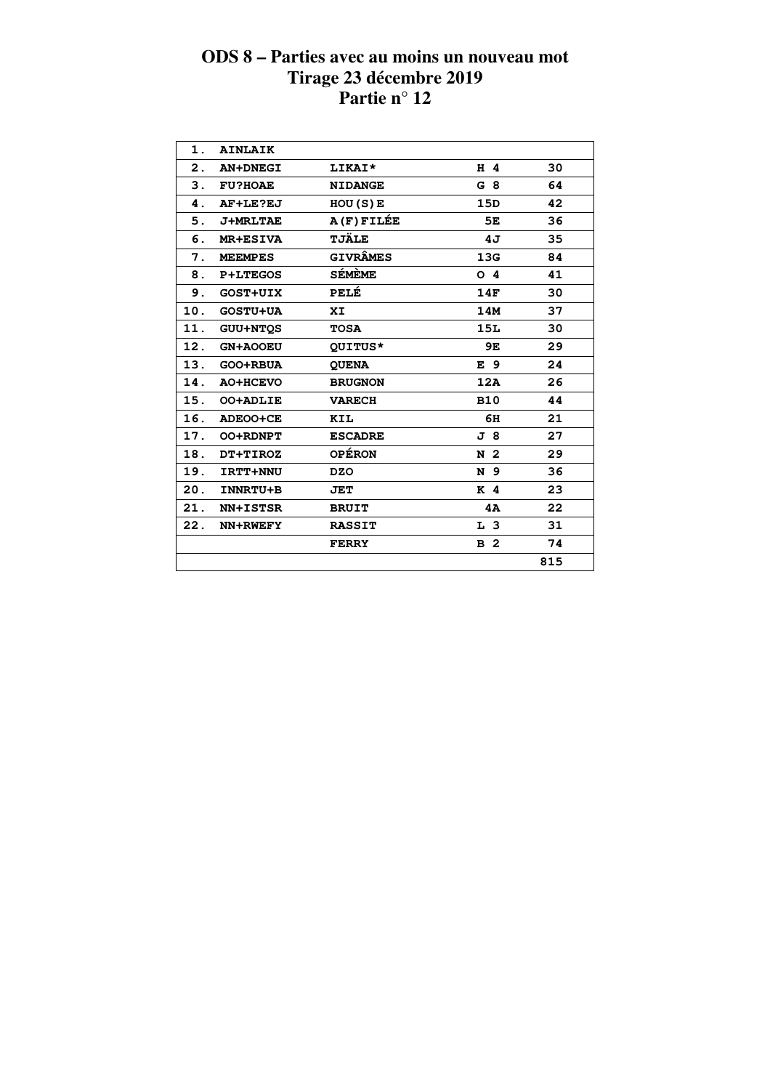| 1.  | <b>AINLAIK</b>  |                 |                |     |
|-----|-----------------|-----------------|----------------|-----|
| 2.  | <b>AN+DNEGI</b> | LIKAI*          | H 4            | 30  |
| З.  | <b>FU?HOAE</b>  | <b>NIDANGE</b>  | G 8            | 64  |
| 4.  | AF+LE?EJ        | HOU(S)E         | 15D            | 42  |
| 5.  | <b>J+MRLTAE</b> | A(F)FILÉE       | 5E             | 36  |
| 6.  | <b>MR+ESIVA</b> | <b>TJÄLE</b>    | 4J             | 35  |
| 7.  | <b>MEEMPES</b>  | <b>GIVRÂMES</b> | 13G            | 84  |
| 8.  | <b>P+LTEGOS</b> | SÉMÈME          | O <sub>4</sub> | 41  |
| 9.  | <b>GOST+UIX</b> | PELÉ            | 14F            | 30  |
| 10. | <b>GOSTU+UA</b> | XI              | 14M            | 37  |
| 11. | <b>GUU+NTOS</b> | <b>TOSA</b>     | 15L            | 30  |
| 12. | <b>GN+AOOEU</b> | QUITUS*         | 9E             | 29  |
| 13. | GOO+RBUA        | <b>QUENA</b>    | E 9            | 24  |
| 14. | AO+HCEVO        | <b>BRUGNON</b>  | 12A            | 26  |
| 15. | <b>OO+ADLIE</b> | <b>VARECH</b>   | <b>B10</b>     | 44  |
| 16. | ADEOO+CE        | KIL             | 6H             | 21  |
| 17. | <b>OO+RDNPT</b> | <b>ESCADRE</b>  | J 8            | 27  |
| 18. | DT+TIROZ        | <b>OPÉRON</b>   | N <sub>2</sub> | 29  |
| 19. | IRTT+NNU        | <b>DZO</b>      | N 9            | 36  |
| 20. | INNRTU+B        | <b>JET</b>      | K <sub>4</sub> | 23  |
| 21. | <b>NN+ISTSR</b> | <b>BRUIT</b>    | 4A             | 22  |
| 22. | NN+RWEFY        | <b>RASSIT</b>   | L <sub>3</sub> | 31  |
|     |                 | <b>FERRY</b>    | B <sub>2</sub> | 74  |
|     |                 |                 |                | 815 |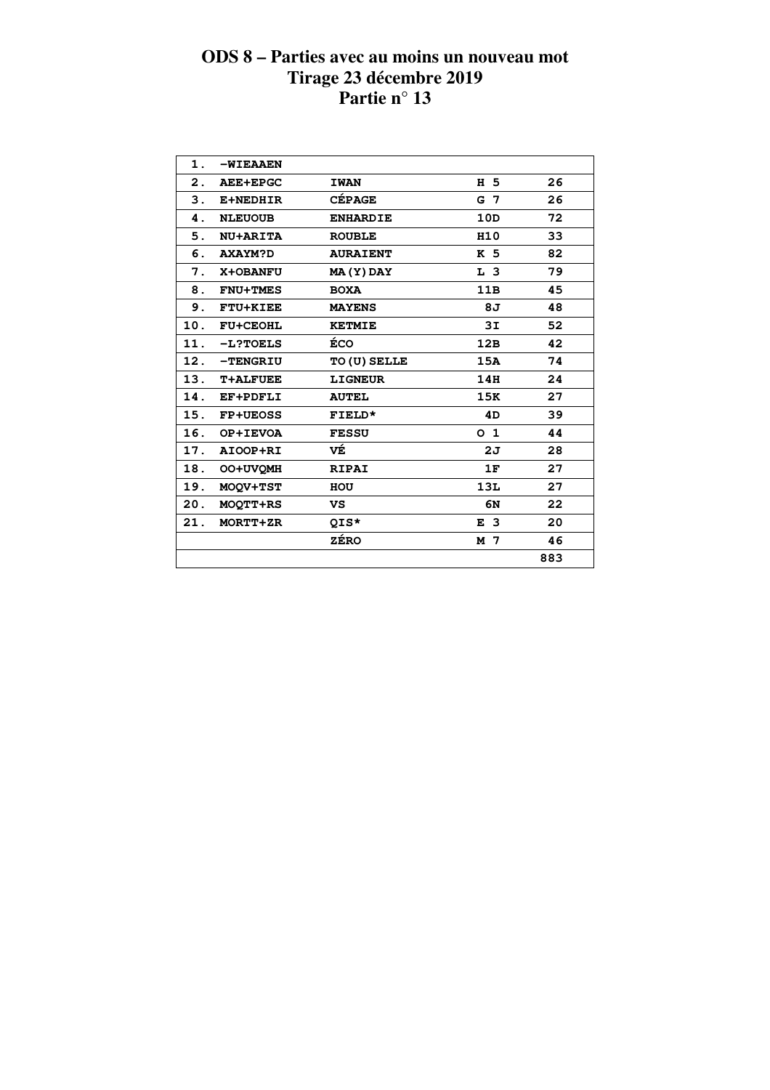| 1.             | -WIEAAEN        |                     |                |     |
|----------------|-----------------|---------------------|----------------|-----|
| $\mathbf{2}$ . | <b>AEE+EPGC</b> | <b>IWAN</b>         | H 5            | 26  |
| 3.             | E+NEDHIR        | <b>CÉPAGE</b>       | G 7            | 26  |
| 4.             | <b>NLEUOUB</b>  | <b>ENHARDIE</b>     | 10D            | 72  |
| 5.             | <b>NU+ARITA</b> | <b>ROUBLE</b>       | H10            | 33  |
| 6.             | <b>AXAYM?D</b>  | <b>AURAIENT</b>     | K 5            | 82  |
| 7.             | X+OBANFU        | MA(Y) DAY           | L <sub>3</sub> | 79  |
| 8.             | <b>FNU+TMES</b> | <b>BOXA</b>         | 11B            | 45  |
| 9.             | <b>FTU+KIEE</b> | <b>MAYENS</b>       | 8J             | 48  |
| 10.            | <b>FU+CEOHL</b> | <b>KETMIE</b>       | 3I             | 52  |
| 11.            | $-L?TOELS$      | ÉCO                 | 12B            | 42  |
| 12.            | <b>-TENGRIU</b> | <b>TO (U) SELLE</b> | 15A            | 74  |
| 13.            | <b>T+ALFUEE</b> | <b>LIGNEUR</b>      | 14H            | 24  |
| 14.            | <b>EF+PDFLI</b> | <b>AUTEL</b>        | 15K            | 27  |
| 15.            | <b>FP+UEOSS</b> | FIELD*              | 4D             | 39  |
| 16.            | OP+IEVOA        | <b>FESSU</b>        | 0 <sub>1</sub> | 44  |
| 17.            | AIOOP+RI        | VÉ                  | 2J             | 28  |
| 18.            | OO+UVOMH        | <b>RIPAI</b>        | 1F             | 27  |
| 19.            | MOOV+TST        | HOU                 | 13L            | 27  |
| 20.            | <b>MOOTT+RS</b> | VS.                 | 6N             | 22  |
| 21.            | MORTT+ZR        | QIS*                | E <sub>3</sub> | 20  |
|                |                 | <b>ZÉRO</b>         | M 7            | 46  |
|                |                 |                     |                | 883 |
|                |                 |                     |                |     |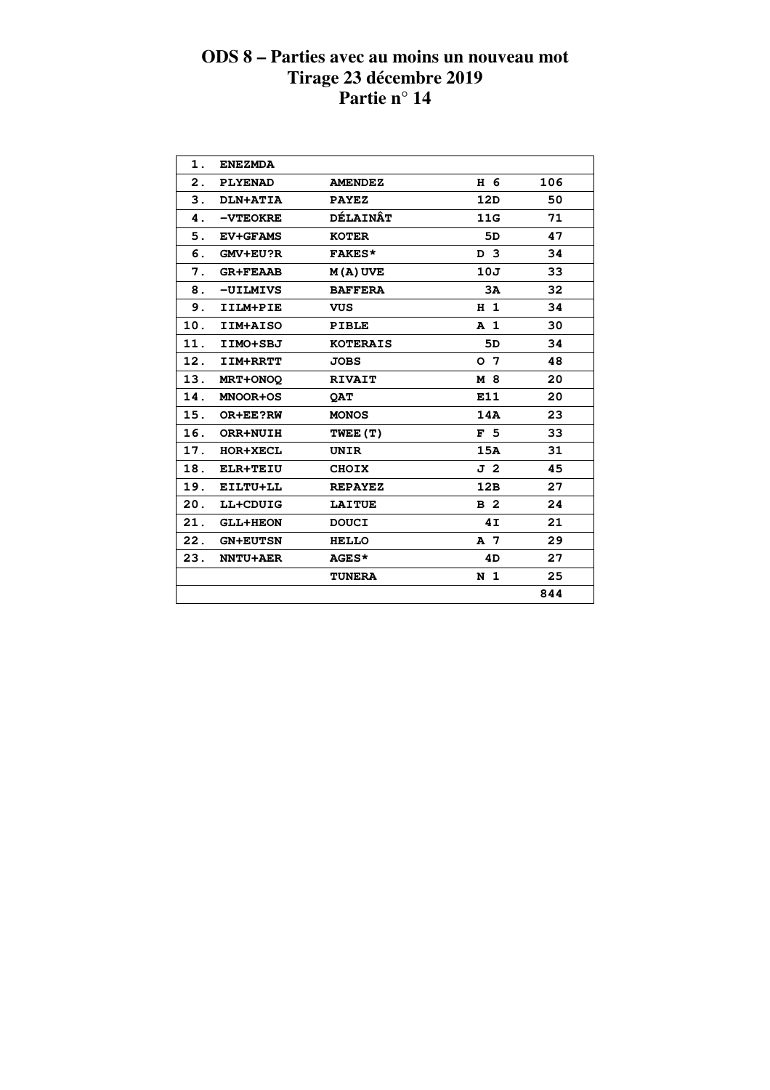| 1.             | <b>ENEZMDA</b>  |                 |                |     |  |
|----------------|-----------------|-----------------|----------------|-----|--|
| $\mathbf{2}$ . | <b>PLYENAD</b>  | <b>AMENDEZ</b>  | H 6            | 106 |  |
| 3.             | DLN+ATIA        | <b>PAYEZ</b>    | 12D            | 50  |  |
| 4.             | <b>-VTEOKRE</b> | <b>DÉLAINÂT</b> | 11G            | 71  |  |
| 5.             | <b>EV+GFAMS</b> | <b>KOTER</b>    | 5D             | 47  |  |
| 6.             | GMV+EU?R        | <b>FAKES*</b>   | D <sub>3</sub> | 34  |  |
| 7.             | <b>GR+FEAAB</b> | $M(A)$ UVE      | 10J            | 33  |  |
| 8.             | -UILMIVS        | <b>BAFFERA</b>  | 3A             | 32  |  |
| 9.             | IILM+PIE        | <b>VUS</b>      | H <sub>1</sub> | 34  |  |
| 10.            | IIM+AISO        | <b>PIBLE</b>    | A <sub>1</sub> | 30  |  |
| 11.            | IIMO+SBJ        | <b>KOTERAIS</b> | 5D             | 34  |  |
| 12.            | <b>IIM+RRTT</b> | <b>JOBS</b>     | 0 <sub>7</sub> | 48  |  |
| 13.            | MRT+ONOQ        | <b>RIVAIT</b>   | M 8            | 20  |  |
| 14.            | <b>MNOOR+OS</b> | <b>OAT</b>      | E11            | 20  |  |
| 15.            | OR+EE?RW        | <b>MONOS</b>    | 14A            | 23  |  |
| 16.            | ORR+NUIH        | TWEE (T)        | F <sub>5</sub> | 33  |  |
| 17.            | <b>HOR+XECL</b> | <b>UNIR</b>     | 15A            | 31  |  |
| 18.            | <b>ELR+TEIU</b> | <b>CHOIX</b>    | J 2            | 45  |  |
| 19.            | EILTU+LL        | <b>REPAYEZ</b>  | 12B            | 27  |  |
| 20.            | LL+CDUIG        | <b>LAITUE</b>   | B <sub>2</sub> | 24  |  |
| 21.            | <b>GLL+HEON</b> | <b>DOUCI</b>    | 4I             | 21  |  |
| 22.            | <b>GN+EUTSN</b> | <b>HELLO</b>    | A 7            | 29  |  |
| 23.            | <b>NNTU+AER</b> | <b>AGES*</b>    | 4D             | 27  |  |
|                |                 | <b>TUNERA</b>   | N <sub>1</sub> | 25  |  |
|                |                 |                 |                | 844 |  |
|                |                 |                 |                |     |  |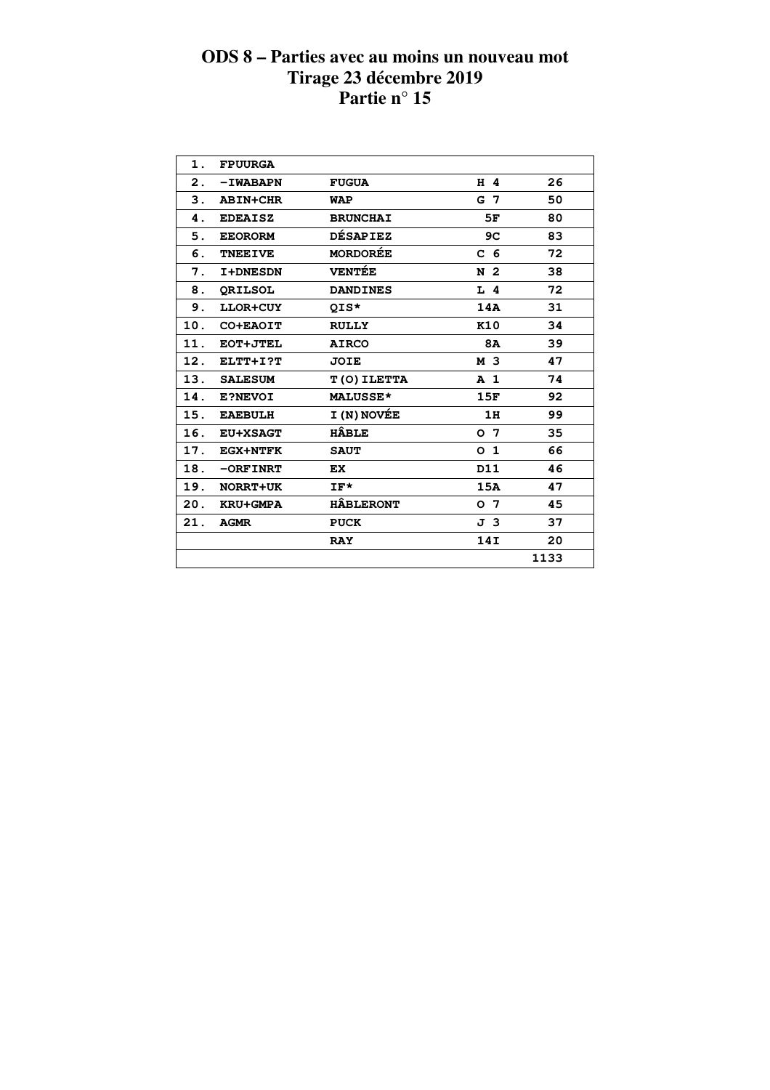| 1.  | <b>FPUURGA</b>  |                  |                |      |
|-----|-----------------|------------------|----------------|------|
| 2.  | -IWABAPN        | <b>FUGUA</b>     | H 4            | 26   |
| 3.  | <b>ABIN+CHR</b> | WAP              | G 7            | 50   |
| 4.  | <b>EDEAISZ</b>  | <b>BRUNCHAI</b>  | 5F             | 80   |
| 5.  | <b>EEORORM</b>  | <b>DÉSAPIEZ</b>  | 9C             | 83   |
| 6.  | <b>TNEEIVE</b>  | <b>MORDORÉE</b>  | C <sub>6</sub> | 72   |
| 7.  | <b>I+DNESDN</b> | <b>VENTÉE</b>    | N 2            | 38   |
| 8.  | <b>ORILSOL</b>  | <b>DANDINES</b>  | $L$ 4          | 72   |
| 9.  | LLOR+CUY        | QIS*             | 14A            | 31   |
| 10. | CO+EAOIT        | <b>RULLY</b>     | K10            | 34   |
| 11. | EOT+JTEL        | <b>AIRCO</b>     | <b>8A</b>      | 39   |
| 12. | ELTT+I?T        | <b>JOIE</b>      | M 3            | 47   |
| 13. | <b>SALESUM</b>  | T(O) ILETTA      | A <sub>1</sub> | 74   |
| 14. | E?NEVOI         | <b>MALUSSE*</b>  | 15F            | 92   |
| 15. | <b>EAEBULH</b>  | I (N) NOVÉE      | 1H             | 99   |
| 16. | <b>EU+XSAGT</b> | <b>HÂBLE</b>     | 0 <sub>7</sub> | 35   |
| 17. | <b>EGX+NTFK</b> | <b>SAUT</b>      | 0 <sub>1</sub> | 66   |
| 18. | $-$ ORFINRT     | EX.              | D11            | 46   |
| 19. | NORRT+UK        | $IF*$            | 15A            | 47   |
| 20. | <b>KRU+GMPA</b> | <b>HÂBLERONT</b> | o 7            | 45   |
| 21. | <b>AGMR</b>     | <b>PUCK</b>      | J 3            | 37   |
|     |                 | <b>RAY</b>       | 14I            | 20   |
|     |                 |                  |                | 1133 |
|     |                 |                  |                |      |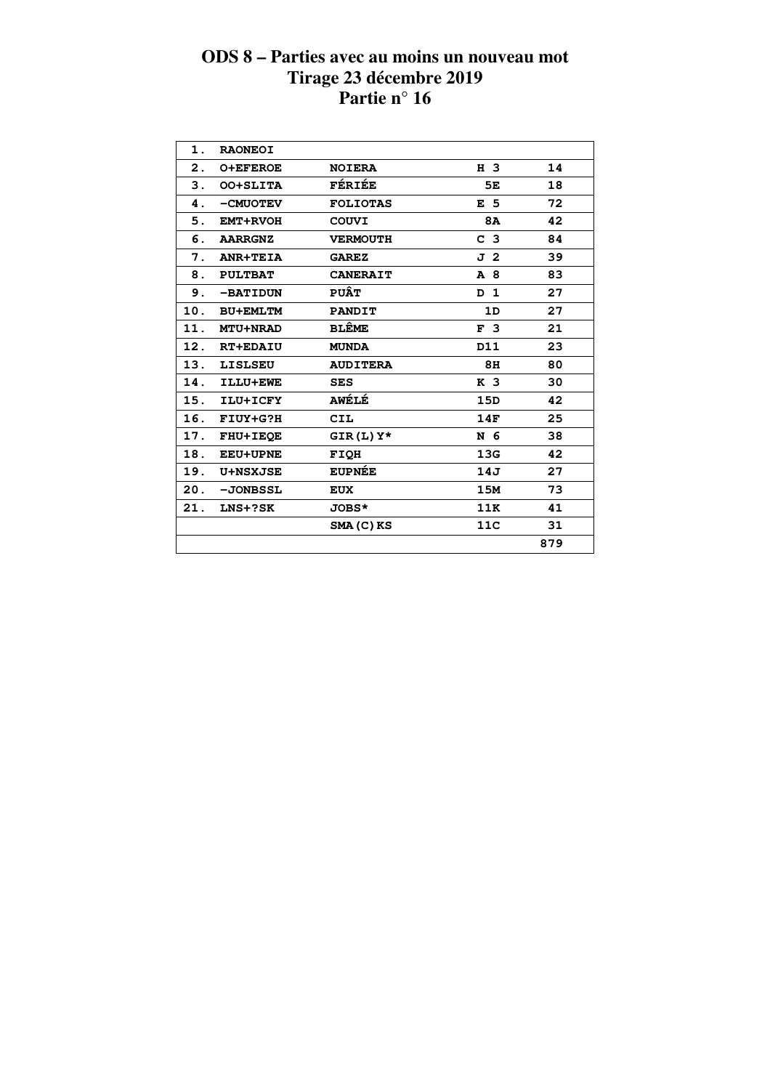| 1.  | <b>RAONEOI</b>  |                 |                |     |
|-----|-----------------|-----------------|----------------|-----|
| 2.  | <b>O+EFEROE</b> | <b>NOIERA</b>   | H 3            | 14  |
| 3.  | OO+SLITA        | FÉRIÉE          | 5Е             | 18  |
| 4.  | -CMUOTEV        | <b>FOLIOTAS</b> | E <sub>5</sub> | 72  |
| 5.  | <b>EMT+RVOH</b> | <b>COUVI</b>    | 8A             | 42  |
| 6.  | <b>AARRGNZ</b>  | <b>VERMOUTH</b> | C <sub>3</sub> | 84  |
| 7.  | <b>ANR+TEIA</b> | <b>GAREZ</b>    | J 2            | 39  |
| 8.  | <b>PULTBAT</b>  | <b>CANERAIT</b> | A 8            | 83  |
| 9.  | -BATIDUN        | <b>PUÂT</b>     | D 1            | 27  |
| 10. | <b>BU+EMLTM</b> | <b>PANDIT</b>   | 1D             | 27  |
| 11. | <b>MTU+NRAD</b> | <b>BLÊME</b>    | F <sub>3</sub> | 21  |
| 12. | <b>RT+EDAIU</b> | <b>MUNDA</b>    | D11            | 23  |
| 13. | <b>LISLSEU</b>  | <b>AUDITERA</b> | 8H             | 80  |
| 14. | ILLU+EWE        | <b>SES</b>      | K <sub>3</sub> | 30  |
| 15. | ILU+ICFY        | <b>AWÉLÉ</b>    | 15D            | 42  |
| 16. | FIUY+G?H        | <b>CIL</b>      | 14F            | 25  |
| 17. | <b>FHU+IEQE</b> | $GIR(L)$ $Y*$   | N 6            | 38  |
| 18. | <b>EEU+UPNE</b> | FIQH            | 13G            | 42  |
| 19. | <b>U+NSXJSE</b> | <b>EUPNÉE</b>   | 14J            | 27  |
| 20. | -JONBSSL        | <b>EUX</b>      | 15M            | 73  |
| 21. | LNS+?SK         | JOBS*           | 11K            | 41  |
|     |                 | SMA(C)KS        | 11C            | 31  |
|     |                 |                 |                | 879 |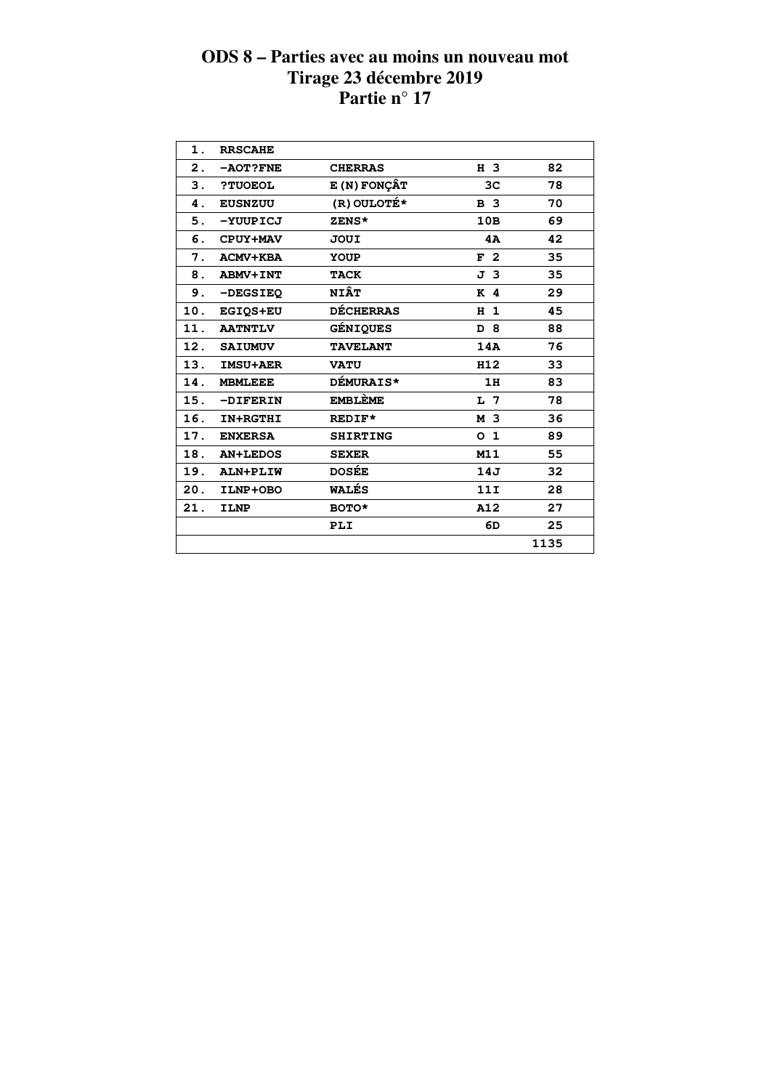| 1.  | <b>RRSCAHE</b>  |                     |                |      |  |
|-----|-----------------|---------------------|----------------|------|--|
| 2.  | -AOT?FNE        | <b>CHERRAS</b>      | H 3            | 82   |  |
| 3.  | ?TUOEOL         | <b>E (N) FONÇÂT</b> | 3 <sub>C</sub> | 78   |  |
| 4.  | <b>EUSNZUU</b>  | (R) OULOTÉ*         | <b>B</b> 3     | 70   |  |
| 5.  | -YUUPICJ        | ZENS*               | 10B            | 69   |  |
| 6.  | CPUY+MAV        | JOUI                | 4A             | 42   |  |
| 7.  | <b>ACMV+KBA</b> | YOUP                | F <sub>2</sub> | 35   |  |
| 8.  | <b>ABMV+INT</b> | <b>TACK</b>         | J <sub>3</sub> | 35   |  |
| 9.  | -DEGSIEQ        | <b>NIÂT</b>         | K 4            | 29   |  |
| 10. | EGIQS+EU        | <b>DÉCHERRAS</b>    | H <sub>1</sub> | 45   |  |
| 11. | <b>AATNTLV</b>  | GÉNIQUES            | D 8            | 88   |  |
| 12. | <b>SAIUMUV</b>  | <b>TAVELANT</b>     | 14A            | 76   |  |
| 13. | <b>IMSU+AER</b> | <b>VATU</b>         | H12            | 33   |  |
| 14. | <b>MBMLEEE</b>  | <b>DÉMURAIS*</b>    | 1H             | 83   |  |
| 15. | -DIFERIN        | <b>EMBLEME</b>      | L <sub>7</sub> | 78   |  |
| 16. | IN+RGTHI        | REDIF*              | M 3            | 36   |  |
| 17. | <b>ENXERSA</b>  | <b>SHIRTING</b>     | O <sub>1</sub> | 89   |  |
| 18. | <b>AN+LEDOS</b> | <b>SEXER</b>        | M11            | 55   |  |
| 19. | ALN+PLIW        | <b>DOSÉE</b>        | 14J            | 32   |  |
| 20. | ILNP+OBO        | <b>WALÉS</b>        | 11I            | 28   |  |
| 21. | <b>ILNP</b>     | BOTO*               | A12            | 27   |  |
|     |                 | PLI                 | 6D             | 25   |  |
|     |                 |                     |                | 1135 |  |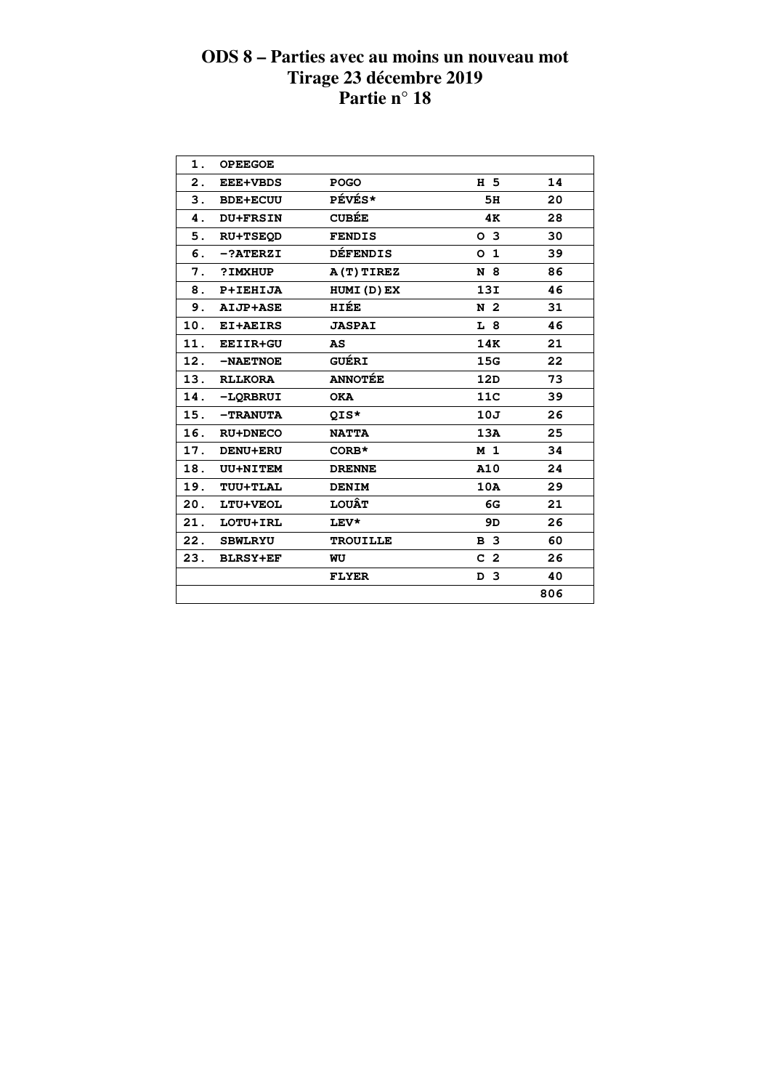| 1.  | <b>OPEEGOE</b>  |                 |                |     |  |
|-----|-----------------|-----------------|----------------|-----|--|
| 2.  | <b>EEE+VBDS</b> | <b>POGO</b>     | H 5            | 14  |  |
| 3.  | <b>BDE+ECUU</b> | PÉVÉS*          | 5H             | 20  |  |
| 4.  | <b>DU+FRSIN</b> | <b>CUBÉE</b>    | 4K             | 28  |  |
| 5.  | <b>RU+TSEOD</b> | <b>FENDIS</b>   | O <sub>3</sub> | 30  |  |
| 6.  | $-?ATERZI$      | <b>DÉFENDIS</b> | 0 <sub>1</sub> | 39  |  |
| 7.  | ?IMXHUP         | A(T)TIREZ       | N 8            | 86  |  |
| 8.  | <b>P+IEHIJA</b> | HUMI(D)EX       | 13I            | 46  |  |
| 9.  | AIJP+ASE        | HIÉE            | N <sub>2</sub> | 31  |  |
|     | 10. EI+AEIRS    | <b>JASPAI</b>   | L 8            | 46  |  |
|     | 11. EEIIR+GU    | AS              | 14K            | 21  |  |
|     | 12. - NAETNOE   | <b>GUÉRI</b>    | 15G            | 22  |  |
|     | 13. RLLKORA     | <b>ANNOTÉE</b>  | 12D            | 73  |  |
|     | 14. - LQRBRUI   | <b>OKA</b>      | 11C            | 39  |  |
|     | 15. - TRANUTA   | QIS*            | 10J            | 26  |  |
| 16. | <b>RU+DNECO</b> | <b>NATTA</b>    | 13A            | 25  |  |
| 17. | <b>DENU+ERU</b> | $CORB*$         | M <sub>1</sub> | 34  |  |
| 18. | <b>UU+NITEM</b> | <b>DRENNE</b>   | A10            | 24  |  |
| 19. | TUU+TLAL        | <b>DENIM</b>    | 10A            | 29  |  |
| 20. | LTU+VEOL        | <b>LOUÂT</b>    | 6G             | 21  |  |
| 21. | LOTU+IRL        | LEV*            | 9D             | 26  |  |
| 22. | <b>SBWLRYU</b>  | <b>TROUILLE</b> | <b>B</b> 3     | 60  |  |
| 23. | <b>BLRSY+EF</b> | WU              | C <sub>2</sub> | 26  |  |
|     |                 | <b>FLYER</b>    | D <sub>3</sub> | 40  |  |
|     |                 |                 |                | 806 |  |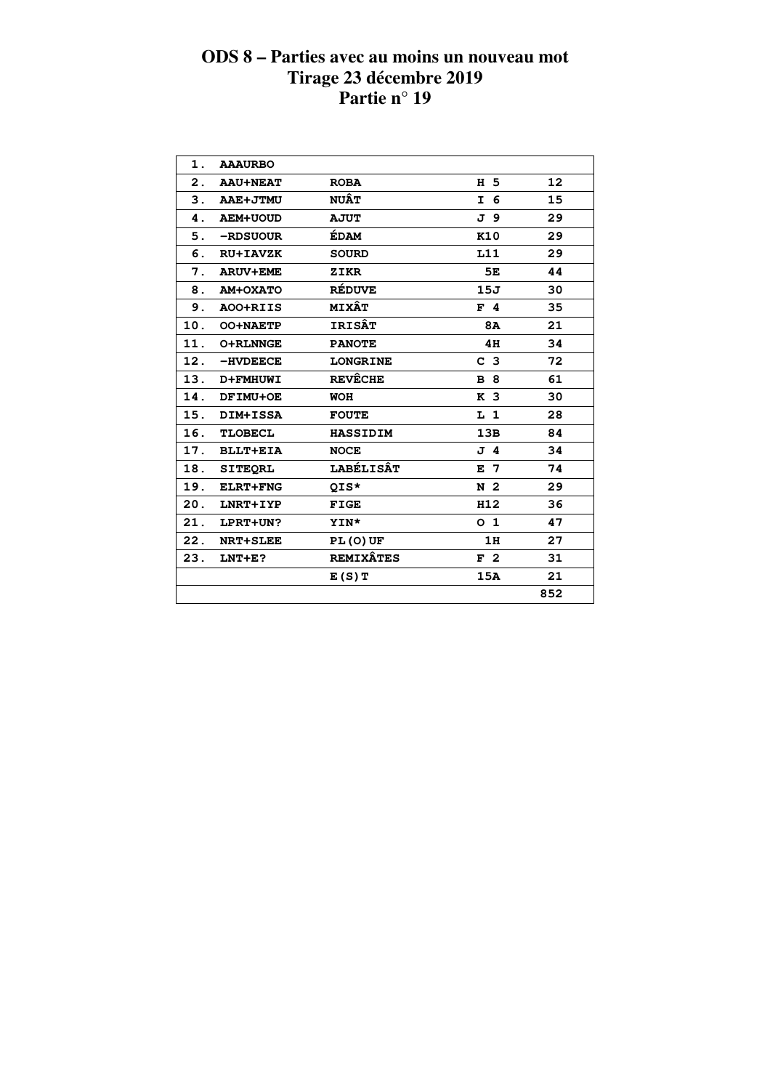| 1.             | <b>AAAURBO</b>  |                  |                |     |  |
|----------------|-----------------|------------------|----------------|-----|--|
| $\mathbf{2}$ . | <b>AAU+NEAT</b> | <b>ROBA</b>      | H 5            | 12  |  |
| З.             | AAE+JTMU        | <b>NUÂT</b>      | I 6            | 15  |  |
| 4.             | <b>AEM+UOUD</b> | <b>AJUT</b>      | J 9            | 29  |  |
| 5.             | -RDSUOUR        | <b>ÉDAM</b>      | K10            | 29  |  |
| 6.             | <b>RU+IAVZK</b> | <b>SOURD</b>     | L11            | 29  |  |
| 7.             | <b>ARUV+EME</b> | ZIKR             | 5E             | 44  |  |
| 8.             | AM+OXATO        | <b>RÉDUVE</b>    | 15J            | 30  |  |
| 9.             | AOO+RIIS        | <b>MIXÂT</b>     | $F$ 4          | 35  |  |
| 10.            | <b>OO+NAETP</b> | <b>IRISÂT</b>    | 8A             | 21  |  |
| 11.            | <b>O+RLNNGE</b> | <b>PANOTE</b>    | 4H             | 34  |  |
| 12.            | $-HVDEECE$      | <b>LONGRINE</b>  | C <sub>3</sub> | 72  |  |
| 13.            | <b>D+FMHUWI</b> | <b>REVÊCHE</b>   | <b>B</b> 8     | 61  |  |
| 14.            | DFIMU+OE        | <b>WOH</b>       | K <sub>3</sub> | 30  |  |
| 15.            | DIM+ISSA        | <b>FOUTE</b>     | L <sub>1</sub> | 28  |  |
| 16.            | <b>TLOBECL</b>  | <b>HASSIDIM</b>  | 13B            | 84  |  |
| 17.            | <b>BLLT+EIA</b> | <b>NOCE</b>      | J 4            | 34  |  |
| 18.            | <b>SITEORL</b>  | <b>LABÉLISÂT</b> | $E$ 7          | 74  |  |
| 19.            | <b>ELRT+FNG</b> | QIS*             | N <sub>2</sub> | 29  |  |
| 20.            | LNRT+IYP        | <b>FIGE</b>      | H12            | 36  |  |
| 21.            | LPRT+UN?        | <b>YIN*</b>      | O <sub>1</sub> | 47  |  |
| 22.            | <b>NRT+SLEE</b> | $PL(0)$ UF       | 1H             | 27  |  |
| 23.            | $LNT + E$ ?     | <b>REMIXÂTES</b> | F <sub>2</sub> | 31  |  |
|                |                 | E(S)T            | 15A            | 21  |  |
|                |                 |                  |                | 852 |  |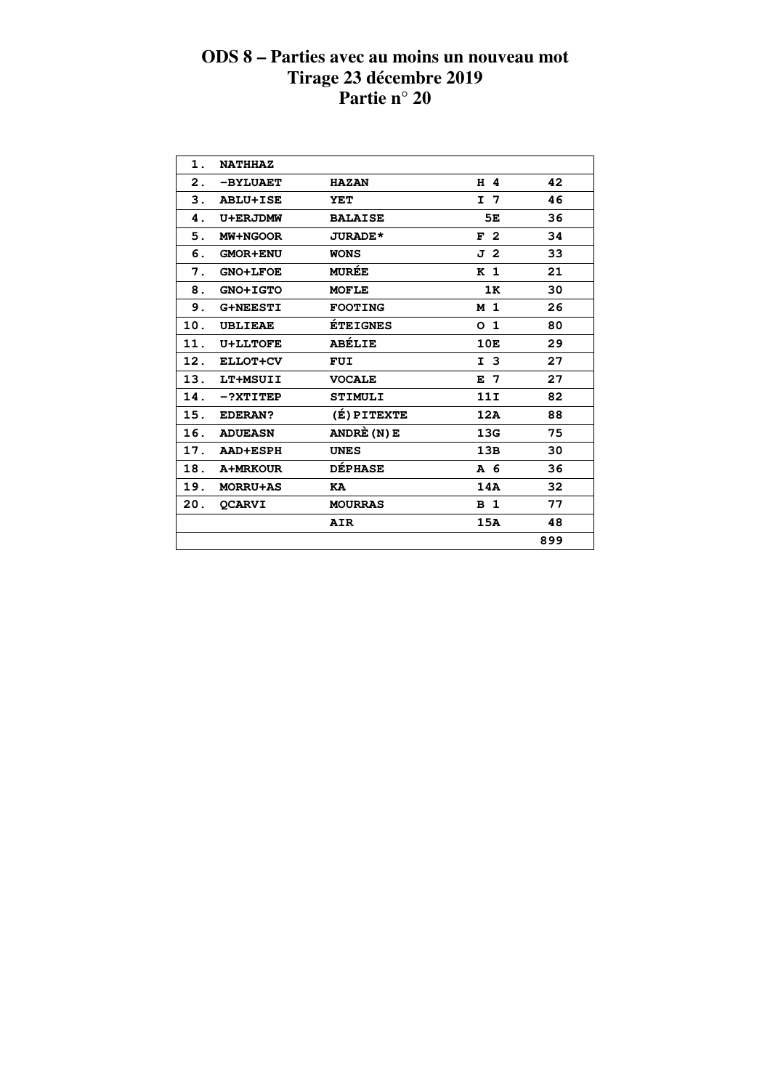| 1.  | <b>NATHHAZ</b>  |                 |                |     |  |
|-----|-----------------|-----------------|----------------|-----|--|
| 2.  | -BYLUAET        | <b>HAZAN</b>    | H 4            | 42  |  |
| 3.  | <b>ABLU+ISE</b> | <b>YET</b>      | I 7            | 46  |  |
| 4.  | U+ERJDMW        | <b>BALAISE</b>  | 5Е             | 36  |  |
| 5.  | MW+NGOOR        | <b>JURADE*</b>  | F <sub>2</sub> | 34  |  |
| 6.  | <b>GMOR+ENU</b> | <b>WONS</b>     | J 2            | 33  |  |
| 7.  | <b>GNO+LFOE</b> | <b>MURÉE</b>    | K <sub>1</sub> | 21  |  |
| 8.  | GNO+IGTO        | <b>MOFLE</b>    | 1K             | 30  |  |
| 9.  | <b>G+NEESTI</b> | <b>FOOTING</b>  | M <sub>1</sub> | 26  |  |
| 10. | <b>UBLIEAE</b>  | <b>ÉTEIGNES</b> | O <sub>1</sub> | 80  |  |
| 11. | <b>U+LLTOFE</b> | <b>ABÉLIE</b>   | 10E            | 29  |  |
| 12. | ELLOT+CV        | <b>FUI</b>      | I <sub>3</sub> | 27  |  |
| 13. | LT+MSUII        | <b>VOCALE</b>   | E 7            | 27  |  |
| 14. | $-?XTITEP$      | <b>STIMULI</b>  | 11I            | 82  |  |
| 15. | <b>EDERAN?</b>  | (É) PITEXTE     | 12A            | 88  |  |
| 16. | <b>ADUEASN</b>  | ANDRÈ (N) E     | 13G            | 75  |  |
| 17. | <b>AAD+ESPH</b> | <b>UNES</b>     | 13B            | 30  |  |
| 18. | <b>A+MRKOUR</b> | <b>DÉPHASE</b>  | A 6            | 36  |  |
| 19. | <b>MORRU+AS</b> | KA              | 14A            | 32  |  |
| 20. | <b>OCARVI</b>   | <b>MOURRAS</b>  | B <sub>1</sub> | 77  |  |
|     |                 | <b>AIR</b>      | 15A            | 48  |  |
|     |                 |                 |                | 899 |  |
|     |                 |                 |                |     |  |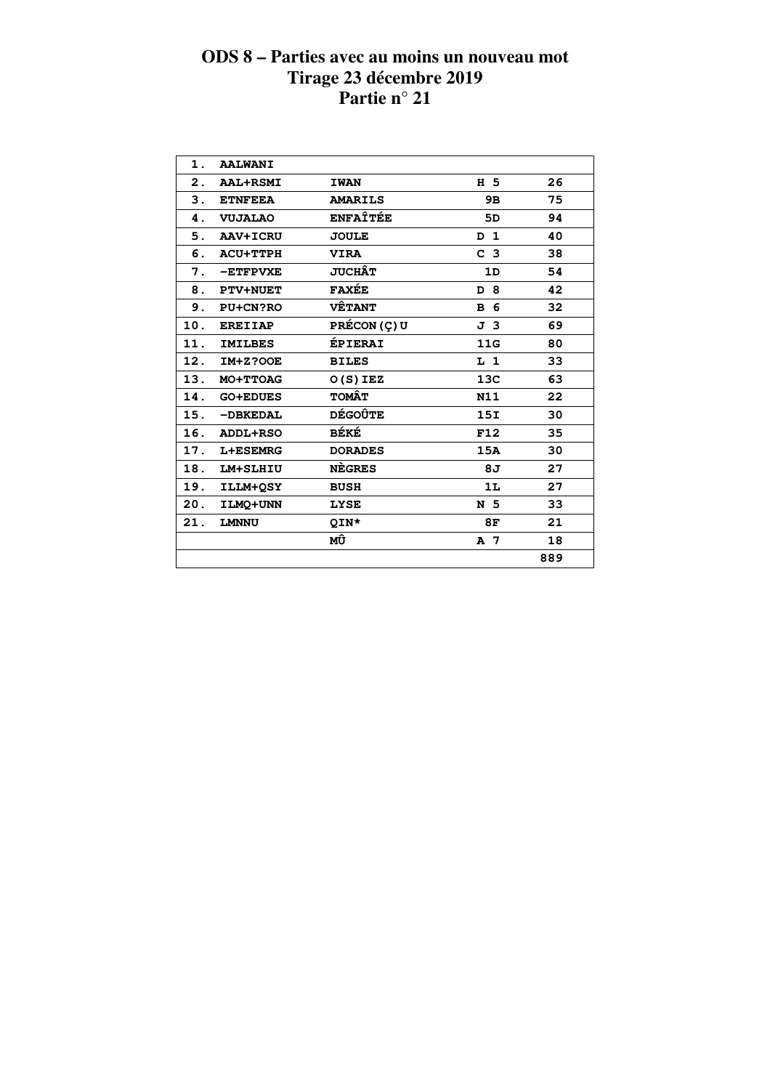| 1.             | <b>AALWANI</b>  |                 |                |     |
|----------------|-----------------|-----------------|----------------|-----|
| $\mathbf{2}$ . | <b>AAL+RSMI</b> | <b>IWAN</b>     | H 5            | 26  |
| 3.             | <b>ETNFEEA</b>  | <b>AMARILS</b>  | 9B             | 75  |
| 4.             | <b>VUJALAO</b>  | <b>ENFAÎTÉE</b> | 5D             | 94  |
| 5.             | <b>AAV+ICRU</b> | <b>JOULE</b>    | D <sub>1</sub> | 40  |
| 6.             | <b>ACU+TTPH</b> | <b>VIRA</b>     | C <sub>3</sub> | 38  |
| 7.             | -ETFPVXE        | <b>JUCHÂT</b>   | 1D             | 54  |
| 8.             | <b>PTV+NUET</b> | <b>FAXÉE</b>    | D 8            | 42  |
| 9.             | PU+CN?RO        | <b>VÊTANT</b>   | <b>B</b> 6     | 32  |
| 10.            | <b>EREIIAP</b>  | PRÉCON (Ç) U    | J 3            | 69  |
| 11.            | <b>IMILBES</b>  | ÉPIERAI         | 11G            | 80  |
| 12.            | <b>IM+Z?OOE</b> | <b>BILES</b>    | $L_1$          | 33  |
| 13.            | MO+TTOAG        | $O(S)$ IEZ      | 13C            | 63  |
| 14.            | <b>GO+EDUES</b> | <b>TOMÂT</b>    | N11            | 22  |
| 15.            | -DBKEDAL        | <b>DÉGOÛTE</b>  | 15I            | 30  |
| 16.            | ADDL+RSO        | BÉKÉ            | F12            | 35  |
| 17.            | L+ESEMRG        | <b>DORADES</b>  | 15A            | 30  |
| 18.            | LM+SLHIU        | <b>NEGRES</b>   | 8J             | 27  |
| 19.            | ILLM+OSY        | <b>BUSH</b>     | 1L             | 27  |
| 20.            | ILMO+UNN        | <b>LYSE</b>     | N 5            | 33  |
| 21.            | <b>LMNNU</b>    | QIN*            | 8F             | 21  |
|                |                 | МÛ              | A 7            | 18  |
|                |                 |                 |                | 889 |
|                |                 |                 |                |     |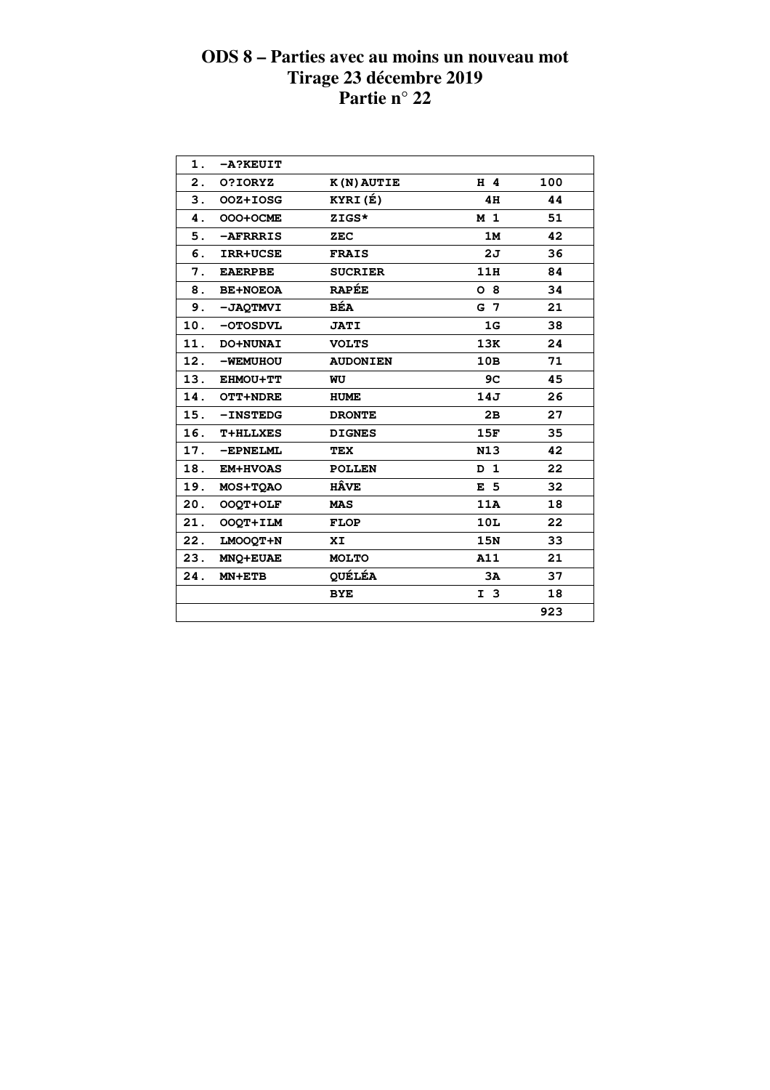| 1.  | -A?KEUIT        |                 |                |     |  |
|-----|-----------------|-----------------|----------------|-----|--|
| 2.  | 0?IORYZ         | K(N) AUTIE      | $H$ 4          | 100 |  |
| 3.  | OOZ+IOSG        | KYRI(É)         | 4H             | 44  |  |
| 4.  | OOO+OCME        | ZIGS*           | M <sub>1</sub> | 51  |  |
| 5.  | -AFRRRIS        | ZEC             | 1M             | 42  |  |
| б.  | <b>IRR+UCSE</b> | <b>FRAIS</b>    | 2J             | 36  |  |
| 7.  | <b>EAERPBE</b>  | <b>SUCRIER</b>  | 11H            | 84  |  |
| 8.  | <b>BE+NOEOA</b> | <b>RAPÉE</b>    | O <sub>8</sub> | 34  |  |
| 9.  | -JAQTMVI        | <b>BÉA</b>      | G 7            | 21  |  |
|     | 10. - OTOSDVL   | <b>JATI</b>     | 1 <sub>G</sub> | 38  |  |
| 11. | DO+NUNAI        | <b>VOLTS</b>    | 13K            | 24  |  |
| 12. | -WEMUHOU        | <b>AUDONIEN</b> | 10B            | 71  |  |
| 13. | EHMOU+TT        | WU              | 9C             | 45  |  |
|     | 14. OTT+NDRE    | <b>HUME</b>     | 14J            | 26  |  |
| 15. | <b>-INSTEDG</b> | <b>DRONTE</b>   | 2B             | 27  |  |
| 16. | <b>T+HLLXES</b> | <b>DIGNES</b>   | 15F            | 35  |  |
| 17. | -EPNELML        | TEX             | N13            | 42  |  |
| 18. | <b>EM+HVOAS</b> | <b>POLLEN</b>   | D <sub>1</sub> | 22  |  |
| 19. | MOS+TOAO        | <b>HÂVE</b>     | E <sub>5</sub> | 32  |  |
| 20. | OOQT+OLF        | <b>MAS</b>      | 11A            | 18  |  |
| 21. | OOQT+ILM        | <b>FLOP</b>     | 10L            | 22  |  |
| 22. | LMOOQT+N        | XI              | 15N            | 33  |  |
| 23. | MNQ+EUAE        | <b>MOLTO</b>    | A11            | 21  |  |
| 24. | $MN + ETB$      | <b>QUÉLÉA</b>   | 3A             | 37  |  |
|     |                 | <b>BYE</b>      | I <sub>3</sub> | 18  |  |
|     |                 |                 |                | 923 |  |
|     |                 |                 |                |     |  |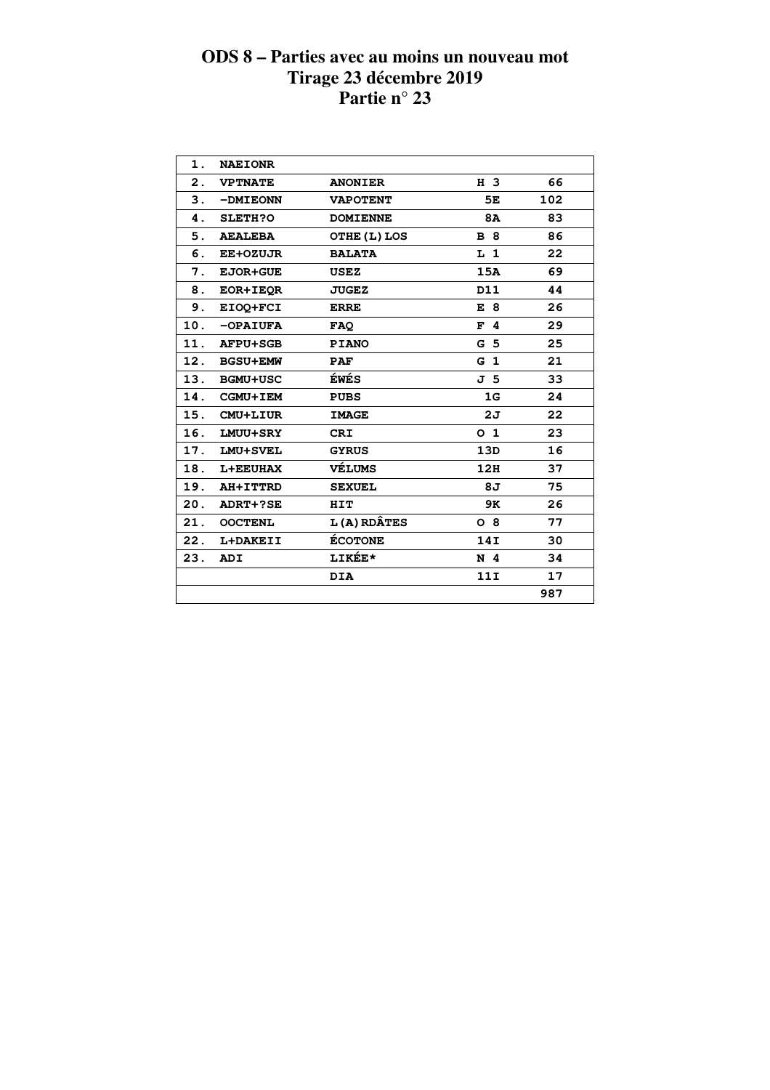| 1.  | <b>NAEIONR</b>  |                    |                |     |  |
|-----|-----------------|--------------------|----------------|-----|--|
| 2.  | <b>VPTNATE</b>  | <b>ANONIER</b>     | H 3            | 66  |  |
| 3.  | -DMIEONN        | <b>VAPOTENT</b>    | 5E             | 102 |  |
| 4.  | <b>SLETH?O</b>  | <b>DOMIENNE</b>    | <b>8A</b>      | 83  |  |
| 5.  | <b>AEALEBA</b>  | OTHE (L) LOS       | <b>B</b> 8     | 86  |  |
| 6.  | <b>EE+OZUJR</b> | <b>BALATA</b>      | L <sub>1</sub> | 22  |  |
| 7.  | <b>EJOR+GUE</b> | <b>USEZ</b>        | 15A            | 69  |  |
| 8.  | <b>EOR+IEOR</b> | <b>JUGEZ</b>       | D11            | 44  |  |
| 9.  | EIOQ+FCI        | <b>ERRE</b>        | E 8            | 26  |  |
| 10. | <b>-OPAIUFA</b> | <b>FAQ</b>         | F <sub>4</sub> | 29  |  |
| 11. | <b>AFPU+SGB</b> | <b>PIANO</b>       | G <sub>5</sub> | 25  |  |
|     | 12. BGSU+EMW    | <b>PAF</b>         | G <sub>1</sub> | 21  |  |
| 13. | <b>BGMU+USC</b> | ÉWÉS               | J 5            | 33  |  |
|     | 14. CGMU+IEM    | <b>PUBS</b>        | 1G             | 24  |  |
| 15. | CMU+LIUR        | <b>IMAGE</b>       | 2J             | 22  |  |
| 16. | <b>LMUU+SRY</b> | <b>CRI</b>         | O <sub>1</sub> | 23  |  |
| 17. | LMU+SVEL        | <b>GYRUS</b>       | 13D            | 16  |  |
|     | 18. L+EEUHAX    | VÉLUMS             | 12H            | 37  |  |
|     | 19. AH+ITTRD    | <b>SEXUEL</b>      | 8J             | 75  |  |
|     | 20. ADRT+?SE    | HIT                | 9K             | 26  |  |
| 21. | <b>OOCTENL</b>  | <b>L(A) RDÂTES</b> | $O_8$          | 77  |  |
| 22. | L+DAKEII        | <b>ÉCOTONE</b>     | 14I            | 30  |  |
| 23. | ADI             | LIKÉE*             | N <sub>4</sub> | 34  |  |
|     |                 | <b>DIA</b>         | 11I            | 17  |  |
|     |                 |                    |                | 987 |  |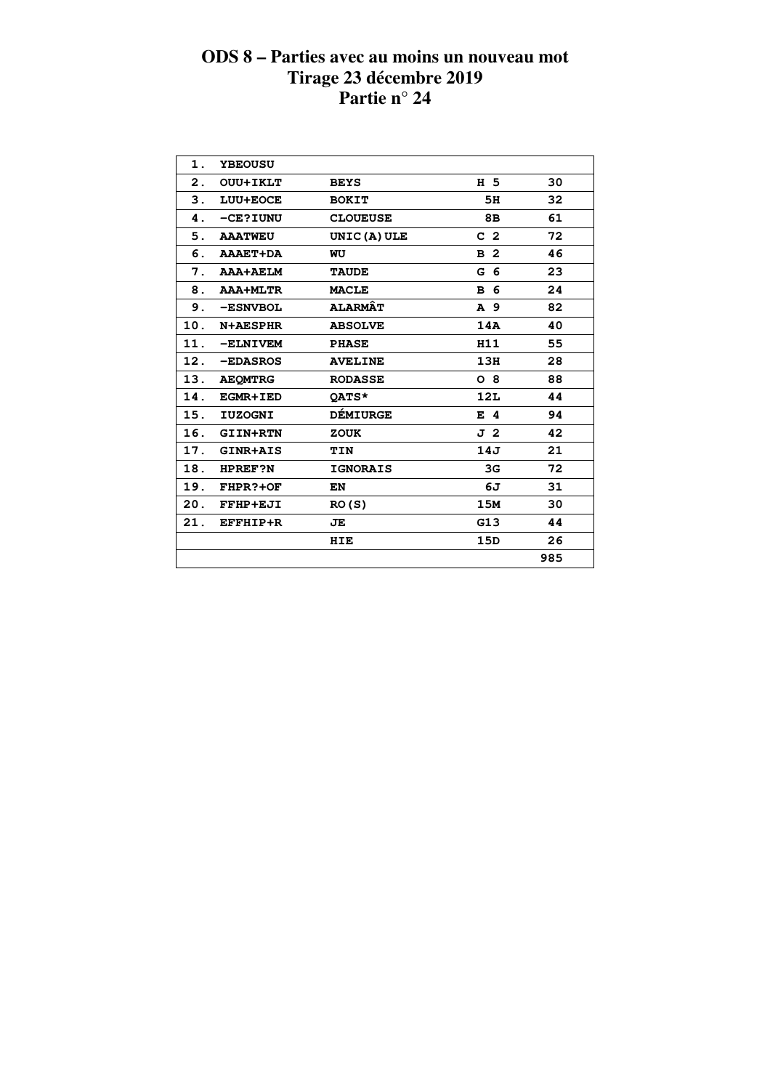| 1.             | <b>YBEOUSU</b>  |                 |                |     |
|----------------|-----------------|-----------------|----------------|-----|
| $\mathbf{2}$ . | <b>OUU+IKLT</b> | <b>BEYS</b>     | H 5            | 30  |
| 3.             | LUU+EOCE        | <b>BOKIT</b>    | 5H             | 32  |
| 4.             | -CE?IUNU        | <b>CLOUEUSE</b> | 8B             | 61  |
| 5.             | <b>AAATWEU</b>  | UNIC (A) ULE    | C <sub>2</sub> | 72  |
| 6.             | <b>AAAET+DA</b> | WU              | B <sub>2</sub> | 46  |
| 7.             | <b>AAA+AELM</b> | <b>TAUDE</b>    | G <sub>6</sub> | 23  |
| 8.             | <b>AAA+MLTR</b> | <b>MACLE</b>    | B 6            | 24  |
| 9.             | -ESNVBOL        | <b>ALARMÂT</b>  | A 9            | 82  |
| 10.            | <b>N+AESPHR</b> | <b>ABSOLVE</b>  | 14A            | 40  |
| 11.            | -ELNIVEM        | <b>PHASE</b>    | H11            | 55  |
| 12.            | -EDASROS        | <b>AVELINE</b>  | 13H            | 28  |
| 13.            | <b>AEOMTRG</b>  | <b>RODASSE</b>  | $O_8$          | 88  |
| 14.            | <b>EGMR+IED</b> | OATS*           | 12L            | 44  |
| 15.            | <b>IUZOGNI</b>  | <b>DÉMIURGE</b> | $E$ 4          | 94  |
| 16.            | <b>GIIN+RTN</b> | <b>ZOUK</b>     | J 2            | 42  |
| 17.            | GINR+AIS        | TIN             | 14J            | 21  |
| 18.            | <b>HPREF?N</b>  | <b>IGNORAIS</b> | 3G             | 72  |
| 19.            | FHPR?+OF        | EN              | 6J             | 31  |
| 20.            | FFHP+EJI        | RO(S)           | 15M            | 30  |
| 21.            | EFFHIP+R        | JE              | G13            | 44  |
|                |                 | HIE             | 15D            | 26  |
|                |                 |                 |                | 985 |
|                |                 |                 |                |     |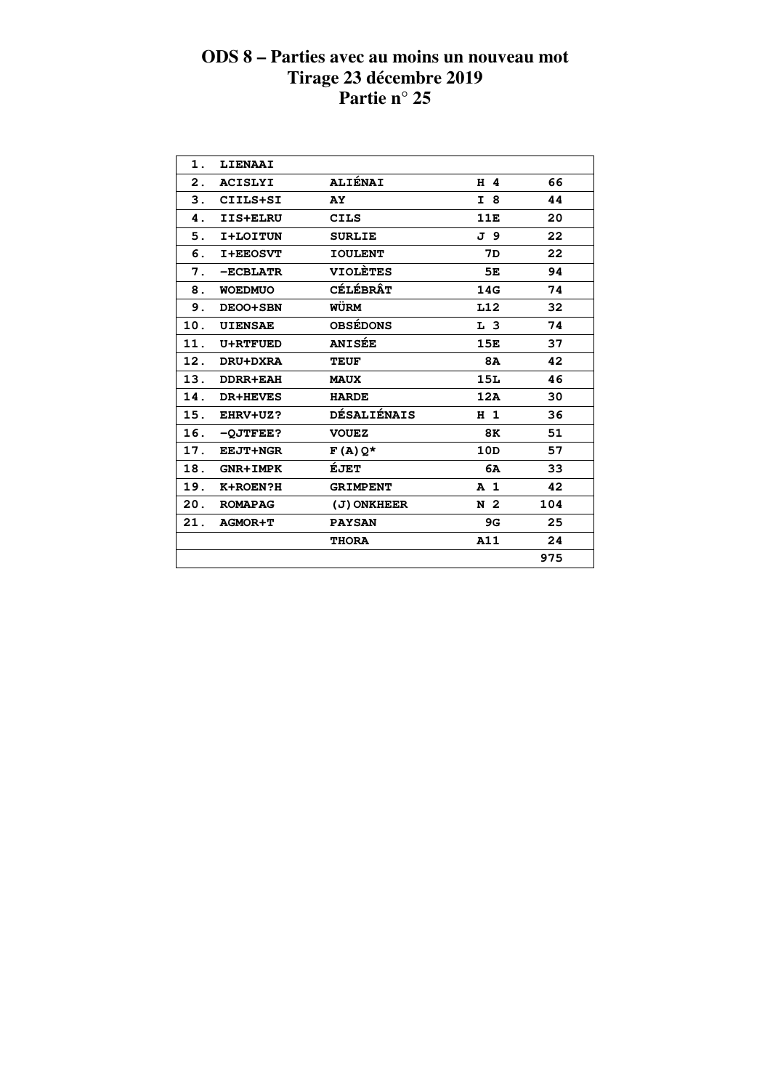| $\mathbf 1$ . | LIENAAI         |                    |                |     |  |
|---------------|-----------------|--------------------|----------------|-----|--|
| 2.            | <b>ACISLYI</b>  | <b>ALIÉNAI</b>     | $H$ 4          | 66  |  |
| 3.            | CIILS+SI        | AY                 | I 8            | 44  |  |
| 4.            | IIS+ELRU        | <b>CILS</b>        | 11E            | 20  |  |
| 5.            | I+LOITUN        | <b>SURLIE</b>      | J 9            | 22  |  |
| 6.            | <b>I+EEOSVT</b> | <b>IOULENT</b>     | 7D             | 22  |  |
| 7.            | $-ECBLATR$      | <b>VIOLÈTES</b>    | 5E             | 94  |  |
| 8.            | <b>WOEDMUO</b>  | <b>CÉLÉBRÂT</b>    | 14G            | 74  |  |
| 9.            | DEOO+SBN        | WÜRM               | L12            | 32  |  |
| 10.           | <b>UIENSAE</b>  | <b>OBSÉDONS</b>    | L <sub>3</sub> | 74  |  |
| 11.           | <b>U+RTFUED</b> | <b>ANISÉE</b>      | 15E            | 37  |  |
| 12.           | DRU+DXRA        | <b>TEUF</b>        | <b>8A</b>      | 42  |  |
| 13.           | <b>DDRR+EAH</b> | <b>MAUX</b>        | 15L            | 46  |  |
| 14.           | <b>DR+HEVES</b> | <b>HARDE</b>       | 12A            | 30  |  |
| 15.           | EHRV+UZ?        | <b>DÉSALIÉNAIS</b> | H <sub>1</sub> | 36  |  |
| 16.           | $-OJTFEE$ ?     | <b>VOUEZ</b>       | 8K             | 51  |  |
| 17.           | <b>EEJT+NGR</b> | $F(A)Q*$           | 10D            | 57  |  |
| 18.           | <b>GNR+IMPK</b> | ÉJET               | 6A             | 33  |  |
| 19.           | K+ROEN?H        | <b>GRIMPENT</b>    | A <sub>1</sub> | 42  |  |
| 20.           | <b>ROMAPAG</b>  | (J) ONKHEER        | N 2            | 104 |  |
| 21.           | <b>AGMOR+T</b>  | <b>PAYSAN</b>      | 9G             | 25  |  |
|               |                 | <b>THORA</b>       | A11            | 24  |  |
|               |                 |                    |                | 975 |  |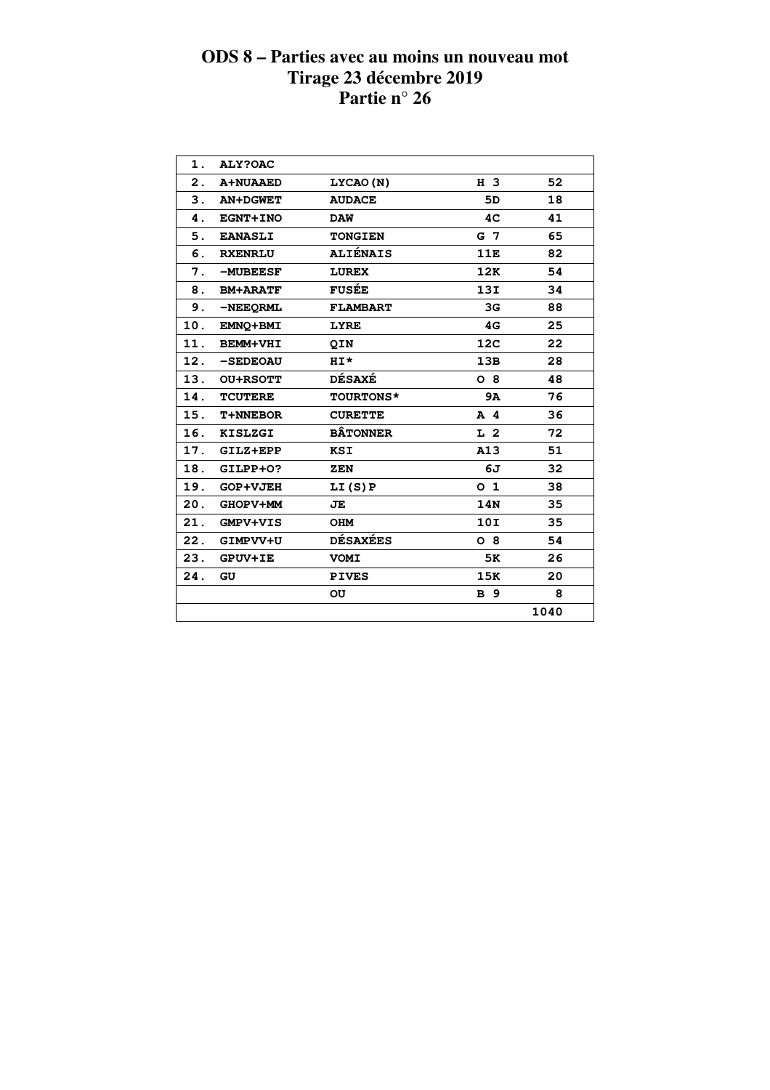| 1.             | ALY?OAC         |                  |                 |      |  |
|----------------|-----------------|------------------|-----------------|------|--|
| $\mathbf{2}$ . | <b>A+NUAAED</b> | LYCAO (N)        | H 3             | 52   |  |
| 3.             | <b>AN+DGWET</b> | <b>AUDACE</b>    | 5D              | 18   |  |
| 4.             | <b>EGNT+INO</b> | <b>DAW</b>       | 4C              | 41   |  |
| 5.             | <b>EANASLI</b>  | <b>TONGIEN</b>   | G <sub>7</sub>  | 65   |  |
| 6.             | <b>RXENRLU</b>  | <b>ALIÉNAIS</b>  | 11E             | 82   |  |
| 7.             | $-MUBEESF$      | <b>LUREX</b>     | 12K             | 54   |  |
| 8.             | <b>BM+ARATF</b> | <b>FUSÉE</b>     | 13I             | 34   |  |
| 9.             | -NEEQRML        | <b>FLAMBART</b>  | 3G              | 88   |  |
| 10.            | EMNO+BMI        | <b>LYRE</b>      | 4G              | 25   |  |
| 11.            | <b>BEMM+VHI</b> | <b>QIN</b>       | 12 <sub>C</sub> | 22   |  |
| 12.            | -SEDEOAU        | $H I^{\star}$    | 13B             | 28   |  |
| 13.            | <b>OU+RSOTT</b> | <b>DÉSAXÉ</b>    | $O_8$           | 48   |  |
| 14.            | <b>TCUTERE</b>  | <b>TOURTONS*</b> | 9A              | 76   |  |
| 15.            | <b>T+NNEBOR</b> | <b>CURETTE</b>   | $A$ 4           | 36   |  |
| 16.            | <b>KISLZGI</b>  | <b>BÂTONNER</b>  | L <sub>2</sub>  | 72   |  |
| 17.            | GILZ+EPP        | KSI              | A13             | 51   |  |
| 18.            | GILPP+0?        | ZEN              | 6J              | 32   |  |
| 19.            | <b>GOP+VJEH</b> | LI(S)P           | O <sub>1</sub>  | 38   |  |
| 20.            | GHOPV+MM        | JE               | 14N             | 35   |  |
| 21.            | <b>GMPV+VIS</b> | <b>OHM</b>       | 10I             | 35   |  |
| 22.            | GIMPVV+U        | <b>DÉSAXÉES</b>  | $O_8$           | 54   |  |
| 23.            | <b>GPUV+IE</b>  | <b>VOMI</b>      | 5K              | 26   |  |
| 24.            | GU              | <b>PIVES</b>     | 15K             | 20   |  |
|                |                 | OU               | <b>B</b> 9      | 8    |  |
|                |                 |                  |                 | 1040 |  |
|                |                 |                  |                 |      |  |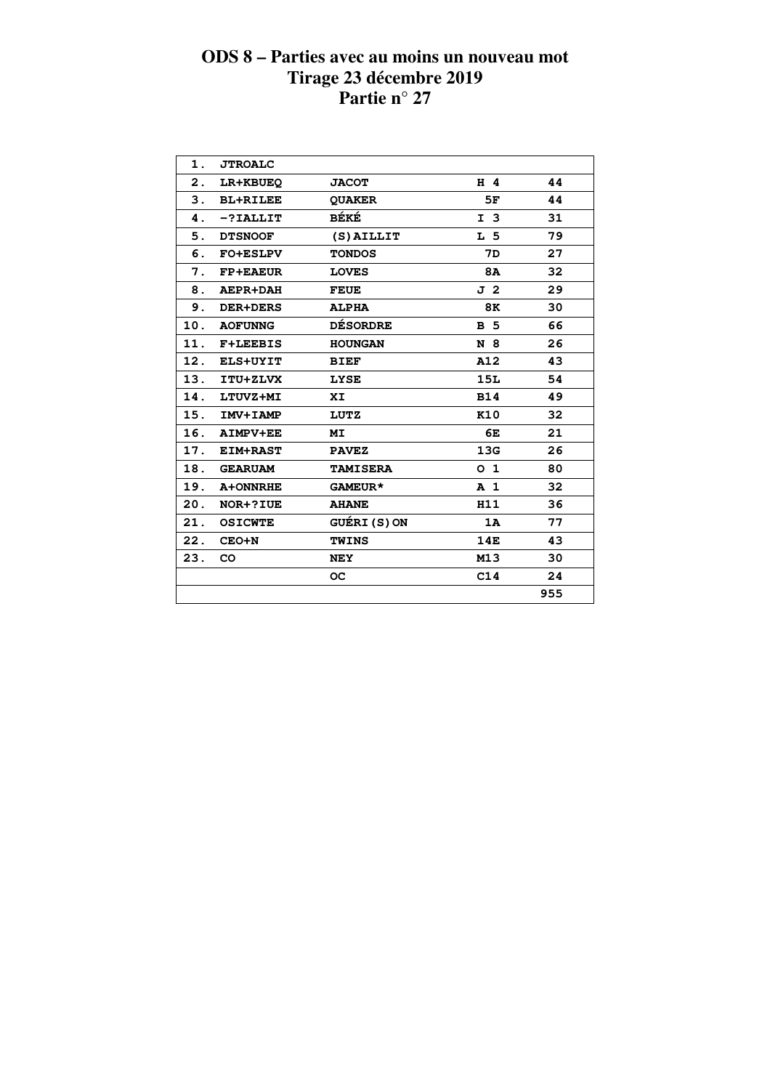| 1.  | <b>JTROALC</b>  |                 |                |     |  |
|-----|-----------------|-----------------|----------------|-----|--|
| 2.  | LR+KBUEQ        | <b>JACOT</b>    | $H$ 4          | 44  |  |
| 3.  | <b>BL+RILEE</b> | <b>QUAKER</b>   | 5F             | 44  |  |
| 4.  | $-?IALLIT$      | BÉKÉ            | I <sub>3</sub> | 31  |  |
| 5.  | <b>DTSNOOF</b>  | (S) AILLIT      | L 5            | 79  |  |
| 6.  | <b>FO+ESLPV</b> | <b>TONDOS</b>   | 7D             | 27  |  |
| 7.  | <b>FP+EAEUR</b> | <b>LOVES</b>    | 8A             | 32  |  |
| 8.  | <b>AEPR+DAH</b> | <b>FEUE</b>     | J <sub>2</sub> | 29  |  |
| 9.  | <b>DER+DERS</b> | <b>ALPHA</b>    | 8K             | 30  |  |
|     | 10. AOFUNNG     | <b>DÉSORDRE</b> | <b>B</b> 5     | 66  |  |
| 11. | <b>F+LEEBIS</b> | <b>HOUNGAN</b>  | N 8            | 26  |  |
|     | 12. ELS+UYIT    | <b>BIEF</b>     | A12            | 43  |  |
|     | 13. ITU+ZLVX    | <b>LYSE</b>     | 15L            | 54  |  |
| 14. | LTUVZ+MI        | XI.             | <b>B14</b>     | 49  |  |
|     | 15. IMV+IAMP    | LUTZ            | K10            | 32  |  |
|     | 16. AIMPV+EE    | MI              | 6E             | 21  |  |
|     | 17. EIM+RAST    | <b>PAVEZ</b>    | 13G            | 26  |  |
|     | 18. GEARUAM     | <b>TAMISERA</b> | 0 <sub>1</sub> | 80  |  |
| 19. | A+ONNRHE        | GAMEUR*         | A <sub>1</sub> | 32  |  |
|     | 20. NOR+?IUE    | <b>AHANE</b>    | H11            | 36  |  |
| 21. | <b>OSICWTE</b>  | GUÉRI (S)ON     | 1A             | 77  |  |
| 22. | $CEO+N$         | <b>TWINS</b>    | 14E            | 43  |  |
| 23. | <b>CO</b>       | <b>NEY</b>      | M13            | 30  |  |
|     |                 | OC.             | C14            | 24  |  |
|     |                 |                 |                | 955 |  |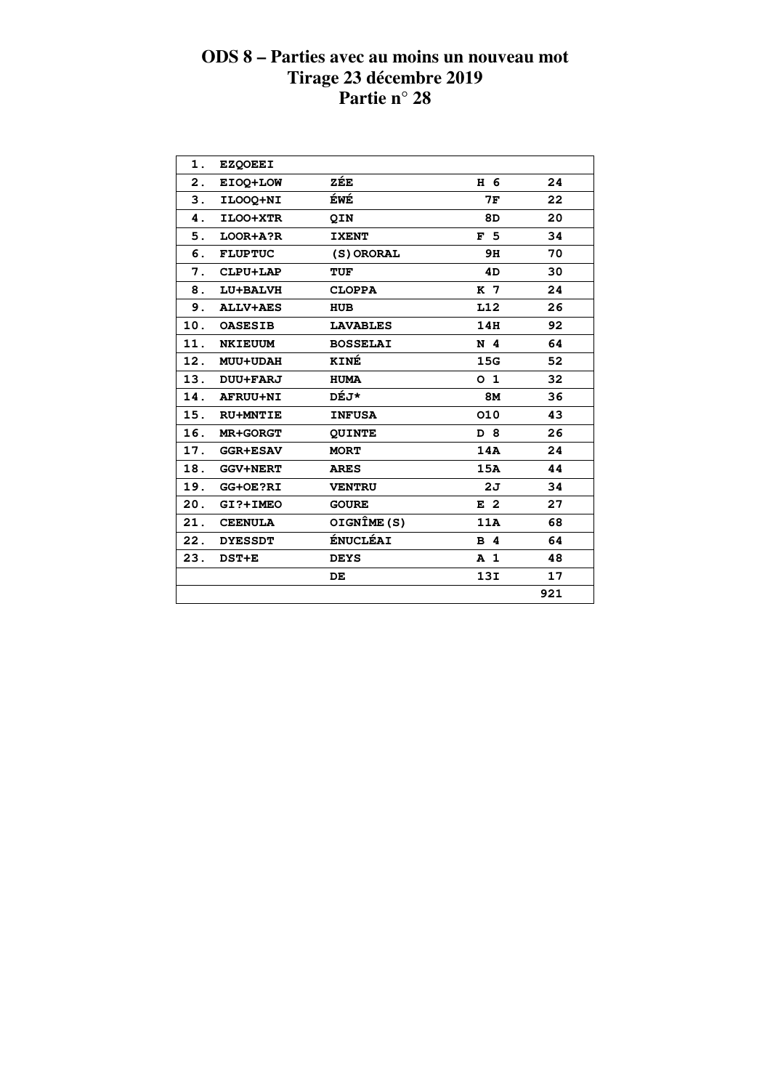| 1.  | <b>EZQOEEI</b>  |                 |                |     |  |
|-----|-----------------|-----------------|----------------|-----|--|
| 2.  | EIOO+LOW        | ZÉE             | H 6            | 24  |  |
| 3.  | ILOOQ+NI        | ÉWÉ             | 7F             | 22  |  |
| 4.  | ILOO+XTR        | QIN             | 8D             | 20  |  |
| 5.  | LOOR+A?R        | <b>IXENT</b>    | F <sub>5</sub> | 34  |  |
| 6.  | <b>FLUPTUC</b>  | (S) ORORAL      | 9H             | 70  |  |
| 7.  | CLPU+LAP        | <b>TUF</b>      | 4D             | 30  |  |
| 8.  | LU+BALVH        | <b>CLOPPA</b>   | K 7            | 24  |  |
| 9.  | <b>ALLV+AES</b> | <b>HUB</b>      | L12            | 26  |  |
| 10. | <b>OASESIB</b>  | <b>LAVABLES</b> | 14H            | 92  |  |
| 11. | <b>NKIEUUM</b>  | <b>BOSSELAI</b> | N <sub>4</sub> | 64  |  |
| 12. | <b>MUU+UDAH</b> | KINÉ            | 15G            | 52  |  |
| 13. | <b>DUU+FARJ</b> | <b>HUMA</b>     | 0 <sub>1</sub> | 32  |  |
| 14. | <b>AFRUU+NI</b> | DÉJ*            | <b>8M</b>      | 36  |  |
| 15. | <b>RU+MNTIE</b> | <b>INFUSA</b>   | 010            | 43  |  |
| 16. | <b>MR+GORGT</b> | <b>QUINTE</b>   | D 8            | 26  |  |
| 17. | <b>GGR+ESAV</b> | <b>MORT</b>     | 14A            | 24  |  |
| 18. | <b>GGV+NERT</b> | <b>ARES</b>     | 15A            | 44  |  |
| 19. | GG+OE?RI        | <b>VENTRU</b>   | 2J             | 34  |  |
| 20. | GI?+IMEO        | <b>GOURE</b>    | E <sub>2</sub> | 27  |  |
| 21. | <b>CEENULA</b>  | OIGNÎME (S)     | 11A            | 68  |  |
| 22. | <b>DYESSDT</b>  | <b>ÉNUCLÉAI</b> | <b>B</b> 4     | 64  |  |
| 23. | DST+E           | <b>DEYS</b>     | <b>A</b> 1     | 48  |  |
|     |                 | DE.             | 13I            | 17  |  |
|     |                 |                 |                | 921 |  |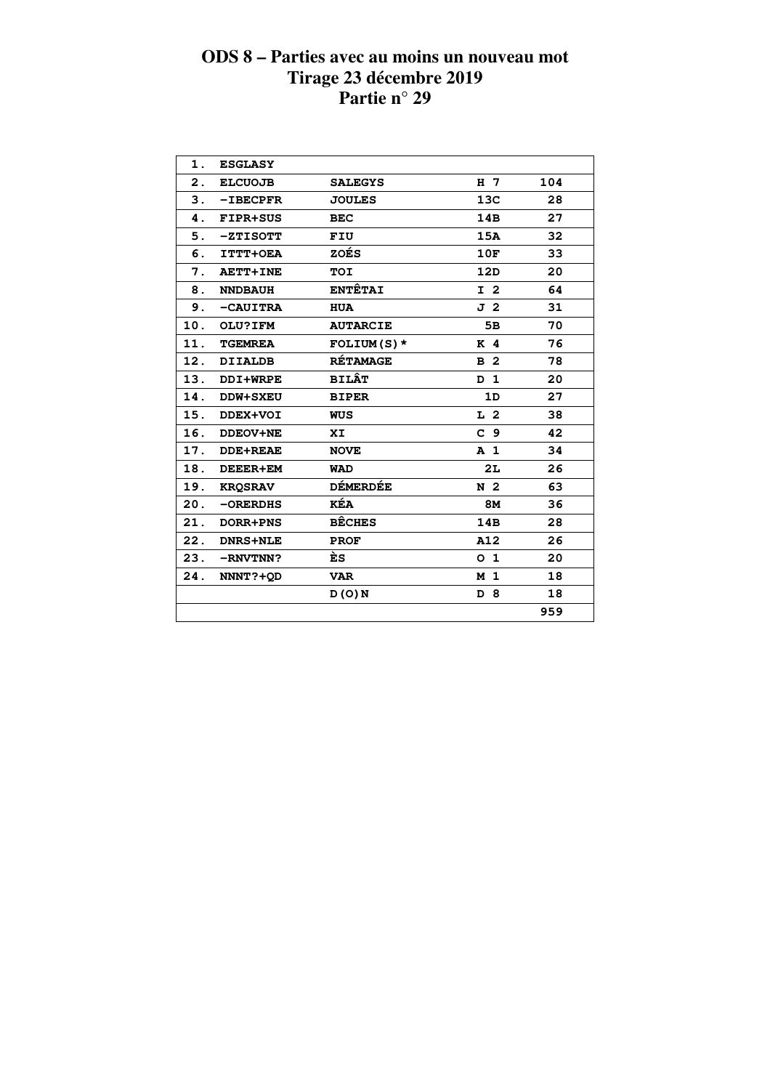| 1.  | <b>ESGLASY</b>  |                 |                |     |  |
|-----|-----------------|-----------------|----------------|-----|--|
| 2.  | <b>ELCUOJB</b>  | <b>SALEGYS</b>  | H <sub>7</sub> | 104 |  |
| 3.  | $-IBECPFR$      | <b>JOULES</b>   | 13C            | 28  |  |
| 4.  | <b>FIPR+SUS</b> | <b>BEC</b>      | 14B            | 27  |  |
| 5.  | $-ZTISOTT$      | FIU             | 15A            | 32  |  |
| 6.  | ITTT+OEA        | ZOÉS            | 10F            | 33  |  |
| 7.  | <b>AETT+INE</b> | <b>TOI</b>      | 12D            | 20  |  |
| 8.  | <b>NNDBAUH</b>  | <b>ENTÊTAI</b>  | I <sub>2</sub> | 64  |  |
| 9.  | -CAUITRA        | <b>HUA</b>      | J <sub>2</sub> | 31  |  |
| 10. | OLU?IFM         | <b>AUTARCIE</b> | 5B             | 70  |  |
| 11. | <b>TGEMREA</b>  | $FOLIUM(S)$ *   | K <sub>4</sub> | 76  |  |
| 12. | <b>DIIALDB</b>  | <b>RÉTAMAGE</b> | B <sub>2</sub> | 78  |  |
| 13. | DDI+WRPE        | <b>BILÂT</b>    | D <sub>1</sub> | 20  |  |
| 14. | <b>DDW+SXEU</b> | <b>BIPER</b>    | 1D             | 27  |  |
| 15. | DDEX+VOI        | WUS             | L <sub>2</sub> | 38  |  |
| 16. | <b>DDEOV+NE</b> | XI              | C <sub>9</sub> | 42  |  |
| 17. | <b>DDE+REAE</b> | <b>NOVE</b>     | A <sub>1</sub> | 34  |  |
| 18. | <b>DEEER+EM</b> | <b>WAD</b>      | 2L             | 26  |  |
|     | 19. KROSRAV     | <b>DÉMERDÉE</b> | N <sub>2</sub> | 63  |  |
| 20. | $-ORERDHS$      | KÉA             | <b>8M</b>      | 36  |  |
| 21. | <b>DORR+PNS</b> | <b>BÊCHES</b>   | 14B            | 28  |  |
| 22. | <b>DNRS+NLE</b> | <b>PROF</b>     | A12            | 26  |  |
| 23. | -RNVTNN?        | ÈS              | 0 <sub>1</sub> | 20  |  |
| 24. | NNNT?+OD        | <b>VAR</b>      | M 1            | 18  |  |
|     |                 | D(0)N           | D 8            | 18  |  |
|     |                 |                 |                | 959 |  |
|     |                 |                 |                |     |  |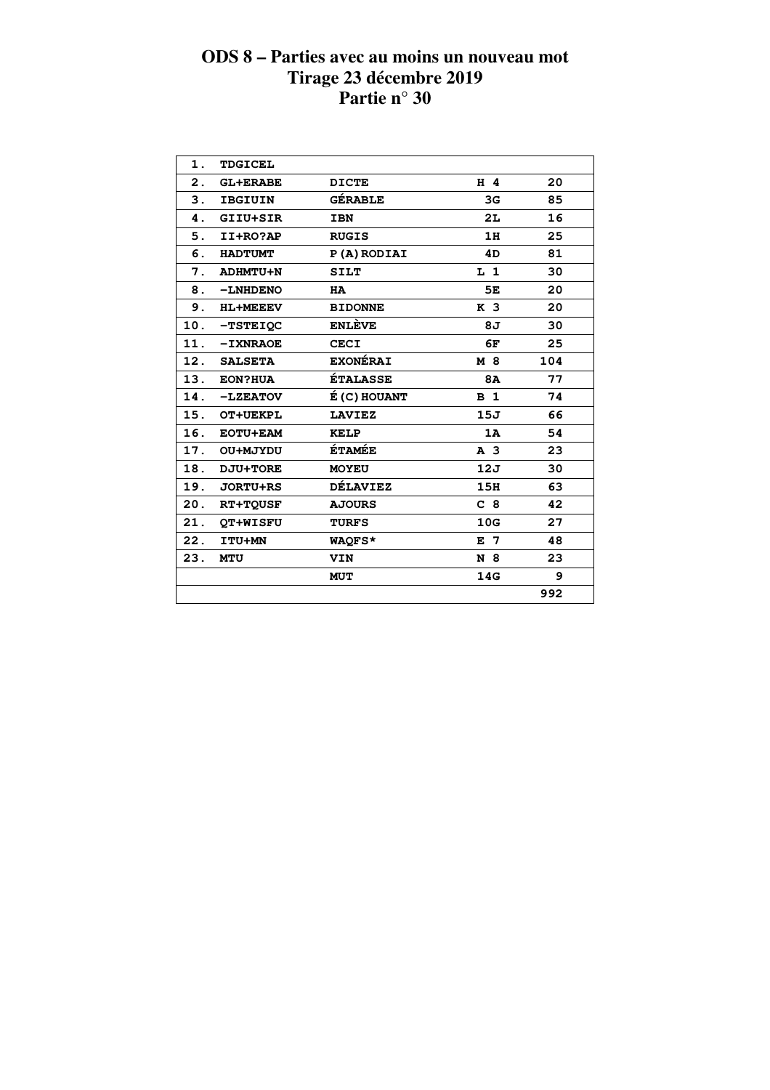| 1.             | <b>TDGICEL</b>  |                 |                |     |  |
|----------------|-----------------|-----------------|----------------|-----|--|
| $\mathbf{2}$ . | <b>GL+ERABE</b> | <b>DICTE</b>    | $H$ 4          | 20  |  |
| 3.             | <b>IBGIUIN</b>  | <b>GÉRABLE</b>  | 3 <sub>G</sub> | 85  |  |
| 4.             | GIIU+SIR        | <b>IBN</b>      | 2L             | 16  |  |
| 5.             | II+RO?AP        | <b>RUGIS</b>    | 1H             | 25  |  |
| 6.             | <b>HADTUMT</b>  | P(A) RODIAI     | 4D             | 81  |  |
| 7.             | <b>ADHMTU+N</b> | <b>SILT</b>     | $L_1$          | 30  |  |
| 8.             | -LNHDENO        | <b>HA</b>       | 5E             | 20  |  |
| 9.             | <b>HL+MEEEV</b> | <b>BIDONNE</b>  | K <sub>3</sub> | 20  |  |
| 10.            | <b>-TSTEIOC</b> | <b>ENLÈVE</b>   | 8J             | 30  |  |
| 11.            | <b>-IXNRAOE</b> | <b>CECI</b>     | 6F             | 25  |  |
|                | 12. SALSETA     | <b>EXONÉRAI</b> | M 8            | 104 |  |
| 13.            | <b>EON?HUA</b>  | <b>ÉTALASSE</b> | <b>8A</b>      | 77  |  |
| 14.            | $-LZEATOV$      | É (C) HOUANT    | B <sub>1</sub> | 74  |  |
|                | 15. OT+UEKPL    | <b>LAVIEZ</b>   | 15J            | 66  |  |
| 16.            | <b>EOTU+EAM</b> | <b>KELP</b>     | 1A             | 54  |  |
| 17.            | OU+MJYDU        | <b>ÉTAMÉE</b>   | A <sub>3</sub> | 23  |  |
| 18.            | DJU+TORE        | <b>MOYEU</b>    | 12J            | 30  |  |
| 19.            | <b>JORTU+RS</b> | <b>DÉLAVIEZ</b> | 15H            | 63  |  |
| 20.            | <b>RT+TOUSF</b> | <b>AJOURS</b>   | C <sub>8</sub> | 42  |  |
| 21.            | QT+WISFU        | <b>TURFS</b>    | 10G            | 27  |  |
| 22.            | ITU+MN          | WAOFS*          | $E$ 7          | 48  |  |
| 23.            | <b>MTU</b>      | VIN             | N 8            | 23  |  |
|                |                 | <b>MUT</b>      | 14G            | 9   |  |
|                |                 |                 |                | 992 |  |
|                |                 |                 |                |     |  |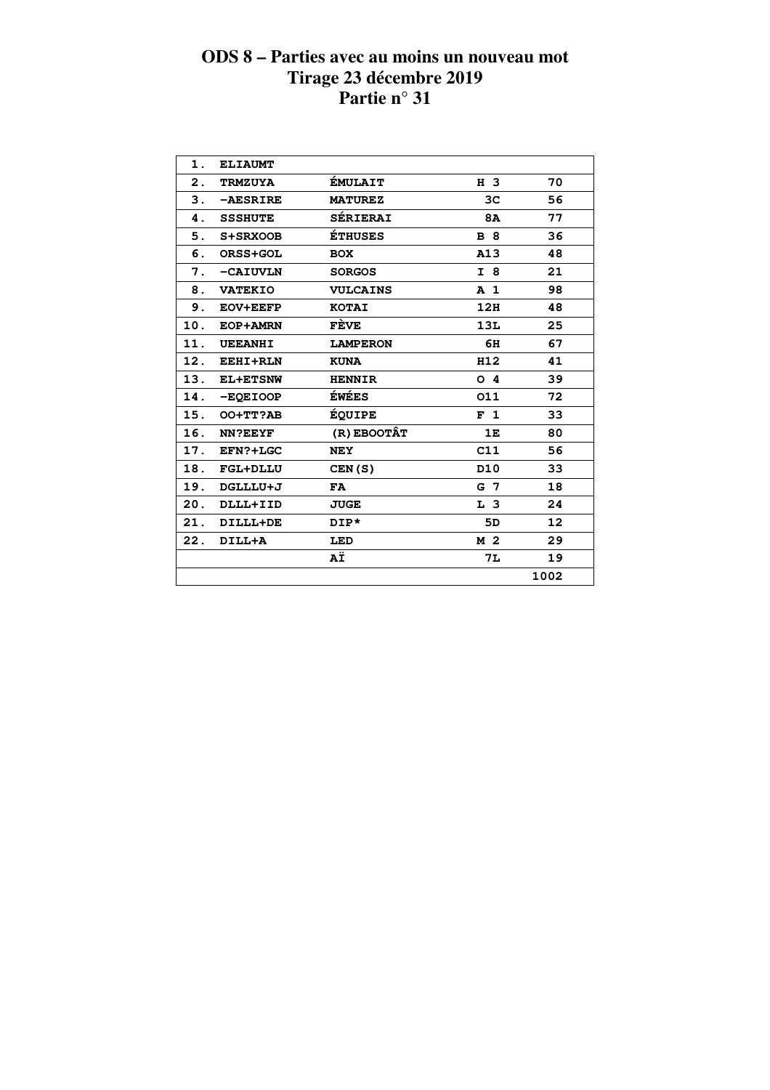| 1.  | <b>ELIAUMT</b>  |                 |                 |      |  |
|-----|-----------------|-----------------|-----------------|------|--|
| 2.  | <b>TRMZUYA</b>  | <b>ÉMULAIT</b>  | H 3             | 70   |  |
| 3.  | -AESRIRE        | <b>MATUREZ</b>  | ЗС              | 56   |  |
| 4.  | <b>SSSHUTE</b>  | <b>SÉRIERAI</b> | 8A              | 77   |  |
| 5.  | S+SRXOOB        | <b>ÉTHUSES</b>  | <b>B</b> 8      | 36   |  |
| 6.  | ORSS+GOL        | <b>BOX</b>      | A13             | 48   |  |
| 7.  | -CAIUVLN        | <b>SORGOS</b>   | I 8             | 21   |  |
| 8.  | <b>VATEKIO</b>  | <b>VULCAINS</b> | A <sub>1</sub>  | 98   |  |
| 9.  | <b>EOV+EEFP</b> | <b>KOTAI</b>    | 12H             | 48   |  |
| 10. | EOP+AMRN        | FÈVE            | 13L             | 25   |  |
| 11. | <b>UEEANHI</b>  | <b>LAMPERON</b> | 6H              | 67   |  |
| 12. | EEHI+RLN        | <b>KUNA</b>     | H12             | 41   |  |
| 13. | <b>EL+ETSNW</b> | <b>HENNIR</b>   | O <sub>4</sub>  | 39   |  |
| 14. | -EQEIOOP        | <b>ÉWÉES</b>    | 011             | 72   |  |
| 15. | OO+TT?AB        | <b>ÉQUIPE</b>   | F <sub>1</sub>  | 33   |  |
| 16. | <b>NN?EEYF</b>  | (R) EBOOTÂT     | 1E              | 80   |  |
| 17. | EFN?+LGC        | <b>NEY</b>      | C11             | 56   |  |
| 18. | <b>FGL+DLLU</b> | CEN(S)          | D <sub>10</sub> | 33   |  |
| 19. | DGLLLU+J        | <b>FA</b>       | G 7             | 18   |  |
| 20. | DLLL+IID        | <b>JUGE</b>     | L <sub>3</sub>  | 24   |  |
| 21. | DILLL+DE        | DIP*            | 5D              | 12   |  |
| 22. | DILL+A          | LED             | M 2             | 29   |  |
|     |                 | ΑÏ              | 7L              | 19   |  |
|     |                 |                 |                 | 1002 |  |
|     |                 |                 |                 |      |  |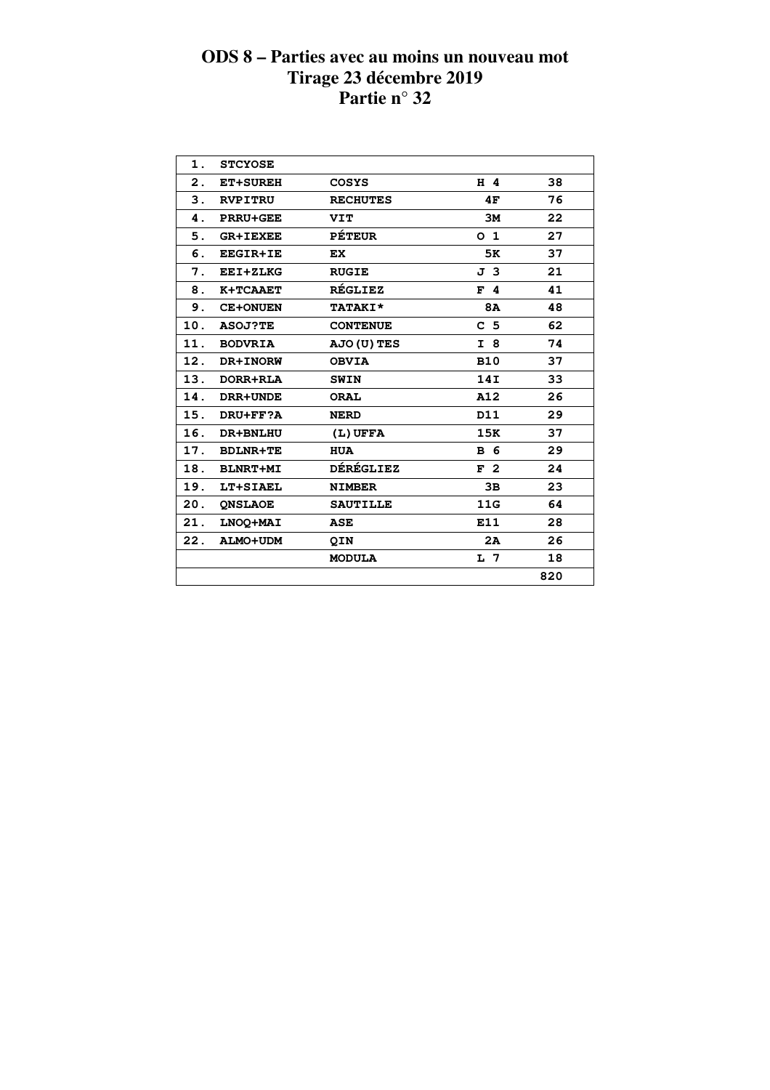| 1.            | <b>STCYOSE</b>  |                    |                |     |  |
|---------------|-----------------|--------------------|----------------|-----|--|
| $\mathbf 2$ . | <b>ET+SUREH</b> | <b>COSYS</b>       | H 4            | 38  |  |
| 3.            | <b>RVPITRU</b>  | <b>RECHUTES</b>    | 4F             | 76  |  |
| 4.            | <b>PRRU+GEE</b> | <b>VIT</b>         | 3M             | 22  |  |
| 5.            | <b>GR+IEXEE</b> | <b>PÉTEUR</b>      | 0 <sub>1</sub> | 27  |  |
| 6.            | <b>EEGIR+IE</b> | EX.                | 5K             | 37  |  |
| 7.            | EEI+ZLKG        | <b>RUGIE</b>       | J 3            | 21  |  |
| 8.            | K+TCAAET        | <b>RÉGLIEZ</b>     | $F$ 4          | 41  |  |
| 9.            | <b>CE+ONUEN</b> | <b>TATAKI*</b>     | 8A             | 48  |  |
| 10.           | <b>ASOJ?TE</b>  | <b>CONTENUE</b>    | C <sub>5</sub> | 62  |  |
| 11.           | <b>BODVRIA</b>  | <b>AJO (U) TES</b> | I 8            | 74  |  |
| 12.           | DR+INORW        | <b>OBVIA</b>       | <b>B10</b>     | 37  |  |
| 13.           | DORR+RLA        | <b>SWIN</b>        | 14I            | 33  |  |
| 14.           | DRR+UNDE        | <b>ORAL</b>        | A12            | 26  |  |
| 15.           | DRU+FF?A        | <b>NERD</b>        | D11            | 29  |  |
| 16.           | DR+BNLHU        | $(L)$ UFFA         | 15K            | 37  |  |
| 17.           | <b>BDLNR+TE</b> | <b>HUA</b>         | <b>B</b> 6     | 29  |  |
| 18.           | <b>BLNRT+MI</b> | <b>DÉRÉGLIEZ</b>   | F <sub>2</sub> | 24  |  |
| 19.           | LT+SIAEL        | <b>NIMBER</b>      | 3B             | 23  |  |
| 20.           | <b>ONSLAOE</b>  | <b>SAUTILLE</b>    | 11G            | 64  |  |
| 21.           | LNOQ+MAI        | ASE                | E11            | 28  |  |
| 22.           | <b>ALMO+UDM</b> | QIN                | 2A             | 26  |  |
|               |                 | <b>MODULA</b>      | L 7            | 18  |  |
|               |                 |                    |                | 820 |  |
|               |                 |                    |                |     |  |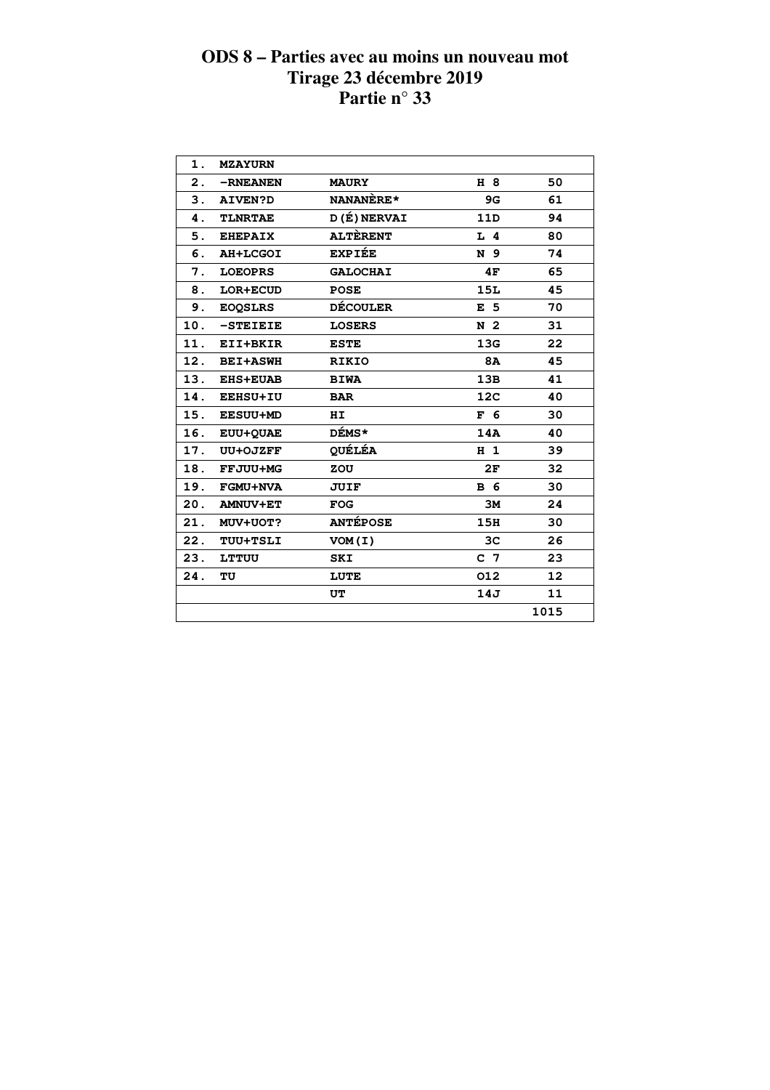| 1.  | <b>MZAYURN</b>  |                 |                 |                   |  |
|-----|-----------------|-----------------|-----------------|-------------------|--|
| 2.  | -RNEANEN        | <b>MAURY</b>    | H 8             | 50                |  |
| 3.  | <b>AIVEN?D</b>  | NANANÈRE*       | 9G              | 61                |  |
| 4.  | <b>TLNRTAE</b>  | D(É) NERVAI     | 11D             | 94                |  |
| 5.  | <b>EHEPAIX</b>  | <b>ALTÈRENT</b> | $L$ 4           | 80                |  |
| 6.  | <b>AH+LCGOI</b> | <b>EXPIÉE</b>   | N 9             | 74                |  |
| 7.  | <b>LOEOPRS</b>  | <b>GALOCHAI</b> | 4F              | 65                |  |
| 8.  | LOR+ECUD        | <b>POSE</b>     | <b>15L</b>      | 45                |  |
| 9.  | <b>EOOSLRS</b>  | <b>DÉCOULER</b> | E <sub>5</sub>  | 70                |  |
| 10. | -STEIEIE        | <b>LOSERS</b>   | N <sub>2</sub>  | 31                |  |
| 11. | EII+BKIR        | <b>ESTE</b>     | 13G             | 22                |  |
| 12. | <b>BEI+ASWH</b> | <b>RIKIO</b>    | 8A              | 45                |  |
| 13. | <b>EHS+EUAB</b> | <b>BIWA</b>     | 13B             | 41                |  |
| 14. | <b>EEHSU+IU</b> | <b>BAR</b>      | 12 <sub>C</sub> | 40                |  |
| 15. | <b>EESUU+MD</b> | ΗI              | F <sub>6</sub>  | 30                |  |
| 16. | <b>EUU+QUAE</b> | DÉMS*           | 14A             | 40                |  |
| 17. | UU+OJZFF        | <b>QUÉLÉA</b>   | H <sub>1</sub>  | 39                |  |
| 18. | <b>FFJUU+MG</b> | ZOU             | 2F              | 32                |  |
| 19. | <b>FGMU+NVA</b> | <b>JUIF</b>     | <b>B</b> 6      | 30                |  |
| 20. | <b>AMNUV+ET</b> | <b>FOG</b>      | 3M              | 24                |  |
| 21. | <b>MUV+UOT?</b> | <b>ANTÉPOSE</b> | 15H             | 30                |  |
| 22. | <b>TUU+TSLI</b> | VOM(I)          | 3 <sub>C</sub>  | 26                |  |
| 23. | <b>LTTUU</b>    | SKI             | C <sub>7</sub>  | 23                |  |
| 24. | TU              | LUTE            | 012             | $12 \overline{ }$ |  |
|     |                 | UT              | 14J             | 11                |  |
|     |                 |                 |                 | 1015              |  |
|     |                 |                 |                 |                   |  |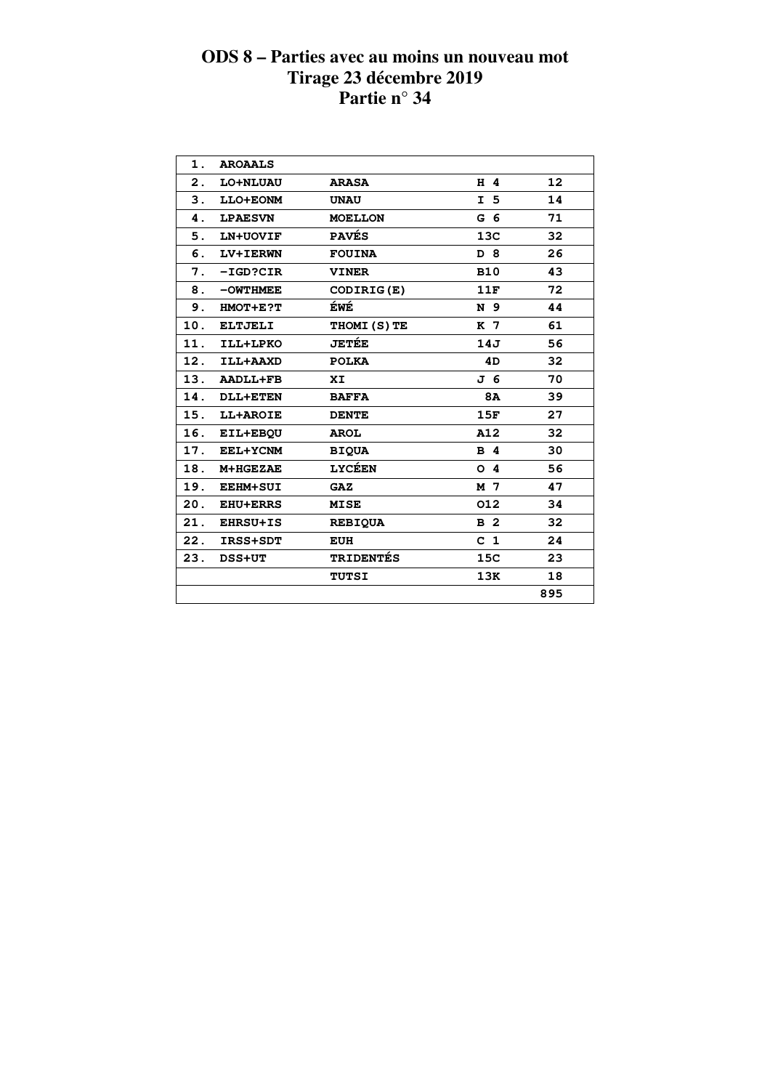| $\mathbf 1$ .  | <b>AROAALS</b>  |                   |                |     |
|----------------|-----------------|-------------------|----------------|-----|
| $\mathbf{2}$ . | LO+NLUAU        | <b>ARASA</b>      | H 4            | 12  |
| 3.             | LLO+EONM        | <b>UNAU</b>       | I <sub>5</sub> | 14  |
| 4.             | <b>LPAESVN</b>  | <b>MOELLON</b>    | G <sub>6</sub> | 71  |
| 5.             | LN+UOVIF        | <b>PAVES</b>      | 13C            | 32  |
| 6.             | LV+IERWN        | <b>FOUINA</b>     | D 8            | 26  |
| 7.             | $-IGD?CIR$      | <b>VINER</b>      | <b>B10</b>     | 43  |
| 8.             | $-$ OWTHMEE     | CODIRIG(E)        | 11F            | 72  |
| 9.             | HMOT+E?T        | ÉWÉ               | N 9            | 44  |
| 10.            | <b>ELTJELI</b>  | <b>THOMI(S)TE</b> | K 7            | 61  |
| 11.            | ILL+LPKO        | <b>JETÉE</b>      | 14J            | 56  |
| 12.            | ILL+AAXD        | <b>POLKA</b>      | 4D             | 32  |
| 13.            | <b>AADLL+FB</b> | XI                | J 6            | 70  |
| 14.            | <b>DLL+ETEN</b> | <b>BAFFA</b>      | <b>8A</b>      | 39  |
| 15.            | LL+AROIE        | <b>DENTE</b>      | 15F            | 27  |
| 16.            | EIL+EBQU        | <b>AROL</b>       | A12            | 32  |
| 17.            | EEL+YCNM        | <b>BIQUA</b>      | <b>B</b> 4     | 30  |
| 18.            | M+HGEZAE        | <b>LYCÉEN</b>     | 4<br>O         | 56  |
| 19.            | <b>EEHM+SUI</b> | <b>GAZ</b>        | M 7            | 47  |
| 20.            | <b>EHU+ERRS</b> | <b>MISE</b>       | 012            | 34  |
| 21.            | <b>EHRSU+IS</b> | <b>REBIQUA</b>    | <b>B</b> 2     | 32  |
| 22.            | IRSS+SDT        | <b>EUH</b>        | C <sub>1</sub> | 24  |
| 23.            | <b>DSS+UT</b>   | <b>TRIDENTÉS</b>  | 15C            | 23  |
|                |                 | <b>TUTSI</b>      | 13K            | 18  |
|                |                 |                   |                | 895 |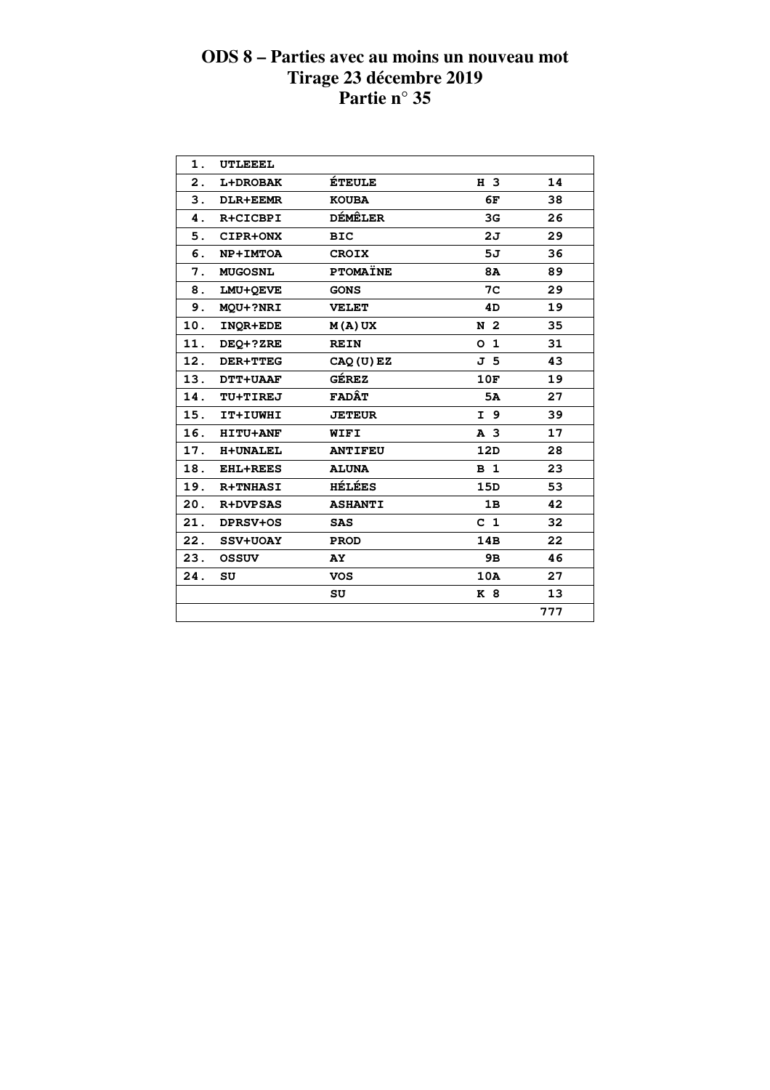| 1.  | <b>UTLEEEL</b>  |                 |                |     |  |
|-----|-----------------|-----------------|----------------|-----|--|
| 2.  | <b>L+DROBAK</b> | <b>ÉTEULE</b>   | H 3            | 14  |  |
| 3.  | <b>DLR+EEMR</b> | <b>KOUBA</b>    | 6F             | 38  |  |
| 4.  | R+CICBPI        | <b>DÉMÊLER</b>  | 3G             | 26  |  |
| 5.  | CIPR+ONX        | <b>BIC</b>      | 2J             | 29  |  |
| 6.  | NP+IMTOA        | <b>CROIX</b>    | 5J             | 36  |  |
| 7.  | <b>MUGOSNL</b>  | <b>PTOMAÏNE</b> | <b>8A</b>      | 89  |  |
| 8.  | LMU+OEVE        | <b>GONS</b>     | 7C             | 29  |  |
| 9.  | MQU+?NRI        | <b>VELET</b>    | 4D             | 19  |  |
| 10. | INOR+EDE        | $M(A)$ UX       | N <sub>2</sub> | 35  |  |
| 11. | DEQ+?ZRE        | <b>REIN</b>     | 0 <sub>1</sub> | 31  |  |
| 12. | <b>DER+TTEG</b> | CAQ (U) EZ      | J <sub>5</sub> | 43  |  |
|     | 13. DTT+UAAF    | <b>GÉREZ</b>    | 10F            | 19  |  |
| 14. | <b>TU+TIREJ</b> | <b>FADÂT</b>    | 5A             | 27  |  |
| 15. | IT+IUWHI        | <b>JETEUR</b>   | I 9            | 39  |  |
| 16. | <b>HITU+ANF</b> | WIFI            | A <sub>3</sub> | 17  |  |
| 17. | <b>H+UNALEL</b> | <b>ANTIFEU</b>  | 12D            | 28  |  |
| 18. | <b>EHL+REES</b> | <b>ALUNA</b>    | B <sub>1</sub> | 23  |  |
|     | 19. R+TNHASI    | <b>HÉLÉES</b>   | 15D            | 53  |  |
| 20. | <b>R+DVPSAS</b> | <b>ASHANTI</b>  | 1B             | 42  |  |
| 21. | <b>DPRSV+OS</b> | <b>SAS</b>      | C <sub>1</sub> | 32  |  |
| 22. | <b>SSV+UOAY</b> | <b>PROD</b>     | 14B            | 22  |  |
| 23. | <b>OSSUV</b>    | <b>AY</b>       | 9B             | 46  |  |
| 24. | SU              | VOS             | 10A            | 27  |  |
|     |                 | SU              | K 8            | 13  |  |
|     |                 |                 |                | 777 |  |
|     |                 |                 |                |     |  |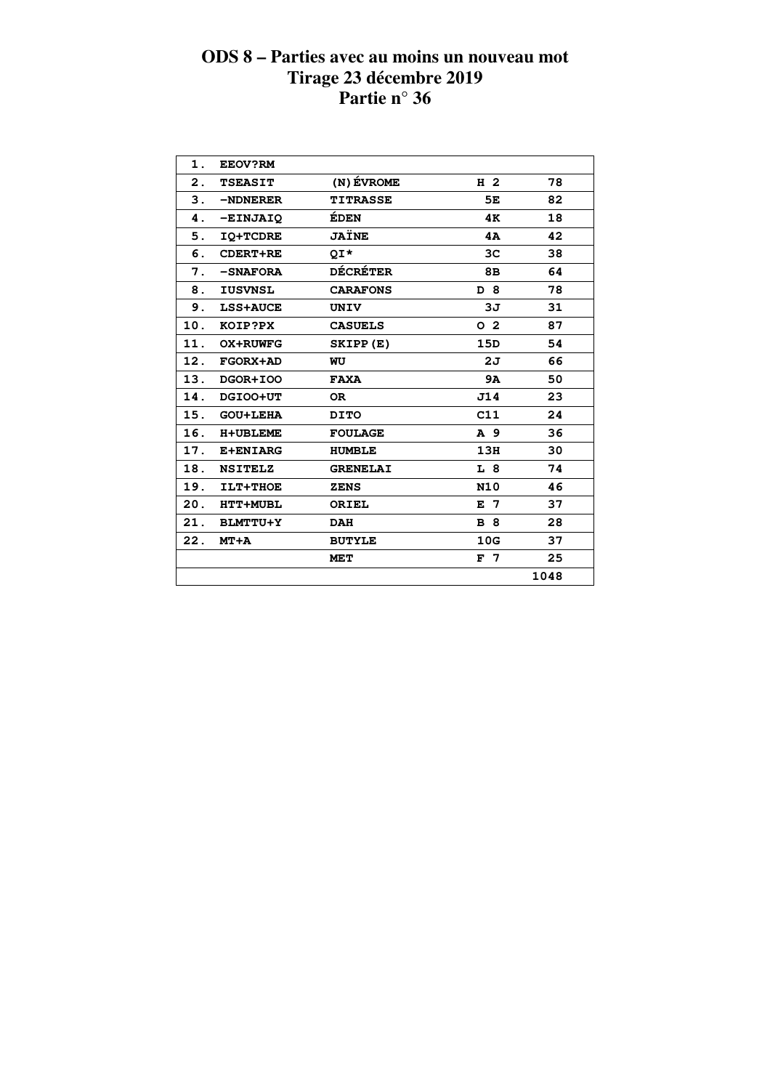| 1.  | <b>EEOV?RM</b>  |                 |                |      |
|-----|-----------------|-----------------|----------------|------|
| 2.  | <b>TSEASIT</b>  | (N) ÉVROME      | H <sub>2</sub> | 78   |
| 3.  | -NDNERER        | <b>TITRASSE</b> | 5E             | 82   |
| 4.  | -EINJAIQ        | ÉDEN            | 4Κ             | 18   |
| 5.  | <b>IQ+TCDRE</b> | JAÏNE           | 4A             | 42   |
| 6.  | <b>CDERT+RE</b> | QI*             | 3 <sub>C</sub> | 38   |
| 7.  | -SNAFORA        | <b>DÉCRÉTER</b> | 8в             | 64   |
| 8.  | <b>IUSVNSL</b>  | <b>CARAFONS</b> | D 8            | 78   |
| 9.  | <b>LSS+AUCE</b> | UNIV            | 3J             | 31   |
| 10. | KOIP?PX         | <b>CASUELS</b>  | 0 <sub>2</sub> | 87   |
| 11. | <b>OX+RUWFG</b> | SKIPP(E)        | 15D            | 54   |
| 12. | FGORX+AD        | WU              | 2J             | 66   |
| 13. | DGOR+IOO        | <b>FAXA</b>     | 9A             | 50   |
| 14. | DGIOO+UT        | <b>OR</b>       | J14            | 23   |
| 15. | <b>GOU+LEHA</b> | <b>DITO</b>     | C11            | 24   |
| 16. | <b>H+UBLEME</b> | <b>FOULAGE</b>  | A 9            | 36   |
| 17. | <b>E+ENIARG</b> | <b>HUMBLE</b>   | 13H            | 30   |
| 18. | <b>NSITELZ</b>  | <b>GRENELAI</b> | L 8            | 74   |
| 19. | ILT+THOE        | <b>ZENS</b>     | <b>N10</b>     | 46   |
| 20. | <b>HTT+MUBL</b> | ORIEL           | $E$ 7          | 37   |
| 21. | <b>BLMTTU+Y</b> | <b>DAH</b>      | <b>B</b> 8     | 28   |
| 22. | $MT+A$          | <b>BUTYLE</b>   | 10G            | 37   |
|     |                 | <b>MET</b>      | F <sub>7</sub> | 25   |
|     |                 |                 |                | 1048 |
|     |                 |                 |                |      |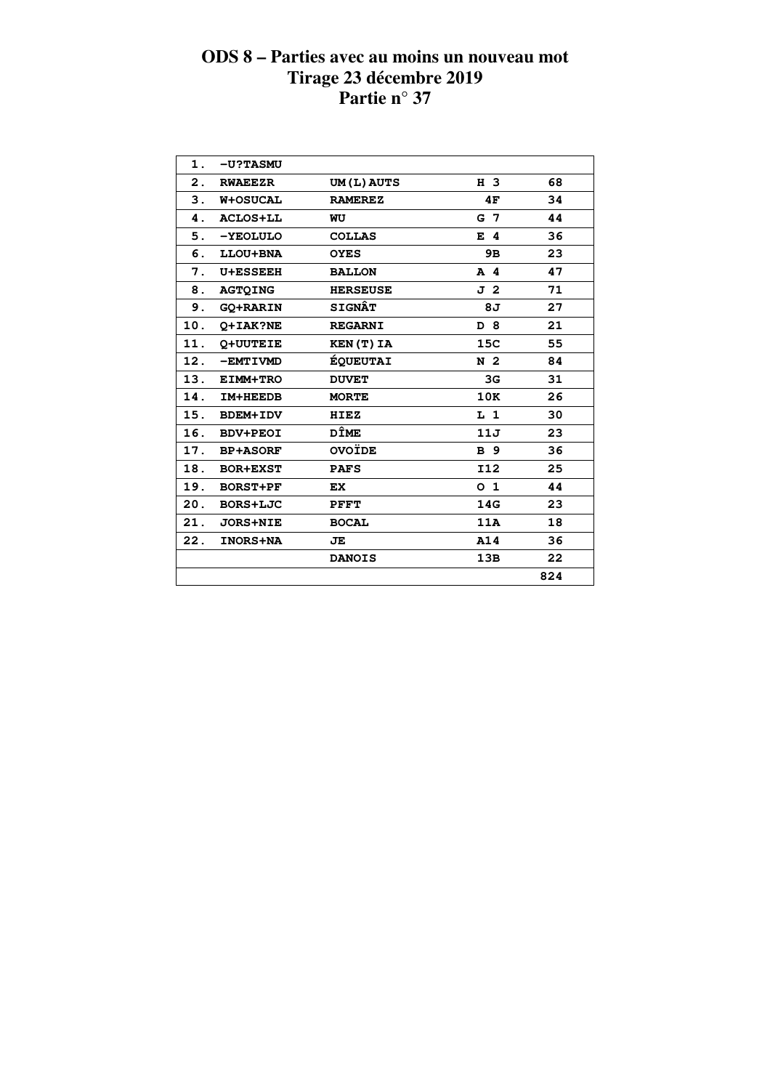| 1.  | <b>-U?TASMU</b> |                 |                |     |
|-----|-----------------|-----------------|----------------|-----|
| 2.  | <b>RWAEEZR</b>  | UM(L) AUTS      | H 3            | 68  |
| 3.  | <b>W+OSUCAL</b> | <b>RAMEREZ</b>  | 4F             | 34  |
| 4.  | <b>ACLOS+LL</b> | WU              | G 7            | 44  |
| 5.  | -YEOLULO        | <b>COLLAS</b>   | E 4            | 36  |
| 6.  | LLOU+BNA        | <b>OYES</b>     | 9в             | 23  |
| 7.  | <b>U+ESSEEH</b> | <b>BALLON</b>   | $A$ 4          | 47  |
| 8.  | <b>AGTOING</b>  | <b>HERSEUSE</b> | J 2            | 71  |
| 9.  | <b>GO+RARIN</b> | <b>SIGNÂT</b>   | 8J             | 27  |
| 10. | O+IAK?NE        | <b>REGARNI</b>  | D 8            | 21  |
| 11. | <b>Q+UUTEIE</b> | KEN(T) IA       | 15C            | 55  |
| 12. | -EMTIVMD        | <b>ÉQUEUTAI</b> | N <sub>2</sub> | 84  |
| 13. | <b>EIMM+TRO</b> | <b>DUVET</b>    | 3G             | 31  |
| 14. | IM+HEEDB        | <b>MORTE</b>    | 10K            | 26  |
| 15. | <b>BDEM+IDV</b> | HIEZ            | L 1            | 30  |
| 16. | <b>BDV+PEOI</b> | DÎME            | 11J            | 23  |
| 17. | <b>BP+ASORF</b> | <b>OVOÏDE</b>   | <b>B</b> 9     | 36  |
| 18. | <b>BOR+EXST</b> | <b>PAFS</b>     | <b>I12</b>     | 25  |
| 19. | <b>BORST+PF</b> | EX.             | O <sub>1</sub> | 44  |
| 20. | BORS+LJC        | PFFT            | 14G            | 23  |
| 21. | <b>JORS+NIE</b> | <b>BOCAL</b>    | 11A            | 18  |
| 22. | <b>INORS+NA</b> | JE              | A14            | 36  |
|     |                 | <b>DANOIS</b>   | 13B            | 22  |
|     |                 |                 |                | 824 |
|     |                 |                 |                |     |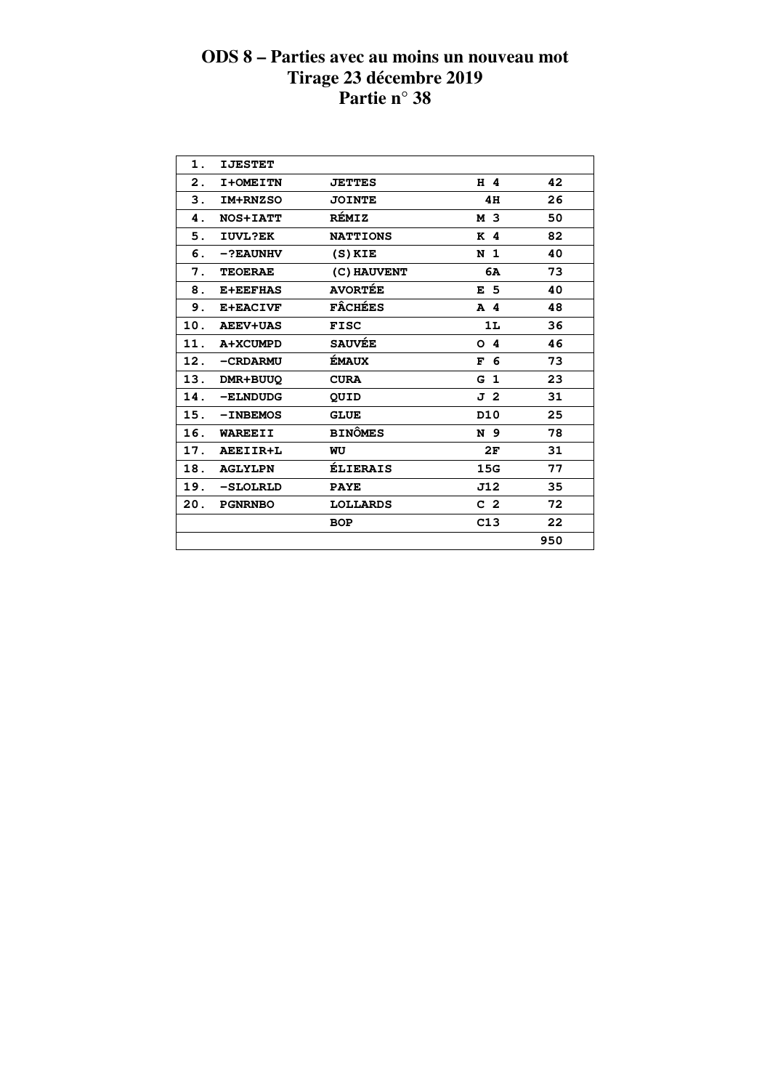| 1.  | <b>IJESTET</b>  |                 |                 |     |
|-----|-----------------|-----------------|-----------------|-----|
| 2.  | I+OMEITN        | <b>JETTES</b>   | H 4             | 42  |
| 3.  | IM+RNZSO        | <b>JOINTE</b>   | 4H              | 26  |
| 4.  | <b>NOS+IATT</b> | <b>RÉMIZ</b>    | M 3             | 50  |
| 5.  | IUVL?EK         | <b>NATTIONS</b> | K <sub>4</sub>  | 82  |
| 6.  | $-?EAUNHV$      | $(S)$ KIE       | N <sub>1</sub>  | 40  |
| 7.  | <b>TEOERAE</b>  | (C) HAUVENT     | 6A              | 73  |
| 8.  | <b>E+EEFHAS</b> | <b>AVORTÉE</b>  | E <sub>5</sub>  | 40  |
| 9.  | E+EACIVF        | <b>FÂCHÉES</b>  | A 4             | 48  |
| 10. | <b>AEEV+UAS</b> | <b>FISC</b>     | 1L              | 36  |
| 11. | A+XCUMPD        | <b>SAUVÉE</b>   | O <sub>4</sub>  | 46  |
| 12. | -CRDARMU        | ÉMAUX           | F<br>6          | 73  |
| 13. | DMR+BUUQ        | <b>CURA</b>     | G <sub>1</sub>  | 23  |
| 14. | -ELNDUDG        | QUID            | J 2             | 31  |
| 15. | $-INBEMOS$      | <b>GLUE</b>     | D <sub>10</sub> | 25  |
| 16. | <b>WAREEII</b>  | <b>BINÔMES</b>  | N 9             | 78  |
| 17. | AEEIIR+L        | WU              | 2F              | 31  |
| 18. | <b>AGLYLPN</b>  | <b>ÉLIERAIS</b> | 15G             | 77  |
| 19. | -SLOLRLD        | <b>PAYE</b>     | J12             | 35  |
| 20. | <b>PGNRNBO</b>  | <b>LOLLARDS</b> | C <sub>2</sub>  | 72  |
|     |                 | <b>BOP</b>      | C13             | 22  |
|     |                 |                 |                 | 950 |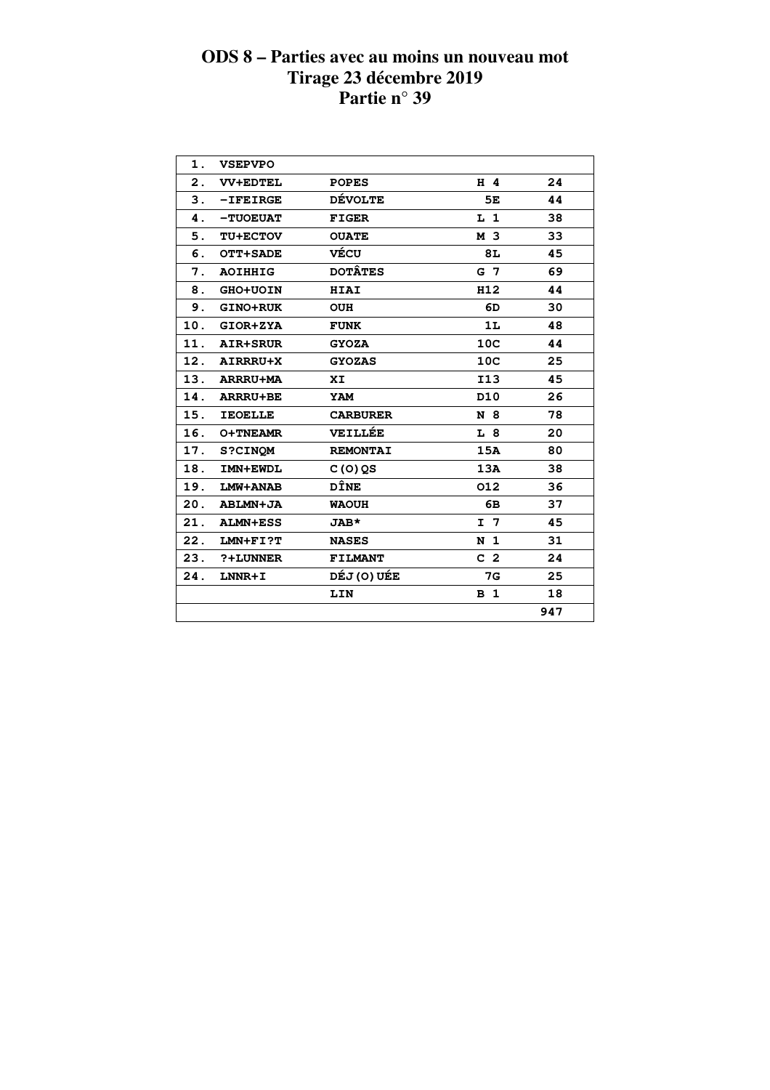| 1.  | <b>VSEPVPO</b>  |                 |                 |     |  |
|-----|-----------------|-----------------|-----------------|-----|--|
| 2.  | <b>VV+EDTEL</b> | <b>POPES</b>    | $H$ 4           | 24  |  |
| 3.  | $-$ IFEIRGE     | <b>DÉVOLTE</b>  | 5E              | 44  |  |
| 4.  | -TUOEUAT        | <b>FIGER</b>    | $L_1$           | 38  |  |
| 5.  | <b>TU+ECTOV</b> | <b>OUATE</b>    | M 3             | 33  |  |
| 6.  | OTT+SADE        | VÉCU            | 8L              | 45  |  |
| 7.  | <b>AOIHHIG</b>  | <b>DOTÂTES</b>  | G 7             | 69  |  |
| 8.  | <b>GHO+UOIN</b> | <b>HIAI</b>     | H12             | 44  |  |
| 9.  | <b>GINO+RUK</b> | <b>OUH</b>      | 6D              | 30  |  |
| 10. | GIOR+ZYA        | <b>FUNK</b>     | 1L              | 48  |  |
| 11. | <b>AIR+SRUR</b> | <b>GYOZA</b>    | 10 <sup>C</sup> | 44  |  |
|     | 12. AIRRRU+X    | <b>GYOZAS</b>   | 10 <sup>C</sup> | 25  |  |
|     | 13. ARRRU+MA    | XI.             | <b>I13</b>      | 45  |  |
|     | 14. ARRRU+BE    | YAM             | D <sub>10</sub> | 26  |  |
| 15. | <b>IEOELLE</b>  | <b>CARBURER</b> | N 8             | 78  |  |
| 16. | <b>O+TNEAMR</b> | <b>VEILLÉE</b>  | L 8             | 20  |  |
| 17. | <b>S?CINOM</b>  | <b>REMONTAI</b> | 15A             | 80  |  |
| 18. | IMN+EWDL        | $C(0)$ QS       | 13A             | 38  |  |
| 19. | LMW+ANAB        | <b>DÎNE</b>     | 012             | 36  |  |
| 20. | ABLMN+JA        | <b>WAOUH</b>    | 6B              | 37  |  |
| 21. | <b>ALMN+ESS</b> | <b>JAB*</b>     | I <sub>7</sub>  | 45  |  |
| 22. | $LMN + FI$ ?T   | <b>NASES</b>    | N <sub>1</sub>  | 31  |  |
| 23. | ?+LUNNER        | <b>FILMANT</b>  | C <sub>2</sub>  | 24  |  |
| 24. | LNNR+I          | DÉJ (O) UÉE     | <b>7G</b>       | 25  |  |
|     |                 | LIN             | <b>B</b> 1      | 18  |  |
|     |                 |                 |                 | 947 |  |
|     |                 |                 |                 |     |  |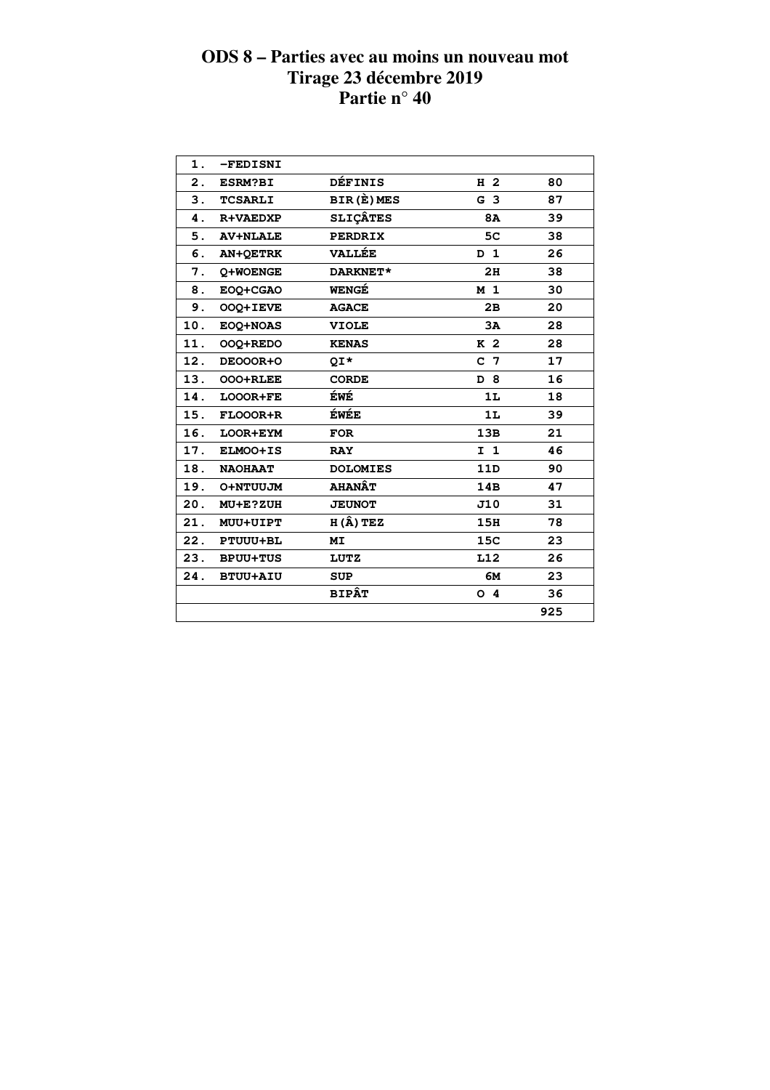| 1.            | -FEDISNI        |                  |                |     |  |
|---------------|-----------------|------------------|----------------|-----|--|
| 2.            | <b>ESRM?BI</b>  | <b>DÉFINIS</b>   | H <sub>2</sub> | 80  |  |
| 3.            | <b>TCSARLI</b>  | BIR(E)MES        | G <sub>3</sub> | 87  |  |
| 4.            | <b>R+VAEDXP</b> | <b>SLIÇÂTES</b>  | <b>8A</b>      | 39  |  |
| 5.            | <b>AV+NLALE</b> | <b>PERDRIX</b>   | 5 <sub>C</sub> | 38  |  |
| 6.            | <b>AN+QETRK</b> | <b>VALLÉE</b>    | D <sub>1</sub> | 26  |  |
| 7.            | Q+WOENGE        | DARKNET*         | 2H             | 38  |  |
| 8.            | EOQ+CGAO        | WENGÉ            | M <sub>1</sub> | 30  |  |
| $\mathbf 9$ . | OOQ+IEVE        | <b>AGACE</b>     | 2B             | 20  |  |
| 10.           | EOQ+NOAS        | <b>VIOLE</b>     | 3A             | 28  |  |
| 11.           | OOQ+REDO        | <b>KENAS</b>     | K <sub>2</sub> | 28  |  |
| 12.           | DEOOOR+O        | QI*              | C <sub>7</sub> | 17  |  |
| 13.           | OOO+RLEE        | <b>CORDE</b>     | D 8            | 16  |  |
| 14.           | LOOOR+FE        | ÉWÉ              | 1L             | 18  |  |
| 15.           | FLOOOR+R        | ÉWÉE             | 1L             | 39  |  |
| 16.           | LOOR+EYM        | <b>FOR</b>       | 13B            | 21  |  |
| 17.           | ELMOO+IS        | <b>RAY</b>       | $I$ 1          | 46  |  |
| 18.           | <b>NAOHAAT</b>  | <b>DOLOMIES</b>  | 11D            | 90  |  |
| 19.           | O+NTUUJM        | <b>AHANÂT</b>    | 14B            | 47  |  |
| 20.           | MU+E?ZUH        | <b>JEUNOT</b>    | J10            | 31  |  |
| 21.           | MUU+UIPT        | $H(\hat{A})$ TEZ | 15H            | 78  |  |
| 22.           | PTUUU+BL        | МI               | 15C            | 23  |  |
| 23.           | <b>BPUU+TUS</b> | <b>LUTZ</b>      | L12            | 26  |  |
| 24.           | <b>BTUU+AIU</b> | <b>SUP</b>       | 6M             | 23  |  |
|               |                 | <b>BIPÂT</b>     | O <sub>4</sub> | 36  |  |
|               |                 |                  |                | 925 |  |
|               |                 |                  |                |     |  |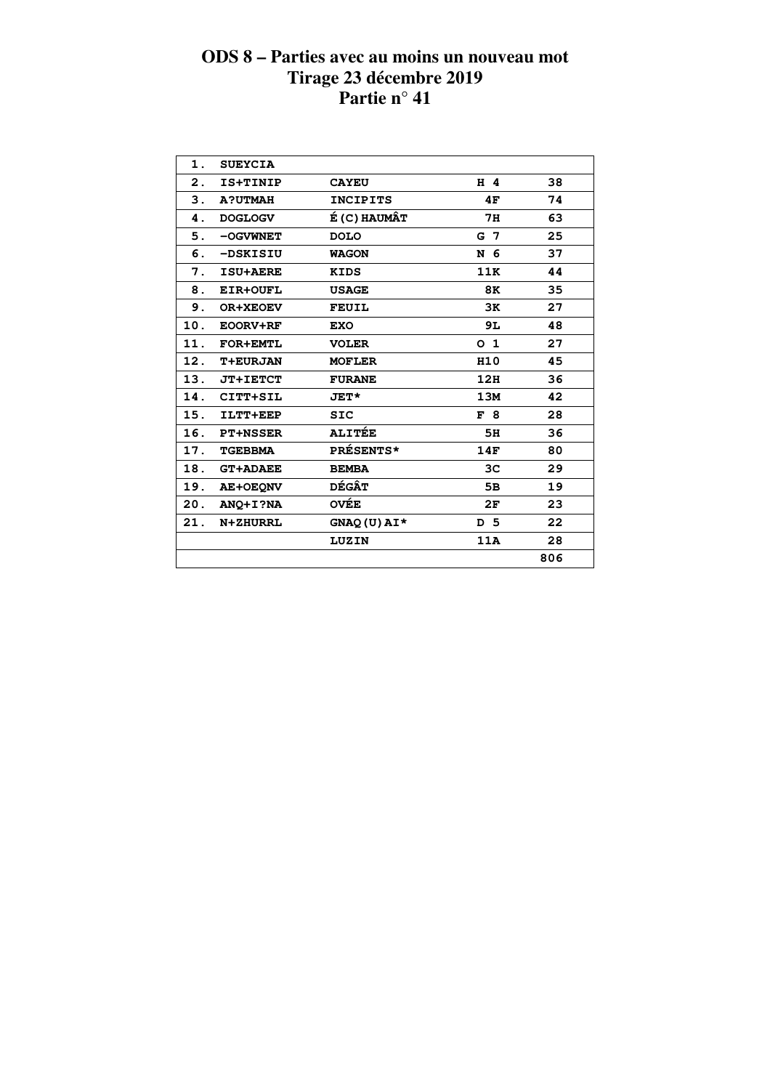| 1.  | <b>SUEYCIA</b>  |                  |                |     |
|-----|-----------------|------------------|----------------|-----|
| 2.  | IS+TINIP        | <b>CAYEU</b>     | H 4            | 38  |
| 3.  | <b>A?UTMAH</b>  | <b>INCIPITS</b>  | 4F             | 74  |
| 4.  | <b>DOGLOGV</b>  | É (C) HAUMÂT     | 7н             | 63  |
| 5.  | -OGVWNET        | <b>DOLO</b>      | G 7            | 25  |
| 6.  | -DSKISIU        | WAGON            | N 6            | 37  |
| 7.  | ISU+AERE        | <b>KIDS</b>      | 11K            | 44  |
| 8.  | EIR+OUFL        | <b>USAGE</b>     | 8K             | 35  |
| 9.  | <b>OR+XEOEV</b> | <b>FEUIL</b>     | 3K             | 27  |
| 10. | EOORV+RF        | <b>EXO</b>       | 9L             | 48  |
| 11. | <b>FOR+EMTL</b> | <b>VOLER</b>     | O <sub>1</sub> | 27  |
| 12. | <b>T+EURJAN</b> | <b>MOFLER</b>    | H10            | 45  |
| 13. | <b>JT+IETCT</b> | <b>FURANE</b>    | 12H            | 36  |
| 14. | CITT+SIL        | <b>JET*</b>      | 13M            | 42  |
| 15. | ILTT+EEP        | <b>SIC</b>       | F8             | 28  |
| 16. | <b>PT+NSSER</b> | <b>ALITÉE</b>    | 5H             | 36  |
| 17. | <b>TGEBBMA</b>  | <b>PRÉSENTS*</b> | 14F            | 80  |
| 18. | <b>GT+ADAEE</b> | <b>BEMBA</b>     | 3C             | 29  |
| 19. | <b>AE+OEQNV</b> | <b>DÉGÂT</b>     | 5в             | 19  |
| 20. | ANO+I?NA        | <b>OVÉE</b>      | 2F             | 23  |
| 21. | <b>N+ZHURRL</b> | $GNAQ(U) A I*$   | D 5            | 22  |
|     |                 | LUZIN            | 11A            | 28  |
|     |                 |                  |                | 806 |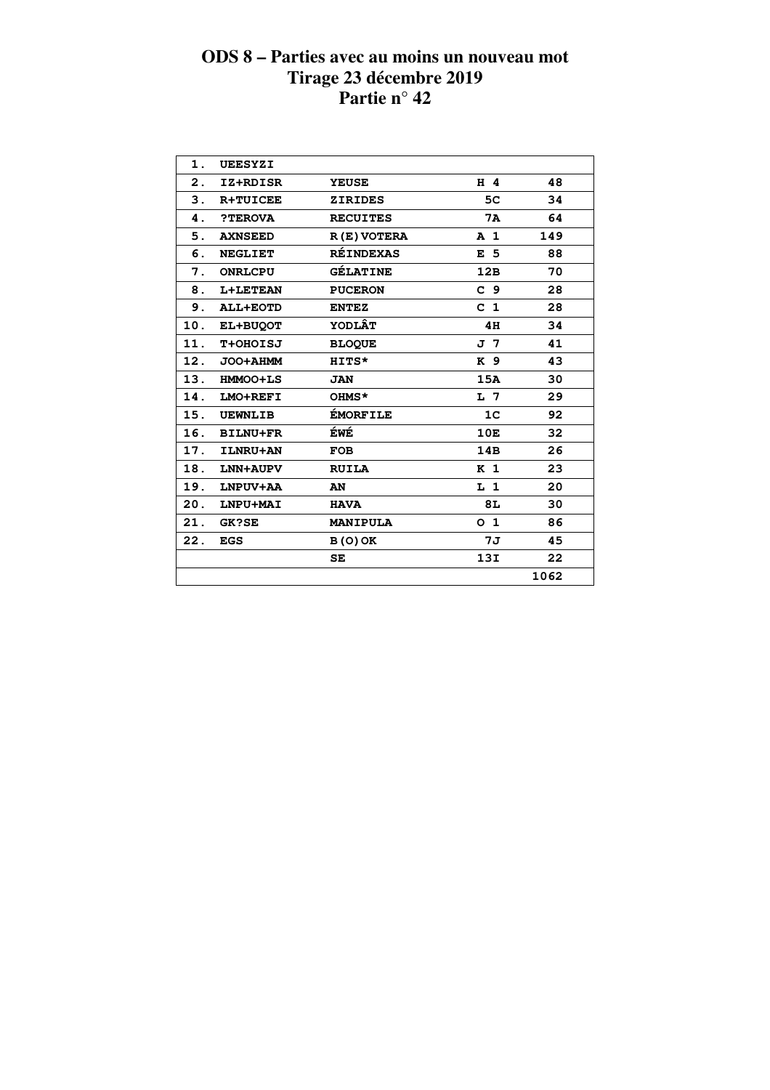| 1.  | UEESYZI         |                  |                |      |  |
|-----|-----------------|------------------|----------------|------|--|
| 2.  | IZ+RDISR        | <b>YEUSE</b>     | H 4            | 48   |  |
| 3.  | <b>R+TUICEE</b> | <b>ZIRIDES</b>   | 5C             | 34   |  |
| 4.  | ?TEROVA         | <b>RECUITES</b>  | 7A             | 64   |  |
| 5.  | <b>AXNSEED</b>  | R(E) VOTERA      | A <sub>1</sub> | 149  |  |
| 6.  | <b>NEGLIET</b>  | <b>RÉINDEXAS</b> | E <sub>5</sub> | 88   |  |
| 7.  | <b>ONRLCPU</b>  | <b>GÉLATINE</b>  | 12B            | 70   |  |
| 8.  | <b>L+LETEAN</b> | <b>PUCERON</b>   | C <sub>9</sub> | 28   |  |
| 9.  | <b>ALL+EOTD</b> | <b>ENTEZ</b>     | C <sub>1</sub> | 28   |  |
| 10. | EL+BUQOT        | <b>YODLÂT</b>    | 4H             | 34   |  |
| 11. | <b>T+OHOISJ</b> | <b>BLOQUE</b>    | J 7            | 41   |  |
| 12. | JOO+AHMM        | HITS*            | K 9            | 43   |  |
| 13. | <b>HMMOO+LS</b> | <b>JAN</b>       | 15A            | 30   |  |
| 14. | LMO+REFI        | OHMS*            | L 7            | 29   |  |
| 15. | <b>UEWNLIB</b>  | <b>ÉMORFILE</b>  | 1 <sup>c</sup> | 92   |  |
| 16. | <b>BILNU+FR</b> | ÉWÉ              | 10E            | 32   |  |
| 17. | ILNRU+AN        | <b>FOB</b>       | 14B            | 26   |  |
| 18. | LNN+AUPV        | <b>RUILA</b>     | K <sub>1</sub> | 23   |  |
| 19. | LNPUV+AA        | AN               | L 1            | 20   |  |
| 20. | LNPU+MAI        | <b>HAVA</b>      | 8L             | 30   |  |
| 21. | <b>GK?SE</b>    | <b>MANIPULA</b>  | 0 <sub>1</sub> | 86   |  |
| 22. | <b>EGS</b>      | $B(0)$ OK        | 7J             | 45   |  |
|     |                 | SE               | 13I            | 22   |  |
|     |                 |                  |                | 1062 |  |
|     |                 |                  |                |      |  |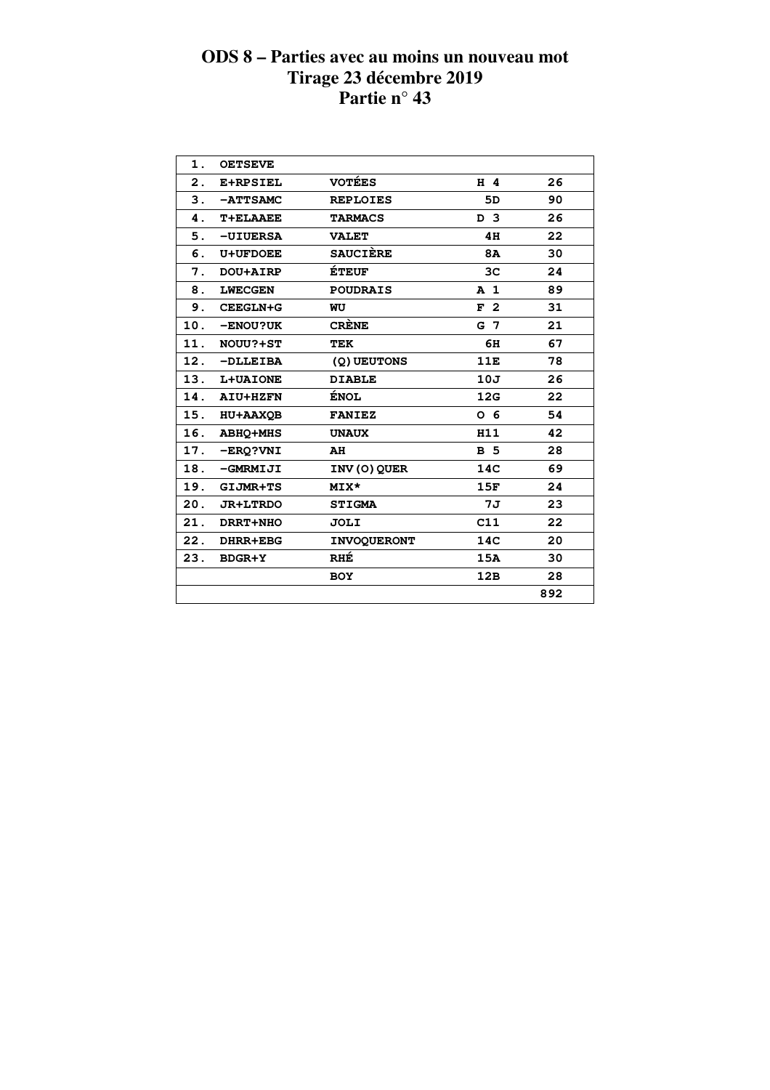| $\mathbf 1$ .  | <b>OETSEVE</b>  |                    |                |     |  |
|----------------|-----------------|--------------------|----------------|-----|--|
| $\mathbf{2}$ . | E+RPSIEL        | <b>VOTÉES</b>      | H 4            | 26  |  |
| 3.             | -ATTSAMC        | <b>REPLOIES</b>    | 5D             | 90  |  |
| 4.             | T+ELAAEE        | <b>TARMACS</b>     | D <sub>3</sub> | 26  |  |
| 5.             | $-UIUERSA$      | <b>VALET</b>       | 4H             | 22  |  |
| 6.             | <b>U+UFDOEE</b> | <b>SAUCIÈRE</b>    | 8A             | 30  |  |
| 7.             | DOU+AIRP        | <b>ÉTEUF</b>       | 3C             | 24  |  |
| 8.             | <b>LWECGEN</b>  | <b>POUDRAIS</b>    | A <sub>1</sub> | 89  |  |
| 9.             | CEEGLN+G        | WU                 | F <sub>2</sub> | 31  |  |
| 10.            | -ENOU?UK        | <b>CRÈNE</b>       | G 7            | 21  |  |
| 11.            | NOUU?+ST        | <b>TEK</b>         | 6H             | 67  |  |
| 12.            | $-DLLEIBA$      | (Q) UEUTONS        | 11E            | 78  |  |
| 13.            | L+UAIONE        | <b>DIABLE</b>      | 10J            | 26  |  |
| 14.            | <b>AIU+HZFN</b> | <b>ÉNOL</b>        | 12G            | 22  |  |
| 15.            | <b>HU+AAXQB</b> | <b>FANIEZ</b>      | 0 <sub>6</sub> | 54  |  |
| 16.            | <b>ABHQ+MHS</b> | <b>UNAUX</b>       | H11            | 42  |  |
| 17.            | -ERQ?VNI        | AH                 | <b>B</b> 5     | 28  |  |
| 18.            | -GMRMIJI        | INV (O) QUER       | 14C            | 69  |  |
| 19.            | GIJMR+TS        | MIX*               | 15F            | 24  |  |
| 20.            | <b>JR+LTRDO</b> | <b>STIGMA</b>      | 7J             | 23  |  |
| 21.            | DRRT+NHO        | JOLI               | C11            | 22  |  |
| 22.            | DHRR+EBG        | <b>INVOQUERONT</b> | 14C            | 20  |  |
| 23.            | <b>BDGR+Y</b>   | RHÉ                | 15A            | 30  |  |
|                |                 | <b>BOY</b>         | 12B            | 28  |  |
|                |                 |                    |                | 892 |  |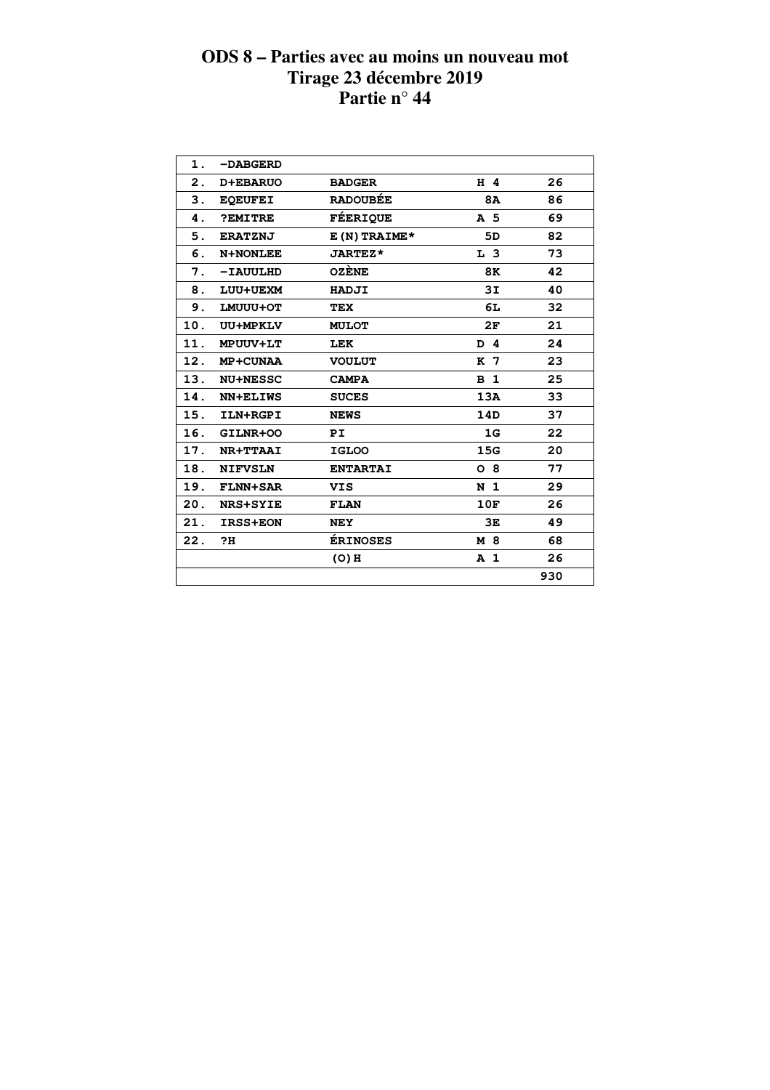| 1.             | -DABGERD        |                 |                |     |  |
|----------------|-----------------|-----------------|----------------|-----|--|
| $\mathbf{2}$ . | <b>D+EBARUO</b> | <b>BADGER</b>   | H 4            | 26  |  |
| 3.             | <b>EQEUFEI</b>  | <b>RADOUBÉE</b> | <b>8A</b>      | 86  |  |
| 4.             | ?EMITRE         | <b>FÉERIQUE</b> | A 5            | 69  |  |
| 5.             | <b>ERATZNJ</b>  | E (N) TRAIME*   | 5D             | 82  |  |
| 6.             | <b>N+NONLEE</b> | <b>JARTEZ*</b>  | L <sub>3</sub> | 73  |  |
| 7.             | $-IAUULHD$      | <b>OZÈNE</b>    | 8K             | 42  |  |
| 8.             | LUU+UEXM        | HADJI           | 3I             | 40  |  |
| 9.             | LMUUU+OT        | <b>TEX</b>      | 6L             | 32  |  |
| 10.            | UU+MPKLV        | <b>MULOT</b>    | 2F             | 21  |  |
| 11.            | <b>MPUUV+LT</b> | <b>LEK</b>      | D 4            | 24  |  |
| 12.            | MP+CUNAA        | <b>VOULUT</b>   | K 7            | 23  |  |
| 13.            | <b>NU+NESSC</b> | <b>CAMPA</b>    | B <sub>1</sub> | 25  |  |
| 14.            | <b>NN+ELIWS</b> | <b>SUCES</b>    | 13A            | 33  |  |
| 15.            | ILN+RGPI        | <b>NEWS</b>     | 14D            | 37  |  |
| 16.            | GILNR+OO        | PI              | 1G             | 22  |  |
| 17.            | NR+TTAAI        | <b>IGLOO</b>    | 15G            | 20  |  |
| 18.            | <b>NIFVSLN</b>  | <b>ENTARTAI</b> | $O_8$          | 77  |  |
| 19.            | <b>FLNN+SAR</b> | VIS.            | N <sub>1</sub> | 29  |  |
| 20.            | <b>NRS+SYIE</b> | <b>FLAN</b>     | 10F            | 26  |  |
| 21.            | <b>IRSS+EON</b> | <b>NEY</b>      | 3E             | 49  |  |
| 22.            | ?H              | <b>ÉRINOSES</b> | M 8            | 68  |  |
|                |                 | $(O)$ H         | A <sub>1</sub> | 26  |  |
|                |                 |                 |                | 930 |  |
|                |                 |                 |                |     |  |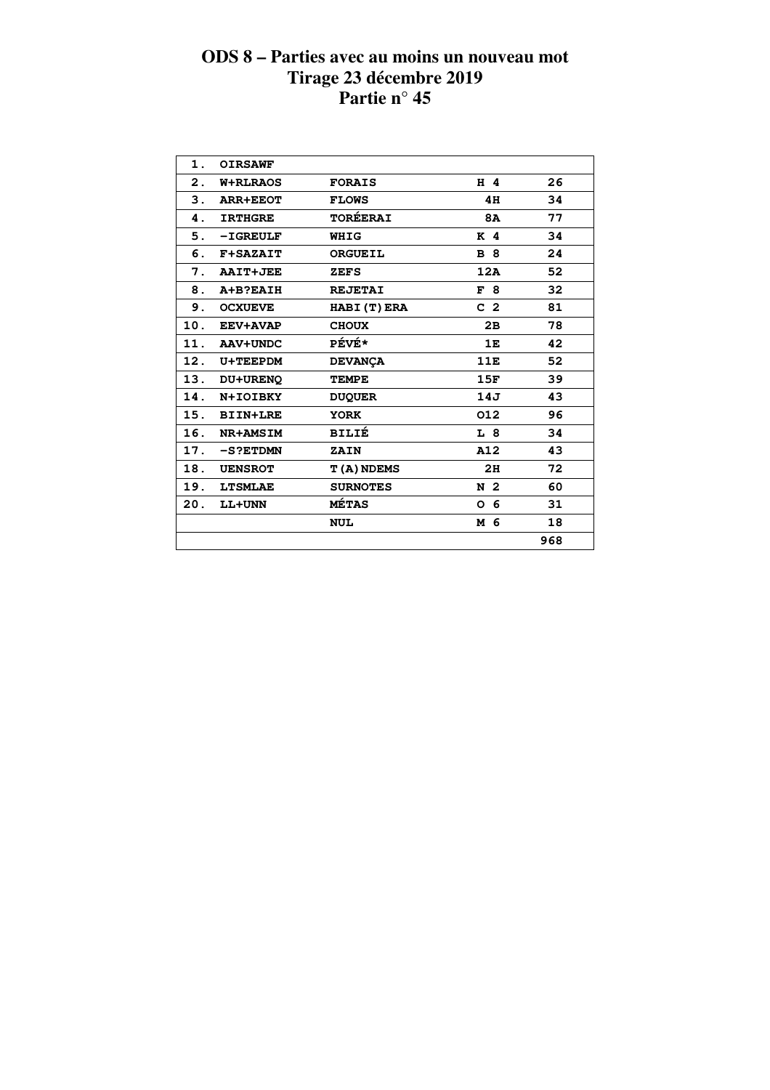| 1.  | <b>OIRSAWF</b>  |                    |                |     |
|-----|-----------------|--------------------|----------------|-----|
| 2.  | <b>W+RLRAOS</b> | <b>FORAIS</b>      | H 4            | 26  |
| З.  | <b>ARR+EEOT</b> | <b>FLOWS</b>       | 4H             | 34  |
| 4.  | <b>IRTHGRE</b>  | <b>TORÉERAI</b>    | <b>8A</b>      | 77  |
| 5.  | $-I$ GREULF     | WHIG               | K <sub>4</sub> | 34  |
| 6.  | <b>F+SAZAIT</b> | <b>ORGUEIL</b>     | <b>B</b> 8     | 24  |
| 7.  | <b>AAIT+JEE</b> | <b>ZEFS</b>        | 12A            | 52  |
| 8.  | A+B?EAIH        | <b>REJETAI</b>     | F8             | 32  |
| 9.  | <b>OCXUEVE</b>  | HABI (T) ERA       | C <sub>2</sub> | 81  |
| 10. | <b>EEV+AVAP</b> | <b>CHOUX</b>       | 2B             | 78  |
| 11. | AAV+UNDC        | <b>PÉVÉ*</b>       | 1E             | 42  |
| 12. | <b>U+TEEPDM</b> | <b>DEVANÇA</b>     | 11E            | 52  |
| 13. | DU+URENO        | <b>TEMPE</b>       | 15F            | 39  |
| 14. | N+IOIBKY        | <b>DUQUER</b>      | 14J            | 43  |
| 15. | <b>BIIN+LRE</b> | <b>YORK</b>        | 012            | 96  |
| 16. | NR+AMSIM        | <b>BILIÉ</b>       | L 8            | 34  |
| 17. | $-S?ETDMN$      | ZAIN               | A12            | 43  |
| 18. | <b>UENSROT</b>  | <b>T (A) NDEMS</b> | 2H             | 72  |
| 19. | <b>LTSMLAE</b>  | <b>SURNOTES</b>    | N <sub>2</sub> | 60  |
| 20. | LL+UNN          | <b>MÉTAS</b>       | -6<br>O        | 31  |
|     |                 | <b>NUL</b>         | M 6            | 18  |
|     |                 |                    |                | 968 |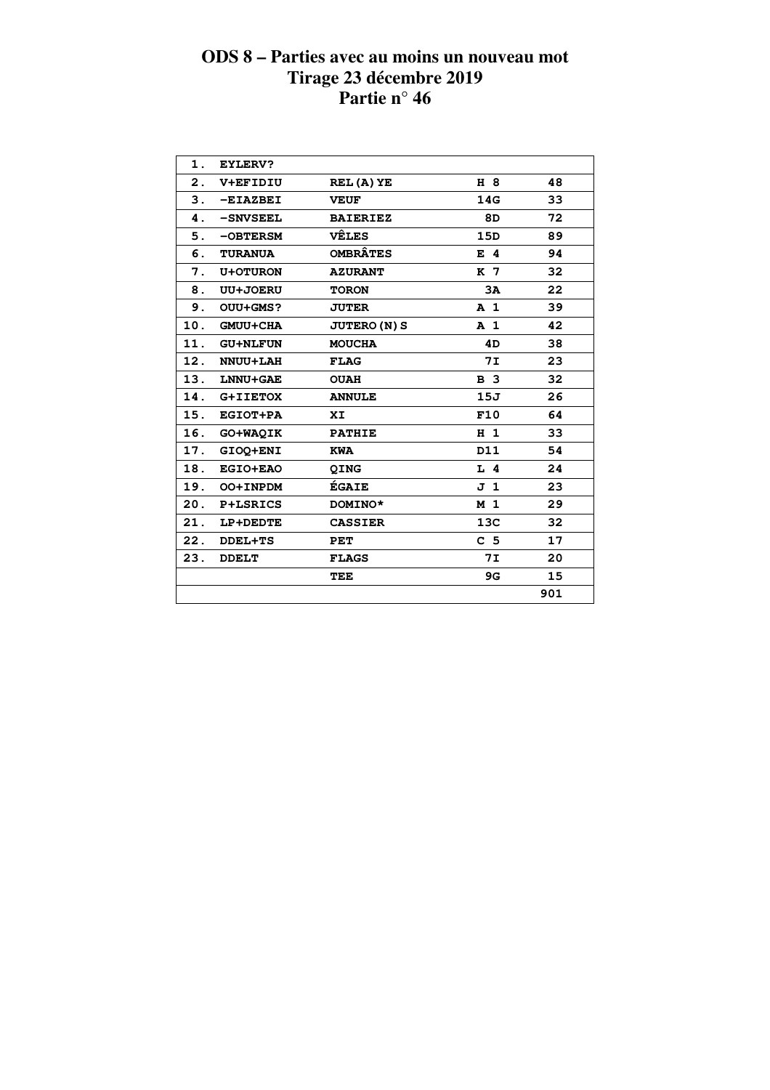| 1.  | <b>EYLERV?</b>  |                     |                 |     |  |
|-----|-----------------|---------------------|-----------------|-----|--|
| 2.  | <b>V+EFIDIU</b> | REL(A)YE            | H 8             | 48  |  |
| 3.  | $-EIAZBEI$      | <b>VEUF</b>         | 14G             | 33  |  |
| 4.  | -SNVSEEL        | <b>BAIERIEZ</b>     | 8D              | 72  |  |
| 5.  | -OBTERSM        | <b>VÊLES</b>        | 15D             | 89  |  |
| 6.  | <b>TURANUA</b>  | <b>OMBRÂTES</b>     | $E$ 4           | 94  |  |
| 7.  | <b>U+OTURON</b> | <b>AZURANT</b>      | K 7             | 32  |  |
| 8.  | <b>UU+JOERU</b> | <b>TORON</b>        | 3A              | 22  |  |
| 9.  | OUU+GMS?        | <b>JUTER</b>        | A <sub>1</sub>  | 39  |  |
| 10. | <b>GMUU+CHA</b> | <b>JUTERO (N) S</b> | A <sub>1</sub>  | 42  |  |
| 11. | <b>GU+NLFUN</b> | <b>MOUCHA</b>       | 4D              | 38  |  |
| 12. | <b>NNUU+LAH</b> | <b>FLAG</b>         | <b>7I</b>       | 23  |  |
| 13. | LNNU+GAE        | <b>OUAH</b>         | <b>B</b> 3      | 32  |  |
| 14. | G+IIETOX        | <b>ANNULE</b>       | 15J             | 26  |  |
| 15. | <b>EGIOT+PA</b> | XI                  | F10             | 64  |  |
| 16. | GO+WAQIK        | <b>PATHIE</b>       | $H_1$           | 33  |  |
| 17. | GIOQ+ENI        | <b>KWA</b>          | D11             | 54  |  |
| 18. | <b>EGIO+EAO</b> | <b>QING</b>         | $L$ 4           | 24  |  |
| 19. | OO+INPDM        | ÉGAIE               | J 1             | 23  |  |
|     | 20. P+LSRICS    | DOMINO*             | M <sub>1</sub>  | 29  |  |
| 21. | LP+DEDTE        | <b>CASSIER</b>      | 13 <sub>C</sub> | 32  |  |
| 22. | <b>DDEL+TS</b>  | PET                 | C <sub>5</sub>  | 17  |  |
| 23. | <b>DDELT</b>    | <b>FLAGS</b>        | <b>7I</b>       | 20  |  |
|     |                 | TEE                 | 9G              | 15  |  |
|     |                 |                     |                 | 901 |  |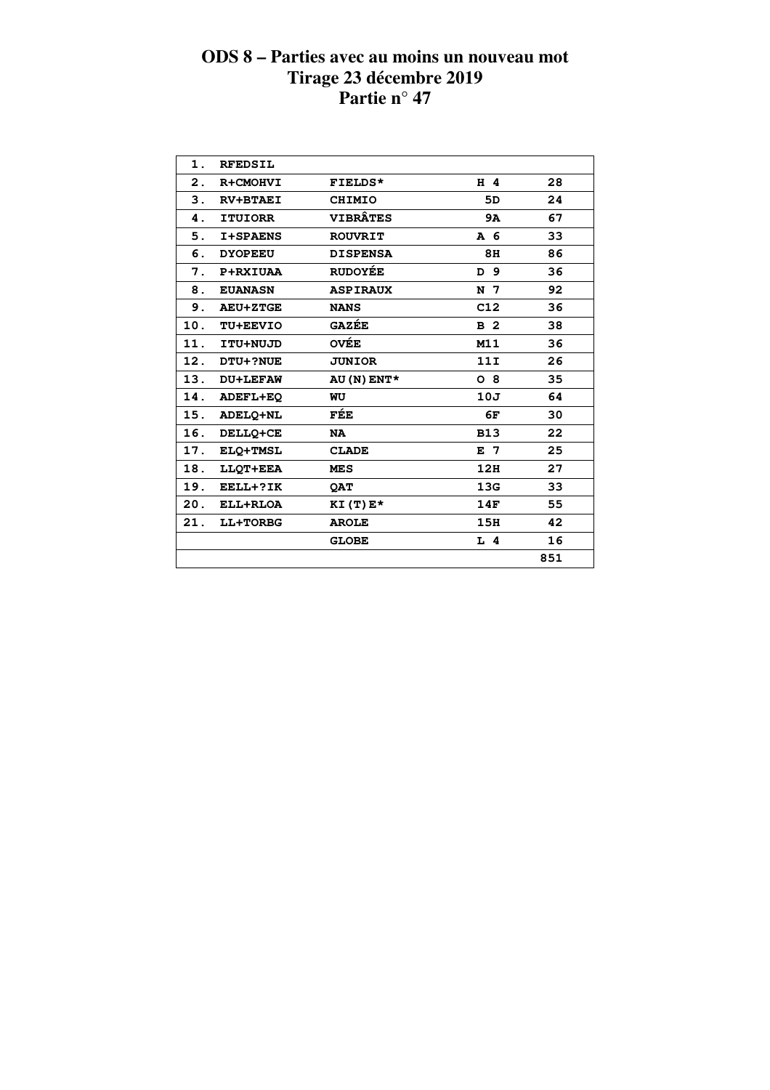| $\mathbf 1$ . | <b>RFEDSIL</b>  |                 |                |     |
|---------------|-----------------|-----------------|----------------|-----|
| 2.            | R+CMOHVI        | FIELDS*         | H 4            | 28  |
| 3.            | <b>RV+BTAEI</b> | <b>CHIMIO</b>   | 5D             | 24  |
| 4.            | <b>ITUIORR</b>  | <b>VIBRÂTES</b> | <b>9A</b>      | 67  |
| 5.            | I+SPAENS        | <b>ROUVRIT</b>  | A 6            | 33  |
| 6.            | <b>DYOPEEU</b>  | <b>DISPENSA</b> | 8H             | 86  |
| 7.            | <b>P+RXIUAA</b> | <b>RUDOYÉE</b>  | D 9            | 36  |
| 8.            | <b>EUANASN</b>  | <b>ASPIRAUX</b> | N <sub>7</sub> | 92  |
| 9.            | <b>AEU+ZTGE</b> | <b>NANS</b>     | C12            | 36  |
| 10.           | TU+EEVIO        | <b>GAZÉE</b>    | B <sub>2</sub> | 38  |
| 11.           | ITU+NUJD        | <b>OVÉE</b>     | M11            | 36  |
| 12.           | <b>DTU+?NUE</b> | <b>JUNIOR</b>   | 11I            | 26  |
| 13.           | <b>DU+LEFAW</b> | AU (N) ENT*     | $O_8$          | 35  |
| 14.           | ADEFL+EQ        | WU              | 10J            | 64  |
| 15.           | ADELQ+NL        | FÉE             | 6F             | 30  |
| 16.           | DELLQ+CE        | <b>NA</b>       | <b>B13</b>     | 22  |
| 17.           | ELQ+TMSL        | <b>CLADE</b>    | E 7            | 25  |
| 18.           | LLOT+EEA        | <b>MES</b>      | 12H            | 27  |
| 19.           | EELL+?IK        | <b>OAT</b>      | 13G            | 33  |
| 20.           | ELL+RLOA        | $KI(T)E*$       | 14F            | 55  |
| 21.           | LL+TORBG        | <b>AROLE</b>    | 15H            | 42  |
|               |                 | <b>GLOBE</b>    | $L$ 4          | 16  |
|               |                 |                 |                | 851 |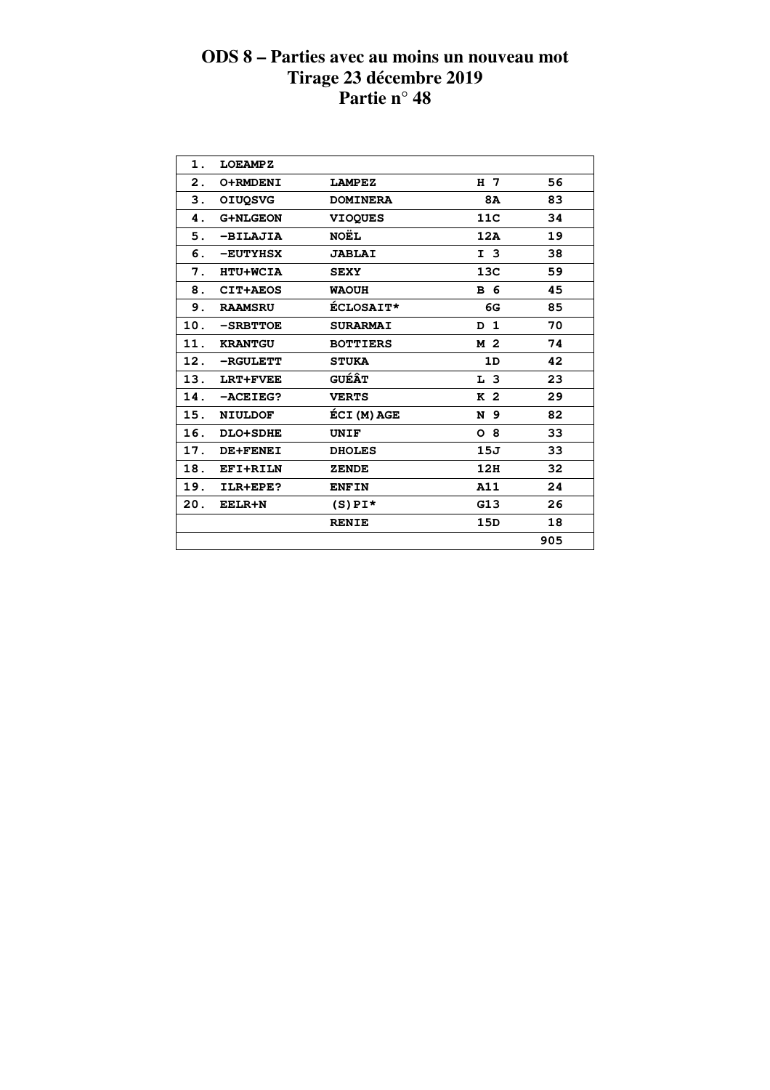| 1.  | <b>LOEAMPZ</b>  |                  |                |     |  |
|-----|-----------------|------------------|----------------|-----|--|
| 2.  | O+RMDENI        | <b>LAMPEZ</b>    | H 7            | 56  |  |
| 3.  | <b>OIUOSVG</b>  | <b>DOMINERA</b>  | <b>8A</b>      | 83  |  |
| 4.  | <b>G+NLGEON</b> | <b>VIOQUES</b>   | 11C            | 34  |  |
| 5.  | -BILAJIA        | <b>NOËL</b>      | 12A            | 19  |  |
| 6.  | -EUTYHSX        | <b>JABLAI</b>    | I <sub>3</sub> | 38  |  |
| 7.  | <b>HTU+WCIA</b> | <b>SEXY</b>      | 13C            | 59  |  |
| 8.  | CIT+AEOS        | <b>WAOUH</b>     | <b>B</b> 6     | 45  |  |
| 9.  | <b>RAAMSRU</b>  | <b>ÉCLOSAIT*</b> | 6G             | 85  |  |
| 10. | $-$ SRBTTOE     | <b>SURARMAI</b>  | D <sub>1</sub> | 70  |  |
| 11. | <b>KRANTGU</b>  | <b>BOTTIERS</b>  | M 2            | 74  |  |
| 12. | -RGULETT        | <b>STUKA</b>     | 1D             | 42  |  |
| 13. | LRT+FVEE        | <b>GUÉÂT</b>     | L <sub>3</sub> | 23  |  |
| 14. | $-ACEIEG?$      | <b>VERTS</b>     | K <sub>2</sub> | 29  |  |
| 15. | <b>NIULDOF</b>  | ÉCI (M) AGE      | N 9            | 82  |  |
| 16. | <b>DLO+SDHE</b> | UNIF             | O <sub>8</sub> | 33  |  |
| 17. | DE+FENEI        | <b>DHOLES</b>    | 15J            | 33  |  |
| 18. | EFI+RILN        | <b>ZENDE</b>     | 12H            | 32  |  |
| 19. | ILR+EPE?        | <b>ENFIN</b>     | A11            | 24  |  |
| 20. | <b>EELR+N</b>   | $(S)$ PI*        | G13            | 26  |  |
|     |                 | <b>RENIE</b>     | 15D            | 18  |  |
|     |                 |                  |                | 905 |  |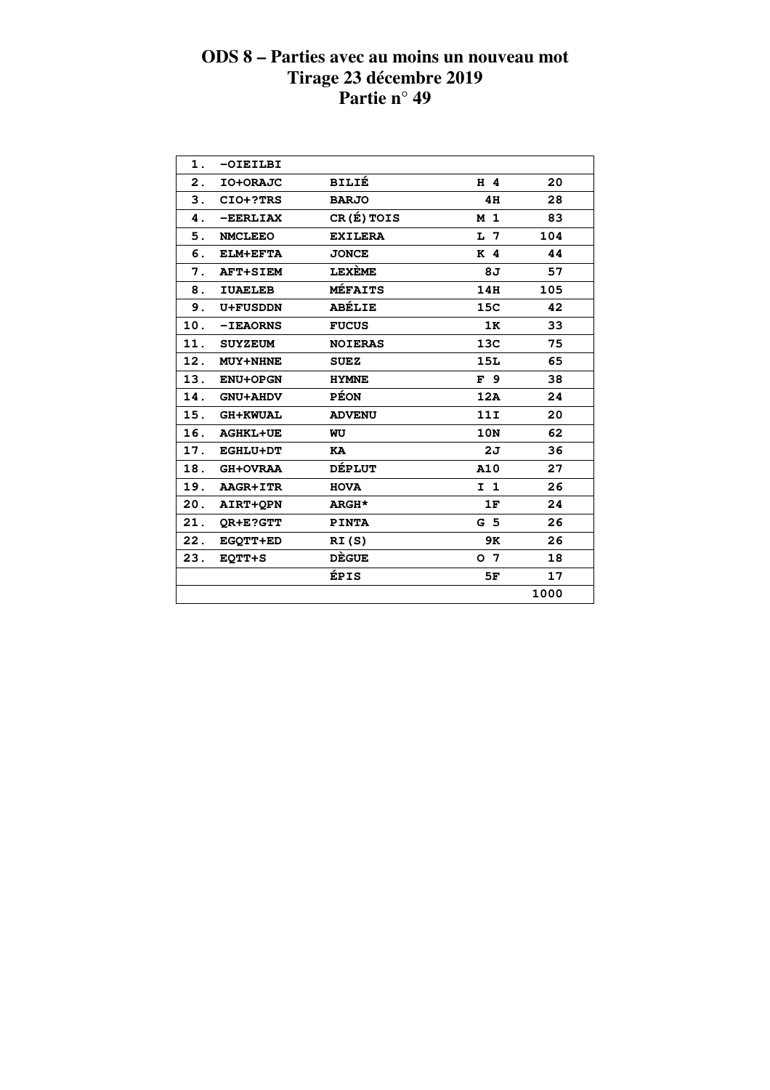| 1.  | $-OIEILBI$      |                |                |      |  |
|-----|-----------------|----------------|----------------|------|--|
| 2.  | IO+ORAJC        | <b>BILIÉ</b>   | $H$ 4          | 20   |  |
| 3.  | CIO+?TRS        | <b>BARJO</b>   | 4H             | 28   |  |
| 4.  | $-$ EERLIAX     | CR(É) TOIS     | M <sub>1</sub> | 83   |  |
| 5.  | <b>NMCLEEO</b>  | <b>EXILERA</b> | L 7            | 104  |  |
| 6.  | <b>ELM+EFTA</b> | <b>JONCE</b>   | K <sub>4</sub> | 44   |  |
| 7.  | <b>AFT+SIEM</b> | <b>LEXEME</b>  | 8J             | 57   |  |
| 8.  | <b>IUAELEB</b>  | <b>MÉFAITS</b> | 14H            | 105  |  |
| 9.  | <b>U+FUSDDN</b> | <b>ABÉLIE</b>  | 15C            | 42   |  |
| 10. | <b>-IEAORNS</b> | <b>FUCUS</b>   | 1K             | 33   |  |
| 11. | <b>SUYZEUM</b>  | <b>NOIERAS</b> | 13C            | 75   |  |
| 12. | <b>MUY+NHNE</b> | <b>SUEZ</b>    | <b>15L</b>     | 65   |  |
| 13. | <b>ENU+OPGN</b> | <b>HYMNE</b>   | F <sub>9</sub> | 38   |  |
| 14. | <b>GNU+AHDV</b> | <b>PÉON</b>    | 12A            | 24   |  |
| 15. | <b>GH+KWUAL</b> | <b>ADVENU</b>  | 11I            | 20   |  |
| 16. | <b>AGHKL+UE</b> | WU             | 10N            | 62   |  |
| 17. | <b>EGHLU+DT</b> | KA             | 2J             | 36   |  |
| 18. | <b>GH+OVRAA</b> | <b>DÉPLUT</b>  | A10            | 27   |  |
| 19. | AAGR+ITR        | <b>HOVA</b>    | I <sub>1</sub> | 26   |  |
| 20. | AIRT+OPN        | ARGH*          | 1F             | 24   |  |
| 21. | OR+E?GTT        | <b>PINTA</b>   | G <sub>5</sub> | 26   |  |
| 22. | EGOTT+ED        | RI(S)          | 9K             | 26   |  |
| 23. | <b>EQTT+S</b>   | <b>DÈGUE</b>   | o 7            | 18   |  |
|     |                 | ÉPIS           | 5F             | 17   |  |
|     |                 |                |                | 1000 |  |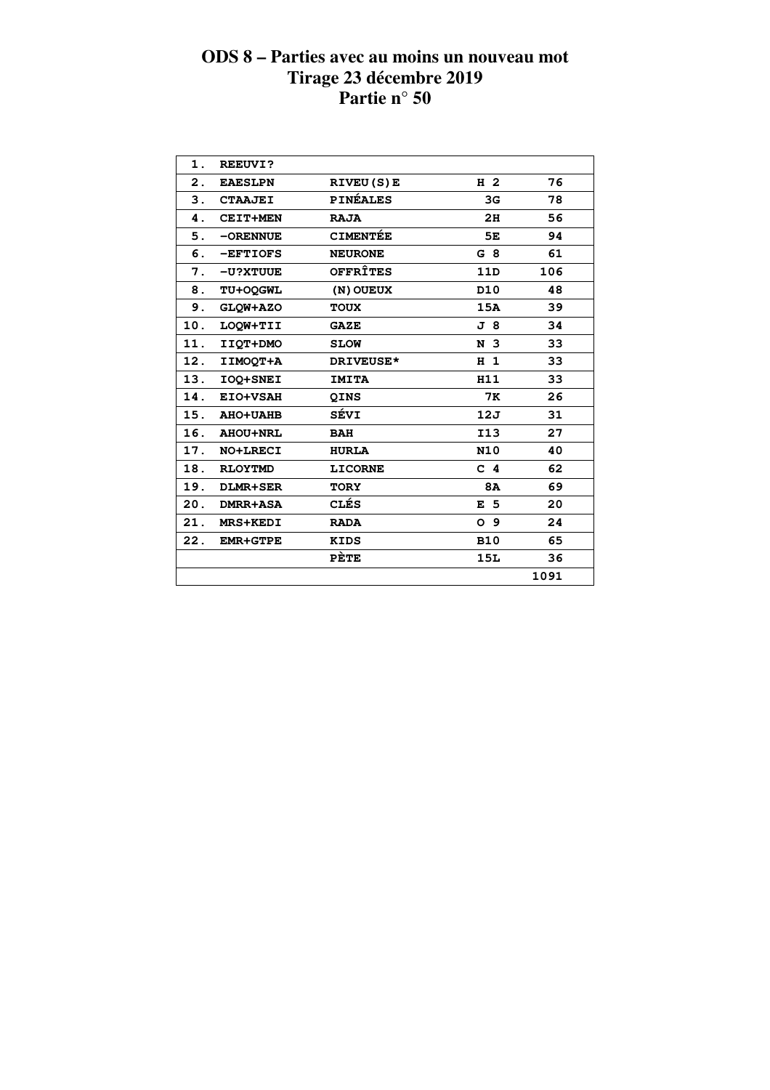| 1.  | <b>REEUVI?</b>  |                  |                 |      |  |
|-----|-----------------|------------------|-----------------|------|--|
| 2.  | <b>EAESLPN</b>  | <b>RIVEU(S)E</b> | H <sub>2</sub>  | 76   |  |
| 3.  | <b>CTAAJEI</b>  | <b>PINÉALES</b>  | 3G              | 78   |  |
| 4.  | <b>CEIT+MEN</b> | <b>RAJA</b>      | 2H              | 56   |  |
| 5.  | $-ORENNUE$      | <b>CIMENTÉE</b>  | 5E              | 94   |  |
| 6.  | -EFTIOFS        | <b>NEURONE</b>   | G 8             | 61   |  |
| 7.  | -U?XTUUE        | <b>OFFRÎTES</b>  | 11D             | 106  |  |
| 8.  | TU+OOGWL        | (N) OUEUX        | D <sub>10</sub> | 48   |  |
| 9.  | GLQW+AZO        | <b>TOUX</b>      | 15A             | 39   |  |
| 10. | LOOW+TII        | <b>GAZE</b>      | J8              | 34   |  |
| 11. | IIQT+DMO        | <b>SLOW</b>      | N <sub>3</sub>  | 33   |  |
| 12. | IIMOOT+A        | DRIVEUSE*        | H <sub>1</sub>  | 33   |  |
| 13. | IOQ+SNEI        | <b>IMITA</b>     | H11             | 33   |  |
| 14. | EIO+VSAH        | QINS             | <b>7K</b>       | 26   |  |
| 15. | <b>AHO+UAHB</b> | SÉVI             | 12J             | 31   |  |
| 16. | <b>AHOU+NRL</b> | <b>BAH</b>       | <b>I13</b>      | 27   |  |
| 17. | NO+LRECI        | <b>HURLA</b>     | <b>N10</b>      | 40   |  |
| 18. | <b>RLOYTMD</b>  | <b>LICORNE</b>   | C <sub>4</sub>  | 62   |  |
| 19. | <b>DLMR+SER</b> | <b>TORY</b>      | 8A              | 69   |  |
| 20. | <b>DMRR+ASA</b> | <b>CLÉS</b>      | E <sub>5</sub>  | 20   |  |
| 21. | <b>MRS+KEDI</b> | <b>RADA</b>      | O <sub>9</sub>  | 24   |  |
| 22. | <b>EMR+GTPE</b> | <b>KIDS</b>      | <b>B10</b>      | 65   |  |
|     |                 | PÈTE             | 15L             | 36   |  |
|     |                 |                  |                 | 1091 |  |
|     |                 |                  |                 |      |  |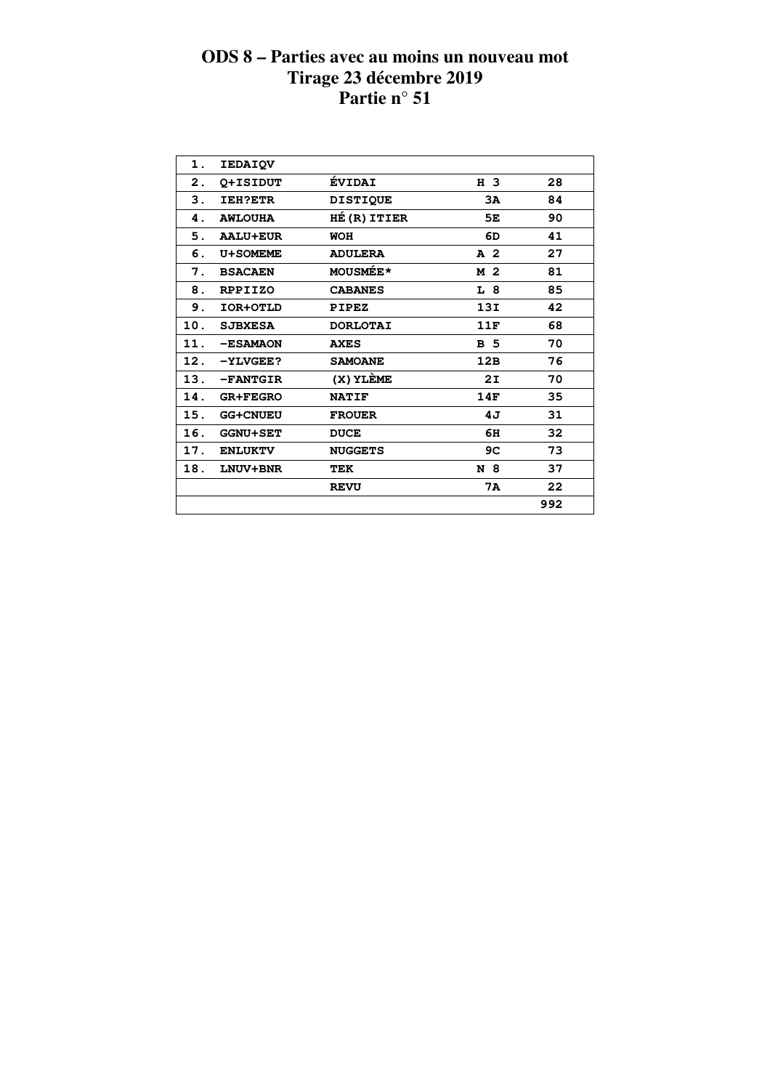| 1.  | <b>IEDAIQV</b>  |                 |                |     |
|-----|-----------------|-----------------|----------------|-----|
| 2.  | O+ISIDUT        | <b>ÉVIDAI</b>   | H 3            | 28  |
| 3.  | <b>IEH?ETR</b>  | <b>DISTIQUE</b> | 3A             | 84  |
| 4.  | <b>AWLOUHA</b>  | HÉ (R) ITIER    | 5E             | 90  |
| 5.  | <b>AALU+EUR</b> | WOH             | 6D             | 41  |
| 6.  | U+SOMEME        | <b>ADULERA</b>  | A <sub>2</sub> | 27  |
| 7.  | <b>BSACAEN</b>  | <b>MOUSMÉE*</b> | M 2            | 81  |
| 8.  | <b>RPPIIZO</b>  | <b>CABANES</b>  | L 8            | 85  |
| 9.  | IOR+OTLD        | <b>PIPEZ</b>    | 13I            | 42  |
| 10. | <b>SJBXESA</b>  | <b>DORLOTAI</b> | 11F            | 68  |
| 11. | -ESAMAON        | <b>AXES</b>     | <b>B</b> 5     | 70  |
| 12. | $-YLVEEE$ ?     | <b>SAMOANE</b>  | 12B            | 76  |
| 13. | -FANTGIR        | (X) YLÈME       | 2I             | 70  |
| 14. | <b>GR+FEGRO</b> | <b>NATIF</b>    | 14F            | 35  |
| 15. | <b>GG+CNUEU</b> | <b>FROUER</b>   | 4J             | 31  |
| 16. | <b>GGNU+SET</b> | <b>DUCE</b>     | 6H             | 32  |
| 17. | <b>ENLUKTV</b>  | <b>NUGGETS</b>  | 9C             | 73  |
| 18. | <b>LNUV+BNR</b> | TEK             | N 8            | 37  |
|     |                 | <b>REVU</b>     | 7A             | 22  |
|     |                 |                 |                | 992 |
|     |                 |                 |                |     |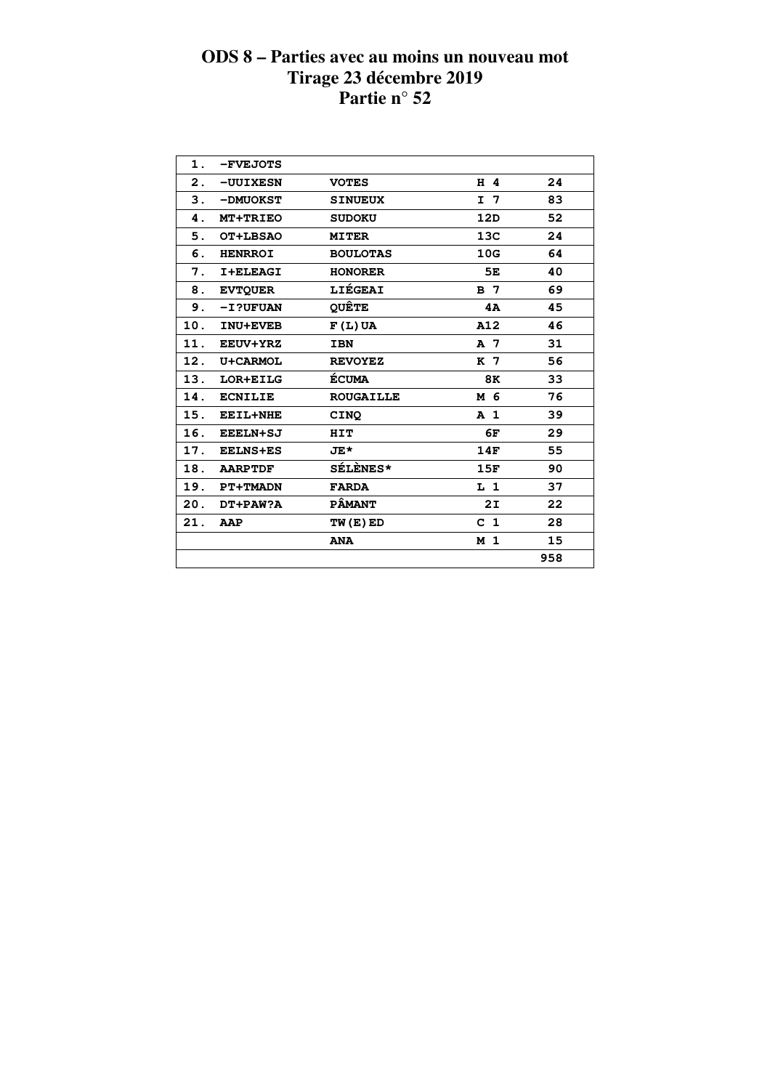| 1.  | -FVEJOTS        |                  |                |     |
|-----|-----------------|------------------|----------------|-----|
| 2.  | -UUIXESN        | <b>VOTES</b>     | H 4            | 24  |
| 3.  | -DMUOKST        | <b>SINUEUX</b>   | I <sub>7</sub> | 83  |
| 4.  | <b>MT+TRIEO</b> | <b>SUDOKU</b>    | 12D            | 52  |
| 5.  | OT+LBSAO        | <b>MITER</b>     | 13C            | 24  |
| 6.  | <b>HENRROI</b>  | <b>BOULOTAS</b>  | 10G            | 64  |
| 7.  | I+ELEAGI        | <b>HONORER</b>   | 5E             | 40  |
| 8.  | <b>EVTOUER</b>  | LIÉGEAI          | <b>B</b> 7     | 69  |
| 9.  | -I?UFUAN        | <b>QUÊTE</b>     | 4A             | 45  |
| 10. | <b>INU+EVEB</b> | $F(L)$ UA        | A12            | 46  |
| 11. | <b>EEUV+YRZ</b> | <b>IBN</b>       | A 7            | 31  |
| 12. | U+CARMOL        | <b>REVOYEZ</b>   | K 7            | 56  |
| 13. | LOR+EILG        | <b>ÉCUMA</b>     | 8K             | 33  |
| 14. | <b>ECNILIE</b>  | <b>ROUGAILLE</b> | M 6            | 76  |
| 15. | <b>EEIL+NHE</b> | <b>CINO</b>      | A <sub>1</sub> | 39  |
| 16. | <b>EEELN+SJ</b> | HIT              | 6F             | 29  |
| 17. | <b>EELNS+ES</b> | JE*              | 14F            | 55  |
| 18. | <b>AARPTDF</b>  | SÉLÈNES*         | 15F            | 90  |
| 19. | <b>PT+TMADN</b> | <b>FARDA</b>     | L <sub>1</sub> | 37  |
| 20. | DT+PAW?A        | <b>PÂMANT</b>    | 2I             | 22  |
| 21. | AAP             | TW(E)ED          | C <sub>1</sub> | 28  |
|     |                 | <b>ANA</b>       | M <sub>1</sub> | 15  |
|     |                 |                  |                | 958 |
|     |                 |                  |                |     |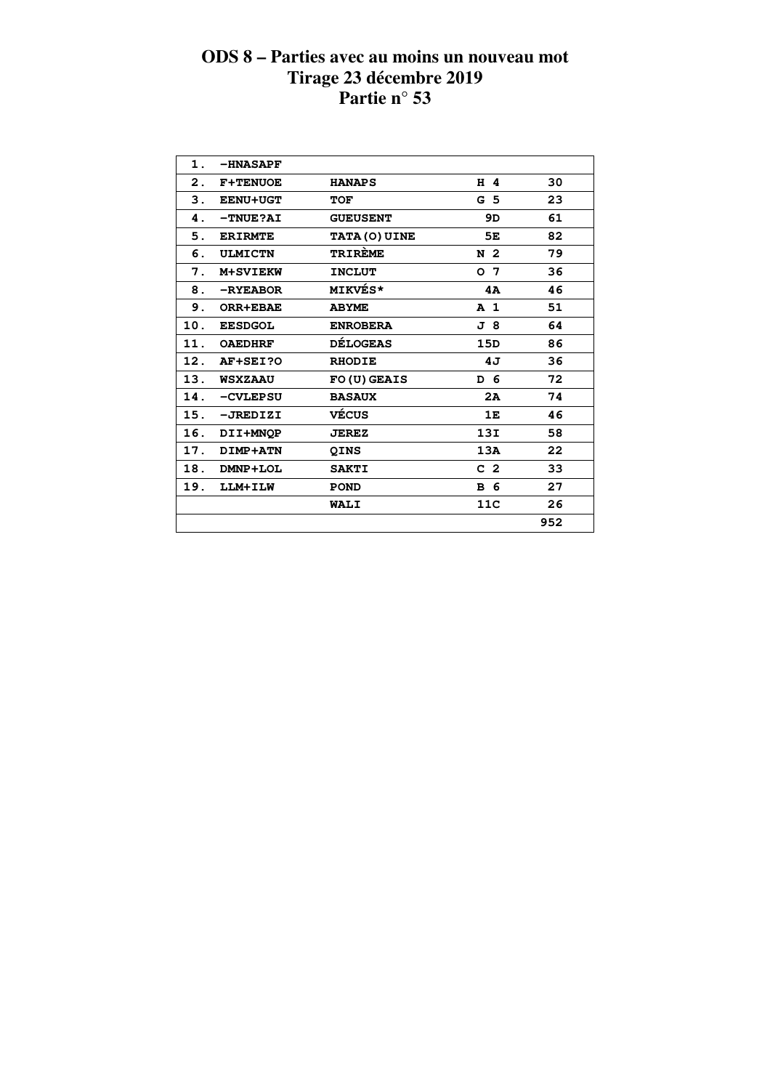| 1.  | <b>-HNASAPF</b> |                      |                |     |  |
|-----|-----------------|----------------------|----------------|-----|--|
| 2.  | <b>F+TENUOE</b> | <b>HANAPS</b>        | H 4            | 30  |  |
| З.  | <b>EENU+UGT</b> | <b>TOF</b>           | G <sub>5</sub> | 23  |  |
| 4.  | -TNUE?AI        | <b>GUEUSENT</b>      | 9D             | 61  |  |
| 5.  | <b>ERIRMTE</b>  | <b>TATA (O) UINE</b> | 5E             | 82  |  |
| 6.  | <b>ULMICTN</b>  | <b>TRIRÈME</b>       | N 2            | 79  |  |
| 7.  | <b>M+SVIEKW</b> | <b>INCLUT</b>        | 0 <sub>7</sub> | 36  |  |
| 8.  | -RYEABOR        | <b>MIKVÉS*</b>       | 4A             | 46  |  |
| 9.  | <b>ORR+EBAE</b> | <b>ABYME</b>         | A <sub>1</sub> | 51  |  |
| 10. | <b>EESDGOL</b>  | <b>ENROBERA</b>      | J 8            | 64  |  |
| 11. | <b>OAEDHRF</b>  | <b>DÉLOGEAS</b>      | 15D            | 86  |  |
| 12. | AF+SEI?O        | <b>RHODIE</b>        | 4J             | 36  |  |
| 13. | <b>WSXZAAU</b>  | FO(U) GEAIS          | D 6            | 72  |  |
| 14. | -CVLEPSU        | <b>BASAUX</b>        | 2A             | 74  |  |
| 15. | $-JREDIZI$      | VÉCUS                | 1E             | 46  |  |
| 16. | DII+MNOP        | <b>JEREZ</b>         | 13I            | 58  |  |
| 17. | DIMP+ATN        | <b>QINS</b>          | 13A            | 22  |  |
| 18. | DMNP+LOL        | <b>SAKTI</b>         | C <sub>2</sub> | 33  |  |
| 19. | LLM+ILW         | <b>POND</b>          | <b>B</b> 6     | 27  |  |
|     |                 | WALI                 | 11C            | 26  |  |
|     |                 |                      |                | 952 |  |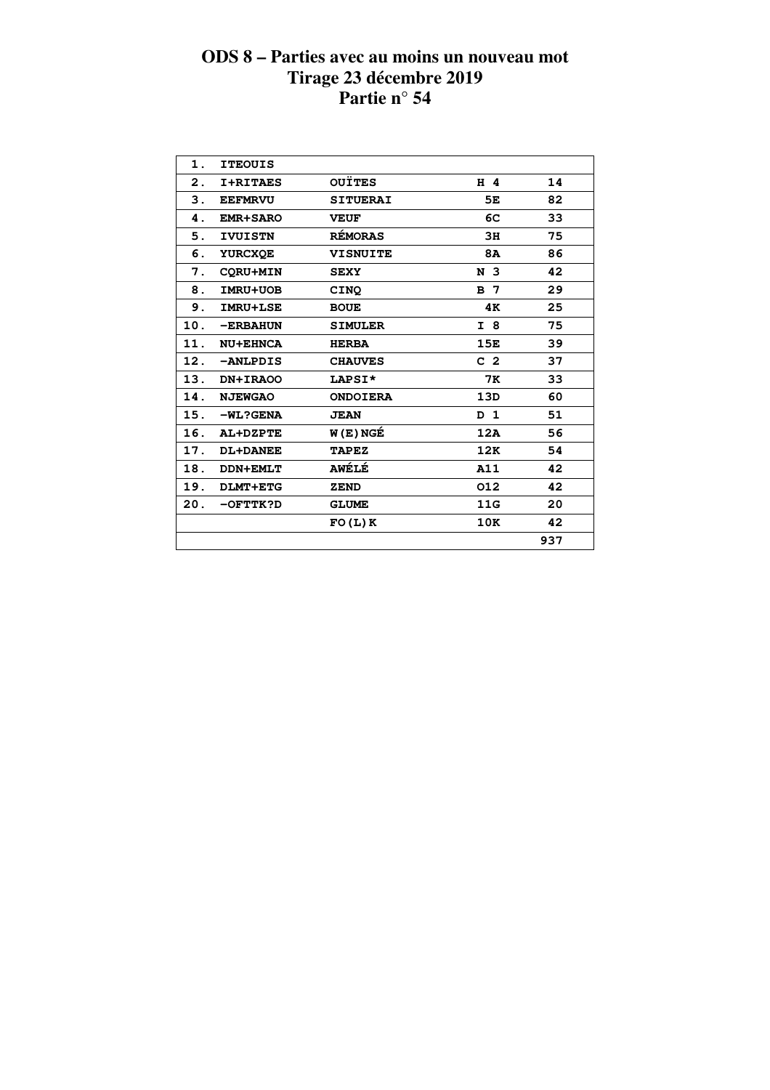| 1.  | <b>ITEOUIS</b>  |                 |                |     |  |
|-----|-----------------|-----------------|----------------|-----|--|
| 2.  | <b>I+RITAES</b> | <b>OUÏTES</b>   | H 4            | 14  |  |
| 3.  | <b>EEFMRVU</b>  | <b>SITUERAI</b> | 5E             | 82  |  |
| 4.  | <b>EMR+SARO</b> | <b>VEUF</b>     | 6C             | 33  |  |
| 5.  | <b>IVUISTN</b>  | <b>RÉMORAS</b>  | 3H             | 75  |  |
| 6.  | <b>YURCXOE</b>  | <b>VISNUITE</b> | <b>8A</b>      | 86  |  |
| 7.  | <b>CORU+MIN</b> | <b>SEXY</b>     | N <sub>3</sub> | 42  |  |
| 8.  | IMRU+UOB        | CINQ            | <b>B</b> 7     | 29  |  |
| 9.  | <b>IMRU+LSE</b> | <b>BOUE</b>     | 4K             | 25  |  |
| 10. | -ERBAHUN        | <b>SIMULER</b>  | I 8            | 75  |  |
| 11. | NU+EHNCA        | <b>HERBA</b>    | 15E            | 39  |  |
| 12. | -ANLPDIS        | <b>CHAUVES</b>  | C <sub>2</sub> | 37  |  |
| 13. | DN+IRAOO        | LAPSI*          | 7к             | 33  |  |
| 14. | <b>NJEWGAO</b>  | <b>ONDOIERA</b> | 13D            | 60  |  |
| 15. | $-WL?GENA$      | <b>JEAN</b>     | D <sub>1</sub> | 51  |  |
| 16. | <b>AL+DZPTE</b> | W(E)NGÉ         | 12A            | 56  |  |
| 17. | <b>DL+DANEE</b> | <b>TAPEZ</b>    | 12K            | 54  |  |
| 18. | <b>DDN+EMLT</b> | <b>AWÉLÉ</b>    | A11            | 42  |  |
| 19. | DLMT+ETG        | <b>ZEND</b>     | 012            | 42  |  |
| 20. | -OFTTK?D        | <b>GLUME</b>    | 11G            | 20  |  |
|     |                 | FO(L)K          | 10K            | 42  |  |
|     |                 |                 |                | 937 |  |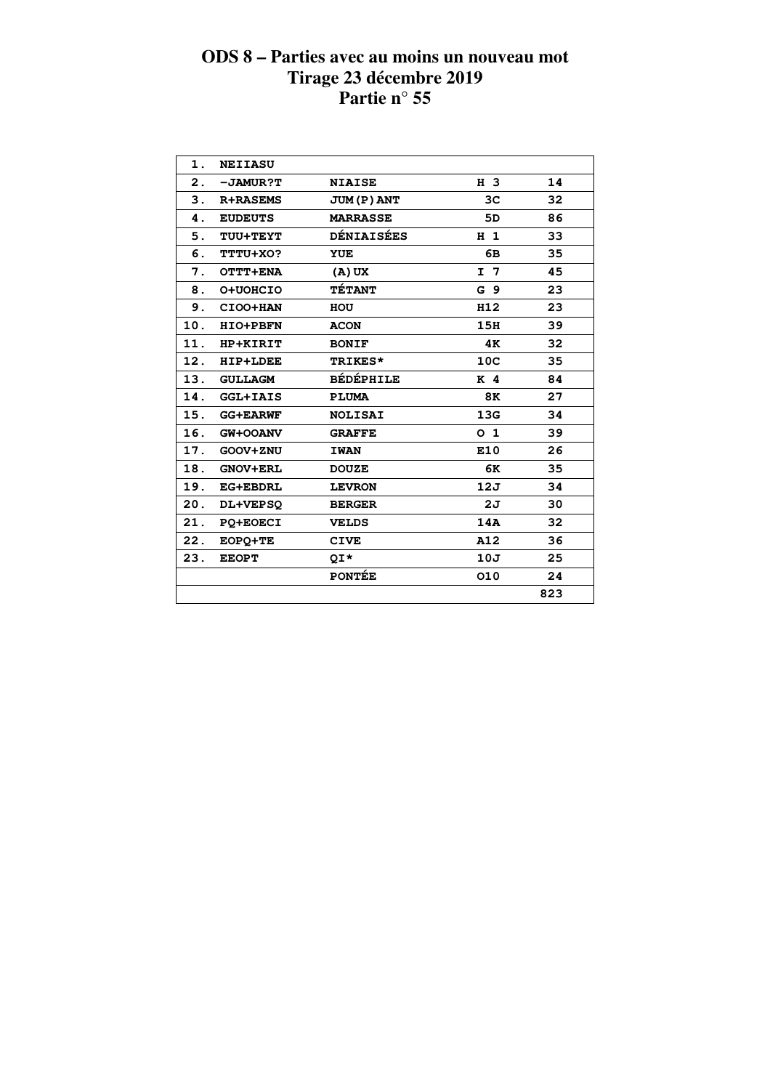| $\mathbf 1$ . | <b>NEIIASU</b>  |                    |                 |     |  |
|---------------|-----------------|--------------------|-----------------|-----|--|
| 2.            | -JAMUR?T        | <b>NIAISE</b>      | H 3             | 14  |  |
| 3.            | <b>R+RASEMS</b> | <b>JUM (P) ANT</b> | 3C              | 32  |  |
| 4.            | <b>EUDEUTS</b>  | <b>MARRASSE</b>    | 5D              | 86  |  |
| 5.            | TUU+TEYT        | <b>DÉNIAISÉES</b>  | H <sub>1</sub>  | 33  |  |
| 6.            | TTTU+XO?        | <b>YUE</b>         | 6В              | 35  |  |
| 7.            | OTTT+ENA        | $(A)$ UX           | $I$ 7           | 45  |  |
| 8.            | O+UOHCIO        | <b>TÉTANT</b>      | G <sub>9</sub>  | 23  |  |
| 9.            | CIOO+HAN        | HOU                | H12             | 23  |  |
| 10.           | <b>HIO+PBFN</b> | <b>ACON</b>        | 15H             | 39  |  |
| 11.           | HP+KIRIT        | <b>BONIF</b>       | 4K              | 32  |  |
| 12.           | <b>HIP+LDEE</b> | <b>TRIKES*</b>     | 10 <sub>C</sub> | 35  |  |
| 13.           | <b>GULLAGM</b>  | <b>BÉDÉPHILE</b>   | K <sub>4</sub>  | 84  |  |
| 14.           | <b>GGL+IAIS</b> | <b>PLUMA</b>       | 8K              | 27  |  |
| 15.           | <b>GG+EARWF</b> | <b>NOLISAI</b>     | 13G             | 34  |  |
| 16.           | GW+OOANV        | <b>GRAFFE</b>      | 0 <sub>1</sub>  | 39  |  |
| 17.           | GOOV+ZNU        | <b>IWAN</b>        | E10             | 26  |  |
| 18.           | <b>GNOV+ERL</b> | <b>DOUZE</b>       | 6K              | 35  |  |
| 19.           | <b>EG+EBDRL</b> | <b>LEVRON</b>      | 12J             | 34  |  |
| 20.           | DL+VEPSQ        | <b>BERGER</b>      | 2J              | 30  |  |
| 21.           | <b>PO+EOECI</b> | <b>VELDS</b>       | 14A             | 32  |  |
| 22.           | EOPQ+TE         | <b>CIVE</b>        | A12             | 36  |  |
| 23.           | <b>EEOPT</b>    | QI*                | 10J             | 25  |  |
|               |                 | <b>PONTÉE</b>      | 010             | 24  |  |
|               |                 |                    |                 | 823 |  |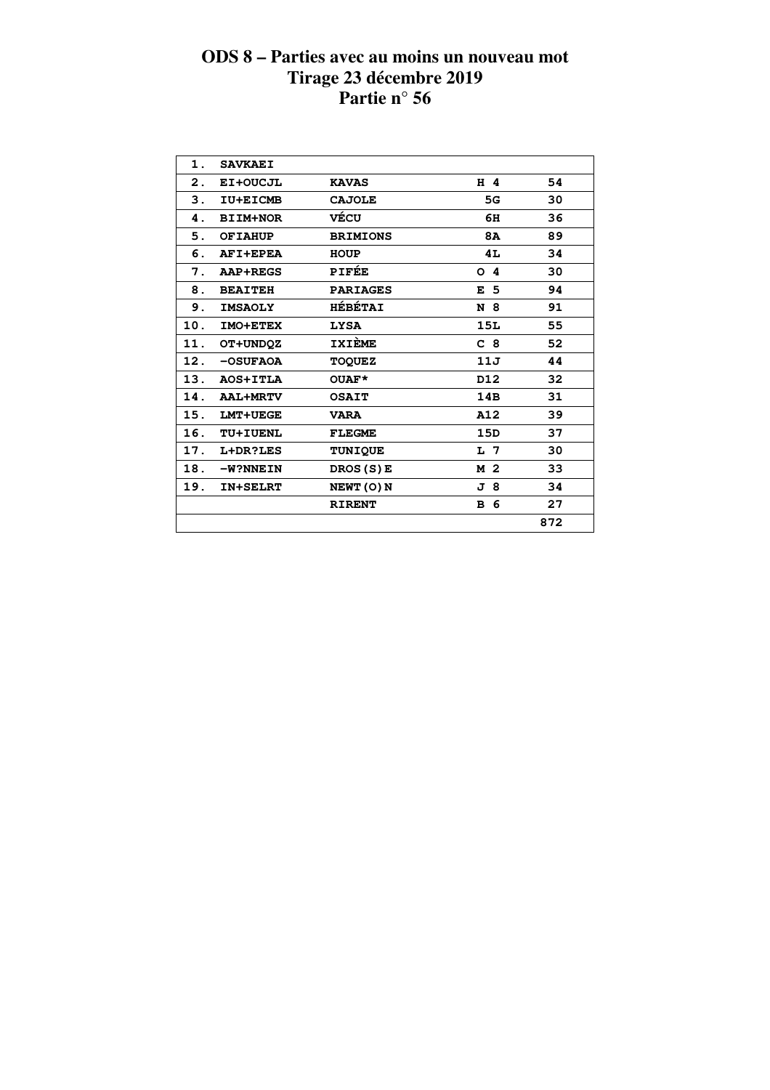| 1.  | <b>SAVKAEI</b>  |                 |                |     |  |
|-----|-----------------|-----------------|----------------|-----|--|
| 2.  | EI+OUCJL        | <b>KAVAS</b>    | $H$ 4          | 54  |  |
| З.  | IU+EICMB        | <b>CAJOLE</b>   | 5G             | 30  |  |
| 4.  | <b>BIIM+NOR</b> | VÉCU            | 6H             | 36  |  |
| 5.  | <b>OF TAHUP</b> | <b>BRIMIONS</b> | <b>8A</b>      | 89  |  |
| 6.  | AFI+EPEA        | <b>HOUP</b>     | 4L             | 34  |  |
| 7.  | <b>AAP+REGS</b> | <b>PIFÉE</b>    | O <sub>4</sub> | 30  |  |
| 8.  | <b>BEAITEH</b>  | <b>PARIAGES</b> | E <sub>5</sub> | 94  |  |
| 9.  | <b>IMSAOLY</b>  | <b>HÉBÉTAI</b>  | N 8            | 91  |  |
| 10. | IMO+ETEX        | <b>LYSA</b>     | 15L            | 55  |  |
| 11. | OT+UNDQZ        | <b>IXIÈME</b>   | C <sub>8</sub> | 52  |  |
| 12. | -OSUFAOA        | <b>TOQUEZ</b>   | 11J            | 44  |  |
| 13. | AOS+ITLA        | OUAF*           | D12            | 32  |  |
| 14. | <b>AAL+MRTV</b> | <b>OSAIT</b>    | 14B            | 31  |  |
| 15. | <b>LMT+UEGE</b> | <b>VARA</b>     | A12            | 39  |  |
| 16. | <b>TU+IUENL</b> | <b>FLEGME</b>   | 15D            | 37  |  |
| 17. | L+DR?LES        | <b>TUNIQUE</b>  | L 7            | 30  |  |
| 18. | -W?NNEIN        | DROS (S) E      | M 2            | 33  |  |
| 19. | <b>IN+SELRT</b> | NEWT (O) N      | J 8            | 34  |  |
|     |                 | <b>RIRENT</b>   | <b>B</b> 6     | 27  |  |
|     |                 |                 |                | 872 |  |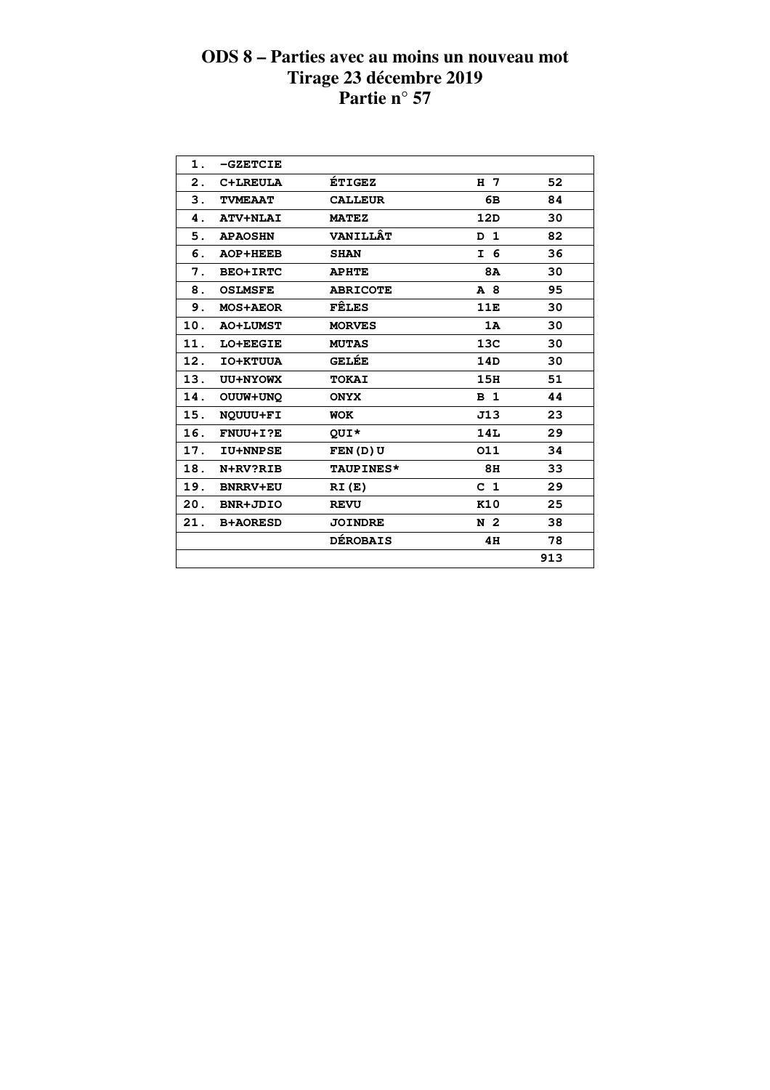| 1.  | $-$ GZETCIE     |                  |                |     |  |
|-----|-----------------|------------------|----------------|-----|--|
| 2.  | C+LREULA        | <b>ÉTIGEZ</b>    | H 7            | 52  |  |
| 3.  | <b>TVMEAAT</b>  | <b>CALLEUR</b>   | 6В             | 84  |  |
| 4.  | <b>ATV+NLAI</b> | <b>MATEZ</b>     | 12D            | 30  |  |
| 5.  | <b>APAOSHN</b>  | <b>VANILLÂT</b>  | D 1            | 82  |  |
| 6.  | AOP+HEEB        | <b>SHAN</b>      | I 6            | 36  |  |
| 7.  | <b>BEO+IRTC</b> | <b>APHTE</b>     | 8A             | 30  |  |
| 8.  | <b>OSLMSFE</b>  | <b>ABRICOTE</b>  | A 8            | 95  |  |
| 9.  | <b>MOS+AEOR</b> | <b>FÊLES</b>     | 11E            | 30  |  |
| 10. | <b>AO+LUMST</b> | <b>MORVES</b>    | 1A             | 30  |  |
| 11. | LO+EEGIE        | <b>MUTAS</b>     | 13C            | 30  |  |
| 12. | IO+KTUUA        | <b>GELÉE</b>     | 14D            | 30  |  |
| 13. | UU+NYOWX        | <b>TOKAI</b>     | 15H            | 51  |  |
| 14. | OUUW+UNQ        | <b>ONYX</b>      | B <sub>1</sub> | 44  |  |
| 15. | NOUUU+FI        | <b>WOK</b>       | J13            | 23  |  |
| 16. | FNUU+I?E        | QUI*             | 14L            | 29  |  |
| 17. | <b>IU+NNPSE</b> | FEN(D)U          | 011            | 34  |  |
| 18. | N+RV?RIB        | <b>TAUPINES*</b> | 8H             | 33  |  |
| 19. | <b>BNRRV+EU</b> | RI(E)            | C <sub>1</sub> | 29  |  |
| 20. | BNR+JDIO        | <b>REVU</b>      | K10            | 25  |  |
| 21. | <b>B+AORESD</b> | <b>JOINDRE</b>   | N 2            | 38  |  |
|     |                 | <b>DÉROBAIS</b>  | 4H             | 78  |  |
|     |                 |                  |                | 913 |  |
|     |                 |                  |                |     |  |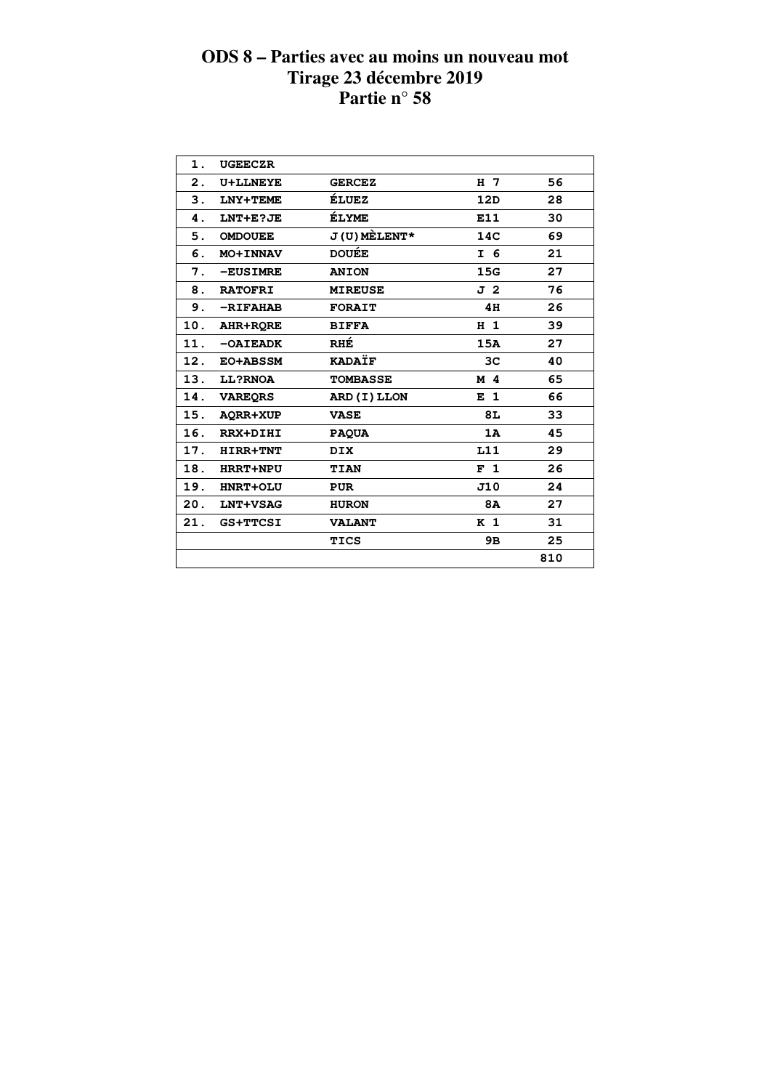| 1.  | <b>UGEECZR</b>  |                 |                |     |  |
|-----|-----------------|-----------------|----------------|-----|--|
| 2.  | <b>U+LLNEYE</b> | <b>GERCEZ</b>   | H <sub>7</sub> | 56  |  |
| 3.  | LNY+TEME        | ÉLUEZ           | 12D            | 28  |  |
| 4.  | LNT+E?JE        | ÉLYME           | E11            | 30  |  |
| 5.  | <b>OMDOUEE</b>  | $J(U)$ MELENT*  | 14C            | 69  |  |
| 6.  | MO+INNAV        | <b>DOUÉE</b>    | I 6            | 21  |  |
| 7.  | -EUSIMRE        | <b>ANION</b>    | 15G            | 27  |  |
| 8.  | <b>RATOFRI</b>  | <b>MIREUSE</b>  | J <sub>2</sub> | 76  |  |
| 9.  | $-RIFAHAB$      | <b>FORAIT</b>   | 4H             | 26  |  |
| 10. | AHR+RORE        | <b>BIFFA</b>    | H <sub>1</sub> | 39  |  |
| 11. | $-0$ AIEADK     | RHÉ             | 15A            | 27  |  |
| 12. | EO+ABSSM        | <b>KADAÏF</b>   | 3C             | 40  |  |
| 13. | <b>LL?RNOA</b>  | <b>TOMBASSE</b> | M 4            | 65  |  |
| 14. | <b>VAREORS</b>  | ARD (I) LLON    | E <sub>1</sub> | 66  |  |
| 15. | AQRR+XUP        | <b>VASE</b>     | 8L             | 33  |  |
| 16. | <b>RRX+DIHI</b> | <b>PAQUA</b>    | 1A             | 45  |  |
| 17. | HIRR+TNT        | <b>DIX</b>      | L11            | 29  |  |
| 18. | <b>HRRT+NPU</b> | TIAN            | F <sub>1</sub> | 26  |  |
| 19. | <b>HNRT+OLU</b> | <b>PUR</b>      | J10            | 24  |  |
| 20. | LNT+VSAG        | <b>HURON</b>    | <b>8A</b>      | 27  |  |
| 21. | <b>GS+TTCSI</b> | <b>VALANT</b>   | K <sub>1</sub> | 31  |  |
|     |                 | <b>TICS</b>     | 9B             | 25  |  |
|     |                 |                 |                | 810 |  |
|     |                 |                 |                |     |  |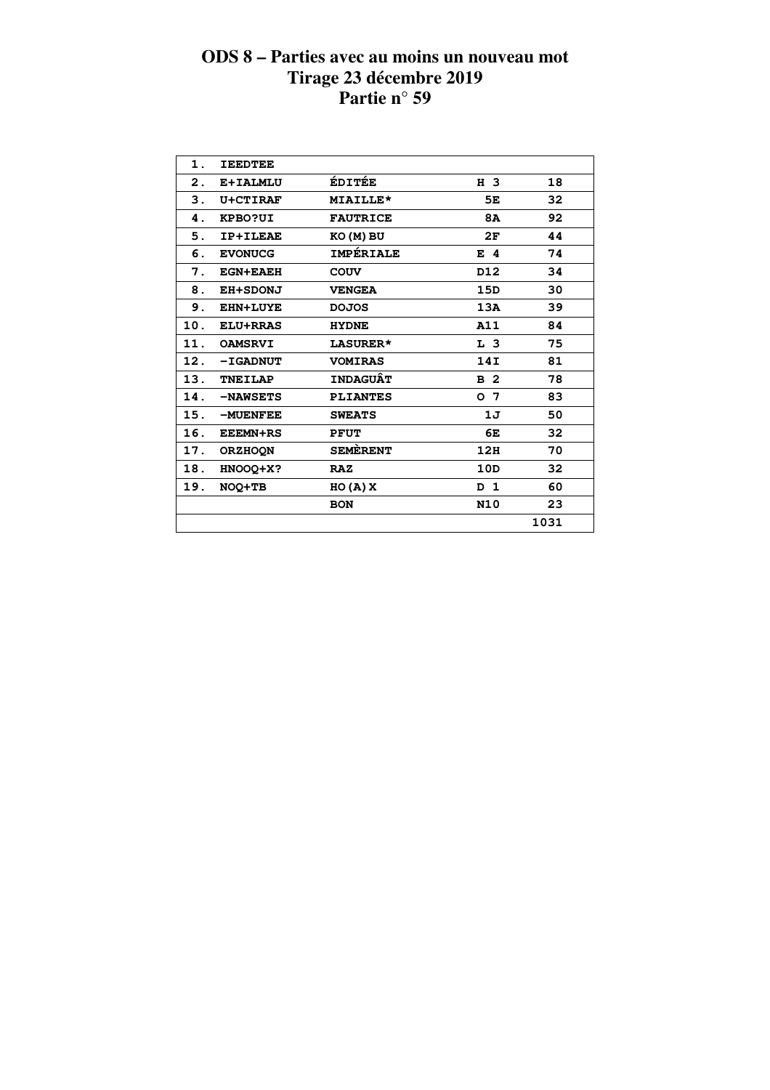| 1.  | <b>IEEDTEE</b>  |                  |                |      |  |
|-----|-----------------|------------------|----------------|------|--|
| 2.  | E+IALMLU        | <b>ÉDITÉE</b>    | H 3            | 18   |  |
| З.  | U+CTIRAF        | MIAILLE*         | 5E             | 32   |  |
| 4.  | KPBO?UI         | <b>FAUTRICE</b>  | <b>8A</b>      | 92   |  |
| 5.  | <b>IP+ILEAE</b> | KO (M) BU        | 2F             | 44   |  |
| 6.  | <b>EVONUCG</b>  | <b>IMPÉRIALE</b> | E 4            | 74   |  |
| 7.  | <b>EGN+EAEH</b> | COUV             | D12            | 34   |  |
| 8.  | <b>EH+SDONJ</b> | <b>VENGEA</b>    | 15D            | 30   |  |
| 9.  | <b>EHN+LUYE</b> | <b>DOJOS</b>     | 13A            | 39   |  |
| 10. | <b>ELU+RRAS</b> | <b>HYDNE</b>     | A11            | 84   |  |
| 11. | <b>OAMSRVI</b>  | LASURER*         | L <sub>3</sub> | 75   |  |
| 12. | <b>-IGADNUT</b> | <b>VOMIRAS</b>   | 14I            | 81   |  |
| 13. | <b>TNEILAP</b>  | <b>INDAGUÂT</b>  | B <sub>2</sub> | 78   |  |
| 14. | -NAWSETS        | <b>PLIANTES</b>  | o 7            | 83   |  |
| 15. | -MUENFEE        | <b>SWEATS</b>    | 1J             | 50   |  |
| 16. | <b>EEEMN+RS</b> | <b>PFUT</b>      | 6E             | 32   |  |
| 17. | <b>ORZHOON</b>  | <b>SEMERENT</b>  | 12H            | 70   |  |
| 18. | HNOOQ+X?        | <b>RAZ</b>       | 10D            | 32   |  |
| 19. | NOQ+TB          | HO(A)X           | D 1            | 60   |  |
|     |                 | <b>BON</b>       | <b>N10</b>     | 23   |  |
|     |                 |                  |                | 1031 |  |
|     |                 |                  |                |      |  |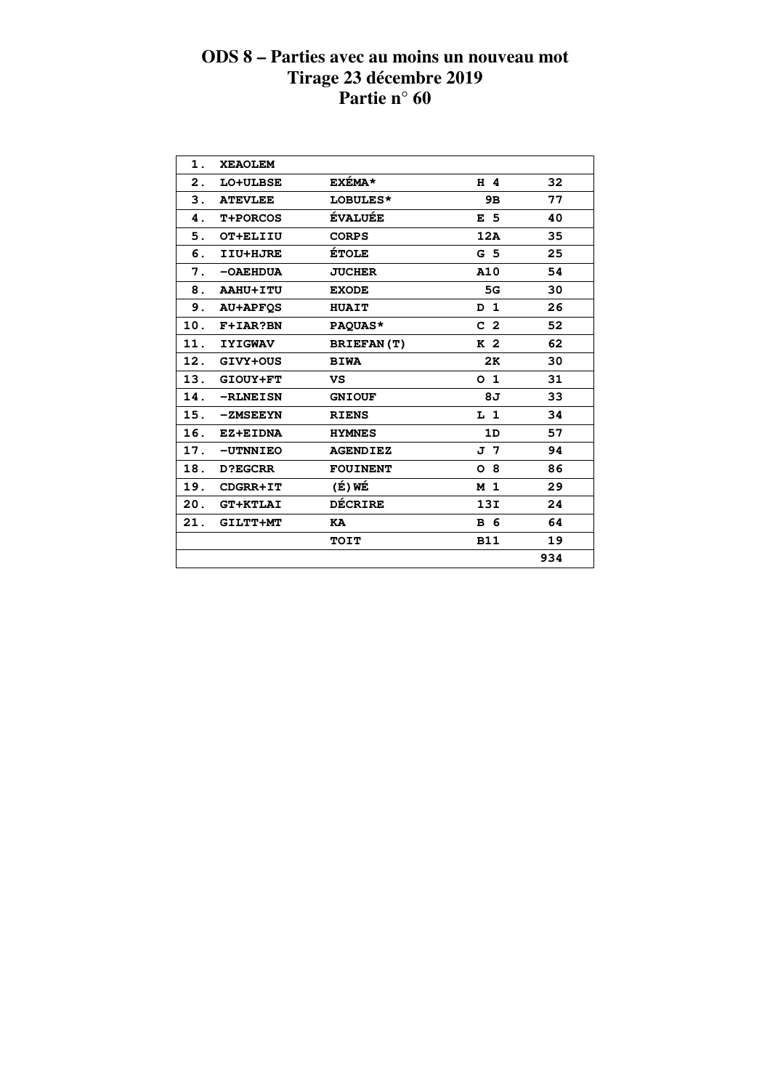| 1.  | <b>XEAOLEM</b>  |                   |                |     |
|-----|-----------------|-------------------|----------------|-----|
| 2.  | LO+ULBSE        | <b>EXÉMA*</b>     | H 4            | 32  |
| 3.  | <b>ATEVLEE</b>  | LOBULES*          | 9B             | 77  |
| 4.  | <b>T+PORCOS</b> | <b>ÉVALUÉE</b>    | E 5            | 40  |
| 5.  | OT+ELIIU        | <b>CORPS</b>      | 12A            | 35  |
| 6.  | IIU+HJRE        | <b>ÉTOLE</b>      | G <sub>5</sub> | 25  |
| 7.  | $-OAEHDUA$      | <b>JUCHER</b>     | A10            | 54  |
| 8.  | AAHU+ITU        | <b>EXODE</b>      | 5G             | 30  |
| 9.  | <b>AU+APFOS</b> | <b>HUAIT</b>      | D <sub>1</sub> | 26  |
| 10. | F+IAR?BN        | PAQUAS*           | C <sub>2</sub> | 52  |
| 11. | <b>IYIGWAV</b>  | <b>BRIEFAN(T)</b> | K <sub>2</sub> | 62  |
| 12. | GIVY+OUS        | <b>BIWA</b>       | 2K             | 30  |
| 13. | GIOUY+FT        | VS                | 0 <sub>1</sub> | 31  |
| 14. | -RLNEISN        | <b>GNIOUF</b>     | 8J             | 33  |
| 15. | -ZMSEEYN        | <b>RIENS</b>      | L <sub>1</sub> | 34  |
| 16. | EZ+EIDNA        | <b>HYMNES</b>     | 1D             | 57  |
| 17. | -UTNNIEO        | <b>AGENDIEZ</b>   | J 7            | 94  |
| 18. | <b>D?EGCRR</b>  | <b>FOUINENT</b>   | 08             | 86  |
| 19. | CDGRR+IT        | (É) WÉ            | M <sub>1</sub> | 29  |
| 20. | <b>GT+KTLAI</b> | <b>DÉCRIRE</b>    | 13I            | 24  |
| 21. | GILTT+MT        | KA                | <b>B</b> 6     | 64  |
|     |                 | <b>TOIT</b>       | <b>B11</b>     | 19  |
|     |                 |                   |                | 934 |
|     |                 |                   |                |     |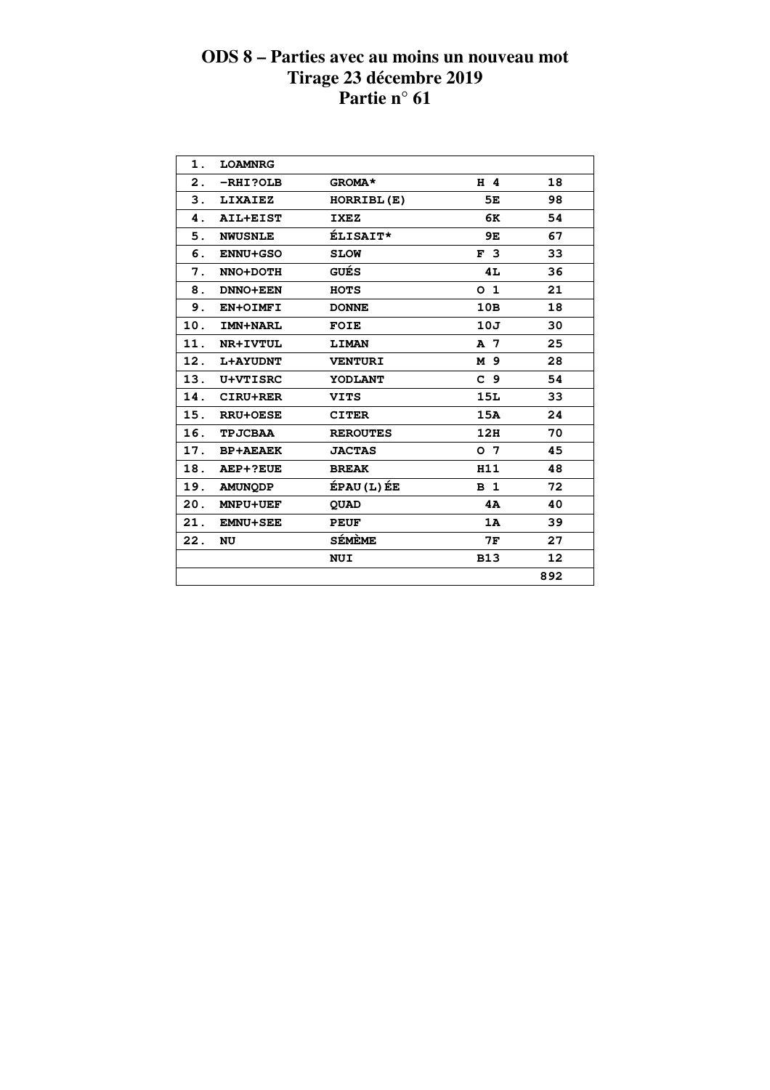| 1.  | <b>LOAMNRG</b>  |                 |                |     |  |
|-----|-----------------|-----------------|----------------|-----|--|
| 2.  | $-RHI?OLB$      | GROMA*          | H 4            | 18  |  |
| 3.  | <b>LIXAIEZ</b>  | HORRIBL(E)      | 5E             | 98  |  |
| 4.  | AIL+EIST        | <b>IXEZ</b>     | 6K             | 54  |  |
| 5.  | <b>NWUSNLE</b>  | <b>ÉLISAIT*</b> | 9E             | 67  |  |
| 6.  | <b>ENNU+GSO</b> | <b>SLOW</b>     | F <sub>3</sub> | 33  |  |
| 7.  | NNO+DOTH        | <b>GUÉS</b>     | 4L             | 36  |  |
| 8.  | <b>DNNO+EEN</b> | <b>HOTS</b>     | O <sub>1</sub> | 21  |  |
| 9.  | EN+OIMFI        | <b>DONNE</b>    | 10B            | 18  |  |
| 10. | IMN+NARL        | <b>FOIE</b>     | 10J            | 30  |  |
| 11. | <b>NR+IVTUL</b> | <b>LIMAN</b>    | A 7            | 25  |  |
| 12. | <b>L+AYUDNT</b> | <b>VENTURI</b>  | M 9            | 28  |  |
| 13. | <b>U+VTISRC</b> | YODLANT         | C <sub>9</sub> | 54  |  |
| 14. | CIRU+RER        | <b>VITS</b>     | <b>15L</b>     | 33  |  |
| 15. | <b>RRU+OESE</b> | <b>CITER</b>    | 15A            | 24  |  |
| 16. | <b>TPJCBAA</b>  | <b>REROUTES</b> | 12H            | 70  |  |
| 17. | <b>BP+AEAEK</b> | <b>JACTAS</b>   | O <sub>7</sub> | 45  |  |
| 18. | AEP+?EUE        | <b>BREAK</b>    | H11            | 48  |  |
| 19. | <b>AMUNQDP</b>  | ÉPAU (L) ÉE     | B <sub>1</sub> | 72  |  |
| 20. | <b>MNPU+UEF</b> | <b>QUAD</b>     | 4A             | 40  |  |
| 21. | <b>EMNU+SEE</b> | <b>PEUF</b>     | 1A             | 39  |  |
| 22. | NU              | <b>SÉMÈME</b>   | 7F             | 27  |  |
|     |                 | <b>NUI</b>      | <b>B13</b>     | 12  |  |
|     |                 |                 |                | 892 |  |
|     |                 |                 |                |     |  |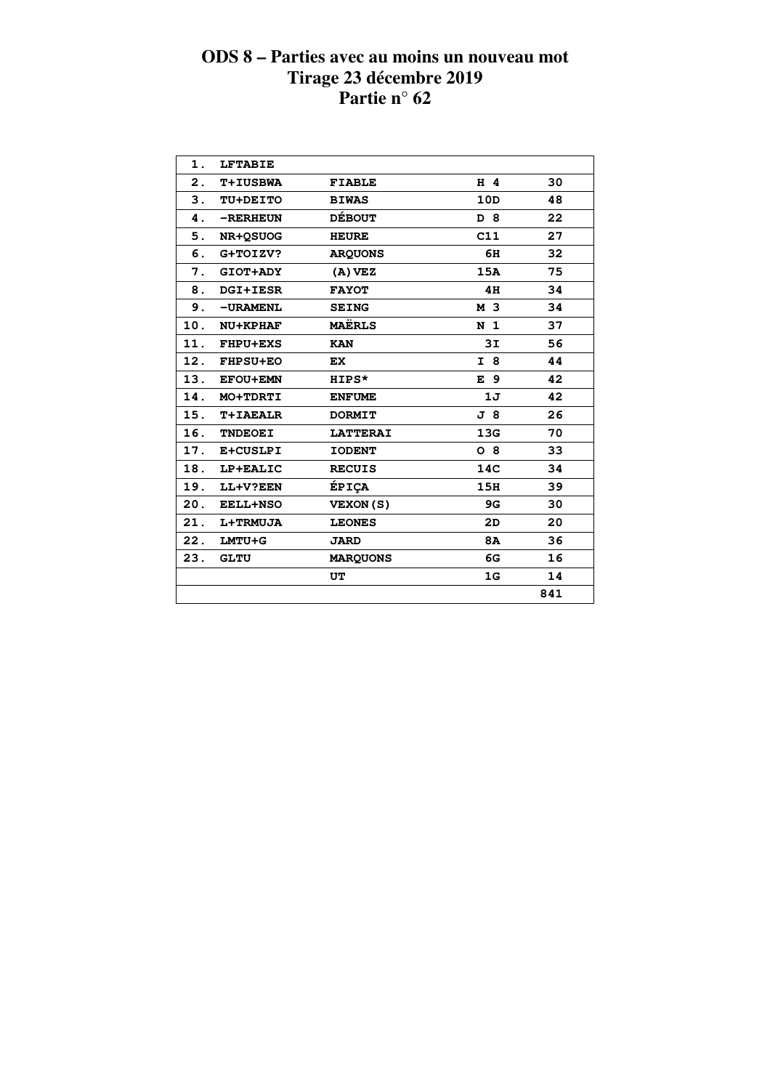| 1.             | <b>LFTABIE</b>  |                 |                |     |
|----------------|-----------------|-----------------|----------------|-----|
| $\mathbf{2}$ . | <b>T+IUSBWA</b> | <b>FIABLE</b>   | $H$ 4          | 30  |
| 3.             | TU+DEITO        | <b>BIWAS</b>    | 10D            | 48  |
| 4.             | -RERHEUN        | <b>DÉBOUT</b>   | D 8            | 22  |
| 5.             | <b>NR+OSUOG</b> | <b>HEURE</b>    | C11            | 27  |
| 6.             | G+TOIZV?        | <b>ARQUONS</b>  | 6H             | 32  |
| 7.             | <b>GIOT+ADY</b> | $(A)$ VEZ       | 15A            | 75  |
| 8.             | <b>DGI+IESR</b> | <b>FAYOT</b>    | 4H             | 34  |
| 9.             | -URAMENL        | <b>SEING</b>    | M 3            | 34  |
| 10.            | <b>NU+KPHAF</b> | <b>MAËRLS</b>   | N <sub>1</sub> | 37  |
| 11.            | <b>FHPU+EXS</b> | <b>KAN</b>      | 3I             | 56  |
|                | 12. FHPSU+EO    | <b>EX</b>       | I 8            | 44  |
| 13.            | <b>EFOU+EMN</b> | HIPS*           | E 9            | 42  |
| 14.            | MO+TDRTI        | <b>ENFUME</b>   | 1J             | 42  |
| 15.            | T+IAEALR        | <b>DORMIT</b>   | J 8            | 26  |
| 16.            | <b>TNDEOEI</b>  | <b>LATTERAI</b> | 13G            | 70  |
| 17.            | E+CUSLPI        | <b>IODENT</b>   | $O_8$          | 33  |
| 18.            | LP+EALIC        | <b>RECUIS</b>   | 14C            | 34  |
| 19.            | LL+V?EEN        | ÉPIÇA           | 15H            | 39  |
| 20.            | <b>EELL+NSO</b> | <b>VEXON(S)</b> | 9G             | 30  |
| 21.            | <b>L+TRMUJA</b> | <b>LEONES</b>   | 2D             | 20  |
| 22.            | LMTU+G          | <b>JARD</b>     | <b>8A</b>      | 36  |
| 23.            | <b>GLTU</b>     | <b>MARQUONS</b> | 6G             | 16  |
|                |                 | UT              | 1G             | 14  |
|                |                 |                 |                | 841 |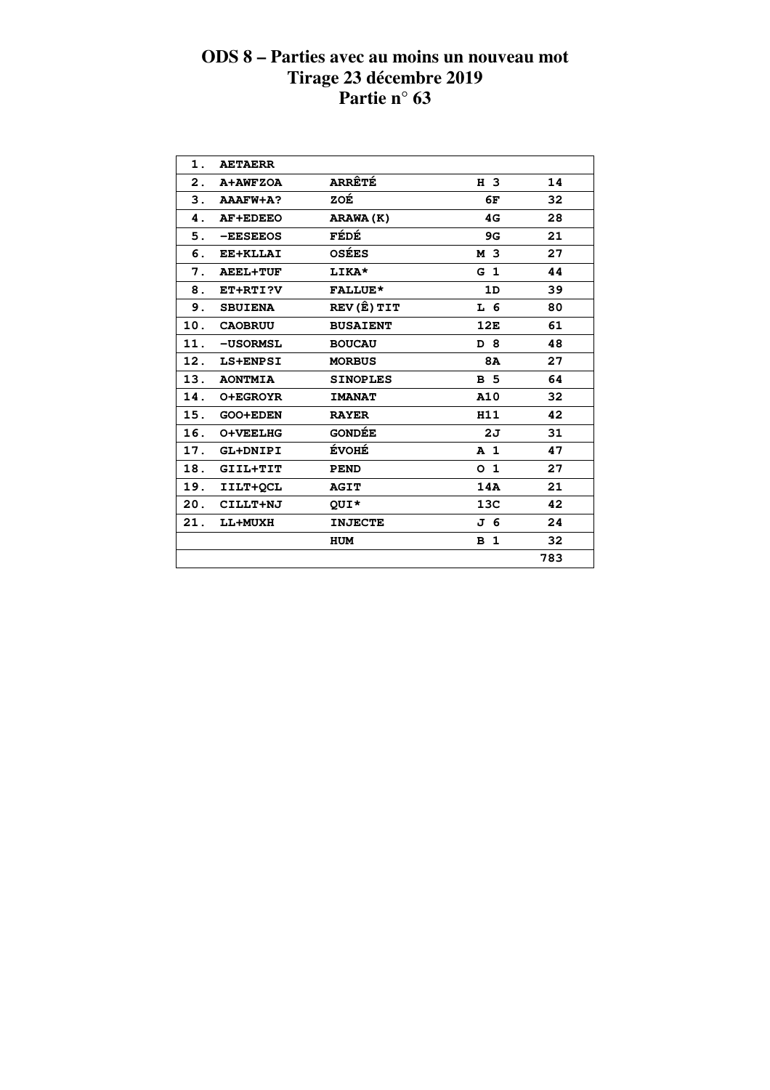| 1.             | <b>AETAERR</b>  |                 |                |     |  |
|----------------|-----------------|-----------------|----------------|-----|--|
| $\mathbf{2}$ . | A+AWFZOA        | <b>ARRÊTÉ</b>   | H 3            | 14  |  |
| 3.             | AAAFW+A?        | ZOÉ             | 6F             | 32  |  |
| 4.             | <b>AF+EDEEO</b> | ARAWA (K)       | 4G             | 28  |  |
| 5.             | -EESEEOS        | FÉDÉ            | 9G             | 21  |  |
| 6.             | EE+KLLAI        | <b>OSÉES</b>    | M 3            | 27  |  |
| 7.             | <b>AEEL+TUF</b> | LIKA*           | G <sub>1</sub> | 44  |  |
| 8.             | ET+RTI?V        | <b>FALLUE*</b>  | 1D             | 39  |  |
| 9.             | <b>SBUIENA</b>  | REV (Ê) TIT     | L 6            | 80  |  |
| 10.            | <b>CAOBRUU</b>  | <b>BUSAIENT</b> | 12E            | 61  |  |
| 11.            | -USORMSL        | <b>BOUCAU</b>   | D 8            | 48  |  |
| 12.            | LS+ENPSI        | <b>MORBUS</b>   | <b>8A</b>      | 27  |  |
| 13.            | <b>AONTMIA</b>  | <b>SINOPLES</b> | <b>B</b> 5     | 64  |  |
| 14.            | <b>O+EGROYR</b> | <b>IMANAT</b>   | A10            | 32  |  |
| 15.            | <b>GOO+EDEN</b> | <b>RAYER</b>    | H11            | 42  |  |
| 16.            | O+VEELHG        | <b>GONDÉE</b>   | 2J             | 31  |  |
| 17.            | GL+DNIPI        | <b>ÉVOHÉ</b>    | A <sub>1</sub> | 47  |  |
| 18.            | GIIL+TIT        | <b>PEND</b>     | 0 <sub>1</sub> | 27  |  |
| 19.            | IILT+OCL        | <b>AGIT</b>     | 14A            | 21  |  |
| 20.            | CILLT+NJ        | QUI*            | 13C            | 42  |  |
| 21.            | LL+MUXH         | <b>INJECTE</b>  | J 6            | 24  |  |
|                |                 | <b>HUM</b>      | B <sub>1</sub> | 32  |  |
|                |                 |                 |                | 783 |  |
|                |                 |                 |                |     |  |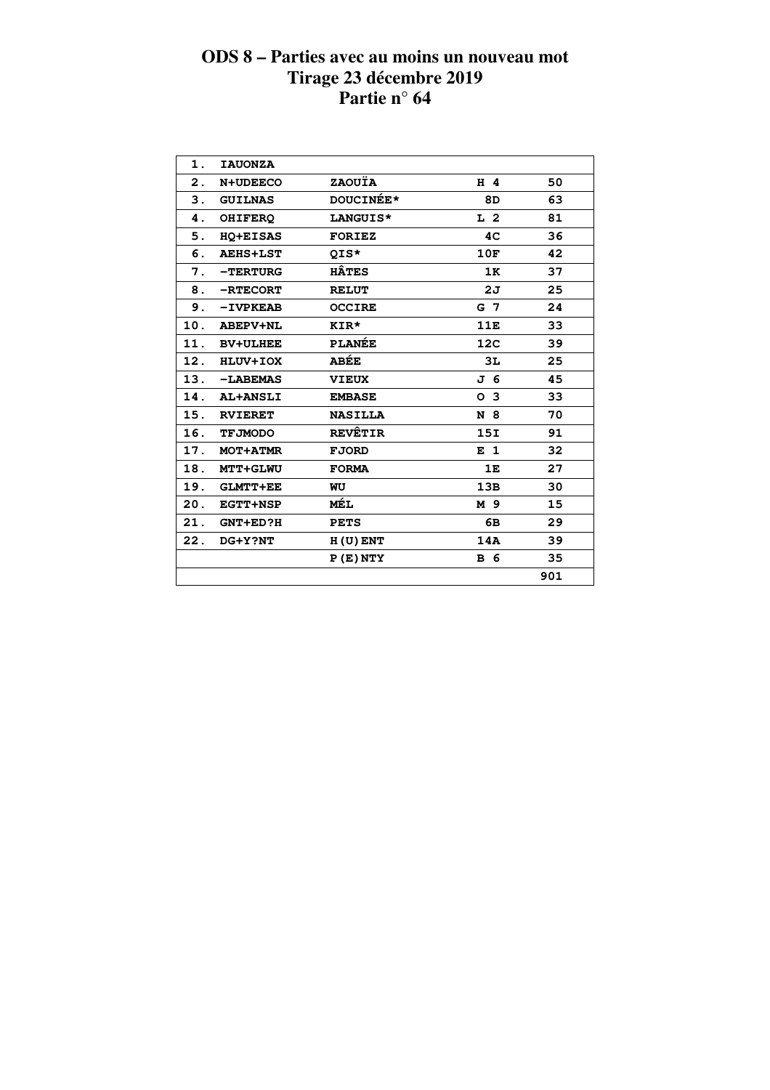| 1.  | <b>IAUONZA</b>  |                  |                 |     |  |
|-----|-----------------|------------------|-----------------|-----|--|
| 2.  | <b>N+UDEECO</b> | ZAOUÏA           | H 4             | 50  |  |
| 3.  | <b>GUILNAS</b>  | <b>DOUCINÉE*</b> | 8D              | 63  |  |
| 4.  | <b>OHIFERO</b>  | LANGUIS*         | L <sub>2</sub>  | 81  |  |
| 5.  | <b>HO+EISAS</b> | <b>FORIEZ</b>    | 4C              | 36  |  |
| 6.  | <b>AEHS+LST</b> | QIS*             | 10F             | 42  |  |
| 7.  | $-$ TERTURG     | <b>HÂTES</b>     | 1K              | 37  |  |
| 8.  | -RTECORT        | <b>RELUT</b>     | 2J              | 25  |  |
| 9.  | $-IVPKEAB$      | <b>OCCIRE</b>    | G 7             | 24  |  |
| 10. | <b>ABEPV+NL</b> | KIR*             | 11E             | 33  |  |
| 11. | <b>BV+ULHEE</b> | <b>PLANÉE</b>    | 12 <sub>C</sub> | 39  |  |
| 12. | HLUV+IOX        | ABÉE             | 3L              | 25  |  |
| 13. | -LABEMAS        | <b>VIEUX</b>     | J 6             | 45  |  |
| 14. | <b>AL+ANSLI</b> | <b>EMBASE</b>    | O <sub>3</sub>  | 33  |  |
| 15. | <b>RVIERET</b>  | <b>NASILLA</b>   | N 8             | 70  |  |
| 16. | <b>TFJMODO</b>  | <b>REVÊTIR</b>   | 15I             | 91  |  |
| 17. | <b>MOT+ATMR</b> | <b>FJORD</b>     | E <sub>1</sub>  | 32  |  |
| 18. | <b>MTT+GLWU</b> | <b>FORMA</b>     | 1E              | 27  |  |
| 19. | <b>GLMTT+EE</b> | WU               | 13B             | 30  |  |
| 20. | <b>EGTT+NSP</b> | MÉL              | M 9             | 15  |  |
| 21. | <b>GNT+ED?H</b> | <b>PETS</b>      | 6В              | 29  |  |
| 22. | DG+Y?NT         | $H(U)$ ENT       | 14A             | 39  |  |
|     |                 | P(E) NTY         | <b>B</b> 6      | 35  |  |
|     |                 |                  |                 | 901 |  |
|     |                 |                  |                 |     |  |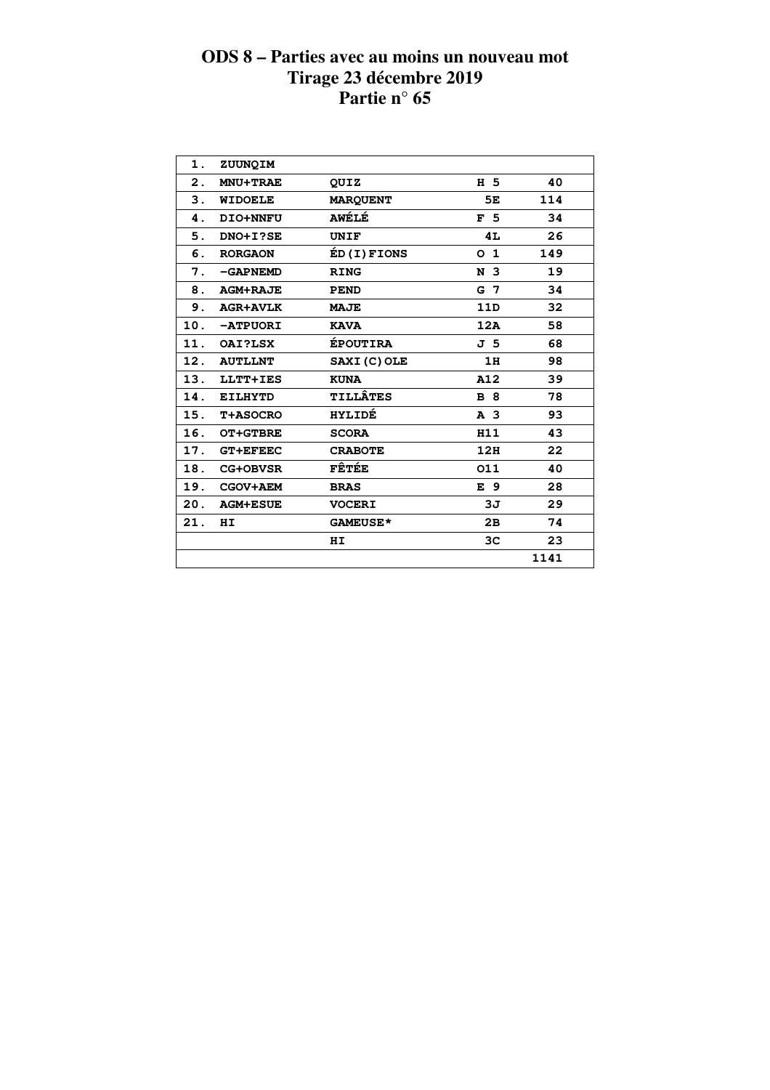| 1.  | ZUUNQIM         |                 |                 |      |  |
|-----|-----------------|-----------------|-----------------|------|--|
| 2.  | <b>MNU+TRAE</b> | QUIZ            | H 5             | 40   |  |
| 3.  | <b>WIDOELE</b>  | <b>MARQUENT</b> | 5Е              | 114  |  |
| 4.  | DIO+NNFU        | <b>AWÉLÉ</b>    | F <sub>5</sub>  | 34   |  |
| 5.  | DNO+I?SE        | <b>UNIF</b>     | 4L              | 26   |  |
| 6.  | <b>RORGAON</b>  | ÉD(I)FIONS      | O <sub>1</sub>  | 149  |  |
| 7.  | -GAPNEMD        | <b>RING</b>     | N <sub>3</sub>  | 19   |  |
| 8.  | <b>AGM+RAJE</b> | <b>PEND</b>     | G 7             | 34   |  |
| 9.  | <b>AGR+AVLK</b> | <b>MAJE</b>     | 11 <sub>D</sub> | 32   |  |
| 10. | -ATPUORI        | <b>KAVA</b>     | 12A             | 58   |  |
| 11. | OAI?LSX         | <b>ÉPOUTIRA</b> | J 5             | 68   |  |
| 12. | <b>AUTLLNT</b>  | SAXI (C) OLE    | 1H              | 98   |  |
| 13. | LLTT+IES        | <b>KUNA</b>     | A12             | 39   |  |
| 14. | <b>EILHYTD</b>  | <b>TILLÂTES</b> | <b>B</b> 8      | 78   |  |
| 15. | <b>T+ASOCRO</b> | <b>HYLIDÉ</b>   | A <sub>3</sub>  | 93   |  |
| 16. | <b>OT+GTBRE</b> | <b>SCORA</b>    | H11             | 43   |  |
| 17. | <b>GT+EFEEC</b> | <b>CRABOTE</b>  | 12H             | 22   |  |
| 18. | <b>CG+OBVSR</b> | FÊTÉE           | 011             | 40   |  |
| 19. | <b>CGOV+AEM</b> | <b>BRAS</b>     | E 9             | 28   |  |
| 20. | <b>AGM+ESUE</b> | <b>VOCERI</b>   | 3J              | 29   |  |
| 21. | HI              | <b>GAMEUSE*</b> | 2B              | 74   |  |
|     |                 | ΗI              | 3C              | 23   |  |
|     |                 |                 |                 | 1141 |  |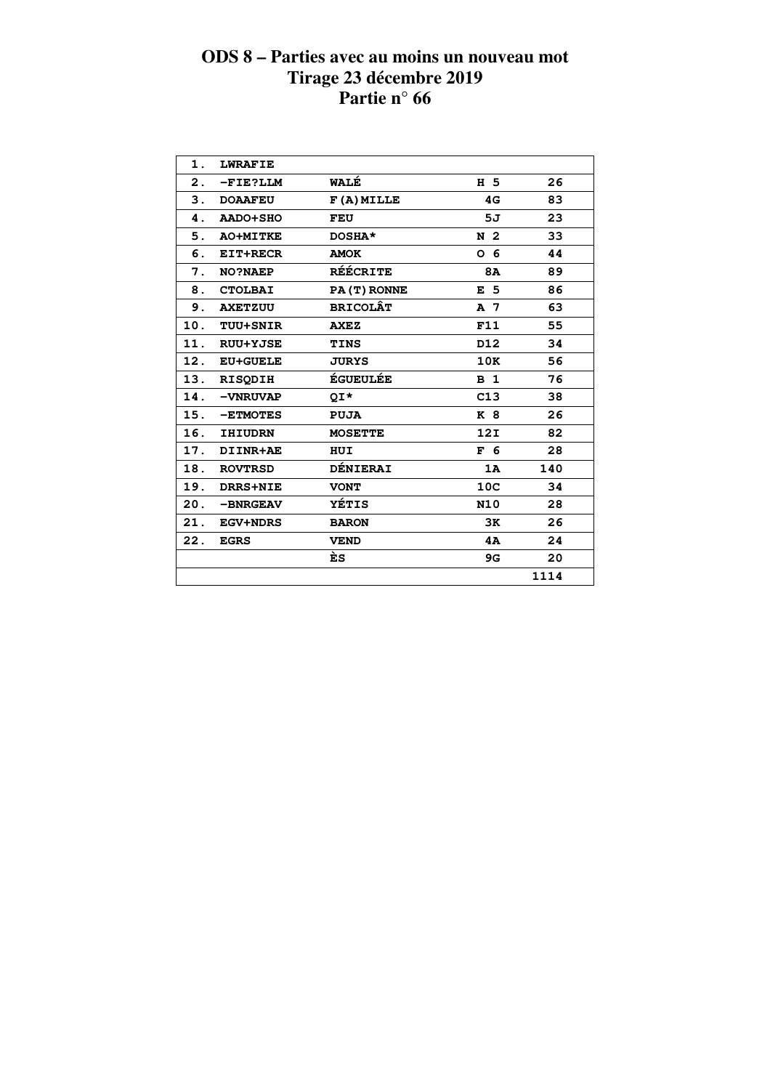| 1.  | <b>LWRAFIE</b>  |                 |                 |      |  |
|-----|-----------------|-----------------|-----------------|------|--|
| 2.  | -FIE?LLM        | WALÉ            | H 5             | 26   |  |
| 3.  | <b>DOAAFEU</b>  | $F(A)$ MILLE    | 4G              | 83   |  |
| 4.  | <b>AADO+SHO</b> | FEU             | 5J              | 23   |  |
| 5.  | <b>AO+MITKE</b> | DOSHA*          | N <sub>2</sub>  | 33   |  |
| 6.  | EIT+RECR        | <b>AMOK</b>     | O 6             | 44   |  |
| 7.  | <b>NO?NAEP</b>  | <b>RÉÉCRITE</b> | 8A              | 89   |  |
| 8.  | <b>CTOLBAI</b>  | PA(T) RONNE     | E <sub>5</sub>  | 86   |  |
| 9.  | <b>AXETZUU</b>  | <b>BRICOLÂT</b> | A 7             | 63   |  |
| 10. | <b>TUU+SNIR</b> | <b>AXEZ</b>     | F11             | 55   |  |
| 11. | <b>RUU+YJSE</b> | <b>TINS</b>     | D12             | 34   |  |
| 12. | <b>EU+GUELE</b> | <b>JURYS</b>    | 10K             | 56   |  |
| 13. | <b>RISODIH</b>  | <b>ÉGUEULÉE</b> | B <sub>1</sub>  | 76   |  |
| 14. | -VNRUVAP        | QI*             | C13             | 38   |  |
| 15. | -ETMOTES        | <b>PUJA</b>     | <b>K</b> 8      | 26   |  |
| 16. | <b>IHIUDRN</b>  | <b>MOSETTE</b>  | 12I             | 82   |  |
| 17. | DIINR+AE        | HUI             | F <sub>6</sub>  | 28   |  |
| 18. | <b>ROVTRSD</b>  | <b>DÉNIERAI</b> | 1A              | 140  |  |
| 19. | DRRS+NIE        | <b>VONT</b>     | 10 <sub>C</sub> | 34   |  |
| 20. | -BNRGEAV        | YÉTIS           | <b>N10</b>      | 28   |  |
| 21. | <b>EGV+NDRS</b> | <b>BARON</b>    | 3K              | 26   |  |
| 22. | <b>EGRS</b>     | <b>VEND</b>     | 4A              | 24   |  |
|     |                 | ÈS              | 9G              | 20   |  |
|     |                 |                 |                 | 1114 |  |
|     |                 |                 |                 |      |  |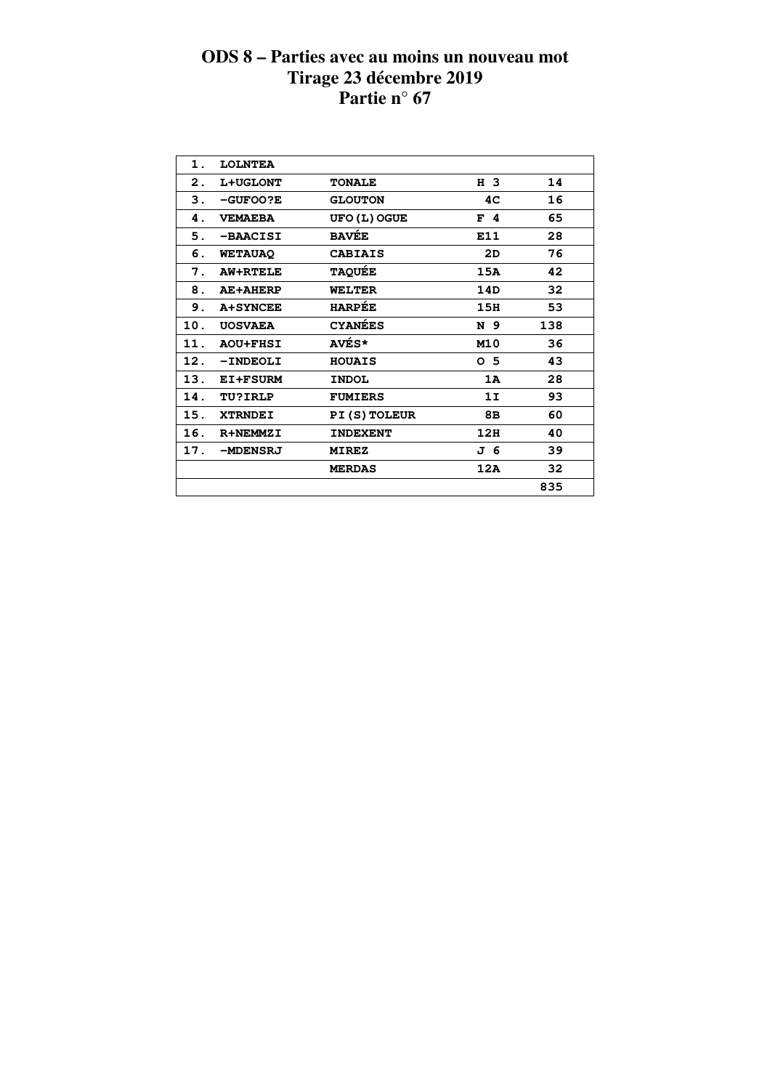| 1.<br><b>LOLNTEA</b><br>H 3<br>14<br>2.<br>L+UGLONT<br><b>TONALE</b><br>З.<br>16<br>4C<br>$-GUFOO?E$<br><b>GLOUTON</b><br>65<br>4.<br><b>UFO (L) OGUE</b><br><b>VEMAEBA</b><br>F <sub>4</sub><br><b>BAVÉE</b><br>28<br>E11<br>5.<br>-BAACISI<br>76<br>6.<br><b>CABIAIS</b><br>2D<br><b>WETAUAQ</b><br><b>TAQUÉE</b><br>42<br>7.<br>15A<br><b>AW+RTELE</b><br>32<br>8.<br>14D<br><b>WELTER</b><br><b>AE+AHERP</b><br><b>HARPÉE</b><br>53<br>9.<br><b>A+SYNCEE</b><br>15H<br><b>CYANÉES</b><br>10.<br>138<br>N 9<br><b>UOSVAEA</b><br>AVÉS*<br>M10<br>36<br>11.<br><b>AOU+FHSI</b><br>43<br>12.<br>0 <sub>5</sub><br>-INDEOLI<br><b>HOUAIS</b><br>28<br>13.<br>1A<br>EI+FSURM<br><b>INDOL</b><br>93<br>14.<br><b>TU?IRLP</b><br>1I<br><b>FUMIERS</b><br>60<br>15.<br>PI(S) TOLEUR<br>8в<br><b>XTRNDEI</b><br>12H<br>16.<br>40<br>R+NEMMZI<br><b>INDEXENT</b><br>39<br>17.<br>J 6<br>-MDENSRJ<br><b>MIREZ</b><br>32<br>12A<br><b>MERDAS</b><br>835 |  |  |  |
|-------------------------------------------------------------------------------------------------------------------------------------------------------------------------------------------------------------------------------------------------------------------------------------------------------------------------------------------------------------------------------------------------------------------------------------------------------------------------------------------------------------------------------------------------------------------------------------------------------------------------------------------------------------------------------------------------------------------------------------------------------------------------------------------------------------------------------------------------------------------------------------------------------------------------------------------------|--|--|--|
|                                                                                                                                                                                                                                                                                                                                                                                                                                                                                                                                                                                                                                                                                                                                                                                                                                                                                                                                                 |  |  |  |
|                                                                                                                                                                                                                                                                                                                                                                                                                                                                                                                                                                                                                                                                                                                                                                                                                                                                                                                                                 |  |  |  |
|                                                                                                                                                                                                                                                                                                                                                                                                                                                                                                                                                                                                                                                                                                                                                                                                                                                                                                                                                 |  |  |  |
|                                                                                                                                                                                                                                                                                                                                                                                                                                                                                                                                                                                                                                                                                                                                                                                                                                                                                                                                                 |  |  |  |
|                                                                                                                                                                                                                                                                                                                                                                                                                                                                                                                                                                                                                                                                                                                                                                                                                                                                                                                                                 |  |  |  |
|                                                                                                                                                                                                                                                                                                                                                                                                                                                                                                                                                                                                                                                                                                                                                                                                                                                                                                                                                 |  |  |  |
|                                                                                                                                                                                                                                                                                                                                                                                                                                                                                                                                                                                                                                                                                                                                                                                                                                                                                                                                                 |  |  |  |
|                                                                                                                                                                                                                                                                                                                                                                                                                                                                                                                                                                                                                                                                                                                                                                                                                                                                                                                                                 |  |  |  |
|                                                                                                                                                                                                                                                                                                                                                                                                                                                                                                                                                                                                                                                                                                                                                                                                                                                                                                                                                 |  |  |  |
|                                                                                                                                                                                                                                                                                                                                                                                                                                                                                                                                                                                                                                                                                                                                                                                                                                                                                                                                                 |  |  |  |
|                                                                                                                                                                                                                                                                                                                                                                                                                                                                                                                                                                                                                                                                                                                                                                                                                                                                                                                                                 |  |  |  |
|                                                                                                                                                                                                                                                                                                                                                                                                                                                                                                                                                                                                                                                                                                                                                                                                                                                                                                                                                 |  |  |  |
|                                                                                                                                                                                                                                                                                                                                                                                                                                                                                                                                                                                                                                                                                                                                                                                                                                                                                                                                                 |  |  |  |
|                                                                                                                                                                                                                                                                                                                                                                                                                                                                                                                                                                                                                                                                                                                                                                                                                                                                                                                                                 |  |  |  |
|                                                                                                                                                                                                                                                                                                                                                                                                                                                                                                                                                                                                                                                                                                                                                                                                                                                                                                                                                 |  |  |  |
|                                                                                                                                                                                                                                                                                                                                                                                                                                                                                                                                                                                                                                                                                                                                                                                                                                                                                                                                                 |  |  |  |
|                                                                                                                                                                                                                                                                                                                                                                                                                                                                                                                                                                                                                                                                                                                                                                                                                                                                                                                                                 |  |  |  |
|                                                                                                                                                                                                                                                                                                                                                                                                                                                                                                                                                                                                                                                                                                                                                                                                                                                                                                                                                 |  |  |  |
|                                                                                                                                                                                                                                                                                                                                                                                                                                                                                                                                                                                                                                                                                                                                                                                                                                                                                                                                                 |  |  |  |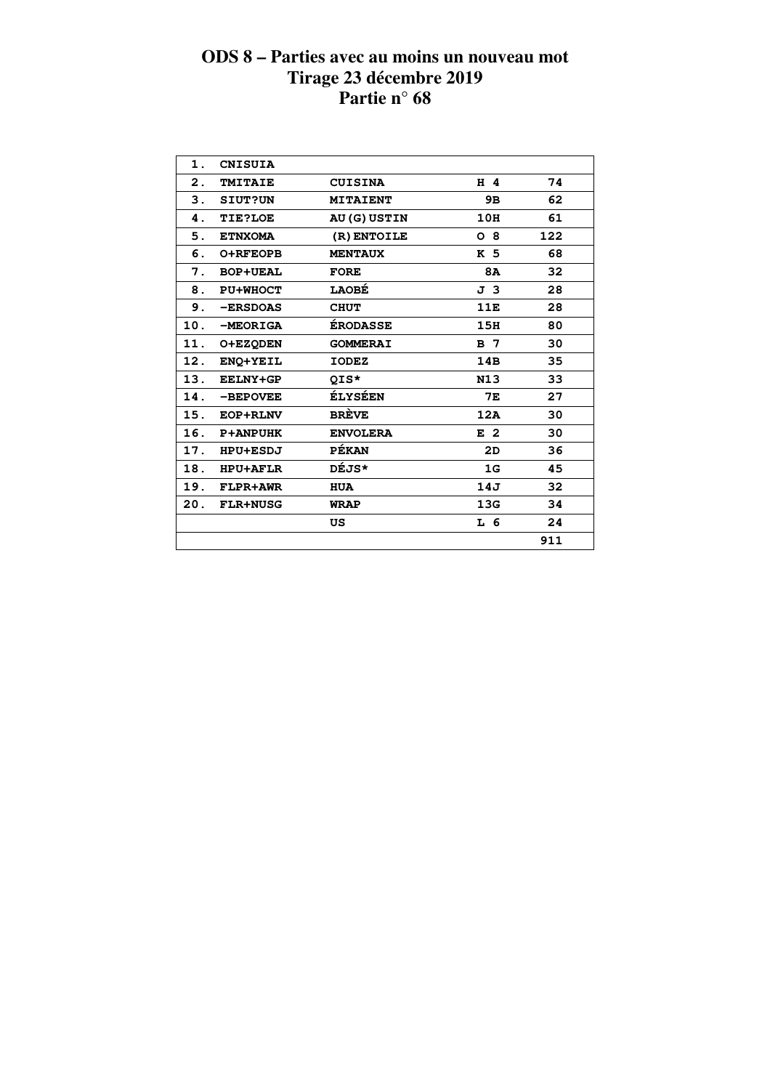| 1.  | <b>CNISUIA</b>  |                   |                |     |  |
|-----|-----------------|-------------------|----------------|-----|--|
| 2.  | <b>TMITAIE</b>  | <b>CUISINA</b>    | H 4            | 74  |  |
| 3.  | <b>SIUT?UN</b>  | <b>MITAIENT</b>   | 9в             | 62  |  |
| 4.  | <b>TIE?LOE</b>  | <b>AU(G)USTIN</b> | 10H            | 61  |  |
| 5.  | <b>ETNXOMA</b>  | (R) ENTOILE       | $O_8$          | 122 |  |
| 6.  | <b>O+RFEOPB</b> | <b>MENTAUX</b>    | K 5            | 68  |  |
| 7.  | <b>BOP+UEAL</b> | <b>FORE</b>       | 8A             | 32  |  |
| 8.  | <b>PU+WHOCT</b> | <b>LAOBÉ</b>      | J 3            | 28  |  |
| 9.  | -ERSDOAS        | <b>CHUT</b>       | 11E            | 28  |  |
| 10. | -MEORIGA        | <b>ÉRODASSE</b>   | 15H            | 80  |  |
| 11. | O+EZQDEN        | <b>GOMMERAI</b>   | B <sub>7</sub> | 30  |  |
| 12. | ENO+YEIL        | <b>IODEZ</b>      | 14B            | 35  |  |
| 13. | <b>EELNY+GP</b> | QIS*              | N13            | 33  |  |
| 14. | -BEPOVEE        | <b>ÉLYSÉEN</b>    | <b>7E</b>      | 27  |  |
| 15. | EOP+RLNV        | <b>BRÈVE</b>      | 12A            | 30  |  |
| 16. | <b>P+ANPUHK</b> | <b>ENVOLERA</b>   | E <sub>2</sub> | 30  |  |
| 17. | HPU+ESDJ        | PÉKAN             | 2D             | 36  |  |
| 18. | <b>HPU+AFLR</b> | <b>DÉJS*</b>      | 1G             | 45  |  |
| 19. | FLPR+AWR        | <b>HUA</b>        | 14J            | 32  |  |
| 20. | <b>FLR+NUSG</b> | <b>WRAP</b>       | 13G            | 34  |  |
|     |                 | US                | L 6            | 24  |  |
|     |                 |                   |                | 911 |  |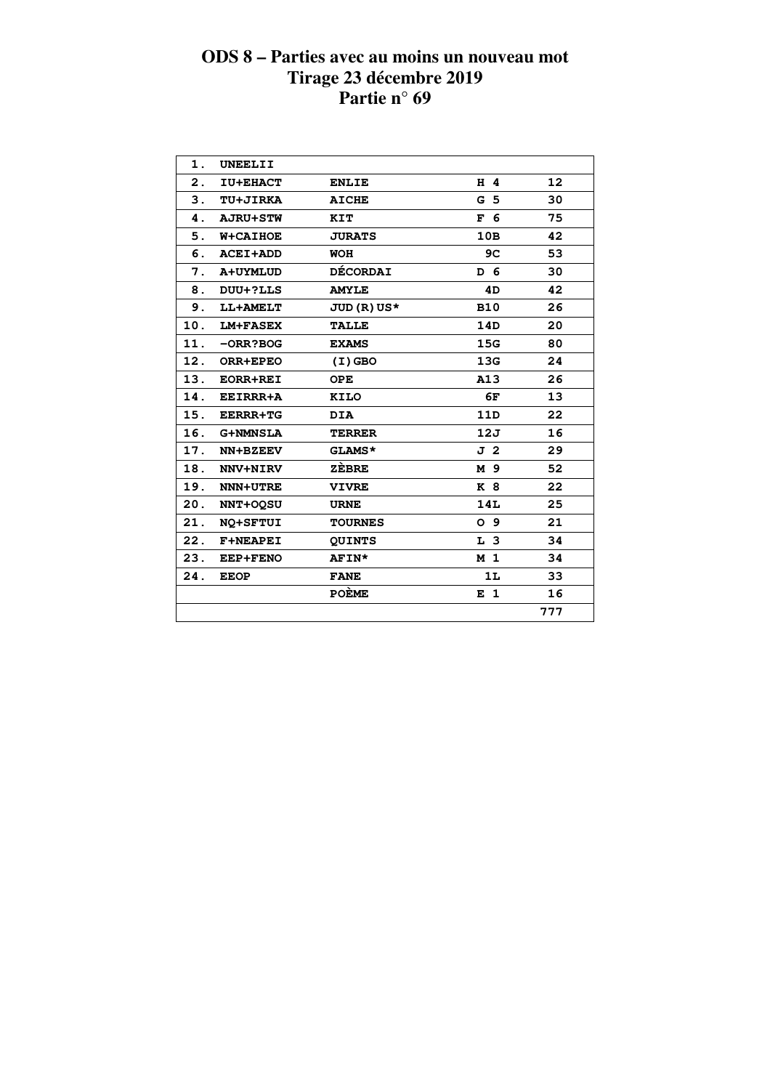| 1.  | UNEELII         |                 |                |                   |
|-----|-----------------|-----------------|----------------|-------------------|
| 2.  | <b>IU+EHACT</b> | <b>ENLIE</b>    | $H$ 4          | $12 \overline{ }$ |
|     | 3. TU+JIRKA     | <b>AICHE</b>    | G <sub>5</sub> | 30                |
| 4.  | <b>AJRU+STW</b> | KIT             | F 6            | 75                |
| 5.  | <b>W+CAIHOE</b> | <b>JURATS</b>   | 10B            | 42                |
| 6.  | <b>ACEI+ADD</b> | <b>WOH</b>      | 9C             | 53                |
| 7.  | A+UYMLUD        | <b>DÉCORDAI</b> | D 6            | 30                |
| 8.  | DUU+?LLS        | <b>AMYLE</b>    | 4D             | 42                |
| 9.  | LL+AMELT        | $JUD(R) US*$    | <b>B10</b>     | 26                |
| 10. | <b>LM+FASEX</b> | <b>TALLE</b>    | 14D            | 20                |
| 11. | $-ORR?BOG$      | <b>EXAMS</b>    | 15G            | 80                |
| 12. | ORR+EPEO        | $(I)$ GBO       | 13G            | 24                |
| 13. | <b>EORR+REI</b> | <b>OPE</b>      | A13            | 26                |
| 14. | <b>EEIRRR+A</b> | <b>KILO</b>     | 6F             | 13                |
| 15. | <b>EERRR+TG</b> | <b>DIA</b>      | 11D            | 22                |
|     | 16. G+NMNSLA    | <b>TERRER</b>   | 12J            | 16                |
| 17. | NN+BZEEV        | GLAMS*          | J 2            | 29                |
| 18. | <b>NNV+NIRV</b> | ZÈBRE           | M 9            | 52                |
| 19. | <b>NNN+UTRE</b> | <b>VIVRE</b>    | K 8            | 22                |
| 20. | <b>NNT+OOSU</b> | <b>URNE</b>     | 14L            | 25                |
| 21. | NQ+SFTUI        | <b>TOURNES</b>  | O <sub>9</sub> | 21                |
| 22. | <b>F+NEAPEI</b> | <b>QUINTS</b>   | L <sub>3</sub> | 34                |
| 23. | <b>EEP+FENO</b> | <b>AFIN*</b>    | M <sub>1</sub> | 34                |
| 24. | <b>EEOP</b>     | <b>FANE</b>     | 1L             | 33                |
|     |                 | <b>POÈME</b>    | E 1            | 16                |
|     |                 |                 |                | 777               |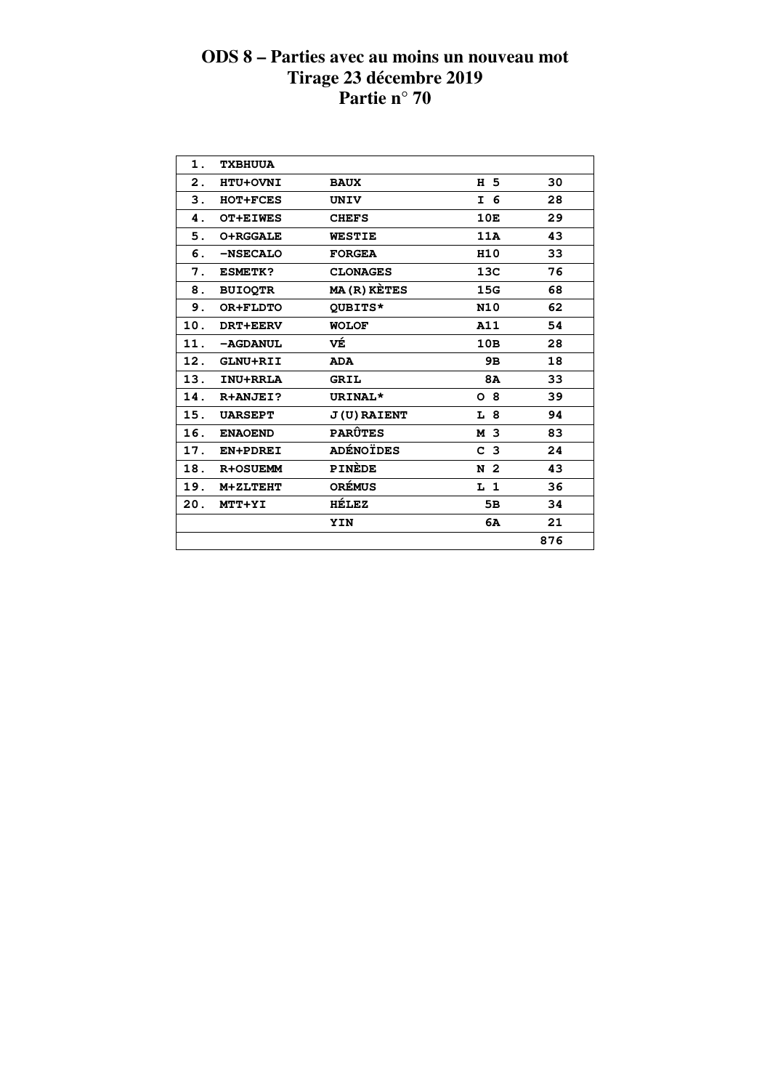| 1.  | <b>TXBHUUA</b>  |                     |                 |     |
|-----|-----------------|---------------------|-----------------|-----|
| 2.  | HTU+OVNI        | <b>BAUX</b>         | H 5             | 30  |
| 3.  | HOT+FCES        | UNIV                | I 6             | 28  |
| 4.  | <b>OT+EIWES</b> | <b>CHEFS</b>        | 10E             | 29  |
| 5.  | <b>O+RGGALE</b> | <b>WESTIE</b>       | 11A             | 43  |
| 6.  | -NSECALO        | <b>FORGEA</b>       | H <sub>10</sub> | 33  |
| 7.  | <b>ESMETK?</b>  | <b>CLONAGES</b>     | 13C             | 76  |
| 8.  | <b>BUIOQTR</b>  | <b>MA (R) KÈTES</b> | 15G             | 68  |
| 9.  | OR+FLDTO        | QUBITS*             | <b>N10</b>      | 62  |
| 10. | DRT+EERV        | <b>WOLOF</b>        | A11             | 54  |
| 11. | -AGDANUL        | VÉ                  | 10B             | 28  |
| 12. | GLNU+RII        | <b>ADA</b>          | 9в              | 18  |
| 13. | INU+RRLA        | <b>GRIL</b>         | 8A              | 33  |
| 14. | R+ANJEI?        | URINAL*             | O <sub>8</sub>  | 39  |
| 15. | <b>UARSEPT</b>  | <b>J(U) RAIENT</b>  | L 8             | 94  |
| 16. | <b>ENAOEND</b>  | <b>PARÛTES</b>      | M 3             | 83  |
| 17. | EN+PDREI        | <b>ADÉNOÏDES</b>    | C <sub>3</sub>  | 24  |
| 18. | <b>R+OSUEMM</b> | PINEDE              | N <sub>2</sub>  | 43  |
| 19. | M+ZLTEHT        | <b>ORÉMUS</b>       | L <sub>1</sub>  | 36  |
| 20. | MTT+YI          | HÉLEZ               | 5В              | 34  |
|     |                 | YIN                 | 6A              | 21  |
|     |                 |                     |                 | 876 |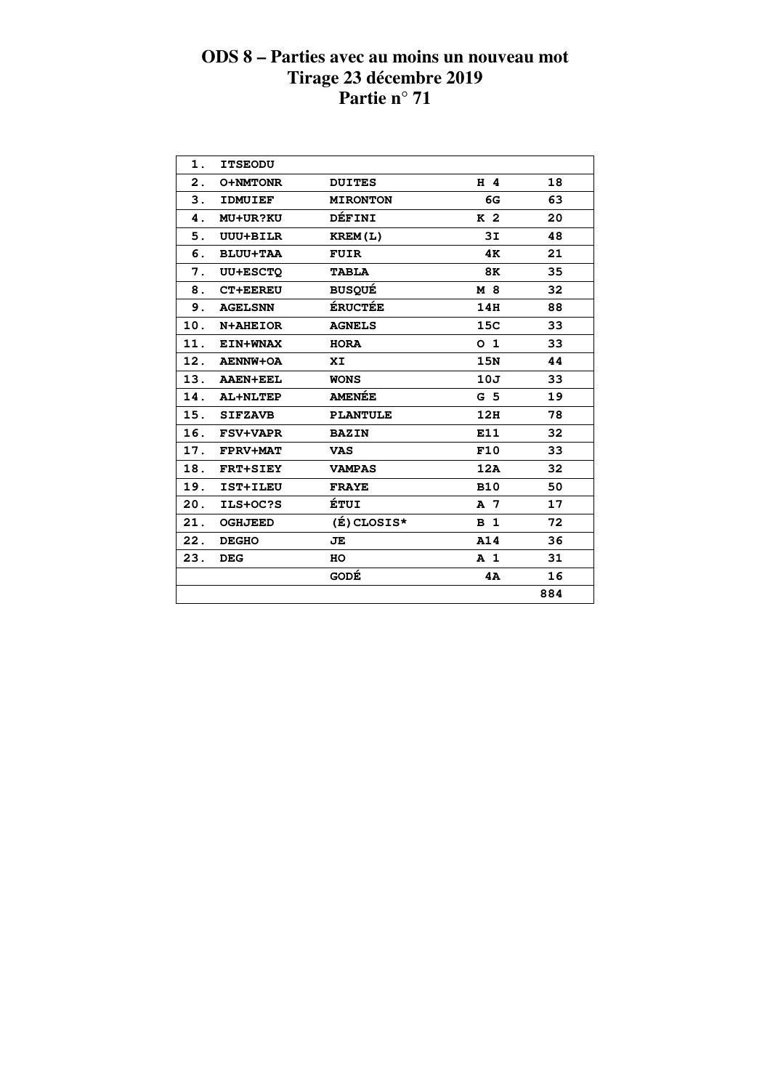| 1.  | <b>ITSEODU</b>  |                 |                |     |  |
|-----|-----------------|-----------------|----------------|-----|--|
| 2.  | <b>O+NMTONR</b> | <b>DUITES</b>   | H 4            | 18  |  |
| 3.  | <b>IDMUIEF</b>  | <b>MIRONTON</b> | 6G             | 63  |  |
| 4.  | <b>MU+UR?KU</b> | DÉFINI          | K <sub>2</sub> | 20  |  |
| 5.  | <b>UUU+BILR</b> | KREM(L)         | 3I             | 48  |  |
| 6.  | <b>BLUU+TAA</b> | <b>FUIR</b>     | 4K             | 21  |  |
| 7.  | <b>UU+ESCTQ</b> | <b>TABLA</b>    | 8K             | 35  |  |
| 8.  | <b>CT+EEREU</b> | <b>BUSQUÉ</b>   | M 8            | 32  |  |
| 9.  | <b>AGELSNN</b>  | <b>ÉRUCTÉE</b>  | 14H            | 88  |  |
| 10. | N+AHEIOR        | <b>AGNELS</b>   | 15C            | 33  |  |
| 11. | <b>EIN+WNAX</b> | <b>HORA</b>     | 0 <sub>1</sub> | 33  |  |
|     | 12. AENNW+OA    | XI              | <b>15N</b>     | 44  |  |
|     | 13. AAEN+EEL    | <b>WONS</b>     | 10J            | 33  |  |
|     | 14. AL+NLTEP    | <b>AMENÉE</b>   | G <sub>5</sub> | 19  |  |
|     | 15. SIFZAVB     | <b>PLANTULE</b> | 12H            | 78  |  |
|     | 16. FSV+VAPR    | <b>BAZIN</b>    | E11            | 32  |  |
|     | 17. FPRV+MAT    | <b>VAS</b>      | F10            | 33  |  |
|     | 18. FRT+SIEY    | <b>VAMPAS</b>   | 12A            | 32  |  |
| 19. | IST+ILEU        | <b>FRAYE</b>    | <b>B10</b>     | 50  |  |
| 20. | ILS+OC?S        | ÉTUI            | A 7            | 17  |  |
| 21. | <b>OGHJEED</b>  | (É) CLOSIS*     | <b>B</b> 1     | 72  |  |
| 22. | <b>DEGHO</b>    | JE              | A14            | 36  |  |
| 23. | <b>DEG</b>      | HO              | A <sub>1</sub> | 31  |  |
|     |                 | GODÉ            | 4A             | 16  |  |
|     |                 |                 |                | 884 |  |
|     |                 |                 |                |     |  |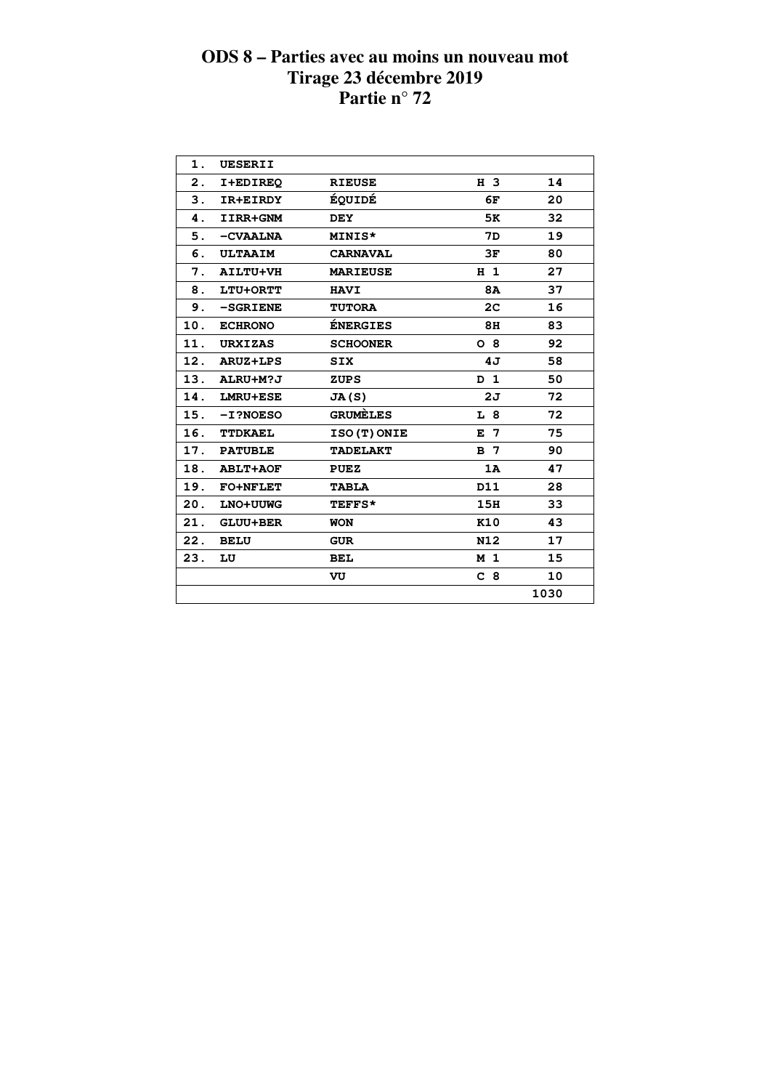| 1.  | <b>UESERII</b>  |                 |                |      |  |
|-----|-----------------|-----------------|----------------|------|--|
| 2.  | I+EDIREQ        | <b>RIEUSE</b>   | H 3            | 14   |  |
| 3.  | IR+EIRDY        | ÉQUIDÉ          | 6F             | 20   |  |
| 4.  | IIRR+GNM        | <b>DEY</b>      | 5K             | 32   |  |
| 5.  | -CVAALNA        | MINIS*          | 7D             | 19   |  |
| 6.  | <b>ULTAAIM</b>  | <b>CARNAVAL</b> | 3F             | 80   |  |
| 7.  | <b>AILTU+VH</b> | <b>MARIEUSE</b> | H <sub>1</sub> | 27   |  |
| 8.  | LTU+ORTT        | <b>HAVI</b>     | 8A             | 37   |  |
| 9.  | $-SGRIENE$      | <b>TUTORA</b>   | 2 <sub>C</sub> | 16   |  |
| 10. | <b>ECHRONO</b>  | <b>ÉNERGIES</b> | 8H             | 83   |  |
| 11. | <b>URXIZAS</b>  | <b>SCHOONER</b> | O <sub>8</sub> | 92   |  |
| 12. | <b>ARUZ+LPS</b> | <b>SIX</b>      | 4J             | 58   |  |
| 13. | ALRU+M?J        | <b>ZUPS</b>     | D <sub>1</sub> | 50   |  |
| 14. | LMRU+ESE        | JA(S)           | 2J             | 72   |  |
| 15. | $-I$ ?NOESO     | <b>GRUMELES</b> | L <sub>8</sub> | 72   |  |
| 16. | <b>TTDKAEL</b>  | ISO(T)ONIE      | $E$ 7          | 75   |  |
| 17. | <b>PATUBLE</b>  | <b>TADELAKT</b> | B <sub>7</sub> | 90   |  |
| 18. | <b>ABLT+AOF</b> | <b>PUEZ</b>     | 1A             | 47   |  |
| 19. | <b>FO+NFLET</b> | <b>TABLA</b>    | D11            | 28   |  |
| 20. | LNO+UUWG        | TEFFS*          | 15H            | 33   |  |
| 21. | <b>GLUU+BER</b> | <b>WON</b>      | K10            | 43   |  |
| 22. | <b>BELU</b>     | <b>GUR</b>      | N12            | 17   |  |
| 23. | LU              | <b>BEL</b>      | M <sub>1</sub> | 15   |  |
|     |                 | VU              | C <sub>8</sub> | 10   |  |
|     |                 |                 |                | 1030 |  |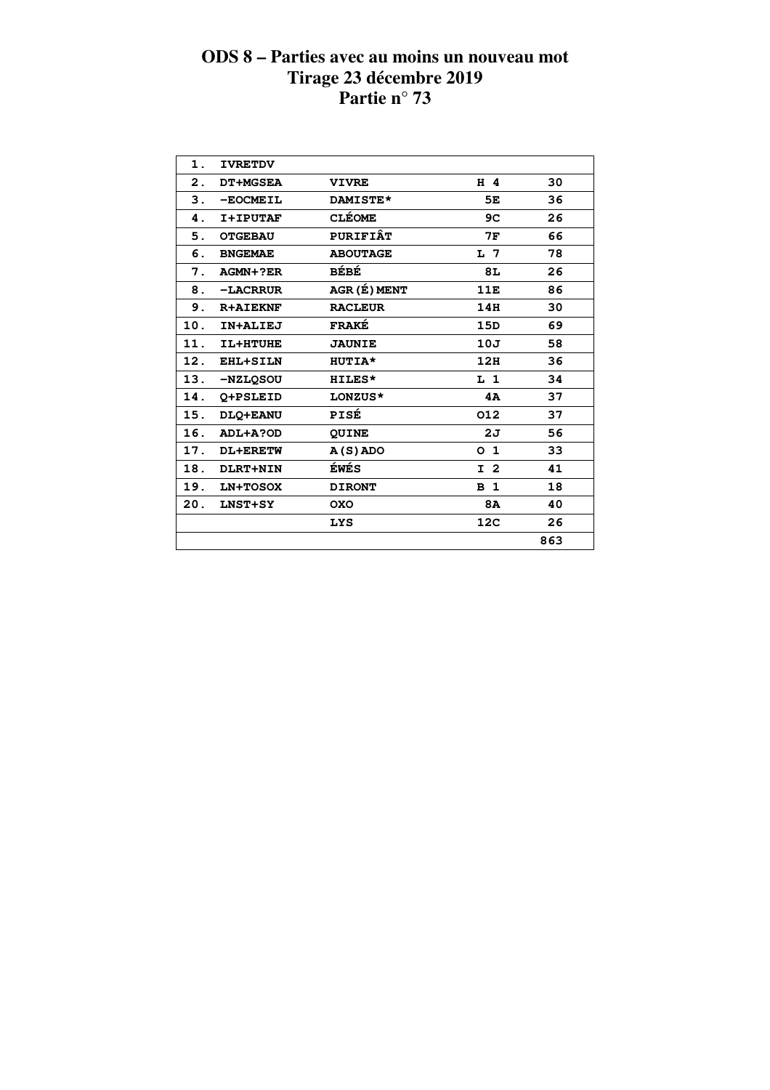| 1.  | <b>IVRETDV</b>  |                 |                 |     |  |
|-----|-----------------|-----------------|-----------------|-----|--|
| 2.  | <b>DT+MGSEA</b> | <b>VIVRE</b>    | H 4             | 30  |  |
| 3.  | -EOCMEIL        | DAMISTE*        | 5E              | 36  |  |
| 4.  | I+IPUTAF        | <b>CLÉOME</b>   | 9C              | 26  |  |
| 5.  | <b>OTGEBAU</b>  | <b>PURIFIÂT</b> | 7F              | 66  |  |
| 6.  | <b>BNGEMAE</b>  | <b>ABOUTAGE</b> | L <sub>7</sub>  | 78  |  |
| 7.  | AGMN+?ER        | BÉBÉ            | 8L              | 26  |  |
| 8.  | -LACRRUR        | AGR (É) MENT    | 11E             | 86  |  |
| 9.  | <b>R+AIEKNF</b> | <b>RACLEUR</b>  | 14H             | 30  |  |
| 10. | IN+ALIEJ        | <b>FRAKÉ</b>    | 15D             | 69  |  |
| 11. | IL+HTUHE        | <b>JAUNIE</b>   | 10J             | 58  |  |
| 12. | EHL+SILN        | HUTIA*          | 12H             | 36  |  |
| 13. | -NZLOSOU        | HILES*          | L <sub>1</sub>  | 34  |  |
| 14. | O+PSLEID        | LONZUS*         | 4A              | 37  |  |
| 15. | DLO+EANU        | PISÉ            | 012             | 37  |  |
| 16. | ADL+A?OD        | <b>QUINE</b>    | 2J              | 56  |  |
| 17. | DL+ERETW        | $A(S)$ ADO      | O <sub>1</sub>  | 33  |  |
| 18. | DLRT+NIN        | ÉWÉS            | I <sub>2</sub>  | 41  |  |
| 19. | LN+TOSOX        | <b>DIRONT</b>   | B <sub>1</sub>  | 18  |  |
| 20. | <b>LNST+SY</b>  | <b>OXO</b>      | 8A              | 40  |  |
|     |                 | <b>LYS</b>      | 12 <sub>C</sub> | 26  |  |
|     |                 |                 |                 | 863 |  |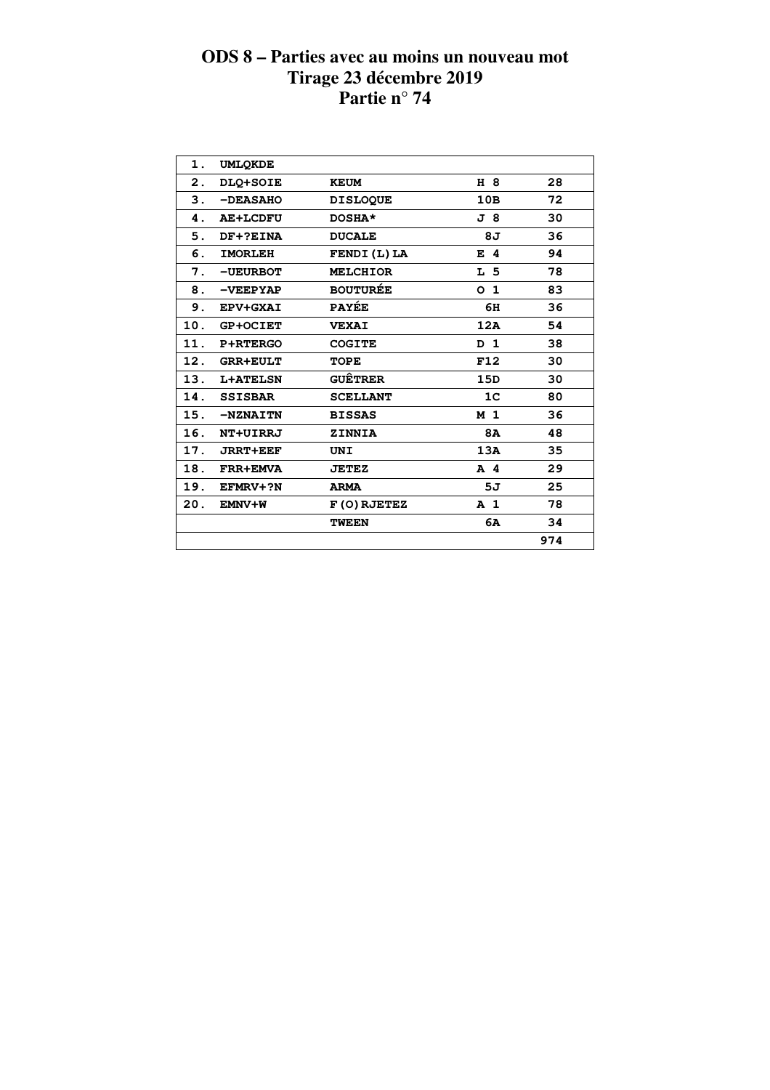| 1.  | <b>UMLOKDE</b>  |                   |                |     |  |
|-----|-----------------|-------------------|----------------|-----|--|
| 2.  | DLQ+SOIE        | <b>KEUM</b>       | H 8            | 28  |  |
| 3.  | -DEASAHO        | <b>DISLOQUE</b>   | 10B            | 72  |  |
| 4.  | <b>AE+LCDFU</b> | DOSHA*            | J 8            | 30  |  |
| 5.  | DF+?EINA        | <b>DUCALE</b>     | 8J             | 36  |  |
| 6.  | <b>IMORLEH</b>  | <b>FENDI(L)LA</b> | $E$ 4          | 94  |  |
| 7.  | -UEURBOT        | <b>MELCHIOR</b>   | L <sub>5</sub> | 78  |  |
| 8.  | $-$ VEEPYAP     | <b>BOUTURÉE</b>   | O <sub>1</sub> | 83  |  |
| 9.  | EPV+GXAI        | <b>PAYÉE</b>      | 6H             | 36  |  |
| 10. | <b>GP+OCIET</b> | <b>VEXAI</b>      | 12A            | 54  |  |
| 11. | P+RTERGO        | <b>COGITE</b>     | D 1            | 38  |  |
| 12. | <b>GRR+EULT</b> | <b>TOPE</b>       | F12            | 30  |  |
| 13. | <b>L+ATELSN</b> | <b>GUÊTRER</b>    | 15D            | 30  |  |
| 14. | <b>SSISBAR</b>  | <b>SCELLANT</b>   | 1 <sup>C</sup> | 80  |  |
| 15. | -NZNAITN        | <b>BISSAS</b>     | M <sub>1</sub> | 36  |  |
| 16. | NT+UIRRJ        | <b>ZINNIA</b>     | <b>8A</b>      | 48  |  |
| 17. | <b>JRRT+EEF</b> | <b>UNI</b>        | 13A            | 35  |  |
| 18. | <b>FRR+EMVA</b> | <b>JETEZ</b>      | $A$ 4          | 29  |  |
| 19. | EFMRV+?N        | <b>ARMA</b>       | 5J             | 25  |  |
| 20. | EMNV+W          | F(O) RJETEZ       | A <sub>1</sub> | 78  |  |
|     |                 | <b>TWEEN</b>      | 6A             | 34  |  |
|     |                 |                   |                | 974 |  |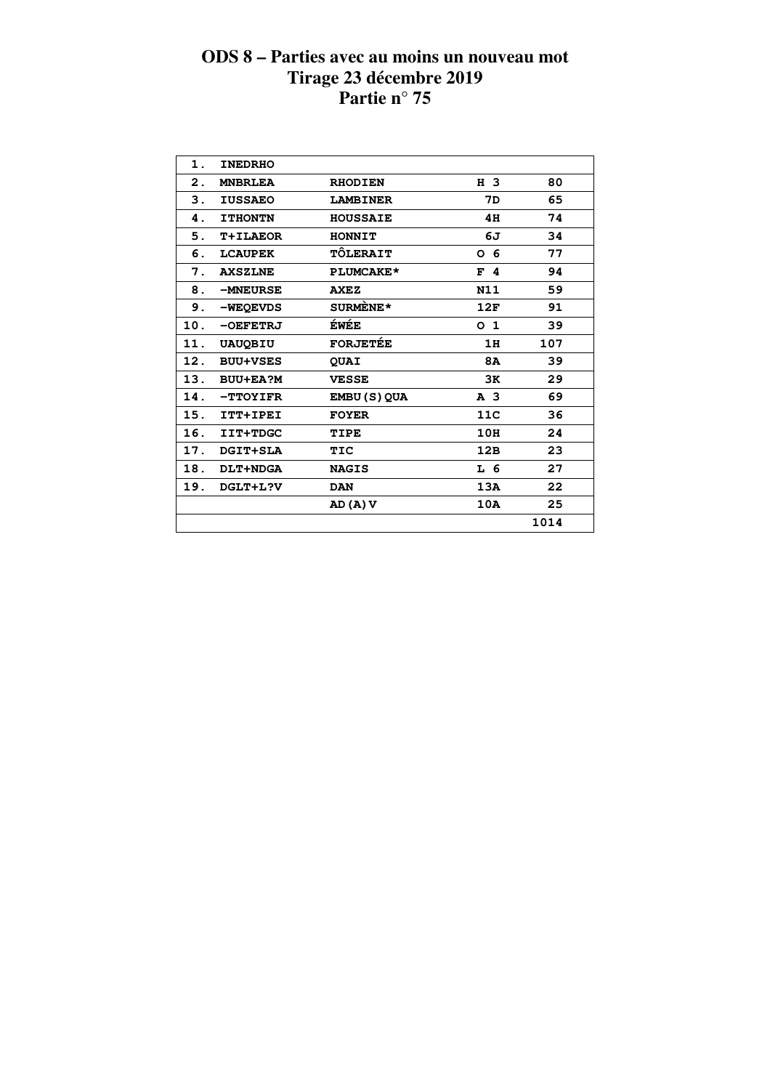| 1.             | <b>INEDRHO</b>  |                     |                |      |  |
|----------------|-----------------|---------------------|----------------|------|--|
| $\mathbf{2}$ . | <b>MNBRLEA</b>  | <b>RHODIEN</b>      | H 3            | 80   |  |
| 3.             | <b>IUSSAEO</b>  | <b>LAMBINER</b>     | 7D             | 65   |  |
| 4.             | <b>ITHONTN</b>  | <b>HOUSSAIE</b>     | 4H             | 74   |  |
| 5.             | <b>T+ILAEOR</b> | <b>HONNIT</b>       | 6J             | 34   |  |
| 6.             | <b>LCAUPEK</b>  | TÔLERAIT            | 0 <sub>6</sub> | 77   |  |
| 7.             | <b>AXSZLNE</b>  | PLUMCAKE*           | F <sub>4</sub> | 94   |  |
| 8.             | -MNEURSE        | <b>AXEZ</b>         | N11            | 59   |  |
| 9.             | -WEQEVDS        | SURMENE*            | 12F            | 91   |  |
| 10.            | $-DEFETRI$      | ÉWÉE                | O <sub>1</sub> | 39   |  |
| 11.            | <b>UAUQBIU</b>  | <b>FORJETÉE</b>     | 1H             | 107  |  |
| 12.            | <b>BUU+VSES</b> | <b>QUAI</b>         | 8A             | 39   |  |
| 13.            | <b>BUU+EA?M</b> | <b>VESSE</b>        | 3K             | 29   |  |
| 14.            | -TTOYIFR        | <b>EMBU (S) QUA</b> | A <sub>3</sub> | 69   |  |
| 15.            | ITT+IPEI        | <b>FOYER</b>        | 11C            | 36   |  |
| 16.            | IIT+TDGC        | TIPE                | 10H            | 24   |  |
| 17.            | DGIT+SLA        | TIC                 | 12B            | 23   |  |
| 18.            | <b>DLT+NDGA</b> | <b>NAGIS</b>        | L 6            | 27   |  |
| 19.            | DGLT+L?V        | <b>DAN</b>          | 13A            | 22   |  |
|                |                 | AD (A) V            | 10A            | 25   |  |
|                |                 |                     |                | 1014 |  |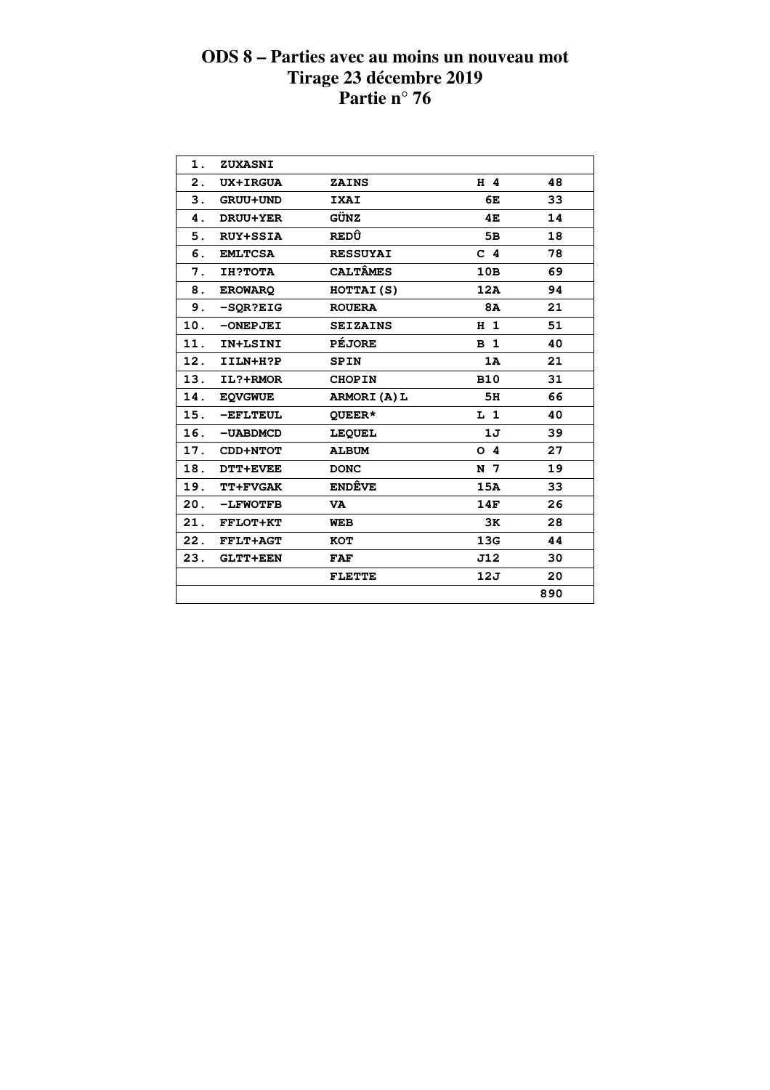| 1.  | ZUXASNI         |                 |                |     |  |
|-----|-----------------|-----------------|----------------|-----|--|
| 2.  | <b>UX+IRGUA</b> | <b>ZAINS</b>    | $H$ 4          | 48  |  |
| 3.  | GRUU+UND        | <b>IXAI</b>     | 6E             | 33  |  |
| 4.  | DRUU+YER        | GÜNZ            | 4E             | 14  |  |
| 5.  | <b>RUY+SSIA</b> | REDÛ            | 5B             | 18  |  |
| 6.  | <b>EMLTCSA</b>  | <b>RESSUYAI</b> | C <sub>4</sub> | 78  |  |
| 7.  | <b>IH?TOTA</b>  | <b>CALTÂMES</b> | 10B            | 69  |  |
| 8.  | <b>EROWARQ</b>  | HOTTAI(S)       | 12A            | 94  |  |
| 9.  | $-SOR?EIG$      | <b>ROUERA</b>   | <b>8A</b>      | 21  |  |
| 10. | $-ONEPJEI$      | <b>SEIZAINS</b> | H <sub>1</sub> | 51  |  |
| 11. | IN+LSINI        | <b>PÉJORE</b>   | B <sub>1</sub> | 40  |  |
| 12. | IILN+H?P        | <b>SPIN</b>     | 1A             | 21  |  |
| 13. | IL?+RMOR        | <b>CHOPIN</b>   | <b>B10</b>     | 31  |  |
| 14. | <b>EQVGWUE</b>  | ARMORI(A)L      | 5H             | 66  |  |
| 15. | $-EFLTEUL$      | OUEER*          | $L_1$          | 40  |  |
| 16. | -UABDMCD        | <b>LEQUEL</b>   | 1J             | 39  |  |
| 17. | CDD+NTOT        | <b>ALBUM</b>    | O <sub>4</sub> | 27  |  |
| 18. | <b>DTT+EVEE</b> | <b>DONC</b>     | N 7            | 19  |  |
| 19. | <b>TT+FVGAK</b> | <b>ENDÊVE</b>   | 15A            | 33  |  |
| 20. | <b>-LFWOTFB</b> | <b>VA</b>       | 14F            | 26  |  |
| 21. | FFLOT+KT        | <b>WEB</b>      | 3K             | 28  |  |
| 22. | <b>FFLT+AGT</b> | <b>KOT</b>      | 13G            | 44  |  |
| 23. | <b>GLTT+EEN</b> | <b>FAF</b>      | J12            | 30  |  |
|     |                 | <b>FLETTE</b>   | 12J            | 20  |  |
|     |                 |                 |                | 890 |  |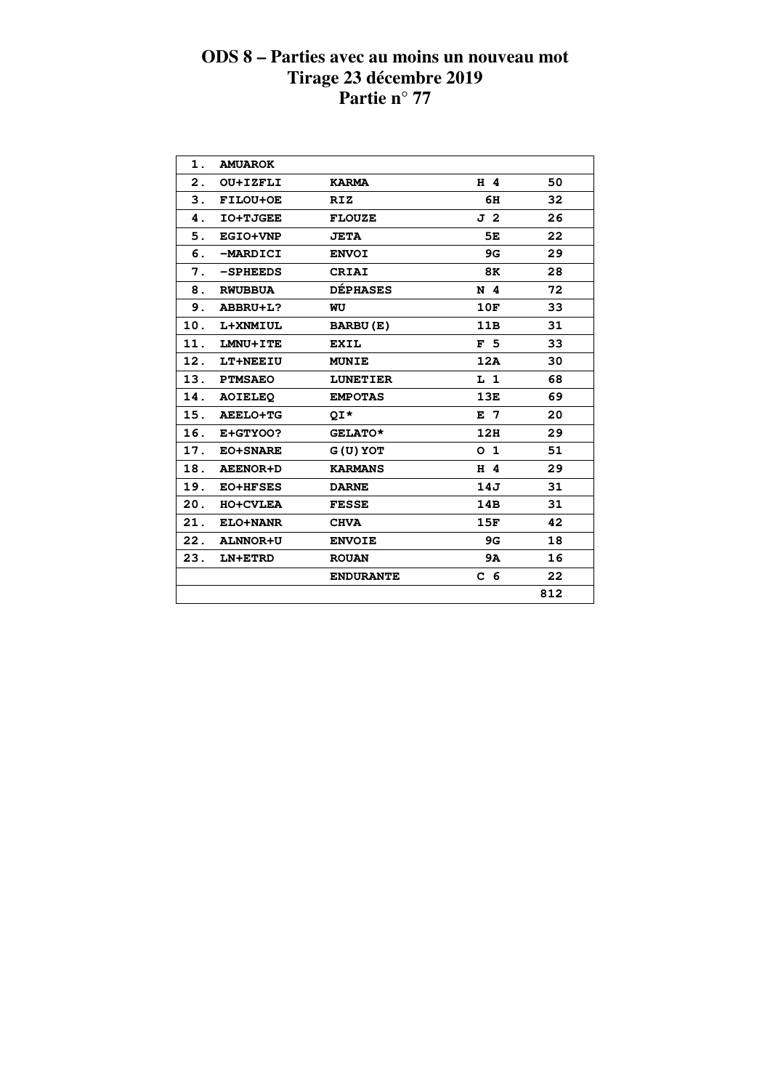| $\mathbf 1$ .<br><b>AMUAROK</b><br>H 4<br>50<br>$\mathbf{2}$ .<br>OU+IZFLI<br><b>KARMA</b><br>3.<br>FILOU+OE<br>6H<br>32<br><b>RIZ</b><br>J 2<br>26<br><b>IO+TJGEE</b><br>4.<br><b>FLOUZE</b><br>22<br>5.<br><b>EGIO+VNP</b><br>5E<br><b>JETA</b><br>29<br>6.<br>-MARDICI<br><b>ENVOI</b><br>9G<br>28<br>7.<br>$-SPHEEDS$<br><b>CRIAI</b><br>8K<br><b>DÉPHASES</b><br>72<br>8.<br>N <sub>4</sub><br><b>RWUBBUA</b><br>9.<br>10F<br>33<br>ABBRU+L?<br>WU<br>31<br>10.<br>11B<br>L+XNMIUL<br>BARBU(E)<br>33<br>11.<br>F <sub>5</sub><br>LMNU+ITE<br><b>EXIL</b><br>12.<br>12A<br>30<br>LT+NEEIU<br><b>MUNIE</b><br>13.<br>68<br><b>PTMSAEO</b><br><b>LUNETIER</b><br>L <sub>1</sub><br>69<br>14.<br>13E<br><b>AOIELEO</b><br><b>EMPOTAS</b><br>20<br>15.<br><b>AEELO+TG</b><br>E 7<br>OI*<br>16.<br>12H<br>29<br>E+GTYOO?<br>GELATO*<br>51<br>17.<br>O <sub>1</sub><br><b>EO+SNARE</b><br>$G(U)$ YOT<br>29<br>18.<br>H 4<br><b>AEENOR+D</b><br><b>KARMANS</b><br>31<br>19.<br>14J<br><b>EO+HFSES</b><br><b>DARNE</b><br>31<br>20.<br>14B<br><b>HO+CVLEA</b><br><b>FESSE</b><br>42<br>21.<br>15F<br>ELO+NANR<br><b>CHVA</b><br>22.<br>18<br><b>ALNNOR+U</b><br>9G<br><b>ENVOIE</b><br>23.<br>9A<br>16<br>LN+ETRD<br><b>ROUAN</b><br>22<br>C <sub>6</sub><br><b>ENDURANTE</b><br>812 |  |  |  |
|----------------------------------------------------------------------------------------------------------------------------------------------------------------------------------------------------------------------------------------------------------------------------------------------------------------------------------------------------------------------------------------------------------------------------------------------------------------------------------------------------------------------------------------------------------------------------------------------------------------------------------------------------------------------------------------------------------------------------------------------------------------------------------------------------------------------------------------------------------------------------------------------------------------------------------------------------------------------------------------------------------------------------------------------------------------------------------------------------------------------------------------------------------------------------------------------------------------------------------------------------------------------------------|--|--|--|
|                                                                                                                                                                                                                                                                                                                                                                                                                                                                                                                                                                                                                                                                                                                                                                                                                                                                                                                                                                                                                                                                                                                                                                                                                                                                                  |  |  |  |
|                                                                                                                                                                                                                                                                                                                                                                                                                                                                                                                                                                                                                                                                                                                                                                                                                                                                                                                                                                                                                                                                                                                                                                                                                                                                                  |  |  |  |
|                                                                                                                                                                                                                                                                                                                                                                                                                                                                                                                                                                                                                                                                                                                                                                                                                                                                                                                                                                                                                                                                                                                                                                                                                                                                                  |  |  |  |
|                                                                                                                                                                                                                                                                                                                                                                                                                                                                                                                                                                                                                                                                                                                                                                                                                                                                                                                                                                                                                                                                                                                                                                                                                                                                                  |  |  |  |
|                                                                                                                                                                                                                                                                                                                                                                                                                                                                                                                                                                                                                                                                                                                                                                                                                                                                                                                                                                                                                                                                                                                                                                                                                                                                                  |  |  |  |
|                                                                                                                                                                                                                                                                                                                                                                                                                                                                                                                                                                                                                                                                                                                                                                                                                                                                                                                                                                                                                                                                                                                                                                                                                                                                                  |  |  |  |
|                                                                                                                                                                                                                                                                                                                                                                                                                                                                                                                                                                                                                                                                                                                                                                                                                                                                                                                                                                                                                                                                                                                                                                                                                                                                                  |  |  |  |
|                                                                                                                                                                                                                                                                                                                                                                                                                                                                                                                                                                                                                                                                                                                                                                                                                                                                                                                                                                                                                                                                                                                                                                                                                                                                                  |  |  |  |
|                                                                                                                                                                                                                                                                                                                                                                                                                                                                                                                                                                                                                                                                                                                                                                                                                                                                                                                                                                                                                                                                                                                                                                                                                                                                                  |  |  |  |
|                                                                                                                                                                                                                                                                                                                                                                                                                                                                                                                                                                                                                                                                                                                                                                                                                                                                                                                                                                                                                                                                                                                                                                                                                                                                                  |  |  |  |
|                                                                                                                                                                                                                                                                                                                                                                                                                                                                                                                                                                                                                                                                                                                                                                                                                                                                                                                                                                                                                                                                                                                                                                                                                                                                                  |  |  |  |
|                                                                                                                                                                                                                                                                                                                                                                                                                                                                                                                                                                                                                                                                                                                                                                                                                                                                                                                                                                                                                                                                                                                                                                                                                                                                                  |  |  |  |
|                                                                                                                                                                                                                                                                                                                                                                                                                                                                                                                                                                                                                                                                                                                                                                                                                                                                                                                                                                                                                                                                                                                                                                                                                                                                                  |  |  |  |
|                                                                                                                                                                                                                                                                                                                                                                                                                                                                                                                                                                                                                                                                                                                                                                                                                                                                                                                                                                                                                                                                                                                                                                                                                                                                                  |  |  |  |
|                                                                                                                                                                                                                                                                                                                                                                                                                                                                                                                                                                                                                                                                                                                                                                                                                                                                                                                                                                                                                                                                                                                                                                                                                                                                                  |  |  |  |
|                                                                                                                                                                                                                                                                                                                                                                                                                                                                                                                                                                                                                                                                                                                                                                                                                                                                                                                                                                                                                                                                                                                                                                                                                                                                                  |  |  |  |
|                                                                                                                                                                                                                                                                                                                                                                                                                                                                                                                                                                                                                                                                                                                                                                                                                                                                                                                                                                                                                                                                                                                                                                                                                                                                                  |  |  |  |
|                                                                                                                                                                                                                                                                                                                                                                                                                                                                                                                                                                                                                                                                                                                                                                                                                                                                                                                                                                                                                                                                                                                                                                                                                                                                                  |  |  |  |
|                                                                                                                                                                                                                                                                                                                                                                                                                                                                                                                                                                                                                                                                                                                                                                                                                                                                                                                                                                                                                                                                                                                                                                                                                                                                                  |  |  |  |
|                                                                                                                                                                                                                                                                                                                                                                                                                                                                                                                                                                                                                                                                                                                                                                                                                                                                                                                                                                                                                                                                                                                                                                                                                                                                                  |  |  |  |
|                                                                                                                                                                                                                                                                                                                                                                                                                                                                                                                                                                                                                                                                                                                                                                                                                                                                                                                                                                                                                                                                                                                                                                                                                                                                                  |  |  |  |
|                                                                                                                                                                                                                                                                                                                                                                                                                                                                                                                                                                                                                                                                                                                                                                                                                                                                                                                                                                                                                                                                                                                                                                                                                                                                                  |  |  |  |
|                                                                                                                                                                                                                                                                                                                                                                                                                                                                                                                                                                                                                                                                                                                                                                                                                                                                                                                                                                                                                                                                                                                                                                                                                                                                                  |  |  |  |
|                                                                                                                                                                                                                                                                                                                                                                                                                                                                                                                                                                                                                                                                                                                                                                                                                                                                                                                                                                                                                                                                                                                                                                                                                                                                                  |  |  |  |
|                                                                                                                                                                                                                                                                                                                                                                                                                                                                                                                                                                                                                                                                                                                                                                                                                                                                                                                                                                                                                                                                                                                                                                                                                                                                                  |  |  |  |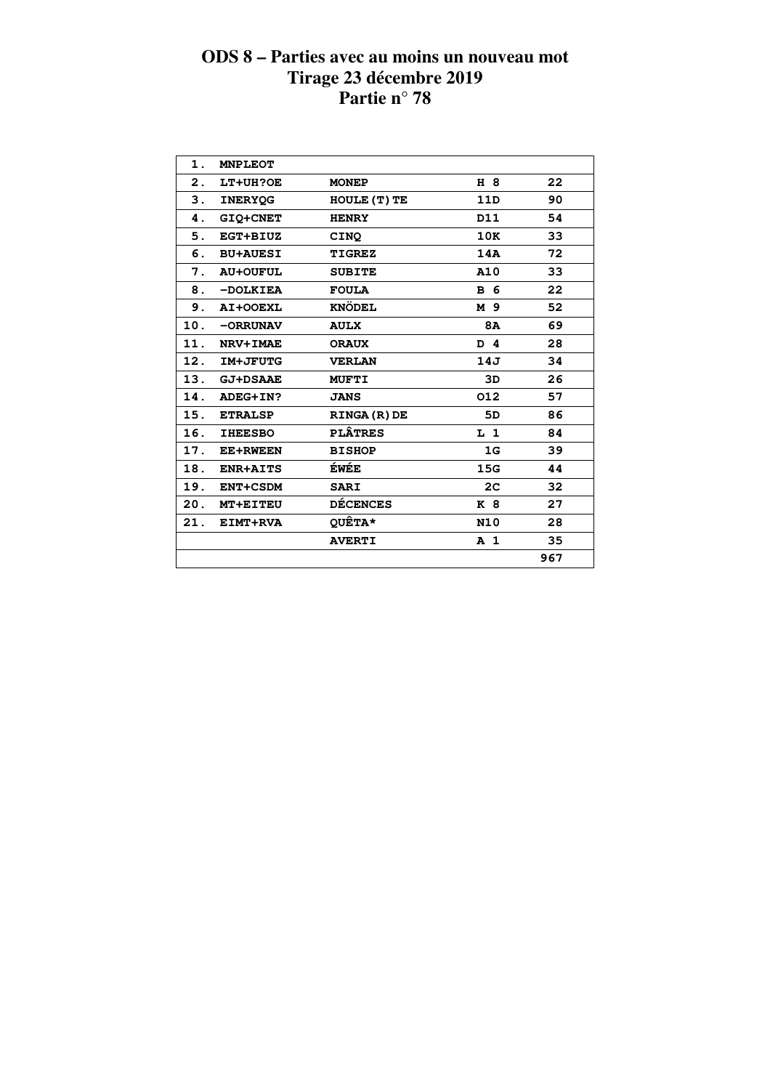| 1.  | <b>MNPLEOT</b>  |                     |                |     |
|-----|-----------------|---------------------|----------------|-----|
| 2.  | LT+UH?OE        | <b>MONEP</b>        | H 8            | 22  |
| 3.  | <b>INERYOG</b>  | HOULE (T) TE        | 11D            | 90  |
| 4.  | <b>GIO+CNET</b> | <b>HENRY</b>        | D11            | 54  |
| 5.  | EGT+BIUZ        | CINQ                | 10K            | 33  |
| 6.  | <b>BU+AUESI</b> | <b>TIGREZ</b>       | 14A            | 72  |
| 7.  | <b>AU+OUFUL</b> | <b>SUBITE</b>       | A10            | 33  |
| 8.  | -DOLKIEA        | <b>FOULA</b>        | <b>B</b> 6     | 22  |
| 9.  | AI+OOEXL        | <b>KNÖDEL</b>       | M 9            | 52  |
| 10. | -ORRUNAV        | <b>AULX</b>         | <b>8A</b>      | 69  |
| 11. | NRV+IMAE        | <b>ORAUX</b>        | D 4            | 28  |
| 12. | IM+JFUTG        | <b>VERLAN</b>       | 14J            | 34  |
| 13. | <b>GJ+DSAAE</b> | <b>MUFTI</b>        | 3D             | 26  |
| 14. | ADEG+IN?        | <b>JANS</b>         | 012            | 57  |
| 15. | <b>ETRALSP</b>  | <b>RINGA (R) DE</b> | 5D             | 86  |
| 16. | <b>IHEESBO</b>  | <b>PLÂTRES</b>      | L <sub>1</sub> | 84  |
| 17. | <b>EE+RWEEN</b> | <b>BISHOP</b>       | 1 <sub>G</sub> | 39  |
| 18. | <b>ENR+AITS</b> | ÉWÉE                | 15G            | 44  |
| 19. | ENT+CSDM        | <b>SARI</b>         | 2 <sup>c</sup> | 32  |
| 20. | <b>MT+EITEU</b> | <b>DÉCENCES</b>     | K 8            | 27  |
| 21. | EIMT+RVA        | QUÊTA*              | <b>N10</b>     | 28  |
|     |                 | <b>AVERTI</b>       | A <sub>1</sub> | 35  |
|     |                 |                     |                | 967 |
|     |                 |                     |                |     |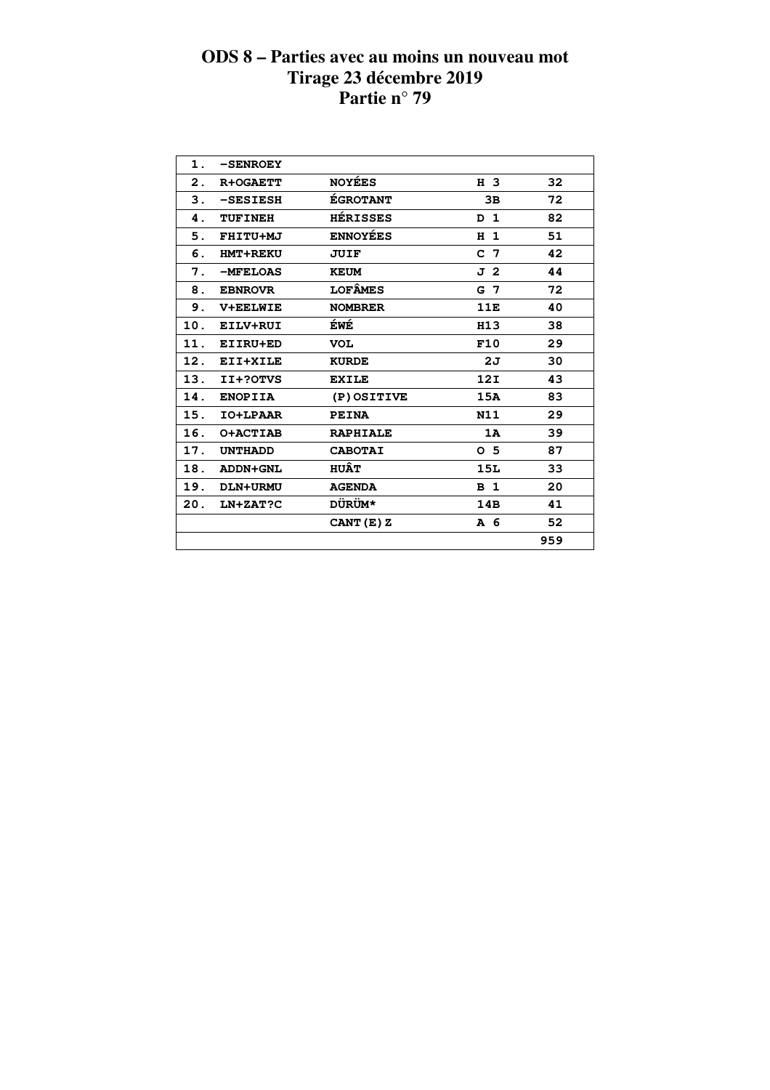| $\mathbf 1$ . | <b>-SENROEY</b> |                 |                |     |  |
|---------------|-----------------|-----------------|----------------|-----|--|
| 2.            | R+OGAETT        | <b>NOYÉES</b>   | H 3            | 32  |  |
| 3.            | $-$ SESIESH     | <b>EGROTANT</b> | 3B             | 72  |  |
| 4.            | <b>TUFINEH</b>  | <b>HÉRISSES</b> | $D_1$          | 82  |  |
| 5.            | FHITU+MJ        | <b>ENNOYÉES</b> | H <sub>1</sub> | 51  |  |
| 6.            | <b>HMT+REKU</b> | <b>JUIF</b>     | C <sub>7</sub> | 42  |  |
| 7.            | -MFELOAS        | <b>KEUM</b>     | J 2            | 44  |  |
| 8.            | <b>EBNROVR</b>  | <b>LOFÂMES</b>  | G 7            | 72  |  |
| 9.            | <b>V+EELWIE</b> | <b>NOMBRER</b>  | 11E            | 40  |  |
| 10.           | EILV+RUI        | ÉWÉ             | <b>H13</b>     | 38  |  |
| 11.           | EIIRU+ED        | <b>VOL</b>      | F10            | 29  |  |
| 12.           | EII+XILE        | <b>KURDE</b>    | 2J             | 30  |  |
| 13.           | II+?OTVS        | <b>EXILE</b>    | 12I            | 43  |  |
| 14.           | <b>ENOPIIA</b>  | (P) OSITIVE     | 15A            | 83  |  |
| 15.           | IO+LPAAR        | <b>PEINA</b>    | N11            | 29  |  |
| 16.           | O+ACTIAB        | <b>RAPHIALE</b> | 1A             | 39  |  |
| 17.           | <b>UNTHADD</b>  | <b>CABOTAI</b>  | O <sub>5</sub> | 87  |  |
| 18.           | <b>ADDN+GNL</b> | <b>HUÂT</b>     | 15L            | 33  |  |
| 19.           | DLN+URMU        | <b>AGENDA</b>   | <b>B</b> 1     | 20  |  |
| 20.           | LN+ZAT?C        | <b>DÜRÜM*</b>   | 14B            | 41  |  |
|               |                 | CANT (E) Z      | A 6            | 52  |  |
|               |                 |                 |                | 959 |  |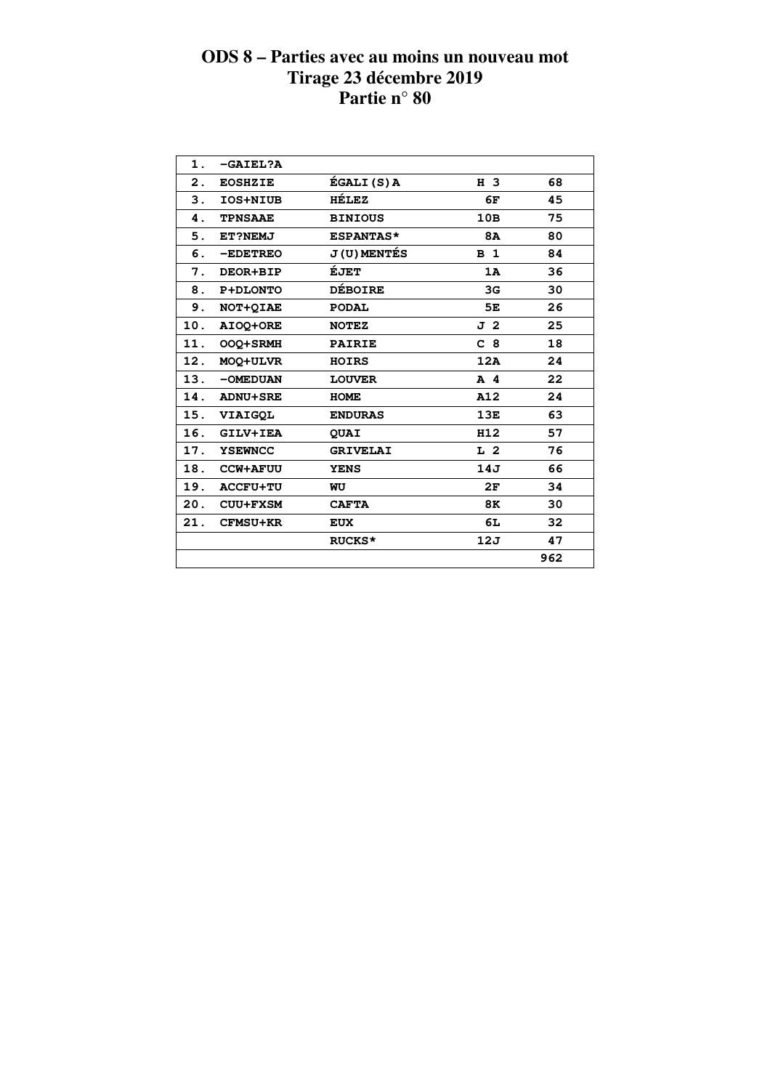| 1.             | $-GATEL?A$      |                     |                |     |
|----------------|-----------------|---------------------|----------------|-----|
| $\mathbf{2}$ . | <b>EOSHZIE</b>  | ÉGALI (S) A         | H 3            | 68  |
| 3.             | IOS+NIUB        | <b>HÉLEZ</b>        | 6F             | 45  |
| 4.             | <b>TPNSAAE</b>  | <b>BINIOUS</b>      | 10B            | 75  |
| 5.             | ET?NEMJ         | <b>ESPANTAS*</b>    | <b>8A</b>      | 80  |
| 6.             | $-EDETREO$      | <b>J (U) MENTÉS</b> | <b>B</b> 1     | 84  |
| 7.             | DEOR+BIP        | ÉJET                | 1A             | 36  |
| 8.             | P+DLONTO        | <b>DÉBOIRE</b>      | 3G             | 30  |
| 9.             | NOT+QIAE        | <b>PODAL</b>        | 5E             | 26  |
| 10.            | AIOQ+ORE        | <b>NOTEZ</b>        | J 2            | 25  |
| 11.            | OOQ+SRMH        | <b>PAIRIE</b>       | C <sub>8</sub> | 18  |
| 12.            | MOQ+ULVR        | <b>HOIRS</b>        | 12A            | 24  |
| 13.            | -OMEDUAN        | <b>LOUVER</b>       | $A$ 4          | 22  |
| 14.            | <b>ADNU+SRE</b> | <b>HOME</b>         | A12            | 24  |
| 15.            | <b>VIAIGOL</b>  | <b>ENDURAS</b>      | 13E            | 63  |
| 16.            | GILV+IEA        | <b>QUAI</b>         | H12            | 57  |
| 17.            | <b>YSEWNCC</b>  | <b>GRIVELAI</b>     | L <sub>2</sub> | 76  |
| 18.            | <b>CCW+AFUU</b> | <b>YENS</b>         | 14J            | 66  |
| 19.            | <b>ACCFU+TU</b> | WU                  | 2F             | 34  |
| 20.            | <b>CUU+FXSM</b> | <b>CAFTA</b>        | 8K             | 30  |
| 21.            | <b>CFMSU+KR</b> | <b>EUX</b>          | 6L             | 32  |
|                |                 | <b>RUCKS*</b>       | 12J            | 47  |
|                |                 |                     |                | 962 |
|                |                 |                     |                |     |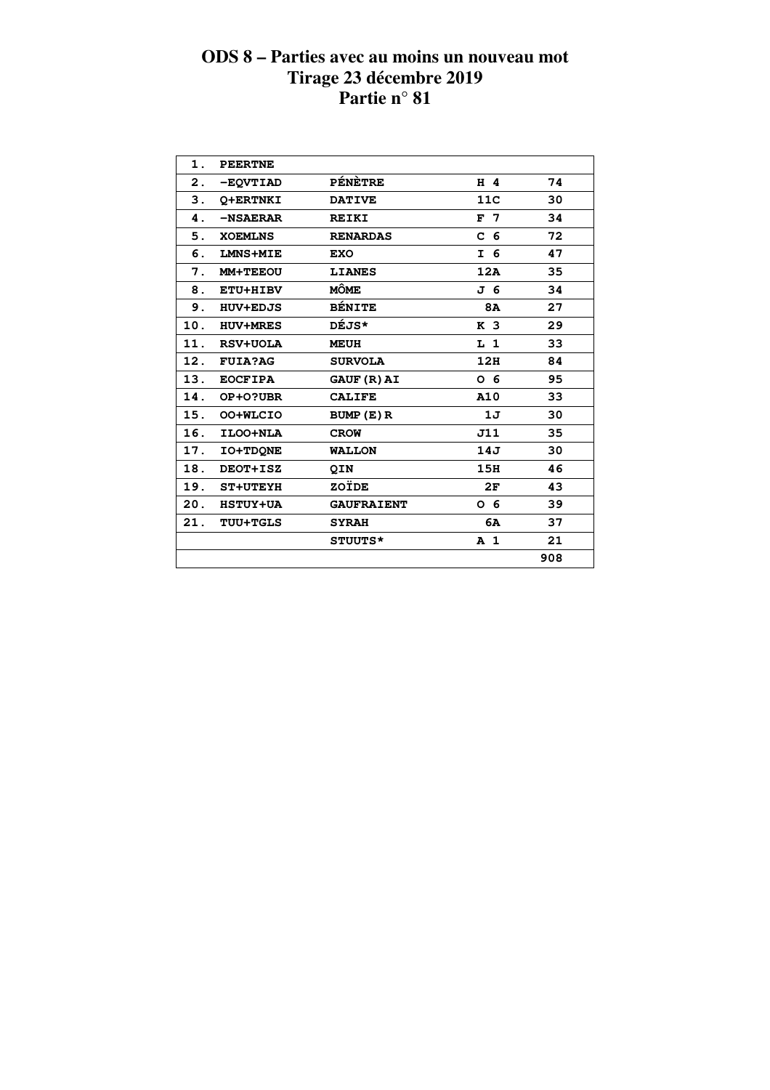| 1.  | <b>PEERTNE</b>  |                    |                |     |
|-----|-----------------|--------------------|----------------|-----|
| 2.  | -EQVTIAD        | <b>PÉNÈTRE</b>     | $H$ 4          | 74  |
| 3.  | O+ERTNKI        | <b>DATIVE</b>      | 11C            | 30  |
| 4.  | -NSAERAR        | <b>REIKI</b>       | F <sub>7</sub> | 34  |
| 5.  | <b>XOEMLNS</b>  | <b>RENARDAS</b>    | C <sub>6</sub> | 72  |
| 6.  | <b>LMNS+MIE</b> | <b>EXO</b>         | I 6            | 47  |
| 7.  | MM+TEEOU        | <b>LIANES</b>      | 12A            | 35  |
| 8.  | ETU+HIBV        | MÔME               | J 6            | 34  |
| 9.  | <b>HUV+EDJS</b> | <b>BÉNITE</b>      | <b>8A</b>      | 27  |
| 10. | <b>HUV+MRES</b> | DÉJS*              | K <sub>3</sub> | 29  |
| 11. | <b>RSV+UOLA</b> | <b>MEUH</b>        | L <sub>1</sub> | 33  |
| 12. | <b>FUIA?AG</b>  | <b>SURVOLA</b>     | 12H            | 84  |
| 13. | <b>EOCFIPA</b>  | <b>GAUF (R) AI</b> | O 6            | 95  |
| 14. | OP+0?UBR        | <b>CALIFE</b>      | A10            | 33  |
| 15. | OO+WLCIO        | BUMP (E) R         | 1J             | 30  |
| 16. | ILOO+NLA        | <b>CROW</b>        | J11            | 35  |
| 17. | <b>IO+TDONE</b> | <b>WALLON</b>      | 14J            | 30  |
| 18. | DEOT+ISZ        | <b>QIN</b>         | 15H            | 46  |
| 19. | <b>ST+UTEYH</b> | ZOÏDE              | 2F             | 43  |
| 20. | <b>HSTUY+UA</b> | <b>GAUFRAIENT</b>  | 0 <sub>6</sub> | 39  |
| 21. | <b>TUU+TGLS</b> | <b>SYRAH</b>       | 6A             | 37  |
|     |                 | STUUTS*            | A <sub>1</sub> | 21  |
|     |                 |                    |                | 908 |
|     |                 |                    |                |     |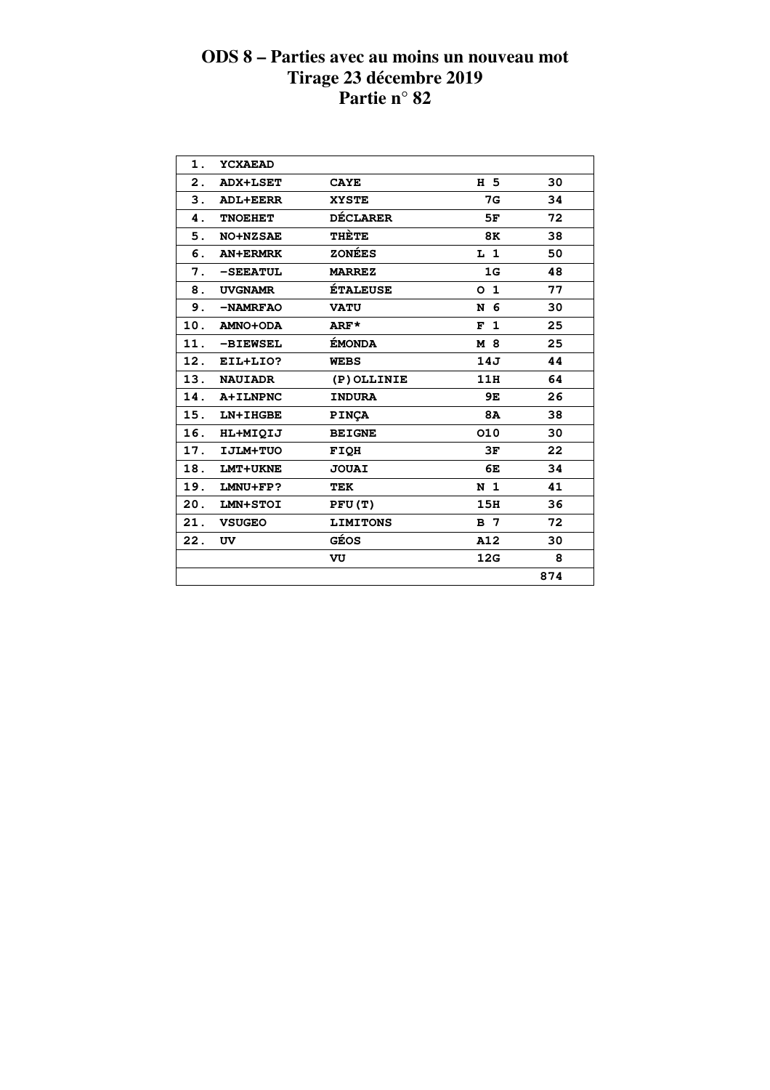| 1.             | <b>YCXAEAD</b>  |                 |                |     |  |
|----------------|-----------------|-----------------|----------------|-----|--|
| $\mathbf{2}$ . | <b>ADX+LSET</b> | <b>CAYE</b>     | H 5            | 30  |  |
| 3.             | <b>ADL+EERR</b> | <b>XYSTE</b>    | 7G             | 34  |  |
| 4.             | <b>TNOEHET</b>  | <b>DÉCLARER</b> | 5F             | 72  |  |
| 5.             | <b>NO+NZSAE</b> | THÈTE           | 8K             | 38  |  |
| 6.             | <b>AN+ERMRK</b> | <b>ZONÉES</b>   | L <sub>1</sub> | 50  |  |
| 7.             | $-$ SEEATUL     | <b>MARREZ</b>   | 1G             | 48  |  |
| 8.             | <b>UVGNAMR</b>  | <b>ÉTALEUSE</b> | O <sub>1</sub> | 77  |  |
| 9.             | -NAMRFAO        | <b>VATU</b>     | N 6            | 30  |  |
| 10.            | <b>AMNO+ODA</b> | ARF*            | F <sub>1</sub> | 25  |  |
| 11.            | <b>-BIEWSEL</b> | ÉMONDA          | M 8            | 25  |  |
| 12.            | EIL+LIO?        | <b>WEBS</b>     | 14J            | 44  |  |
| 13.            | <b>NAUIADR</b>  | (P) OLLINIE     | 11H            | 64  |  |
| 14.            | A+ILNPNC        | <b>INDURA</b>   | 9E             | 26  |  |
| 15.            | LN+IHGBE        | <b>PINÇA</b>    | <b>8A</b>      | 38  |  |
| 16.            | HL+MIQIJ        | <b>BEIGNE</b>   | 010            | 30  |  |
| 17.            | IJLM+TUO        | FIQH            | 3F             | 22  |  |
| 18.            | LMT+UKNE        | <b>JOUAI</b>    | 6E             | 34  |  |
| 19.            | LMNU+FP?        | TEK             | N <sub>1</sub> | 41  |  |
| 20.            | LMN+STOI        | PFU(T)          | 15H            | 36  |  |
| 21.            | <b>VSUGEO</b>   | <b>LIMITONS</b> | B 7            | 72  |  |
| 22.            | UV              | GÉOS            | A12            | 30  |  |
|                |                 | VU              | 12G            | 8   |  |
|                |                 |                 |                | 874 |  |
|                |                 |                 |                |     |  |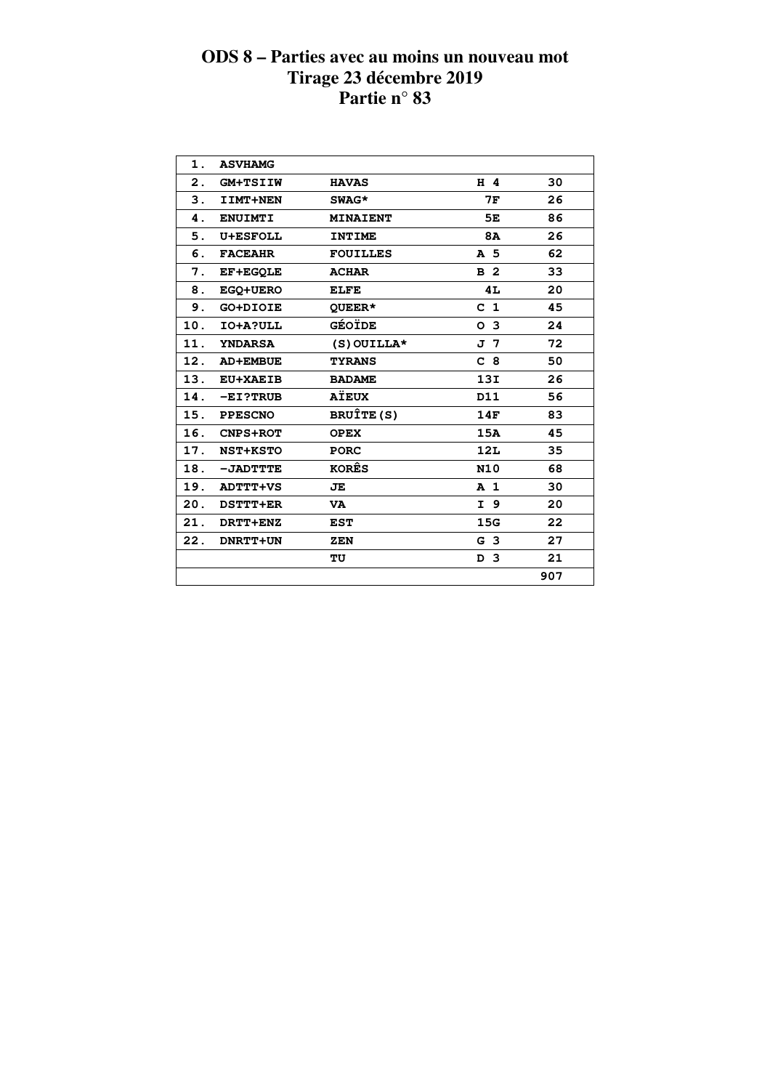| 1.  | <b>ASVHAMG</b>  |                 |                |     |  |
|-----|-----------------|-----------------|----------------|-----|--|
| 2.  | <b>GM+TSIIW</b> | <b>HAVAS</b>    | H 4            | 30  |  |
| 3.  | IIMT+NEN        | SWAG*           | 7F             | 26  |  |
| 4.  | <b>ENUIMTI</b>  | <b>MINAIENT</b> | 5Е             | 86  |  |
| 5.  | <b>U+ESFOLL</b> | <b>INTIME</b>   | 8A             | 26  |  |
| 6.  | <b>FACEAHR</b>  | <b>FOUILLES</b> | A 5            | 62  |  |
| 7.  | <b>EF+EGQLE</b> | <b>ACHAR</b>    | B <sub>2</sub> | 33  |  |
| 8.  | EGQ+UERO        | <b>ELFE</b>     | 4L             | 20  |  |
| 9.  | GO+DIOIE        | QUEER*          | C <sub>1</sub> | 45  |  |
| 10. | IO+A?ULL        | GÉOÏDE          | O <sub>3</sub> | 24  |  |
| 11. | <b>YNDARSA</b>  | $(S)$ OUILLA*   | J 7            | 72  |  |
| 12. | <b>AD+EMBUE</b> | <b>TYRANS</b>   | C <sub>8</sub> | 50  |  |
| 13. | <b>EU+XAEIB</b> | <b>BADAME</b>   | 13I            | 26  |  |
| 14. | $-EI$ ?TRUB     | <b>AÏEUX</b>    | D11            | 56  |  |
| 15. | <b>PPESCNO</b>  | BRUÎTE (S)      | 14F            | 83  |  |
| 16. | <b>CNPS+ROT</b> | <b>OPEX</b>     | 15A            | 45  |  |
| 17. | <b>NST+KSTO</b> | <b>PORC</b>     | 12L            | 35  |  |
| 18. | -JADTTTE        | <b>KORÊS</b>    | <b>N10</b>     | 68  |  |
| 19. | <b>ADTTT+VS</b> | JE              | A <sub>1</sub> | 30  |  |
| 20. | DSTTT+ER        | <b>VA</b>       | I 9            | 20  |  |
| 21. | DRTT+ENZ        | <b>EST</b>      | 15G            | 22  |  |
| 22. | DNRTT+UN        | ZEN             | G <sub>3</sub> | 27  |  |
|     |                 | TU              | D <sub>3</sub> | 21  |  |
|     |                 |                 |                | 907 |  |
|     |                 |                 |                |     |  |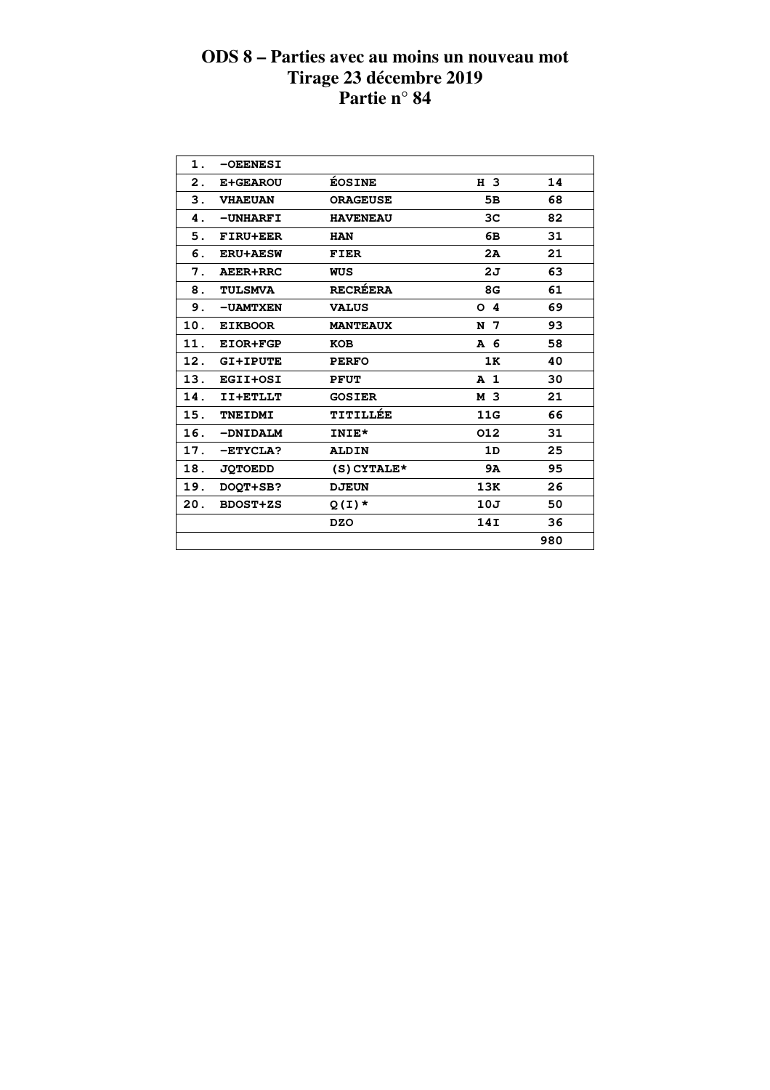| $\mathbf 1$ . | -OEENESI        |                 |                |     |  |
|---------------|-----------------|-----------------|----------------|-----|--|
| 2.            | <b>E+GEAROU</b> | <b>ÉOSINE</b>   | H 3            | 14  |  |
| 3.            | <b>VHAEUAN</b>  | <b>ORAGEUSE</b> | 5в             | 68  |  |
| 4.            | -UNHARFI        | <b>HAVENEAU</b> | 3C             | 82  |  |
| 5.            | <b>FIRU+EER</b> | <b>HAN</b>      | 6В             | 31  |  |
| 6.            | <b>ERU+AESW</b> | <b>FIER</b>     | 2A             | 21  |  |
| 7.            | AEER+RRC        | WUS             | 2J             | 63  |  |
| 8.            | <b>TULSMVA</b>  | <b>RECRÉERA</b> | 8G             | 61  |  |
| 9.            | <b>-UAMTXEN</b> | <b>VALUS</b>    | O <sub>4</sub> | 69  |  |
| 10.           | <b>EIKBOOR</b>  | <b>MANTEAUX</b> | N 7            | 93  |  |
| 11.           | EIOR+FGP        | <b>KOB</b>      | A 6            | 58  |  |
| 12.           | <b>GI+IPUTE</b> | <b>PERFO</b>    | 1K             | 40  |  |
| 13.           | EGII+OSI        | <b>PFUT</b>     | A <sub>1</sub> | 30  |  |
| 14.           | II+ETLLT        | <b>GOSIER</b>   | M 3            | 21  |  |
| 15.           | <b>TNEIDMI</b>  | TITILLÉE        | 11G            | 66  |  |
| 16.           | -DNIDALM        | INIE*           | 012            | 31  |  |
| 17.           | $-$ ETYCLA?     | <b>ALDIN</b>    | 1D             | 25  |  |
| 18.           | <b>JOTOEDD</b>  | $(S)$ CYTALE*   | <b>9A</b>      | 95  |  |
| 19.           | DOOT+SB?        | <b>DJEUN</b>    | 13K            | 26  |  |
| 20.           | <b>BDOST+ZS</b> | $Q(I)$ *        | 10J            | 50  |  |
|               |                 | <b>DZO</b>      | 14I            | 36  |  |
|               |                 |                 |                | 980 |  |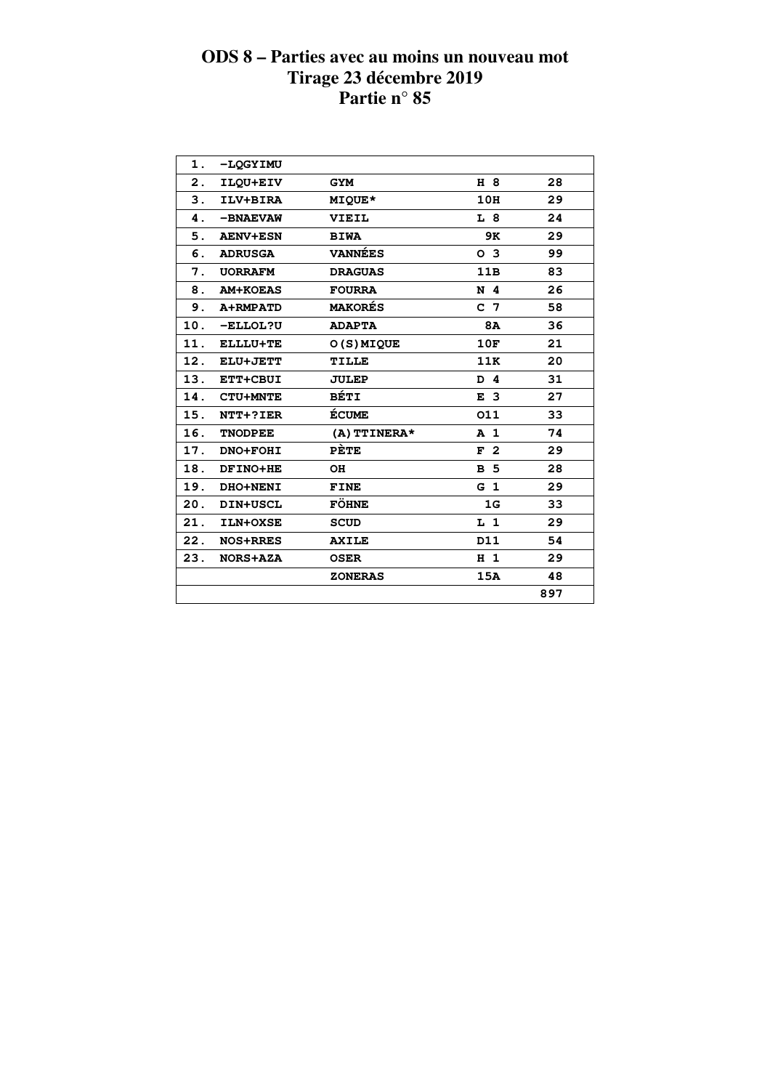| 1.             | -LOGYIMU        |                |                |     |  |
|----------------|-----------------|----------------|----------------|-----|--|
| $\mathbf{2}$ . | ILQU+EIV        | <b>GYM</b>     | H 8            | 28  |  |
| 3.             | ILV+BIRA        | <b>MIQUE*</b>  | 10H            | 29  |  |
| 4.             | -BNAEVAW        | VIEIL          | L 8            | 24  |  |
| 5.             | <b>AENV+ESN</b> | <b>BIWA</b>    | 9K             | 29  |  |
| 6.             | <b>ADRUSGA</b>  | <b>VANNÉES</b> | O <sub>3</sub> | 99  |  |
| 7.             | <b>UORRAFM</b>  | <b>DRAGUAS</b> | 11B            | 83  |  |
| 8.             | <b>AM+KOEAS</b> | <b>FOURRA</b>  | N 4            | 26  |  |
| 9.             | A+RMPATD        | <b>MAKORÉS</b> | C <sub>7</sub> | 58  |  |
| 10.            | <b>-ELLOL?U</b> | <b>ADAPTA</b>  | 8A             | 36  |  |
| 11.            | ELLLU+TE        | O(S) MIQUE     | 10F            | 21  |  |
| 12.            | ELU+JETT        | <b>TILLE</b>   | 11K            | 20  |  |
|                | 13. ETT+CBUI    | <b>JULEP</b>   | D 4            | 31  |  |
| 14.            | <b>CTU+MNTE</b> | <b>BÉTI</b>    | E <sub>3</sub> | 27  |  |
| 15.            | NTT+?IER        | <b>ÉCUME</b>   | 011            | 33  |  |
| 16.            | <b>TNODPEE</b>  | (A) TTINERA*   | A <sub>1</sub> | 74  |  |
| 17.            | DNO+FOHI        | PÈTE           | F <sub>2</sub> | 29  |  |
| 18.            | DFINO+HE        | OH             | <b>B</b> 5     | 28  |  |
| 19.            | <b>DHO+NENI</b> | <b>FINE</b>    | G <sub>1</sub> | 29  |  |
| 20.            | <b>DIN+USCL</b> | <b>FÖHNE</b>   | 1G             | 33  |  |
| 21.            | ILN+OXSE        | <b>SCUD</b>    | $L_1$          | 29  |  |
| 22.            | <b>NOS+RRES</b> | <b>AXILE</b>   | D11            | 54  |  |
| 23.            | <b>NORS+AZA</b> | <b>OSER</b>    | H <sub>1</sub> | 29  |  |
|                |                 | <b>ZONERAS</b> | 15A            | 48  |  |
|                |                 |                |                | 897 |  |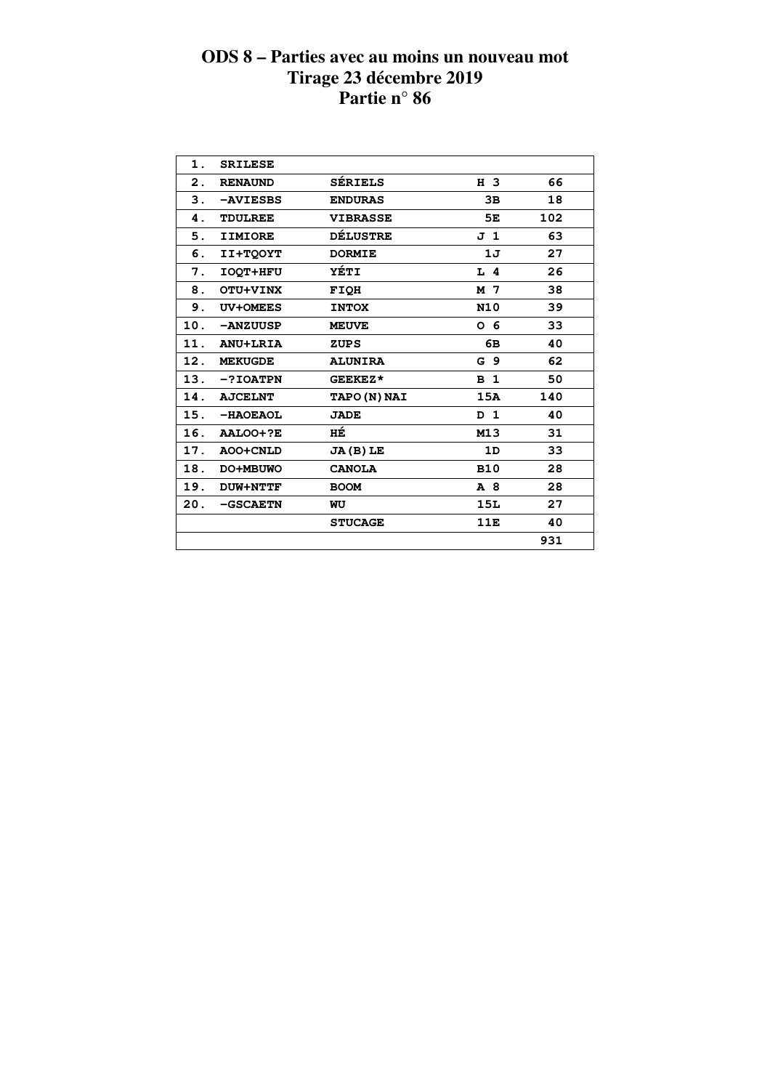| 1.  | <b>SRILESE</b>  |                     |                |     |  |
|-----|-----------------|---------------------|----------------|-----|--|
| 2.  | <b>RENAUND</b>  | <b>SÉRIELS</b>      | H 3            | 66  |  |
| 3.  | -AVIESBS        | <b>ENDURAS</b>      | 3B             | 18  |  |
| 4.  | <b>TDULREE</b>  | <b>VIBRASSE</b>     | 5E             | 102 |  |
| 5.  | <b>IIMIORE</b>  | <b>DÉLUSTRE</b>     | J 1            | 63  |  |
| 6.  | <b>II+TOOYT</b> | <b>DORMIE</b>       | 1J             | 27  |  |
| 7.  | <b>IOQT+HFU</b> | <b>YÉTI</b>         | $L$ 4          | 26  |  |
| 8.  | OTU+VINX        | <b>FIOH</b>         | M 7            | 38  |  |
| 9.  | <b>UV+OMEES</b> | <b>INTOX</b>        | N10            | 39  |  |
| 10. | -ANZUUSP        | <b>MEUVE</b>        | 0 <sub>6</sub> | 33  |  |
| 11. | <b>ANU+LRIA</b> | <b>ZUPS</b>         | 6В             | 40  |  |
| 12. | <b>MEKUGDE</b>  | <b>ALUNIRA</b>      | G <sub>9</sub> | 62  |  |
| 13. | $-?IOATPN$      | GEEKEZ*             | B <sub>1</sub> | 50  |  |
| 14. | <b>AJCELNT</b>  | <b>TAPO (N) NAI</b> | 15A            | 140 |  |
| 15. | -HAOEAOL        | <b>JADE</b>         | D 1            | 40  |  |
| 16. | AALOO+?E        | HÉ                  | M13            | 31  |  |
| 17. | AOO+CNLD        | $JA(B)$ LE          | 1D             | 33  |  |
| 18. | DO+MBUWO        | <b>CANOLA</b>       | <b>B10</b>     | 28  |  |
| 19. | <b>DUW+NTTF</b> | <b>BOOM</b>         | A 8            | 28  |  |
| 20. | -GSCAETN        | WU                  | 15L            | 27  |  |
|     |                 | <b>STUCAGE</b>      | 11E            | 40  |  |
|     |                 |                     |                | 931 |  |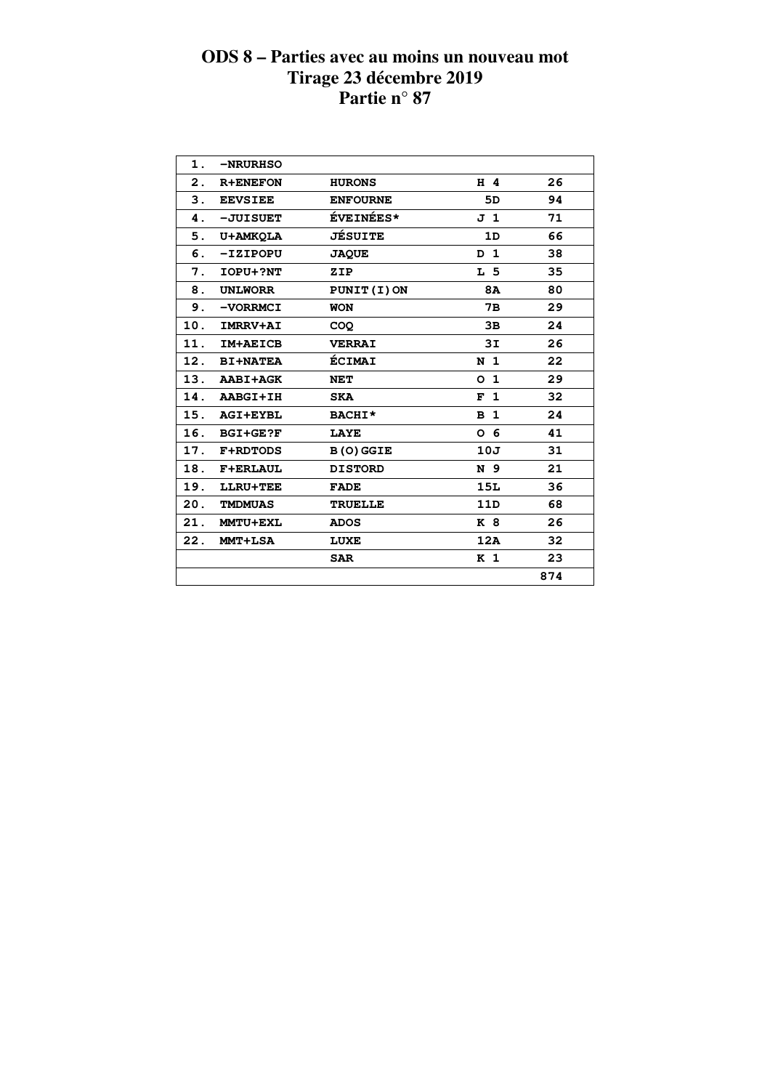| 1.            | <b>-NRURHSO</b> |                  |                |     |  |
|---------------|-----------------|------------------|----------------|-----|--|
| $\mathbf 2$ . | <b>R+ENEFON</b> | <b>HURONS</b>    | H 4            | 26  |  |
| 3.            | <b>EEVSIEE</b>  | <b>ENFOURNE</b>  | 5D             | 94  |  |
| 4.            | -JUISUET        | <b>ÉVEINÉES*</b> | J 1            | 71  |  |
| 5.            | <b>U+AMKQLA</b> | <b>JÉSUITE</b>   | 1D             | 66  |  |
| 6.            | -IZIPOPU        | <b>JAQUE</b>     | D <sub>1</sub> | 38  |  |
| 7.            | <b>IOPU+?NT</b> | ZIP              | L 5            | 35  |  |
| 8.            | <b>UNLWORR</b>  | PUNIT (I) ON     | <b>8A</b>      | 80  |  |
| 9.            | -VORRMCI        | <b>WON</b>       | 7в             | 29  |  |
| 10.           | <b>IMRRV+AI</b> | <b>COO</b>       | 3B             | 24  |  |
| 11.           | <b>IM+AEICB</b> | <b>VERRAI</b>    | 3I             | 26  |  |
|               | 12. BI+NATEA    | <b>ÉCIMAI</b>    | N <sub>1</sub> | 22  |  |
|               | 13. AABI+AGK    | NET              | 0 <sub>1</sub> | 29  |  |
|               | 14. AABGI+IH    | <b>SKA</b>       | F <sub>1</sub> | 32  |  |
|               | 15. AGI+EYBL    | BACHI*           | B <sub>1</sub> | 24  |  |
| 16.           | <b>BGI+GE?F</b> | <b>LAYE</b>      | 0 <sub>6</sub> | 41  |  |
| 17.           | <b>F+RDTODS</b> | <b>B(O) GGIE</b> | 10J            | 31  |  |
| 18.           | <b>F+ERLAUL</b> | <b>DISTORD</b>   | N 9            | 21  |  |
| 19.           | LLRU+TEE        | <b>FADE</b>      | 15L            | 36  |  |
| 20.           | <b>TMDMUAS</b>  | <b>TRUELLE</b>   | 11D            | 68  |  |
| 21.           | <b>MMTU+EXL</b> | <b>ADOS</b>      | K 8            | 26  |  |
| 22.           | <b>MMT+LSA</b>  | LUXE             | 12A            | 32  |  |
|               |                 | <b>SAR</b>       | K <sub>1</sub> | 23  |  |
|               |                 |                  |                | 874 |  |
|               |                 |                  |                |     |  |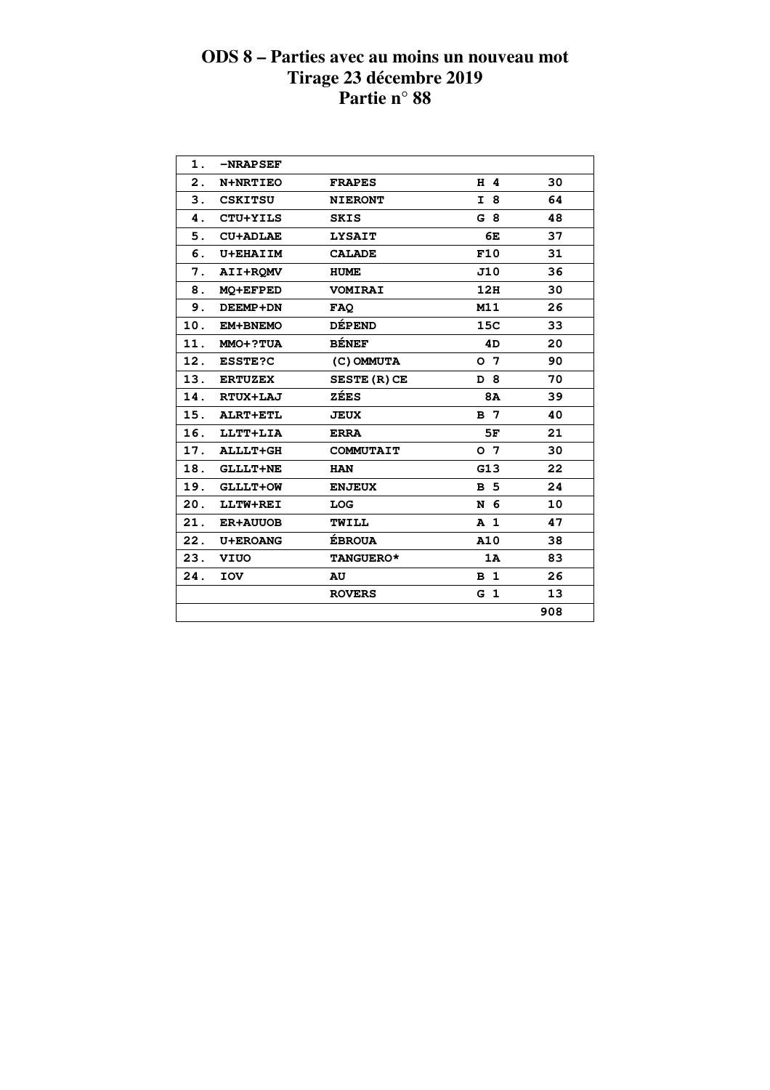| 1.  | $-NRAPSET$      |                     |                |     |
|-----|-----------------|---------------------|----------------|-----|
| 2.  | N+NRTIEO        | <b>FRAPES</b>       | H 4            | 30  |
| 3.  | <b>CSKITSU</b>  | <b>NIERONT</b>      | I 8            | 64  |
| 4.  | CTU+YILS        | <b>SKIS</b>         | G8             | 48  |
| 5.  | <b>CU+ADLAE</b> | <b>LYSAIT</b>       | 6E             | 37  |
| 6.  | <b>U+EHAIIM</b> | <b>CALADE</b>       | F10            | 31  |
| 7.  | AII+ROMV        | <b>HUME</b>         | J10            | 36  |
| 8.  | <b>MO+EFPED</b> | <b>VOMIRAI</b>      | 12H            | 30  |
| 9.  | DEEMP+DN        | <b>FAQ</b>          | M11            | 26  |
| 10. | EM+BNEMO        | <b>DÉPEND</b>       | 15C            | 33  |
| 11. | MMO+?TUA        | <b>BÉNEF</b>        | 4D             | 20  |
| 12. | <b>ESSTE?C</b>  | (C) OMMUTA          | 0 <sub>7</sub> | 90  |
| 13. | <b>ERTUZEX</b>  | <b>SESTE (R) CE</b> | D 8            | 70  |
| 14. | RTUX+LAJ        | ZÉES                | <b>8A</b>      | 39  |
| 15. | ALRT+ETL        | <b>JEUX</b>         | B 7            | 40  |
| 16. | LLTT+LIA        | <b>ERRA</b>         | 5F             | 21  |
| 17. | <b>ALLLT+GH</b> | <b>COMMUTAIT</b>    | O <sub>7</sub> | 30  |
| 18. | <b>GLLLT+NE</b> | <b>HAN</b>          | G13            | 22  |
| 19. | <b>GLLLT+OW</b> | <b>ENJEUX</b>       | <b>B</b> 5     | 24  |
| 20. | LLTW+REI        | <b>LOG</b>          | N 6            | 10  |
| 21. | <b>ER+AUUOB</b> | TWILL               | A <sub>1</sub> | 47  |
| 22. | <b>U+EROANG</b> | <b>ÉBROUA</b>       | A10            | 38  |
| 23. | VIUO            | <b>TANGUERO*</b>    | 1A             | 83  |
| 24. | <b>TOV</b>      | AU                  | B <sub>1</sub> | 26  |
|     |                 | <b>ROVERS</b>       | G <sub>1</sub> | 13  |
|     |                 |                     |                | 908 |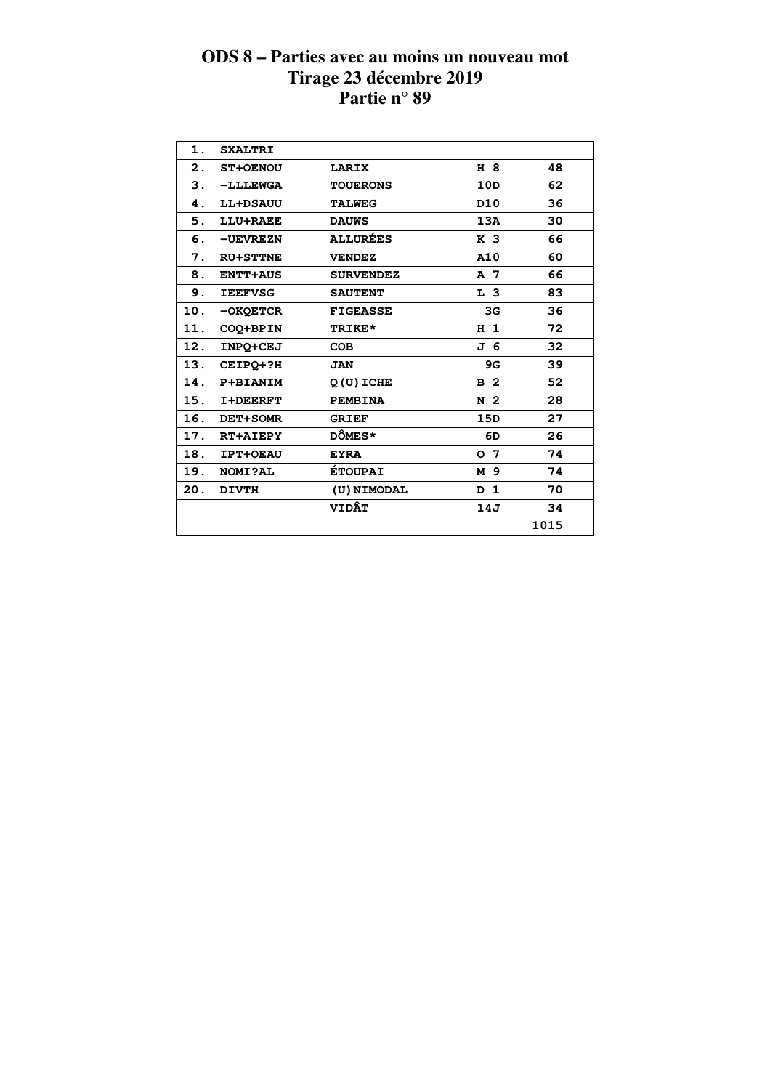| 1.  | <b>SXALTRI</b>  |                  |                 |      |
|-----|-----------------|------------------|-----------------|------|
| 2.  | <b>ST+OENOU</b> | LARIX            | H 8             | 48   |
| 3.  | -LLLEWGA        | <b>TOUERONS</b>  | 10D             | 62   |
| 4.  | <b>LL+DSAUU</b> | <b>TALWEG</b>    | D <sub>10</sub> | 36   |
| 5.  | LLU+RAEE        | <b>DAUWS</b>     | 13A             | 30   |
| 6.  | -UEVREZN        | <b>ALLURÉES</b>  | K <sub>3</sub>  | 66   |
| 7.  | <b>RU+STTNE</b> | <b>VENDEZ</b>    | A10             | 60   |
| 8.  | <b>ENTT+AUS</b> | <b>SURVENDEZ</b> | A 7             | 66   |
| 9.  | <b>IEEFVSG</b>  | <b>SAUTENT</b>   | L <sub>3</sub>  | 83   |
| 10. | -OKQETCR        | <b>FIGEASSE</b>  | 3G              | 36   |
| 11. | COQ+BPIN        | TRIKE*           | H <sub>1</sub>  | 72   |
| 12. | INPO+CEJ        | <b>COB</b>       | J 6             | 32   |
| 13. | CEIPO+?H        | <b>JAN</b>       | 9G              | 39   |
| 14. | P+BIANIM        | $Q(U)$ ICHE      | B <sub>2</sub>  | 52   |
| 15. | <b>I+DEERFT</b> | <b>PEMBINA</b>   | N 2             | 28   |
| 16. | DET+SOMR        | <b>GRIEF</b>     | 15D             | 27   |
| 17. | <b>RT+AIEPY</b> | <b>DÔMES*</b>    | 6D              | 26   |
| 18. | <b>IPT+OEAU</b> | <b>EYRA</b>      | 0 <sub>7</sub>  | 74   |
| 19. | <b>NOMI?AL</b>  | <b>ÉTOUPAI</b>   | M 9             | 74   |
| 20. | <b>DIVTH</b>    | (U) NIMODAL      | D <sub>1</sub>  | 70   |
|     |                 | <b>VIDÂT</b>     | 14J             | 34   |
|     |                 |                  |                 | 1015 |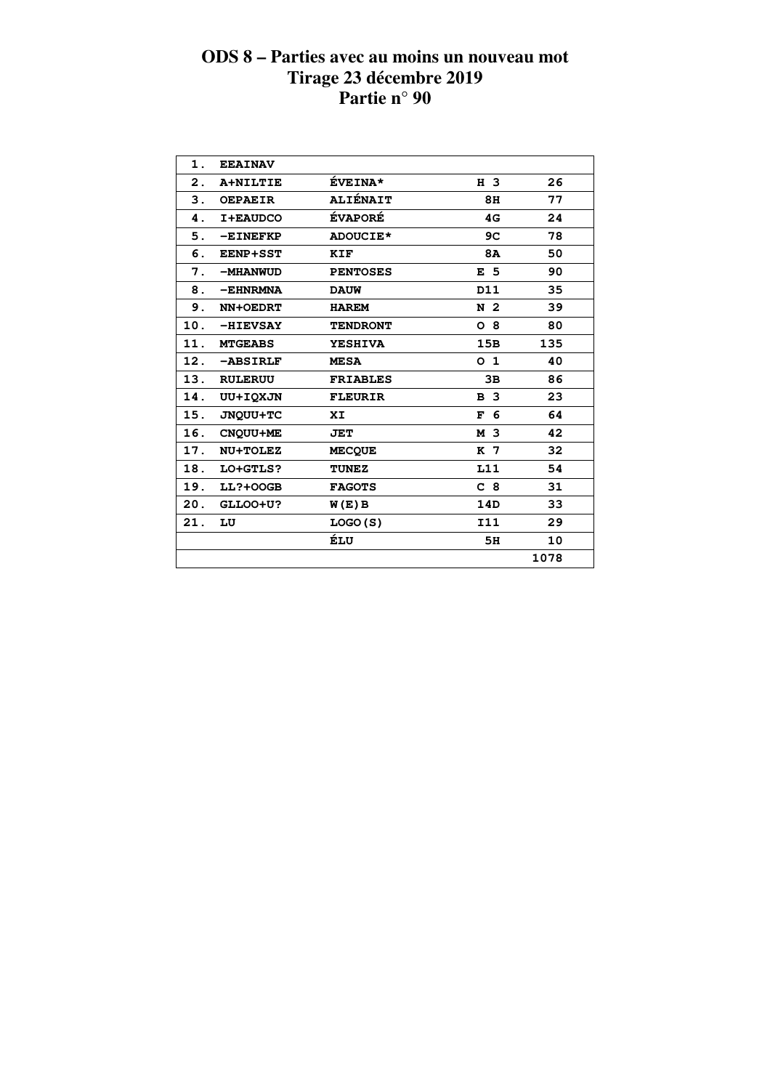| 1.  | <b>EEAINAV</b>  |                 |                |      |  |
|-----|-----------------|-----------------|----------------|------|--|
| 2.  | A+NILTIE        | <b>ÉVEINA*</b>  | H 3            | 26   |  |
| 3.  | <b>OEPAEIR</b>  | <b>ALIÉNAIT</b> | 8H             | 77   |  |
| 4.  | I+EAUDCO        | <b>ÉVAPORÉ</b>  | 4G             | 24   |  |
| 5.  | $-EINEFF$       | <b>ADOUCIE*</b> | 9C             | 78   |  |
| 6.  | <b>EENP+SST</b> | KIF             | 8A             | 50   |  |
| 7.  | -MHANWUD        | <b>PENTOSES</b> | E <sub>5</sub> | 90   |  |
| 8.  | $-EHNRMNA$      | <b>DAUW</b>     | D11            | 35   |  |
| 9.  | NN+OEDRT        | <b>HAREM</b>    | N <sub>2</sub> | 39   |  |
| 10. | -HIEVSAY        | <b>TENDRONT</b> | O <sub>8</sub> | 80   |  |
| 11. | <b>MTGEABS</b>  | <b>YESHIVA</b>  | 15B            | 135  |  |
| 12. | -ABSIRLF        | <b>MESA</b>     | 0 <sub>1</sub> | 40   |  |
| 13. | <b>RULERUU</b>  | <b>FRIABLES</b> | 3B             | 86   |  |
| 14. | UU+IQXJN        | <b>FLEURIR</b>  | B <sub>3</sub> | 23   |  |
| 15. | JNQUU+TC        | XI              | 6<br>F         | 64   |  |
| 16. | <b>CNOUU+ME</b> | <b>JET</b>      | M 3            | 42   |  |
| 17. | NU+TOLEZ        | <b>MECOUE</b>   | K 7            | 32   |  |
| 18. | LO+GTLS?        | <b>TUNEZ</b>    | L11            | 54   |  |
| 19. | <b>LL?+00GB</b> | <b>FAGOTS</b>   | C <sub>8</sub> | 31   |  |
| 20. | GLLOO+U?        | W(E) B          | 14D            | 33   |  |
| 21. | LU              | LOGO(S)         | <b>I11</b>     | 29   |  |
|     |                 | ÉLU             | 5H             | 10   |  |
|     |                 |                 |                | 1078 |  |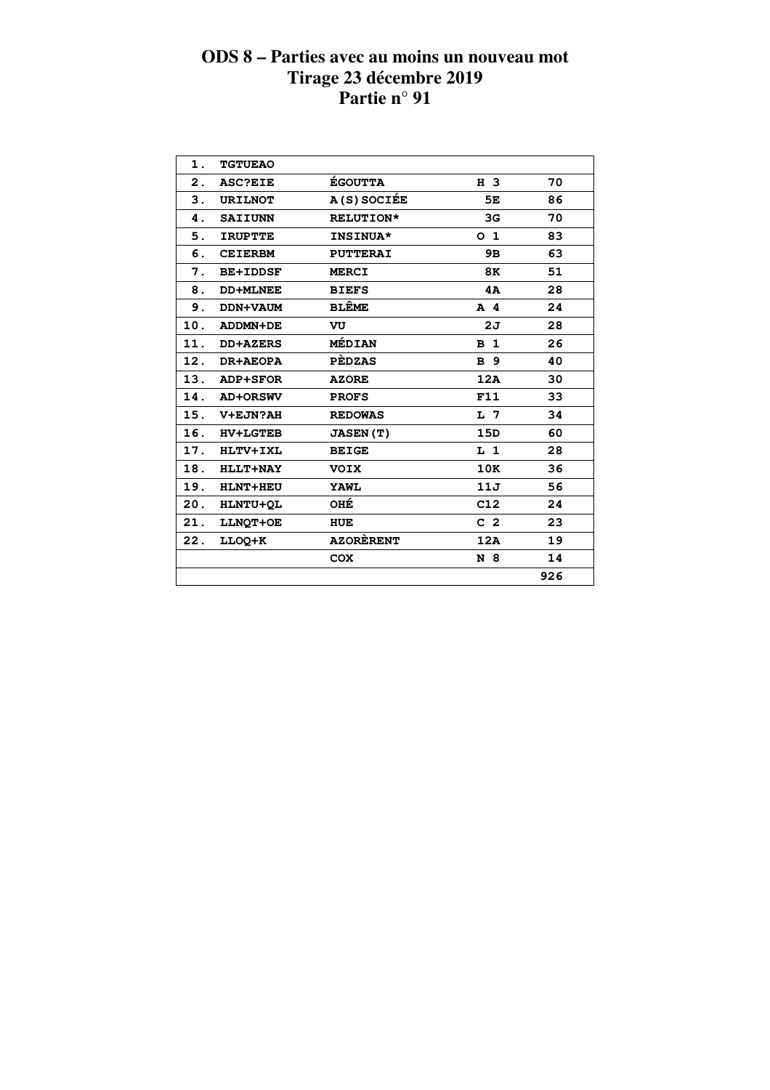| 1.  | <b>TGTUEAO</b>  |                  |                |     |  |
|-----|-----------------|------------------|----------------|-----|--|
| 2.  | <b>ASC?EIE</b>  | <b>ÉGOUTTA</b>   | H 3            | 70  |  |
| 3.  | <b>URILNOT</b>  | A(S) SOCIÉE      | 5E             | 86  |  |
| 4.  | <b>SAIIUNN</b>  | <b>RELUTION*</b> | 3G             | 70  |  |
| 5.  | <b>IRUPTTE</b>  | <b>INSINUA*</b>  | O <sub>1</sub> | 83  |  |
| 6.  | <b>CEIERBM</b>  | <b>PUTTERAI</b>  | 9B             | 63  |  |
| 7.  | <b>BE+IDDSF</b> | <b>MERCI</b>     | 8K             | 51  |  |
| 8.  | <b>DD+MLNEE</b> | <b>BIEFS</b>     | 4A             | 28  |  |
| 9.  | DDN+VAUM        | <b>BLÊME</b>     | $A$ 4          | 24  |  |
| 10. | ADDMN+DE        | VU               | 2J             | 28  |  |
| 11. | <b>DD+AZERS</b> | MÉDIAN           | B <sub>1</sub> | 26  |  |
| 12. | <b>DR+AEOPA</b> | <b>PEDZAS</b>    | <b>B</b> 9     | 40  |  |
| 13. | ADP+SFOR        | <b>AZORE</b>     | 12A            | 30  |  |
| 14. | <b>AD+ORSWV</b> | <b>PROFS</b>     | F11            | 33  |  |
| 15. | V+EJN?AH        | <b>REDOWAS</b>   | L <sub>7</sub> | 34  |  |
| 16. | <b>HV+LGTEB</b> | <b>JASEN (T)</b> | 15D            | 60  |  |
| 17. | HLTV+IXL        | <b>BEIGE</b>     | $L_1$          | 28  |  |
| 18. | <b>HLLT+NAY</b> | <b>VOIX</b>      | 10K            | 36  |  |
| 19. | <b>HLNT+HEU</b> | <b>YAWL</b>      | 11J            | 56  |  |
| 20. | HLNTU+QL        | OHÉ              | C12            | 24  |  |
| 21. | LLNQT+OE        | HUE              | C <sub>2</sub> | 23  |  |
| 22. | LLOQ+K          | <b>AZORÈRENT</b> | 12A            | 19  |  |
|     |                 | <b>COX</b>       | N 8            | 14  |  |
|     |                 |                  |                | 926 |  |
|     |                 |                  |                |     |  |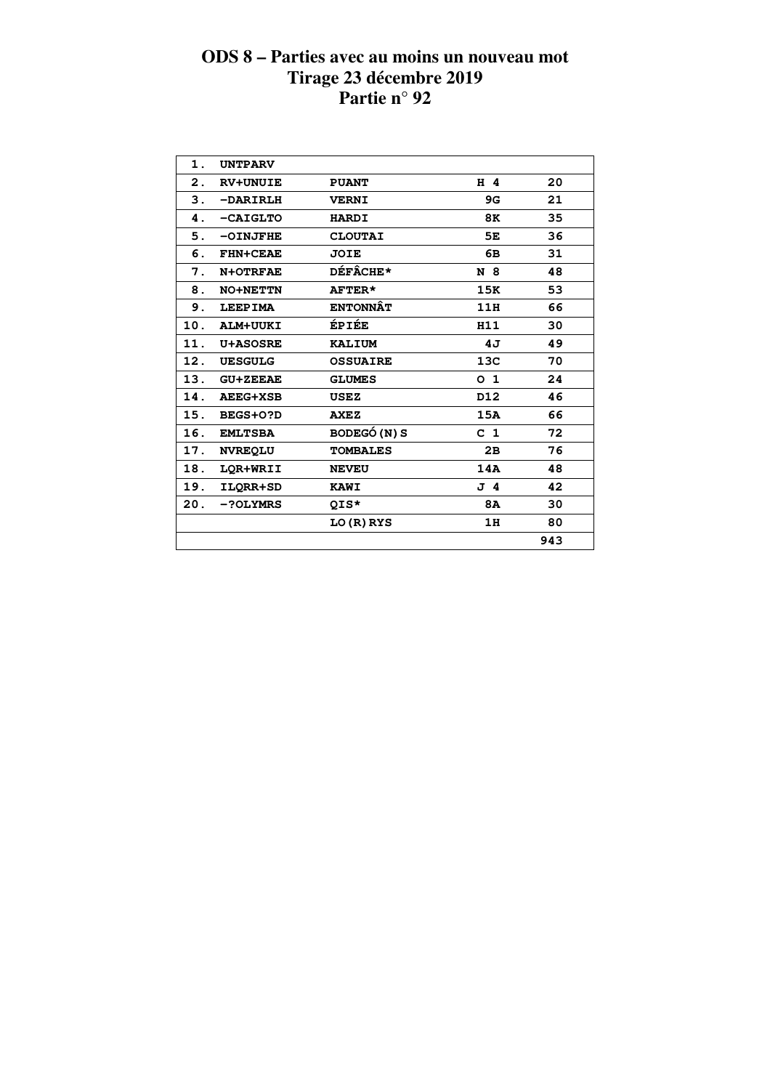| 1.             | <b>UNTPARV</b>  |                     |                |     |  |
|----------------|-----------------|---------------------|----------------|-----|--|
| $\mathbf{2}$ . | <b>RV+UNUIE</b> | <b>PUANT</b>        | H 4            | 20  |  |
| 3.             | -DARIRLH        | <b>VERNI</b>        | 9G             | 21  |  |
| 4.             | $-CAIGLTO$      | <b>HARDI</b>        | 8K             | 35  |  |
| 5.             | -OINJFHE        | <b>CLOUTAI</b>      | 5E             | 36  |  |
| 6.             | <b>FHN+CEAE</b> | JOIE                | 6B             | 31  |  |
| 7.             | N+OTRFAE        | <b>DÉFÂCHE*</b>     | N 8            | 48  |  |
| 8.             | <b>NO+NETTN</b> | AFTER*              | 15K            | 53  |  |
| 9.             | <b>LEEPIMA</b>  | <b>ENTONNÂT</b>     | 11H            | 66  |  |
| 10.            | ALM+UUKI        | ÉPIÉE               | H11            | 30  |  |
| 11.            | <b>U+ASOSRE</b> | <b>KALIUM</b>       | 4J             | 49  |  |
| 12.            | <b>UESGULG</b>  | <b>OSSUAIRE</b>     | 13C            | 70  |  |
| 13.            | <b>GU+ZEEAE</b> | <b>GLUMES</b>       | O <sub>1</sub> | 24  |  |
| 14.            | <b>AEEG+XSB</b> | <b>USEZ</b>         | D12            | 46  |  |
| 15.            | BEGS+0?D        | <b>AXEZ</b>         | 15A            | 66  |  |
| 16.            | <b>EMLTSBA</b>  | <b>BODEGÓ (N) S</b> | C <sub>1</sub> | 72  |  |
| 17.            | <b>NVREQLU</b>  | <b>TOMBALES</b>     | 2B             | 76  |  |
| 18.            | LOR+WRII        | <b>NEVEU</b>        | 14A            | 48  |  |
| 19.            | ILQRR+SD        | <b>KAWI</b>         | J 4            | 42  |  |
| 20.            | -?OLYMRS        | QIS*                | <b>8A</b>      | 30  |  |
|                |                 | LO (R) RYS          | 1H             | 80  |  |
|                |                 |                     |                | 943 |  |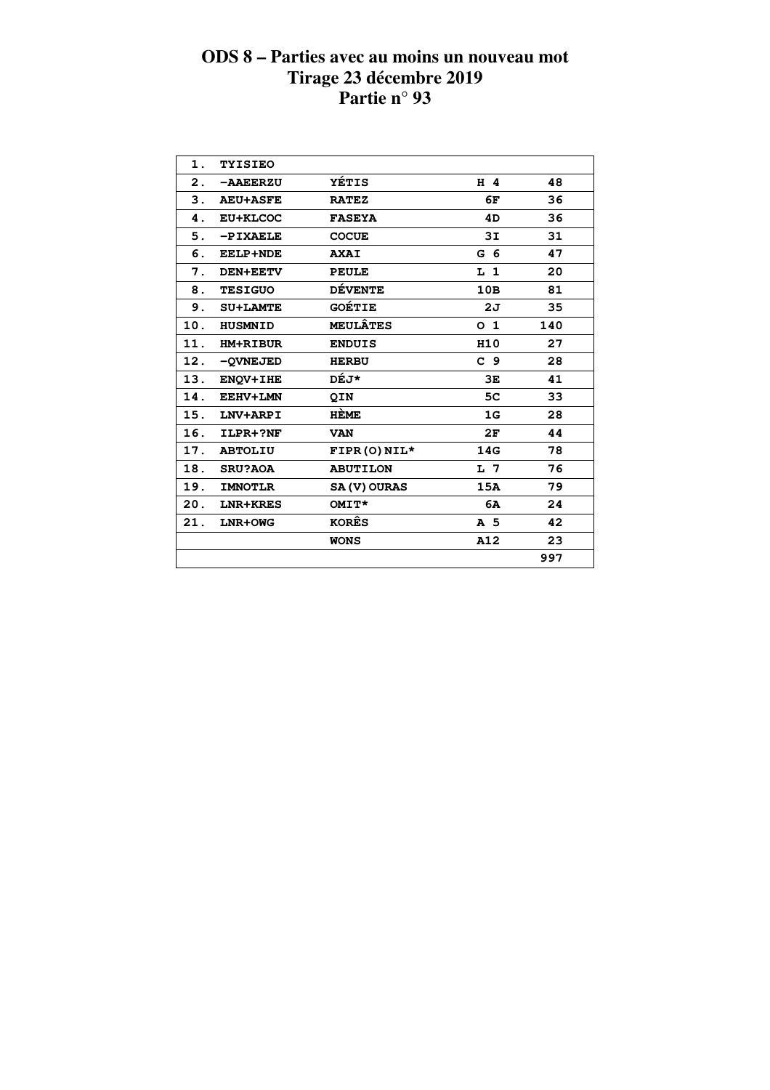| 1.  | <b>TYISIEO</b>  |                     |                 |     |  |
|-----|-----------------|---------------------|-----------------|-----|--|
| 2.  | -AAEERZU        | YÉTIS               | $H$ 4           | 48  |  |
| 3.  | <b>AEU+ASFE</b> | <b>RATEZ</b>        | 6F              | 36  |  |
| 4.  | EU+KLCOC        | <b>FASEYA</b>       | 4D              | 36  |  |
| 5.  | $-PIXAELE$      | <b>COCUE</b>        | 3I              | 31  |  |
| 6.  | <b>EELP+NDE</b> | <b>AXAI</b>         | G <sub>6</sub>  | 47  |  |
| 7.  | <b>DEN+EETV</b> | <b>PEULE</b>        | L <sub>1</sub>  | 20  |  |
| 8.  | <b>TESIGUO</b>  | <b>DÉVENTE</b>      | 10B             | 81  |  |
| 9.  | <b>SU+LAMTE</b> | <b>GOÉTIE</b>       | 2J              | 35  |  |
| 10. | <b>HUSMNID</b>  | <b>MEULÂTES</b>     | O <sub>1</sub>  | 140 |  |
| 11. | <b>HM+RIBUR</b> | <b>ENDUIS</b>       | H <sub>10</sub> | 27  |  |
| 12. | -OVNEJED        | <b>HERBU</b>        | C <sub>9</sub>  | 28  |  |
| 13. | <b>ENOV+IHE</b> | DÉJ*                | 3E              | 41  |  |
| 14. | EEHV+LMN        | QIN                 | 5 <sub>C</sub>  | 33  |  |
| 15. | LNV+ARPI        | <b>HÈME</b>         | 1G              | 28  |  |
| 16. | ILPR+?NF        | <b>VAN</b>          | 2F              | 44  |  |
| 17. | <b>ABTOLIU</b>  | $FIPR(O) NIL*$      | 14G             | 78  |  |
| 18. | <b>SRU?AOA</b>  | <b>ABUTILON</b>     | L 7             | 76  |  |
| 19. | <b>IMNOTLR</b>  | <b>SA (V) OURAS</b> | 15A             | 79  |  |
| 20. | LNR+KRES        | OMIT*               | 6A              | 24  |  |
| 21. | LNR+OWG         | <b>KORÊS</b>        | A 5             | 42  |  |
|     |                 | <b>WONS</b>         | A12             | 23  |  |
|     |                 |                     |                 | 997 |  |
|     |                 |                     |                 |     |  |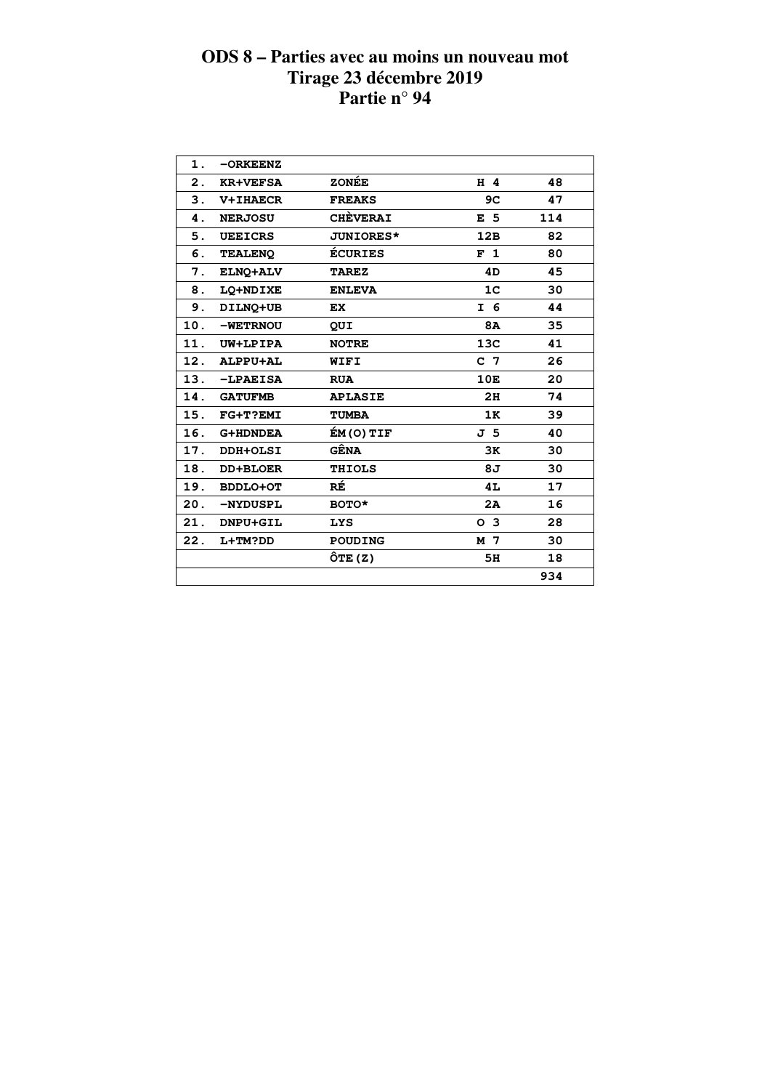| 1.  | $-ORKEENZ$      |                  |                |     |  |
|-----|-----------------|------------------|----------------|-----|--|
| 2.  | <b>KR+VEFSA</b> | <b>ZONÉE</b>     | $H$ 4          | 48  |  |
| 3.  | <b>V+IHAECR</b> | <b>FREAKS</b>    | 9C             | 47  |  |
| 4.  | <b>NERJOSU</b>  | <b>CHÈVERAI</b>  | E <sub>5</sub> | 114 |  |
| 5.  | <b>UEEICRS</b>  | <b>JUNIORES*</b> | 12B            | 82  |  |
| 6.  | <b>TEALENO</b>  | <b>ÉCURIES</b>   | F <sub>1</sub> | 80  |  |
| 7.  | ELNO+ALV        | <b>TAREZ</b>     | 4D             | 45  |  |
| 8.  | LQ+NDIXE        | <b>ENLEVA</b>    | 1 <sub>C</sub> | 30  |  |
| 9.  | DILNQ+UB        | EX.              | I 6            | 44  |  |
| 10. | -WETRNOU        | QUI              | <b>8A</b>      | 35  |  |
| 11. | UW+LPIPA        | <b>NOTRE</b>     | 13C            | 41  |  |
| 12. | ALPPU+AL        | WIFI             | C <sub>7</sub> | 26  |  |
| 13. | $-LPAEISA$      | <b>RUA</b>       | 10E            | 20  |  |
| 14. | <b>GATUFMB</b>  | <b>APLASIE</b>   | 2H             | 74  |  |
| 15. | FG+T?EMI        | <b>TUMBA</b>     | 1K             | 39  |  |
| 16. | <b>G+HDNDEA</b> | ÉM(O) TIF        | J 5            | 40  |  |
| 17. | DDH+OLSI        | GÊNA             | 3K             | 30  |  |
| 18. | <b>DD+BLOER</b> | <b>THIOLS</b>    | 8J             | 30  |  |
| 19. | <b>BDDLO+OT</b> | RÉ               | 4L             | 17  |  |
| 20. | -NYDUSPL        | <b>BOTO*</b>     | 2A             | 16  |  |
| 21. | DNPU+GIL        | <b>LYS</b>       | O <sub>3</sub> | 28  |  |
| 22. | L+TM?DD         | <b>POUDING</b>   | M 7            | 30  |  |
|     |                 | $\hat{O}TE(Z)$   | 5H             | 18  |  |
|     |                 |                  |                | 934 |  |
|     |                 |                  |                |     |  |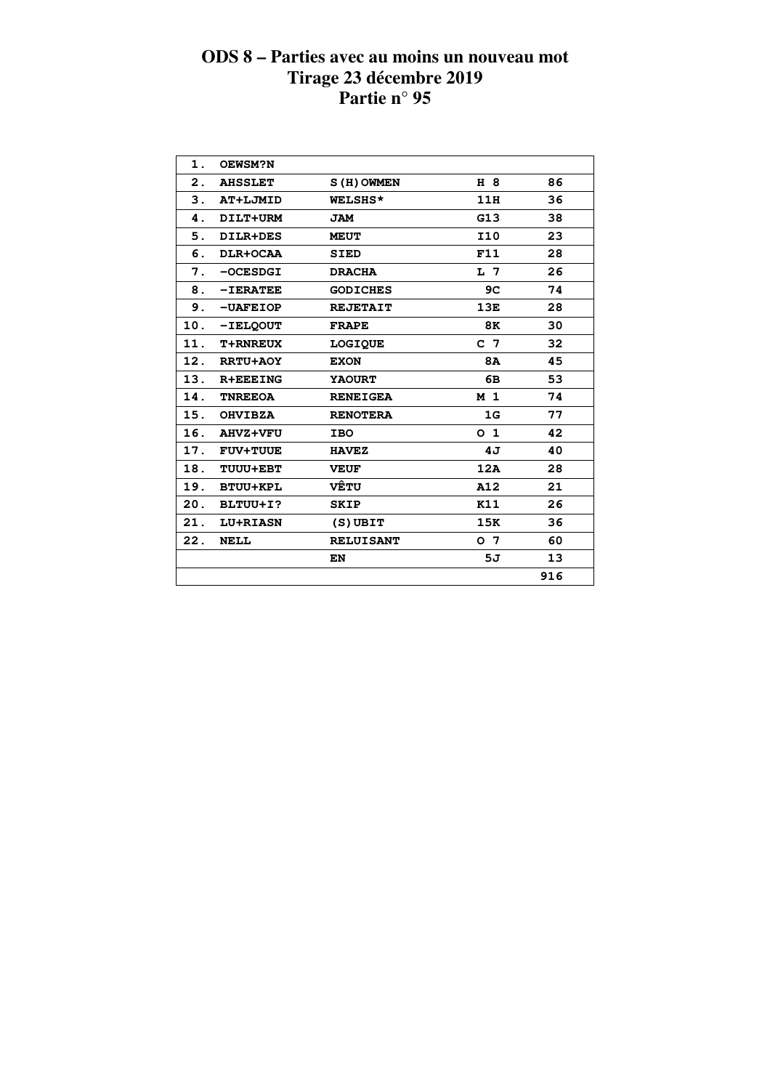| 1.  | OEWSM?N         |                  |                |     |  |
|-----|-----------------|------------------|----------------|-----|--|
| 2.  | <b>AHSSLET</b>  | S(H) OWMEN       | H 8            | 86  |  |
| 3.  | AT+LJMID        | WELSHS*          | 11H            | 36  |  |
| 4.  | DILT+URM        | JAM              | G13            | 38  |  |
| 5.  | DILR+DES        | <b>MEUT</b>      | <b>I10</b>     | 23  |  |
| 6.  | DLR+OCAA        | <b>SIED</b>      | F11            | 28  |  |
| 7.  | $-OCESDGI$      | <b>DRACHA</b>    | L 7            | 26  |  |
| 8.  | $-IERATEE$      | <b>GODICHES</b>  | 9C             | 74  |  |
| 9.  | $-UAFEIOP$      | <b>REJETAIT</b>  | 13E            | 28  |  |
| 10. | -IELQOUT        | <b>FRAPE</b>     | 8K             | 30  |  |
| 11. | <b>T+RNREUX</b> | <b>LOGIQUE</b>   | C 7            | 32  |  |
| 12. | <b>RRTU+AOY</b> | <b>EXON</b>      | <b>8A</b>      | 45  |  |
| 13. | <b>R+EEEING</b> | <b>YAOURT</b>    | 6В             | 53  |  |
| 14. | <b>TNREEOA</b>  | <b>RENEIGEA</b>  | M <sub>1</sub> | 74  |  |
| 15. | <b>OHVIBZA</b>  | <b>RENOTERA</b>  | 1G             | 77  |  |
| 16. | <b>AHVZ+VFU</b> | <b>IBO</b>       | O <sub>1</sub> | 42  |  |
| 17. | <b>FUV+TUUE</b> | <b>HAVEZ</b>     | 4J             | 40  |  |
| 18. | TUUU+EBT        | <b>VEUF</b>      | 12A            | 28  |  |
| 19. | <b>BTUU+KPL</b> | <b>VÊTU</b>      | A12            | 21  |  |
| 20. | BLTUU+I?        | <b>SKIP</b>      | K11            | 26  |  |
| 21. | <b>LU+RIASN</b> | $(S)$ UBIT       | 15K            | 36  |  |
| 22. | NELL            | <b>RELUISANT</b> | o 7            | 60  |  |
|     |                 | EN               | 5J             | 13  |  |
|     |                 |                  |                | 916 |  |
|     |                 |                  |                |     |  |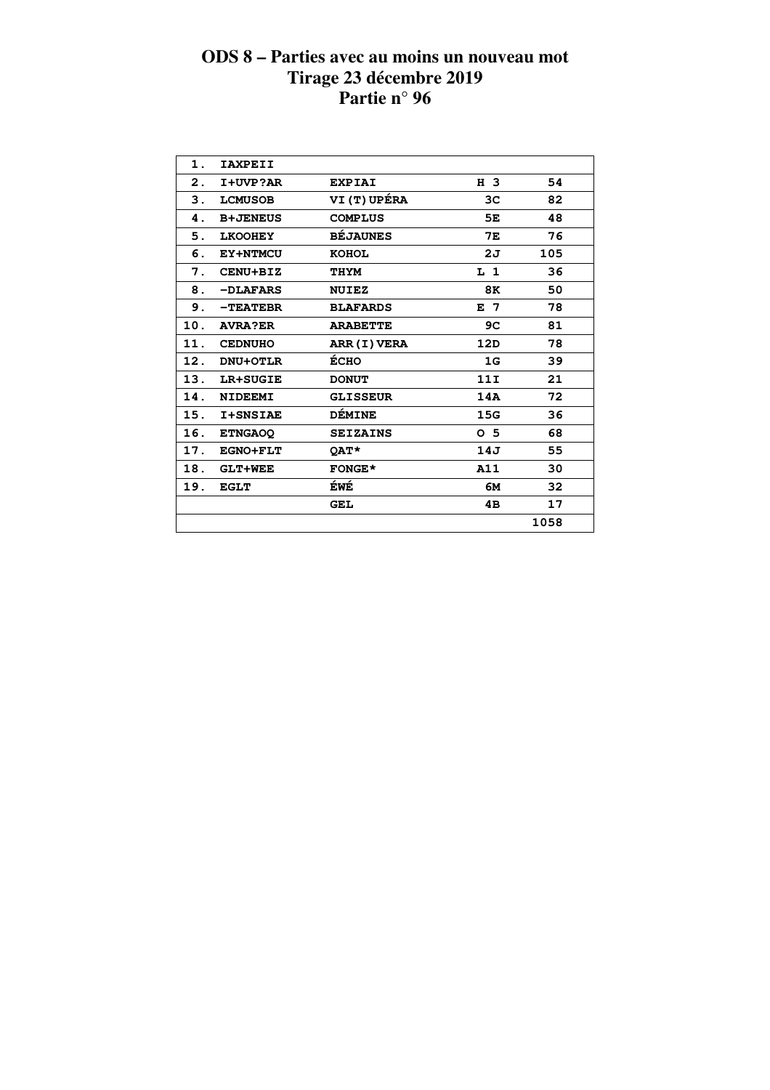| 1.  | <b>IAXPEII</b>  |                     |                |      |  |
|-----|-----------------|---------------------|----------------|------|--|
| 2.  | I+UVP?AR        | <b>EXPIAI</b>       | H 3            | 54   |  |
| 3.  | <b>LCMUSOB</b>  | <b>VI (T) UPÉRA</b> | 3C             | 82   |  |
| 4.  | <b>B+JENEUS</b> | <b>COMPLUS</b>      | 5E             | 48   |  |
| 5.  | <b>LKOOHEY</b>  | <b>BÉJAUNES</b>     | <b>7E</b>      | 76   |  |
| 6.  | EY+NTMCU        | <b>KOHOL</b>        | 2J             | 105  |  |
| 7.  | CENU+BIZ        | <b>THYM</b>         | L <sub>1</sub> | 36   |  |
| 8.  | -DLAFARS        | <b>NUIEZ</b>        | 8K             | 50   |  |
| 9.  | $-TEATEBR$      | <b>BLAFARDS</b>     | E 7            | 78   |  |
| 10. | <b>AVRA?ER</b>  | <b>ARABETTE</b>     | 9C             | 81   |  |
| 11. | <b>CEDNUHO</b>  | ARR (I) VERA        | 12D            | 78   |  |
| 12. | <b>DNU+OTLR</b> | ÉCHO                | 1G             | 39   |  |
| 13. | LR+SUGIE        | <b>DONUT</b>        | 11I            | 21   |  |
| 14. | <b>NIDEEMI</b>  | <b>GLISSEUR</b>     | 14A            | 72   |  |
| 15. | <b>I+SNSIAE</b> | <b>DÉMINE</b>       | 15G            | 36   |  |
| 16. | <b>ETNGAOQ</b>  | <b>SEIZAINS</b>     | 0 <sub>5</sub> | 68   |  |
| 17. | <b>EGNO+FLT</b> | <b>OAT*</b>         | 14J            | 55   |  |
| 18. | <b>GLT+WEE</b>  | <b>FONGE*</b>       | A11            | 30   |  |
| 19. | <b>EGLT</b>     | ÉWÉ                 | 6м             | 32   |  |
|     |                 | <b>GEL</b>          | 4B             | 17   |  |
|     |                 |                     |                | 1058 |  |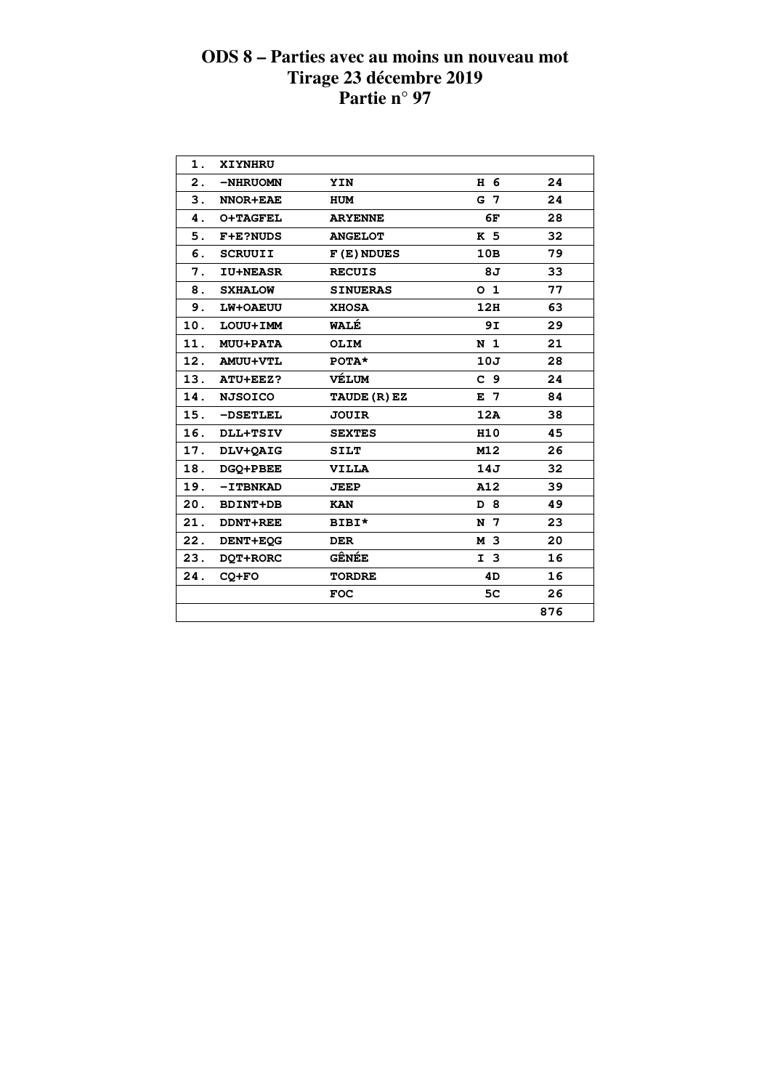| 1.  | XIYNHRU         |                 |                |     |  |
|-----|-----------------|-----------------|----------------|-----|--|
| 2.  | -NHRUOMN        | <b>YIN</b>      | H 6            | 24  |  |
| 3.  | <b>NNOR+EAE</b> | HUM             | G 7            | 24  |  |
| 4.  | <b>O+TAGFEL</b> | <b>ARYENNE</b>  | 6F             | 28  |  |
| 5.  | <b>F+E?NUDS</b> | <b>ANGELOT</b>  | K 5            | 32  |  |
| 6.  | <b>SCRUUII</b>  | $F(E)$ NDUES    | 10B            | 79  |  |
| 7.  | <b>IU+NEASR</b> | <b>RECUIS</b>   | 8J             | 33  |  |
| 8.  | <b>SXHALOW</b>  | <b>SINUERAS</b> | O <sub>1</sub> | 77  |  |
| 9.  | LW+OAEUU        | <b>XHOSA</b>    | 12H            | 63  |  |
| 10. | LOUU+IMM        | WALÉ            | 9I             | 29  |  |
| 11. | <b>MUU+PATA</b> | <b>OLIM</b>     | N <sub>1</sub> | 21  |  |
|     | 12. AMUU+VTL    | $POTA*$         | 10J            | 28  |  |
|     | 13. ATU+EEZ?    | VÉLUM           | C <sub>9</sub> | 24  |  |
| 14. | <b>NJSOICO</b>  | TAUDE (R) EZ    | E 7            | 84  |  |
| 15. | -DSETLEL        | <b>JOUIR</b>    | 12A            | 38  |  |
| 16. | <b>DLL+TSIV</b> | <b>SEXTES</b>   | H10            | 45  |  |
| 17. | DLV+QAIG        | <b>SILT</b>     | M12            | 26  |  |
| 18. | DGQ+PBEE        | <b>VILLA</b>    | 14J            | 32  |  |
| 19. | $-I$ TBNKAD     | <b>JEEP</b>     | A12            | 39  |  |
| 20. | <b>BDINT+DB</b> | <b>KAN</b>      | D 8            | 49  |  |
| 21. | <b>DDNT+REE</b> | BIBI*           | N 7            | 23  |  |
| 22. | DENT+EOG        | <b>DER</b>      | M 3            | 20  |  |
| 23. | DQT+RORC        | <b>GÊNÉE</b>    | I <sub>3</sub> | 16  |  |
| 24. | $CO+FO$         | <b>TORDRE</b>   | 4D             | 16  |  |
|     |                 | <b>FOC</b>      | 5 <sub>C</sub> | 26  |  |
|     |                 |                 |                | 876 |  |
|     |                 |                 |                |     |  |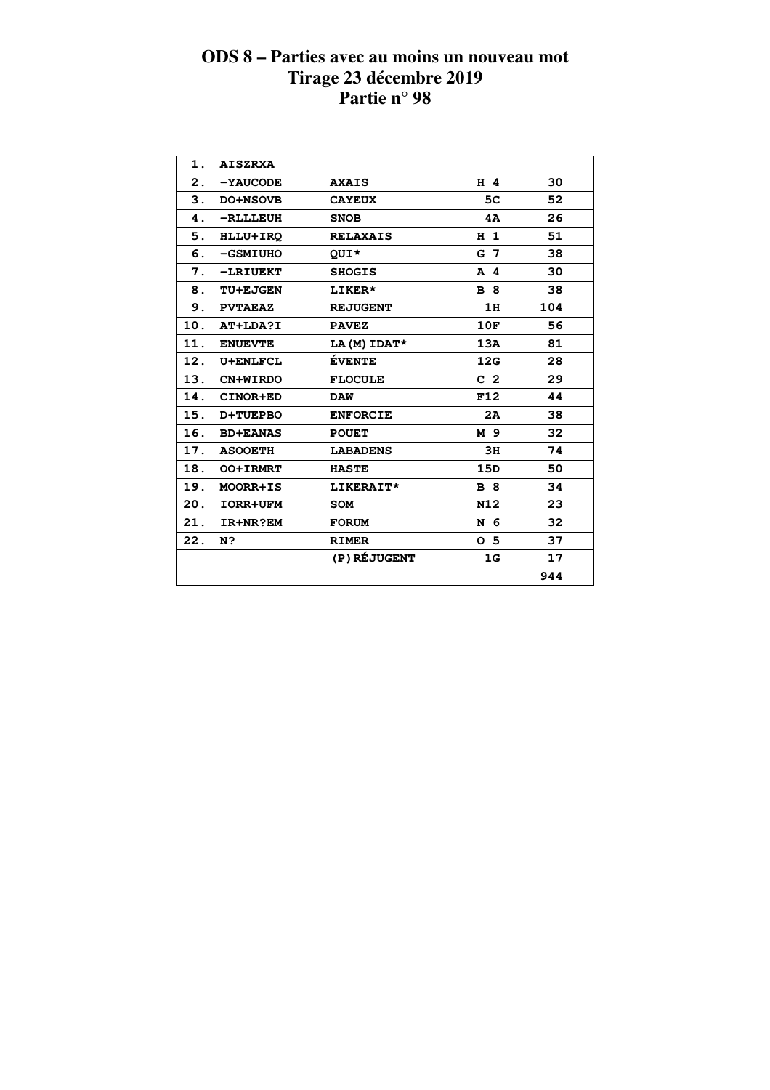| 1.  | <b>AISZRXA</b>  |                 |                |     |  |
|-----|-----------------|-----------------|----------------|-----|--|
| 2.  | $-YAUCODE$      | <b>AXAIS</b>    | $H$ 4          | 30  |  |
| 3.  | DO+NSOVB        | <b>CAYEUX</b>   | 5C             | 52  |  |
| 4.  | -RLLLEUH        | <b>SNOB</b>     | 4A             | 26  |  |
| 5.  | HLLU+IRQ        | <b>RELAXAIS</b> | H <sub>1</sub> | 51  |  |
| 6.  | -GSMIUHO        | QUI*            | G <sub>7</sub> | 38  |  |
| 7.  | -LRIUEKT        | <b>SHOGIS</b>   | A 4            | 30  |  |
| 8.  | <b>TU+EJGEN</b> | <b>LIKER*</b>   | <b>B</b> 8     | 38  |  |
| 9.  | <b>PVTAEAZ</b>  | <b>REJUGENT</b> | 1H             | 104 |  |
| 10. | AT+LDA?I        | <b>PAVEZ</b>    | 10F            | 56  |  |
| 11. | <b>ENUEVTE</b>  | LA(M) IDAT*     | 13A            | 81  |  |
| 12. | <b>U+ENLFCL</b> | <b>ÉVENTE</b>   | 12G            | 28  |  |
|     | 13. CN+WIRDO    | <b>FLOCULE</b>  | C <sub>2</sub> | 29  |  |
| 14. | CINOR+ED        | <b>DAW</b>      | F12            | 44  |  |
| 15. | <b>D+TUEPBO</b> | <b>ENFORCIE</b> | 2A             | 38  |  |
| 16. | <b>BD+EANAS</b> | <b>POUET</b>    | M 9            | 32  |  |
| 17. | <b>ASOOETH</b>  | <b>LABADENS</b> | 3H             | 74  |  |
| 18. | <b>OO+IRMRT</b> | <b>HASTE</b>    | 15D            | 50  |  |
| 19. | MOORR+IS        | LIKERAIT*       | <b>B</b> 8     | 34  |  |
| 20. | <b>IORR+UFM</b> | <b>SOM</b>      | N12            | 23  |  |
| 21. | IR+NR?EM        | <b>FORUM</b>    | N 6            | 32  |  |
| 22. | N?              | <b>RIMER</b>    | 0 <sub>5</sub> | 37  |  |
|     |                 | (P) RÉJUGENT    | 1G             | 17  |  |
|     |                 |                 |                | 944 |  |
|     |                 |                 |                |     |  |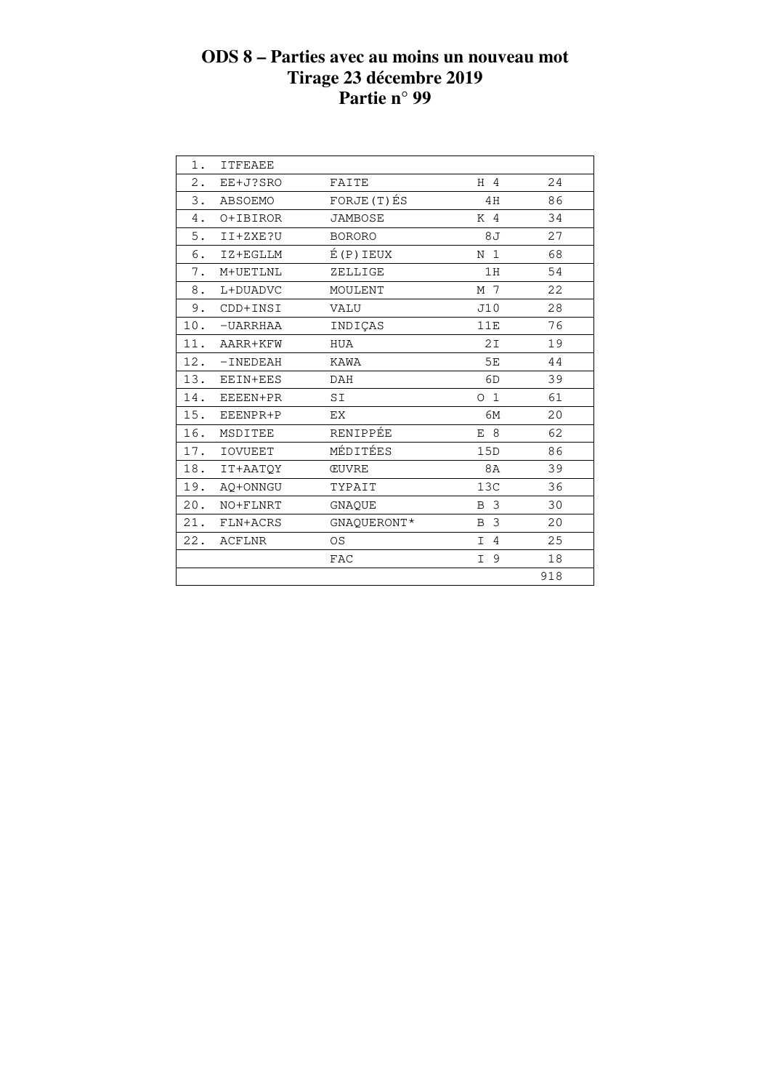| $1$ .                       | <b>ITFEAEE</b> |                |                      |     |
|-----------------------------|----------------|----------------|----------------------|-----|
| $2$ .                       | EE+J?SRO       | FAITE          | $H$ 4                | 24  |
| $\ensuremath{\mathsf{3}}$ . | <b>ABSOEMO</b> | FORJE (T) ÉS   | 4H                   | 86  |
| 4.                          | O+IBIROR       | <b>JAMBOSE</b> | K 4                  | 34  |
| 5.                          | II+ZXE?U       | <b>BORORO</b>  | 8 J                  | 27  |
| 6.                          | IZ+EGLLM       | E(P)IEUX       | N <sub>1</sub>       | 68  |
| 7.                          | M+UETLNL       | ZELLIGE        | 1H                   | 54  |
| 8.                          | L+DUADVC       | MOULENT        | M 7                  | 22  |
| 9.                          | CDD+INSI       | VALU           | J10                  | 28  |
| 10.                         | $-UARRHAA$     | INDICAS        | 11E                  | 76  |
| 11.                         | AARR+KFW       | HUA            | 2I                   | 19  |
| 12.                         | $-INEDEAH$     | KAWA           | 5E                   | 44  |
| 13.                         | EEIN+EES       | DAH            | 6D                   | 39  |
| 14.                         | EEEEN+PR       | SI             | 0 <sub>1</sub>       | 61  |
| 15.                         | EEENPR+P       | ЕX             | 6M                   | 20  |
| 16.                         | MSDITEE        | RENIPPÉE       | E 8                  | 62  |
| 17.                         | <b>IOVUEET</b> | MÉDITÉES       | 15D                  | 86  |
| 18.                         | IT+AATOY       | <b>CUVRE</b>   | 8A                   | 39  |
| 19.                         | AQ+ONNGU       | TYPAIT         | 13C                  | 36  |
| 20.                         | NO+FLNRT       | GNAQUE         | 3<br>B               | 30  |
| 21.                         | FLN+ACRS       | GNAQUERONT*    | $\mathbf{3}$<br>B    | 20  |
| 22.                         | <b>ACFLNR</b>  | <b>OS</b>      | $\overline{4}$<br>I. | 25  |
|                             |                | <b>FAC</b>     | 9<br>I.              | 18  |
|                             |                |                |                      | 918 |
|                             |                |                |                      |     |